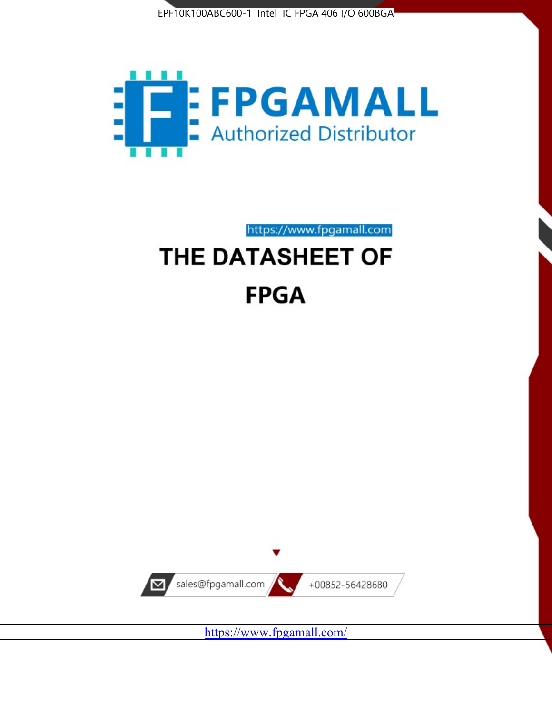



https://www.fpgamall.com

# THE DATASHEET OF **FPGA**



<https://www.fpgamall.com/>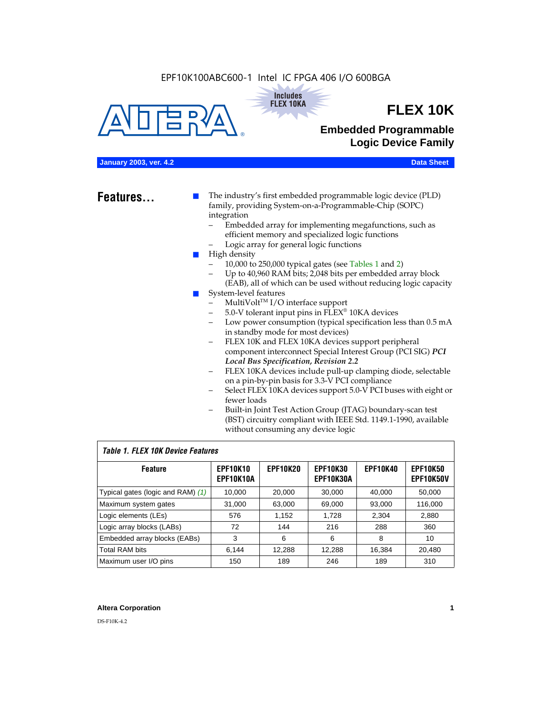**Includes FLEX 10KA**





### **Embedded Programmable Logic Device Family**

#### **January 2003, ver. 4.2 Data Sheet**

**Features...** ■ The industry's first embedded programmable logic device (PLD) family, providing System-on-a-Programmable-Chip (SOPC) integration

- Embedded array for implementing megafunctions, such as efficient memory and specialized logic functions
- Logic array for general logic functions
- High density
	- 10,000 to 250,000 typical gates (see Tables 1 and 2)
	- Up to 40,960 RAM bits; 2,048 bits per embedded array block (EAB), all of which can be used without reducing logic capacity
- System-level features
	- $MultiVolt<sup>TM</sup> I/O interface support$
	- 5.0-V tolerant input pins in FLEX® 10KA devices
	- Low power consumption (typical specification less than 0.5 mA in standby mode for most devices)
	- FLEX 10K and FLEX 10KA devices support peripheral component interconnect Special Interest Group (PCI SIG) *PCI Local Bus Specification, Revision 2.2*
	- FLEX 10KA devices include pull-up clamping diode, selectable on a pin-by-pin basis for 3.3-V PCI compliance
	- Select FLEX 10KA devices support 5.0-V PCI buses with eight or fewer loads
	- Built-in Joint Test Action Group (JTAG) boundary-scan test (BST) circuitry compliant with IEEE Std. 1149.1-1990, available without consuming any device logic

#### *Table 1. FLEX 10K Device Features*

| <b>Feature</b>                    | <b>EPF10K10</b><br>EPF10K10A | <b>EPF10K20</b> | <b>EPF10K30</b><br><b>EPF10K30A</b> | <b>EPF10K40</b> | <b>EPF10K50</b><br><b>EPF10K50V</b> |
|-----------------------------------|------------------------------|-----------------|-------------------------------------|-----------------|-------------------------------------|
| Typical gates (logic and RAM) (1) | 10,000                       | 20,000          | 30,000                              | 40,000          | 50,000                              |
| Maximum system gates              | 31,000                       | 63,000          | 69,000                              | 93,000          | 116,000                             |
| Logic elements (LEs)              | 576                          | 1,152           | 1,728                               | 2,304           | 2,880                               |
| Logic array blocks (LABs)         | 72                           | 144             | 216                                 | 288             | 360                                 |
| Embedded array blocks (EABs)      | 3                            | 6               | 6                                   | 8               | 10                                  |
| <b>Total RAM bits</b>             | 6.144                        | 12,288          | 12,288                              | 16,384          | 20,480                              |
| Maximum user I/O pins             | 150                          | 189             | 246                                 | 189             | 310                                 |

#### **Altera Corporation 1**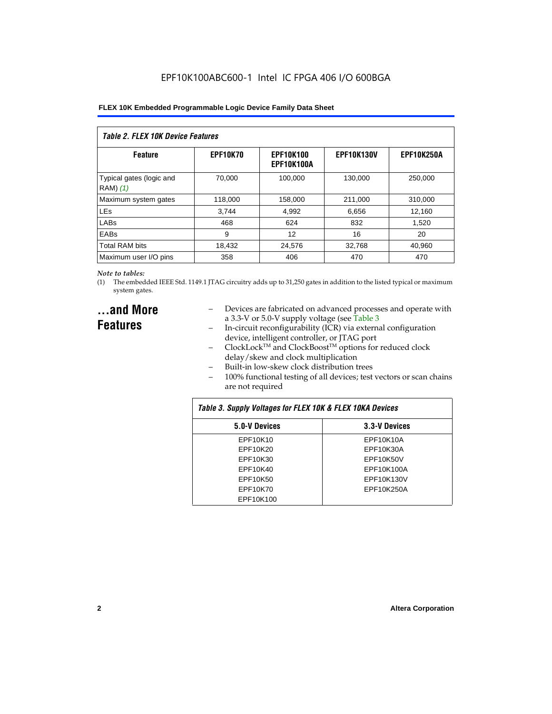| Table 2. FLEX 10K Device Features    |                 |                                |                   |                   |  |
|--------------------------------------|-----------------|--------------------------------|-------------------|-------------------|--|
| <b>Feature</b>                       | <b>EPF10K70</b> | <b>EPF10K100</b><br>EPF10K100A | <b>EPF10K130V</b> | <b>EPF10K250A</b> |  |
| Typical gates (logic and<br>RAM) (1) | 70.000          | 100.000                        | 130.000           | 250,000           |  |
| Maximum system gates                 | 118,000         | 158,000                        | 211,000           | 310,000           |  |
| <b>LE<sub>s</sub></b>                | 3.744           | 4,992                          | 6,656             | 12,160            |  |
| LABs                                 | 468             | 624                            | 832               | 1.520             |  |
| EABs                                 | 9               | 12                             | 16                | 20                |  |
| <b>Total RAM bits</b>                | 18,432          | 24.576                         | 32,768            | 40,960            |  |
| Maximum user I/O pins                | 358             | 406                            | 470               | 470               |  |

#### *Note to tables:*

(1) The embedded IEEE Std. 1149.1 JTAG circuitry adds up to 31,250 gates in addition to the listed typical or maximum system gates.

### **...and More Features**

- Devices are fabricated on advanced processes and operate with a 3.3-V or 5.0-V supply voltage (see Table 3
- In-circuit reconfigurability (ICR) via external configuration device, intelligent controller, or JTAG port
- $ClockLock^{TM}$  and  $ClockBoost^{TM}$  options for reduced clock delay/skew and clock multiplication
- Built-in low-skew clock distribution trees
- 100% functional testing of all devices; test vectors or scan chains are not required

| Table 3. Supply Voltages for FLEX 10K & FLEX 10KA Devices |               |  |  |  |
|-----------------------------------------------------------|---------------|--|--|--|
| 5.0-V Devices                                             | 3.3-V Devices |  |  |  |
| EPF10K10                                                  | EPF10K10A     |  |  |  |
| EPF10K20                                                  | EPF10K30A     |  |  |  |
| EPF10K30                                                  | EPF10K50V     |  |  |  |
| EPF10K40                                                  | EPF10K100A    |  |  |  |
| EPF10K50                                                  | EPF10K130V    |  |  |  |
| EPF10K70                                                  | EPF10K250A    |  |  |  |
| EPF10K100                                                 |               |  |  |  |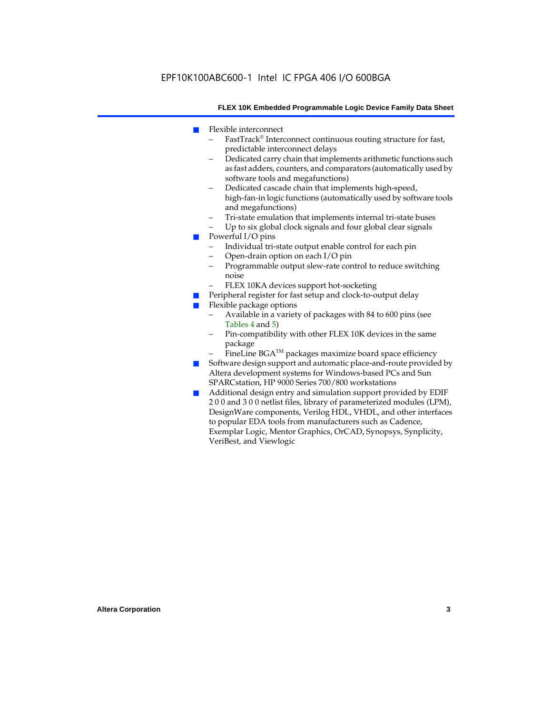- Flexible interconnect
	- FastTrack® Interconnect continuous routing structure for fast, predictable interconnect delays
	- Dedicated carry chain that implements arithmetic functions such as fast adders, counters, and comparators (automatically used by software tools and megafunctions)
	- Dedicated cascade chain that implements high-speed, high-fan-in logic functions (automatically used by software tools and megafunctions)
	- Tri-state emulation that implements internal tri-state buses
	- Up to six global clock signals and four global clear signals
- Powerful I/O pins
	- Individual tri-state output enable control for each pin
	- Open-drain option on each I/O pin
	- Programmable output slew-rate control to reduce switching noise
	- FLEX 10KA devices support hot-socketing
- Peripheral register for fast setup and clock-to-output delay
- Flexible package options
	- Available in a variety of packages with 84 to 600 pins (see Tables 4 and 5)
	- Pin-compatibility with other FLEX 10K devices in the same package
	- FineLine BGA<sup>TM</sup> packages maximize board space efficiency
- Software design support and automatic place-and-route provided by Altera development systems for Windows-based PCs and Sun SPARCstation, HP 9000 Series 700/800 workstations
- Additional design entry and simulation support provided by EDIF 2 0 0 and 3 0 0 netlist files, library of parameterized modules (LPM), DesignWare components, Verilog HDL, VHDL, and other interfaces to popular EDA tools from manufacturers such as Cadence, Exemplar Logic, Mentor Graphics, OrCAD, Synopsys, Synplicity, VeriBest, and Viewlogic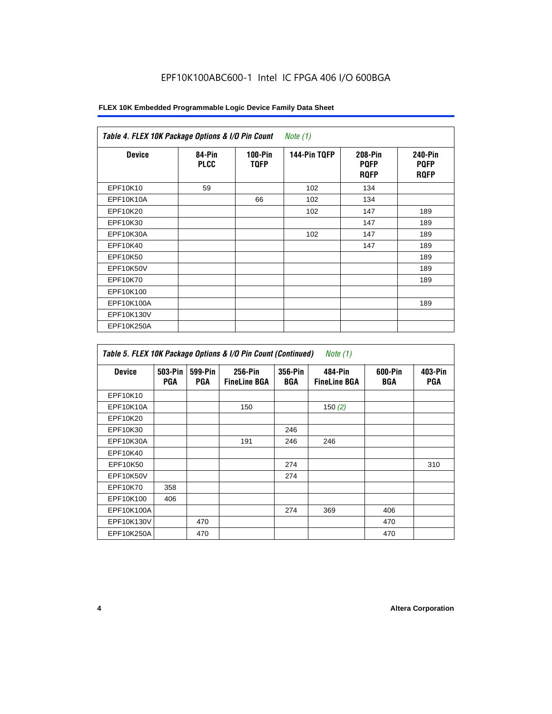| FLEX 10K Embedded Programmable Logic Device Family Data Sheet |  |
|---------------------------------------------------------------|--|
|---------------------------------------------------------------|--|

| <b>Device</b> | 84-Pin<br><b>PLCC</b> | $100-Pin$<br><b>TOFP</b> | 144-Pin TQFP | 208-Pin<br><b>PQFP</b><br><b>ROFP</b> | 240-Pin<br><b>PQFP</b><br><b>ROFP</b> |
|---------------|-----------------------|--------------------------|--------------|---------------------------------------|---------------------------------------|
| EPF10K10      | 59                    |                          | 102          | 134                                   |                                       |
| EPF10K10A     |                       | 66                       | 102          | 134                                   |                                       |
| EPF10K20      |                       |                          | 102          | 147                                   | 189                                   |
| EPF10K30      |                       |                          |              | 147                                   | 189                                   |
| EPF10K30A     |                       |                          | 102          | 147                                   | 189                                   |
| EPF10K40      |                       |                          |              | 147                                   | 189                                   |
| EPF10K50      |                       |                          |              |                                       | 189                                   |
| EPF10K50V     |                       |                          |              |                                       | 189                                   |
| EPF10K70      |                       |                          |              |                                       | 189                                   |
| EPF10K100     |                       |                          |              |                                       |                                       |
| EPF10K100A    |                       |                          |              |                                       | 189                                   |
| EPF10K130V    |                       |                          |              |                                       |                                       |
| EPF10K250A    |                       |                          |              |                                       |                                       |

| Table 5. FLEX 10K Package Options & I/O Pin Count (Continued)<br>Note $(1)$ |                |                       |                                |                       |                                |                |                |
|-----------------------------------------------------------------------------|----------------|-----------------------|--------------------------------|-----------------------|--------------------------------|----------------|----------------|
| <b>Device</b>                                                               | 503-Pin<br>PGA | 599-Pin<br><b>PGA</b> | 256-Pin<br><b>FineLine BGA</b> | 356-Pin<br><b>BGA</b> | 484-Pin<br><b>FineLine BGA</b> | 600-Pin<br>BGA | 403-Pin<br>PGA |
| EPF10K10                                                                    |                |                       |                                |                       |                                |                |                |
| EPF10K10A                                                                   |                |                       | 150                            |                       | 150 $(2)$                      |                |                |
| EPF10K20                                                                    |                |                       |                                |                       |                                |                |                |
| EPF10K30                                                                    |                |                       |                                | 246                   |                                |                |                |
| EPF10K30A                                                                   |                |                       | 191                            | 246                   | 246                            |                |                |
| EPF10K40                                                                    |                |                       |                                |                       |                                |                |                |
| EPF10K50                                                                    |                |                       |                                | 274                   |                                |                | 310            |
| EPF10K50V                                                                   |                |                       |                                | 274                   |                                |                |                |
| EPF10K70                                                                    | 358            |                       |                                |                       |                                |                |                |
| EPF10K100                                                                   | 406            |                       |                                |                       |                                |                |                |
| EPF10K100A                                                                  |                |                       |                                | 274                   | 369                            | 406            |                |
| EPF10K130V                                                                  |                | 470                   |                                |                       |                                | 470            |                |
| EPF10K250A                                                                  |                | 470                   |                                |                       |                                | 470            |                |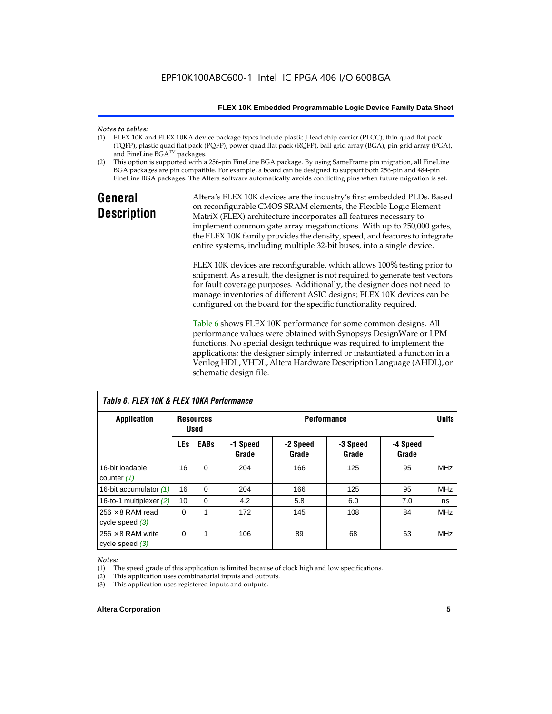## *Notes to tables:*

- FLEX 10K and FLEX 10KA device package types include plastic J-lead chip carrier (PLCC), thin quad flat pack (TQFP), plastic quad flat pack (PQFP), power quad flat pack (RQFP), ball-grid array (BGA), pin-grid array (PGA), and FineLine BGA™ packages.
- (2) This option is supported with a 256-pin FineLine BGA package. By using SameFrame pin migration, all FineLine BGA packages are pin compatible. For example, a board can be designed to support both 256-pin and 484-pin FineLine BGA packages. The Altera software automatically avoids conflicting pins when future migration is set.

### **General Description**

Altera's FLEX 10K devices are the industry's first embedded PLDs. Based on reconfigurable CMOS SRAM elements, the Flexible Logic Element MatriX (FLEX) architecture incorporates all features necessary to implement common gate array megafunctions. With up to 250,000 gates, the FLEX 10K family provides the density, speed, and features to integrate entire systems, including multiple 32-bit buses, into a single device.

FLEX 10K devices are reconfigurable, which allows 100% testing prior to shipment. As a result, the designer is not required to generate test vectors for fault coverage purposes. Additionally, the designer does not need to manage inventories of different ASIC designs; FLEX 10K devices can be configured on the board for the specific functionality required.

Table 6 shows FLEX 10K performance for some common designs. All performance values were obtained with Synopsys DesignWare or LPM functions. No special design technique was required to implement the applications; the designer simply inferred or instantiated a function in a Verilog HDL, VHDL, Altera Hardware Description Language (AHDL), or schematic design file.

| TADIE D. FLEA TUN & FLEA TUNA FEITUITUAILLE   |            |                                 |                    |                   |                   |                   |            |
|-----------------------------------------------|------------|---------------------------------|--------------------|-------------------|-------------------|-------------------|------------|
| <b>Application</b>                            |            | <b>Resources</b><br><b>Used</b> | <b>Performance</b> |                   |                   | <b>Units</b>      |            |
|                                               | <b>LEs</b> | <b>EABs</b>                     | -1 Speed<br>Grade  | -2 Speed<br>Grade | -3 Speed<br>Grade | -4 Speed<br>Grade |            |
| 16-bit loadable<br>counter $(1)$              | 16         | $\Omega$                        | 204                | 166               | 125               | 95                | <b>MHz</b> |
| 16-bit accumulator (1)                        | 16         | $\Omega$                        | 204                | 166               | 125               | 95                | <b>MHz</b> |
| 16-to-1 multiplexer $(2)$                     | 10         | $\Omega$                        | 4.2                | 5.8               | 6.0               | 7.0               | ns         |
| $256 \times 8$ RAM read<br>cycle speed $(3)$  | 0          | 1                               | 172                | 145               | 108               | 84                | <b>MHz</b> |
| 256 $\times$ 8 RAM write<br>cycle speed $(3)$ | 0          | 1                               | 106                | 89                | 68                | 63                | <b>MHz</b> |

*Table 6. FLEX 10K & FLEX 10KA Performance*

#### *Notes:*

(1) The speed grade of this application is limited because of clock high and low specifications.

(2) This application uses combinatorial inputs and outputs.

(3) This application uses registered inputs and outputs.

#### **Altera Corporation 5**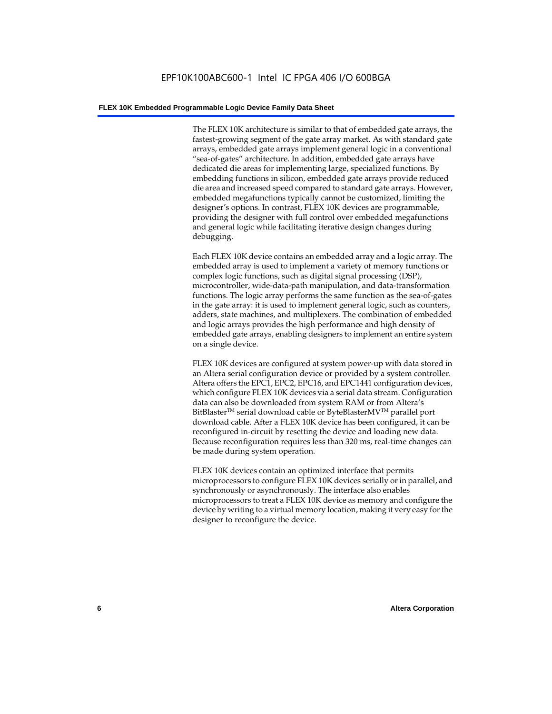The FLEX 10K architecture is similar to that of embedded gate arrays, the fastest-growing segment of the gate array market. As with standard gate arrays, embedded gate arrays implement general logic in a conventional "sea-of-gates" architecture. In addition, embedded gate arrays have dedicated die areas for implementing large, specialized functions. By embedding functions in silicon, embedded gate arrays provide reduced die area and increased speed compared to standard gate arrays. However, embedded megafunctions typically cannot be customized, limiting the designer's options. In contrast, FLEX 10K devices are programmable, providing the designer with full control over embedded megafunctions and general logic while facilitating iterative design changes during debugging.

Each FLEX 10K device contains an embedded array and a logic array. The embedded array is used to implement a variety of memory functions or complex logic functions, such as digital signal processing (DSP), microcontroller, wide-data-path manipulation, and data-transformation functions. The logic array performs the same function as the sea-of-gates in the gate array: it is used to implement general logic, such as counters, adders, state machines, and multiplexers. The combination of embedded and logic arrays provides the high performance and high density of embedded gate arrays, enabling designers to implement an entire system on a single device.

FLEX 10K devices are configured at system power-up with data stored in an Altera serial configuration device or provided by a system controller. Altera offers the EPC1, EPC2, EPC16, and EPC1441 configuration devices, which configure FLEX 10K devices via a serial data stream. Configuration data can also be downloaded from system RAM or from Altera's BitBlaster<sup>™</sup> serial download cable or ByteBlasterMV<sup>™</sup> parallel port download cable. After a FLEX 10K device has been configured, it can be reconfigured in-circuit by resetting the device and loading new data. Because reconfiguration requires less than 320 ms, real-time changes can be made during system operation.

FLEX 10K devices contain an optimized interface that permits microprocessors to configure FLEX 10K devices serially or in parallel, and synchronously or asynchronously. The interface also enables microprocessors to treat a FLEX 10K device as memory and configure the device by writing to a virtual memory location, making it very easy for the designer to reconfigure the device.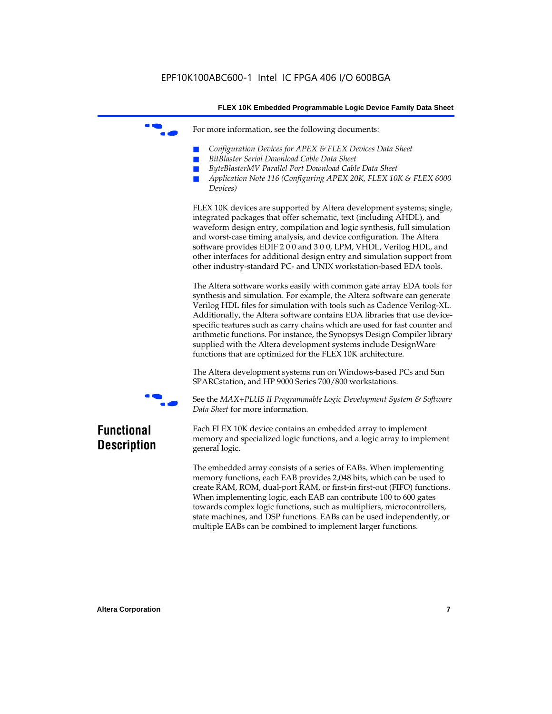For more information, see the following documents:

- *Configuration Devices for APEX & FLEX Devices Data Sheet*
- $BitBlaster$  Serial Download Cable Data Sheet
- *ByteBlasterMV Parallel Port Download Cable Data Sheet*
- *Application Note 116 (Configuring APEX 20K, FLEX 10K & FLEX 6000 Devices)*

FLEX 10K devices are supported by Altera development systems; single, integrated packages that offer schematic, text (including AHDL), and waveform design entry, compilation and logic synthesis, full simulation and worst-case timing analysis, and device configuration. The Altera software provides EDIF 2 0 0 and 3 0 0, LPM, VHDL, Verilog HDL, and other interfaces for additional design entry and simulation support from other industry-standard PC- and UNIX workstation-based EDA tools.

The Altera software works easily with common gate array EDA tools for synthesis and simulation. For example, the Altera software can generate Verilog HDL files for simulation with tools such as Cadence Verilog-XL. Additionally, the Altera software contains EDA libraries that use devicespecific features such as carry chains which are used for fast counter and arithmetic functions. For instance, the Synopsys Design Compiler library supplied with the Altera development systems include DesignWare functions that are optimized for the FLEX 10K architecture.

The Altera development systems run on Windows-based PCs and Sun SPARCstation, and HP 9000 Series 700/800 workstations.



f See the *MAX+PLUS II Programmable Logic Development System & Software Data Sheet* for more information.

### **Functional Description**

Each FLEX 10K device contains an embedded array to implement memory and specialized logic functions, and a logic array to implement general logic.

The embedded array consists of a series of EABs. When implementing memory functions, each EAB provides 2,048 bits, which can be used to create RAM, ROM, dual-port RAM, or first-in first-out (FIFO) functions. When implementing logic, each EAB can contribute 100 to 600 gates towards complex logic functions, such as multipliers, microcontrollers, state machines, and DSP functions. EABs can be used independently, or multiple EABs can be combined to implement larger functions.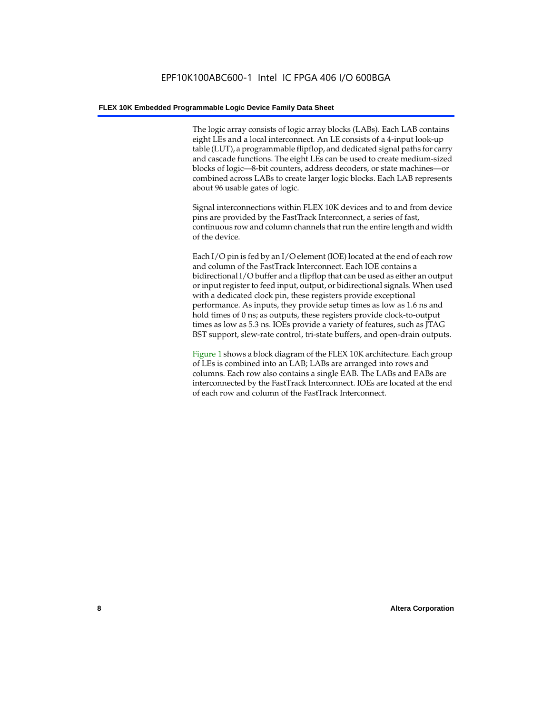The logic array consists of logic array blocks (LABs). Each LAB contains eight LEs and a local interconnect. An LE consists of a 4-input look-up table (LUT), a programmable flipflop, and dedicated signal paths for carry and cascade functions. The eight LEs can be used to create medium-sized blocks of logic—8-bit counters, address decoders, or state machines—or combined across LABs to create larger logic blocks. Each LAB represents about 96 usable gates of logic.

Signal interconnections within FLEX 10K devices and to and from device pins are provided by the FastTrack Interconnect, a series of fast, continuous row and column channels that run the entire length and width of the device.

Each I/O pin is fed by an I/O element (IOE) located at the end of each row and column of the FastTrack Interconnect. Each IOE contains a bidirectional I/O buffer and a flipflop that can be used as either an output or input register to feed input, output, or bidirectional signals. When used with a dedicated clock pin, these registers provide exceptional performance. As inputs, they provide setup times as low as 1.6 ns and hold times of 0 ns; as outputs, these registers provide clock-to-output times as low as 5.3 ns. IOEs provide a variety of features, such as JTAG BST support, slew-rate control, tri-state buffers, and open-drain outputs.

Figure 1 shows a block diagram of the FLEX 10K architecture. Each group of LEs is combined into an LAB; LABs are arranged into rows and columns. Each row also contains a single EAB. The LABs and EABs are interconnected by the FastTrack Interconnect. IOEs are located at the end of each row and column of the FastTrack Interconnect.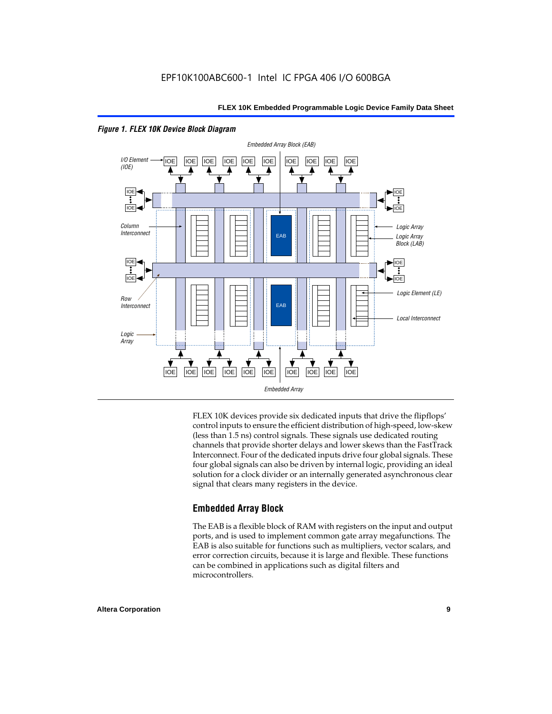

*Figure 1. FLEX 10K Device Block Diagram*

FLEX 10K devices provide six dedicated inputs that drive the flipflops' control inputs to ensure the efficient distribution of high-speed, low-skew (less than 1.5 ns) control signals. These signals use dedicated routing channels that provide shorter delays and lower skews than the FastTrack Interconnect. Four of the dedicated inputs drive four global signals. These four global signals can also be driven by internal logic, providing an ideal solution for a clock divider or an internally generated asynchronous clear signal that clears many registers in the device.

#### **Embedded Array Block**

The EAB is a flexible block of RAM with registers on the input and output ports, and is used to implement common gate array megafunctions. The EAB is also suitable for functions such as multipliers, vector scalars, and error correction circuits, because it is large and flexible. These functions can be combined in applications such as digital filters and microcontrollers.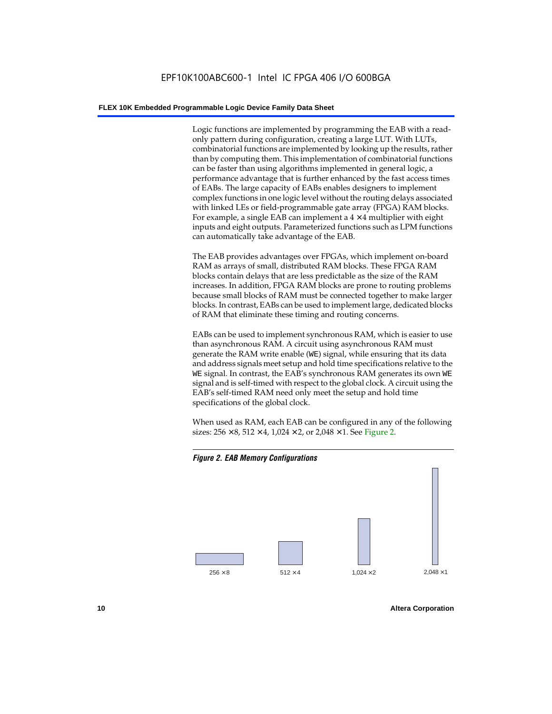Logic functions are implemented by programming the EAB with a readonly pattern during configuration, creating a large LUT. With LUTs, combinatorial functions are implemented by looking up the results, rather than by computing them. This implementation of combinatorial functions can be faster than using algorithms implemented in general logic, a performance advantage that is further enhanced by the fast access times of EABs. The large capacity of EABs enables designers to implement complex functions in one logic level without the routing delays associated with linked LEs or field-programmable gate array (FPGA) RAM blocks. For example, a single EAB can implement a  $4 \times 4$  multiplier with eight inputs and eight outputs. Parameterized functions such as LPM functions can automatically take advantage of the EAB.

The EAB provides advantages over FPGAs, which implement on-board RAM as arrays of small, distributed RAM blocks. These FPGA RAM blocks contain delays that are less predictable as the size of the RAM increases. In addition, FPGA RAM blocks are prone to routing problems because small blocks of RAM must be connected together to make larger blocks. In contrast, EABs can be used to implement large, dedicated blocks of RAM that eliminate these timing and routing concerns.

EABs can be used to implement synchronous RAM, which is easier to use than asynchronous RAM. A circuit using asynchronous RAM must generate the RAM write enable (WE) signal, while ensuring that its data and address signals meet setup and hold time specifications relative to the WE signal. In contrast, the EAB's synchronous RAM generates its own WE signal and is self-timed with respect to the global clock. A circuit using the EAB's self-timed RAM need only meet the setup and hold time specifications of the global clock.

When used as RAM, each EAB can be configured in any of the following sizes:  $256 \times 8$ ,  $512 \times 4$ ,  $1,024 \times 2$ , or  $2,048 \times 1$ . See Figure 2.



#### **10 Altera Corporation**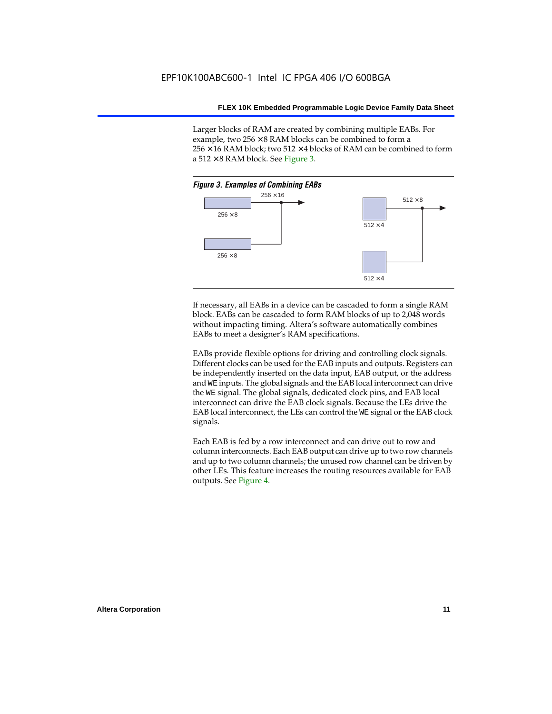Larger blocks of RAM are created by combining multiple EABs. For example, two  $256 \times 8$  RAM blocks can be combined to form a  $256 \times 16$  RAM block; two 512  $\times$  4 blocks of RAM can be combined to form a  $512 \times 8$  RAM block. See Figure 3.



If necessary, all EABs in a device can be cascaded to form a single RAM block. EABs can be cascaded to form RAM blocks of up to 2,048 words without impacting timing. Altera's software automatically combines EABs to meet a designer's RAM specifications.

EABs provide flexible options for driving and controlling clock signals. Different clocks can be used for the EAB inputs and outputs. Registers can be independently inserted on the data input, EAB output, or the address and WE inputs. The global signals and the EAB local interconnect can drive the WE signal. The global signals, dedicated clock pins, and EAB local interconnect can drive the EAB clock signals. Because the LEs drive the EAB local interconnect, the LEs can control the WE signal or the EAB clock signals.

Each EAB is fed by a row interconnect and can drive out to row and column interconnects. Each EAB output can drive up to two row channels and up to two column channels; the unused row channel can be driven by other LEs. This feature increases the routing resources available for EAB outputs. See Figure 4.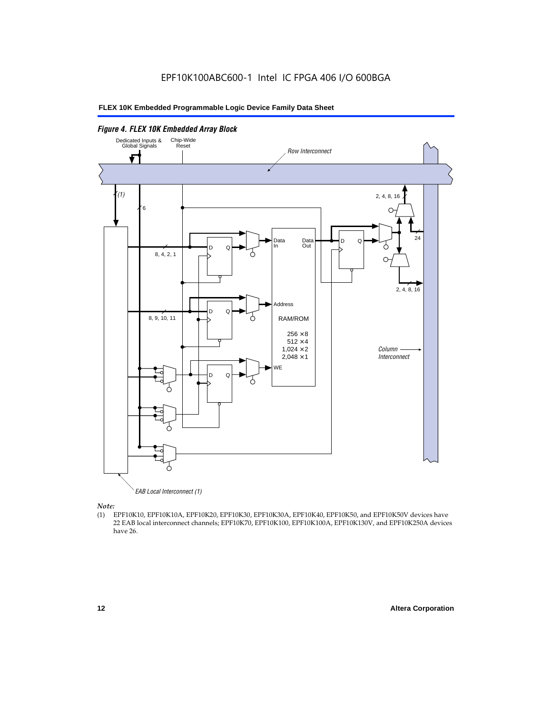

EAB Local Interconnect (1)

*Note:*<br>(1) **H** 

(1) EPF10K10, EPF10K10A, EPF10K20, EPF10K30, EPF10K30A, EPF10K40, EPF10K50, and EPF10K50V devices have 22 EAB local interconnect channels; EPF10K70, EPF10K100, EPF10K100A, EPF10K130V, and EPF10K250A devices have 26.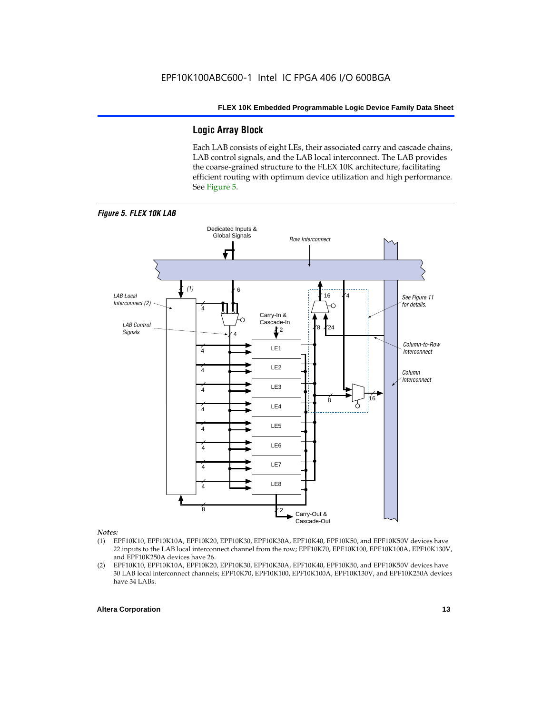### **Logic Array Block**

Each LAB consists of eight LEs, their associated carry and cascade chains, LAB control signals, and the LAB local interconnect. The LAB provides the coarse-grained structure to the FLEX 10K architecture, facilitating efficient routing with optimum device utilization and high performance. See Figure 5.



#### *Notes:*

- (1) EPF10K10, EPF10K10A, EPF10K20, EPF10K30, EPF10K30A, EPF10K40, EPF10K50, and EPF10K50V devices have 22 inputs to the LAB local interconnect channel from the row; EPF10K70, EPF10K100, EPF10K100A, EPF10K130V, and EPF10K250A devices have 26.
- (2) EPF10K10, EPF10K10A, EPF10K20, EPF10K30, EPF10K30A, EPF10K40, EPF10K50, and EPF10K50V devices have 30 LAB local interconnect channels; EPF10K70, EPF10K100, EPF10K100A, EPF10K130V, and EPF10K250A devices have 34 LABs.

#### **Altera Corporation 13 13**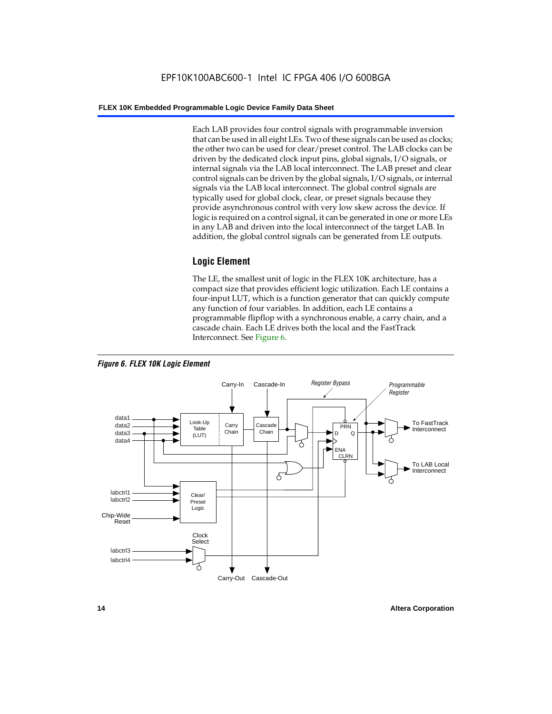Each LAB provides four control signals with programmable inversion that can be used in all eight LEs. Two of these signals can be used as clocks; the other two can be used for clear/preset control. The LAB clocks can be driven by the dedicated clock input pins, global signals, I/O signals, or internal signals via the LAB local interconnect. The LAB preset and clear control signals can be driven by the global signals, I/O signals, or internal signals via the LAB local interconnect. The global control signals are typically used for global clock, clear, or preset signals because they provide asynchronous control with very low skew across the device. If logic is required on a control signal, it can be generated in one or more LEs in any LAB and driven into the local interconnect of the target LAB. In addition, the global control signals can be generated from LE outputs.

#### **Logic Element**

The LE, the smallest unit of logic in the FLEX 10K architecture, has a compact size that provides efficient logic utilization. Each LE contains a four-input LUT, which is a function generator that can quickly compute any function of four variables. In addition, each LE contains a programmable flipflop with a synchronous enable, a carry chain, and a cascade chain. Each LE drives both the local and the FastTrack Interconnect. See Figure 6.



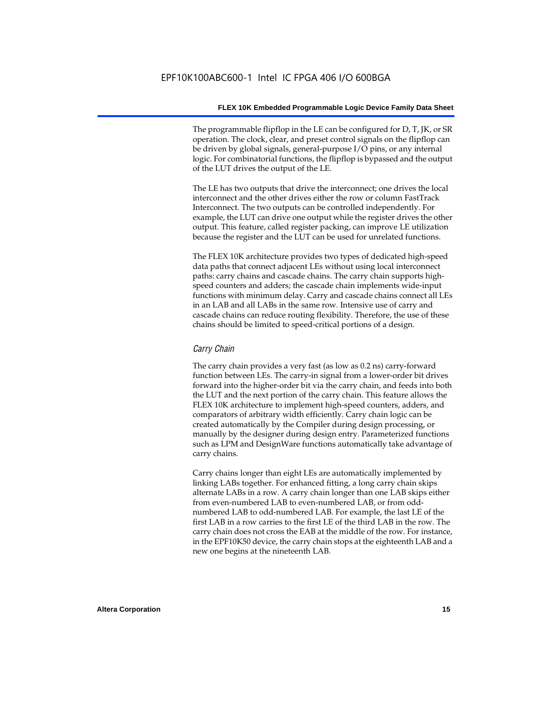The programmable flipflop in the LE can be configured for D, T, JK, or SR operation. The clock, clear, and preset control signals on the flipflop can be driven by global signals, general-purpose I/O pins, or any internal logic. For combinatorial functions, the flipflop is bypassed and the output of the LUT drives the output of the LE.

The LE has two outputs that drive the interconnect; one drives the local interconnect and the other drives either the row or column FastTrack Interconnect. The two outputs can be controlled independently. For example, the LUT can drive one output while the register drives the other output. This feature, called register packing, can improve LE utilization because the register and the LUT can be used for unrelated functions.

The FLEX 10K architecture provides two types of dedicated high-speed data paths that connect adjacent LEs without using local interconnect paths: carry chains and cascade chains. The carry chain supports highspeed counters and adders; the cascade chain implements wide-input functions with minimum delay. Carry and cascade chains connect all LEs in an LAB and all LABs in the same row. Intensive use of carry and cascade chains can reduce routing flexibility. Therefore, the use of these chains should be limited to speed-critical portions of a design.

#### *Carry Chain*

The carry chain provides a very fast (as low as 0.2 ns) carry-forward function between LEs. The carry-in signal from a lower-order bit drives forward into the higher-order bit via the carry chain, and feeds into both the LUT and the next portion of the carry chain. This feature allows the FLEX 10K architecture to implement high-speed counters, adders, and comparators of arbitrary width efficiently. Carry chain logic can be created automatically by the Compiler during design processing, or manually by the designer during design entry. Parameterized functions such as LPM and DesignWare functions automatically take advantage of carry chains.

Carry chains longer than eight LEs are automatically implemented by linking LABs together. For enhanced fitting, a long carry chain skips alternate LABs in a row. A carry chain longer than one LAB skips either from even-numbered LAB to even-numbered LAB, or from oddnumbered LAB to odd-numbered LAB. For example, the last LE of the first LAB in a row carries to the first LE of the third LAB in the row. The carry chain does not cross the EAB at the middle of the row. For instance, in the EPF10K50 device, the carry chain stops at the eighteenth LAB and a new one begins at the nineteenth LAB.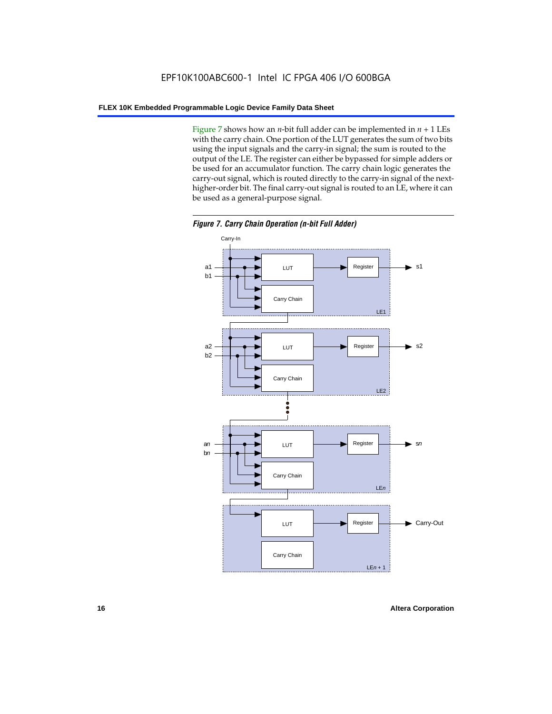Figure 7 shows how an *n*-bit full adder can be implemented in  $n + 1$  LEs with the carry chain. One portion of the LUT generates the sum of two bits using the input signals and the carry-in signal; the sum is routed to the output of the LE. The register can either be bypassed for simple adders or be used for an accumulator function. The carry chain logic generates the carry-out signal, which is routed directly to the carry-in signal of the nexthigher-order bit. The final carry-out signal is routed to an LE, where it can be used as a general-purpose signal.



*Figure 7. Carry Chain Operation (n-bit Full Adder)*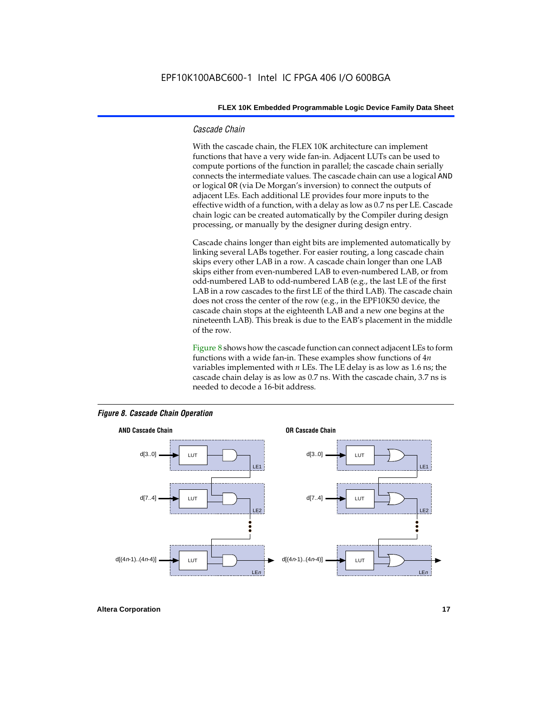#### *Cascade Chain*

With the cascade chain, the FLEX 10K architecture can implement functions that have a very wide fan-in. Adjacent LUTs can be used to compute portions of the function in parallel; the cascade chain serially connects the intermediate values. The cascade chain can use a logical AND or logical OR (via De Morgan's inversion) to connect the outputs of adjacent LEs. Each additional LE provides four more inputs to the effective width of a function, with a delay as low as 0.7 ns per LE. Cascade chain logic can be created automatically by the Compiler during design processing, or manually by the designer during design entry.

Cascade chains longer than eight bits are implemented automatically by linking several LABs together. For easier routing, a long cascade chain skips every other LAB in a row. A cascade chain longer than one LAB skips either from even-numbered LAB to even-numbered LAB, or from odd-numbered LAB to odd-numbered LAB (e.g., the last LE of the first LAB in a row cascades to the first LE of the third LAB). The cascade chain does not cross the center of the row (e.g., in the EPF10K50 device, the cascade chain stops at the eighteenth LAB and a new one begins at the nineteenth LAB). This break is due to the EAB's placement in the middle of the row.

Figure 8 shows how the cascade function can connect adjacent LEs to form functions with a wide fan-in. These examples show functions of 4*n* variables implemented with *n* LEs. The LE delay is as low as 1.6 ns; the cascade chain delay is as low as 0.7 ns. With the cascade chain, 3.7 ns is needed to decode a 16-bit address.



#### *Figure 8. Cascade Chain Operation*

**Altera Corporation 17 17**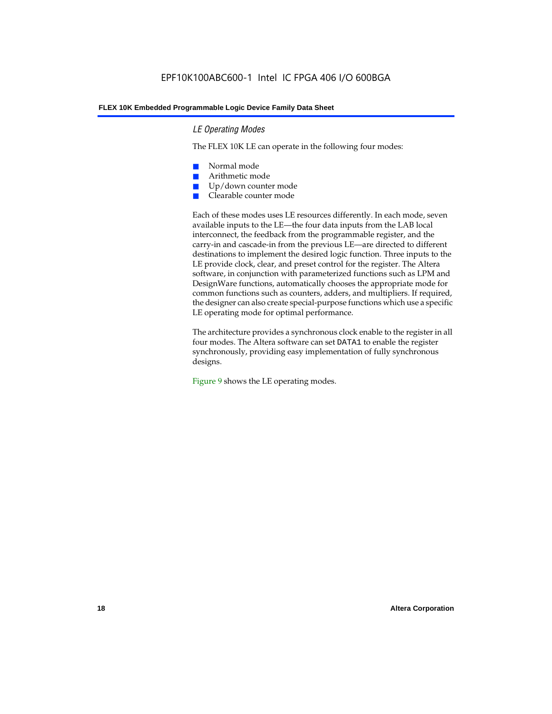#### *LE Operating Modes*

The FLEX 10K LE can operate in the following four modes:

- Normal mode
- Arithmetic mode
- Up/down counter mode
- Clearable counter mode

Each of these modes uses LE resources differently. In each mode, seven available inputs to the LE—the four data inputs from the LAB local interconnect, the feedback from the programmable register, and the carry-in and cascade-in from the previous LE—are directed to different destinations to implement the desired logic function. Three inputs to the LE provide clock, clear, and preset control for the register. The Altera software, in conjunction with parameterized functions such as LPM and DesignWare functions, automatically chooses the appropriate mode for common functions such as counters, adders, and multipliers. If required, the designer can also create special-purpose functions which use a specific LE operating mode for optimal performance.

The architecture provides a synchronous clock enable to the register in all four modes. The Altera software can set DATA1 to enable the register synchronously, providing easy implementation of fully synchronous designs.

Figure 9 shows the LE operating modes.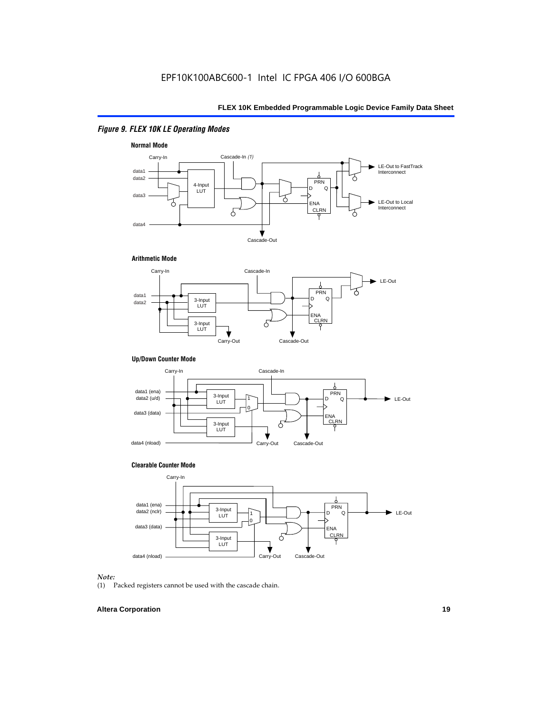### *Figure 9. FLEX 10K LE Operating Modes*







#### **Up/Down Counter Mode**



#### **Clearable Counter Mode**



#### *Note:*

(1) Packed registers cannot be used with the cascade chain.

#### **Altera Corporation 19**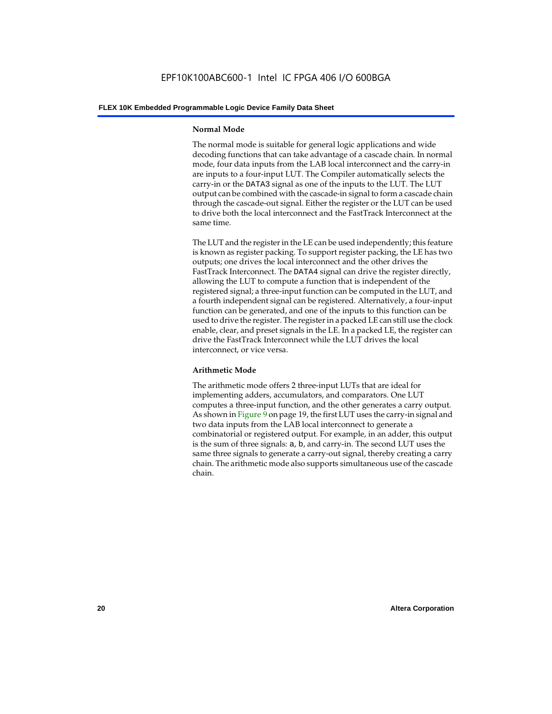#### **Normal Mode**

The normal mode is suitable for general logic applications and wide decoding functions that can take advantage of a cascade chain. In normal mode, four data inputs from the LAB local interconnect and the carry-in are inputs to a four-input LUT. The Compiler automatically selects the carry-in or the DATA3 signal as one of the inputs to the LUT. The LUT output can be combined with the cascade-in signal to form a cascade chain through the cascade-out signal. Either the register or the LUT can be used to drive both the local interconnect and the FastTrack Interconnect at the same time.

The LUT and the register in the LE can be used independently; this feature is known as register packing. To support register packing, the LE has two outputs; one drives the local interconnect and the other drives the FastTrack Interconnect. The DATA4 signal can drive the register directly, allowing the LUT to compute a function that is independent of the registered signal; a three-input function can be computed in the LUT, and a fourth independent signal can be registered. Alternatively, a four-input function can be generated, and one of the inputs to this function can be used to drive the register. The register in a packed LE can still use the clock enable, clear, and preset signals in the LE. In a packed LE, the register can drive the FastTrack Interconnect while the LUT drives the local interconnect, or vice versa.

#### **Arithmetic Mode**

The arithmetic mode offers 2 three-input LUTs that are ideal for implementing adders, accumulators, and comparators. One LUT computes a three-input function, and the other generates a carry output. As shown in Figure 9 on page 19, the first LUT uses the carry-in signal and two data inputs from the LAB local interconnect to generate a combinatorial or registered output. For example, in an adder, this output is the sum of three signals: a, b, and carry-in. The second LUT uses the same three signals to generate a carry-out signal, thereby creating a carry chain. The arithmetic mode also supports simultaneous use of the cascade chain.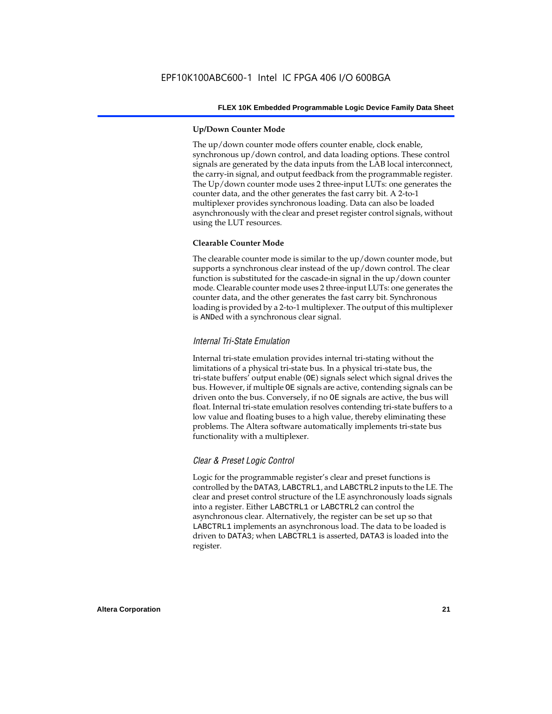#### **Up/Down Counter Mode**

The up/down counter mode offers counter enable, clock enable, synchronous up/down control, and data loading options. These control signals are generated by the data inputs from the LAB local interconnect, the carry-in signal, and output feedback from the programmable register. The Up/down counter mode uses 2 three-input LUTs: one generates the counter data, and the other generates the fast carry bit. A 2-to-1 multiplexer provides synchronous loading. Data can also be loaded asynchronously with the clear and preset register control signals, without using the LUT resources.

#### **Clearable Counter Mode**

The clearable counter mode is similar to the up/down counter mode, but supports a synchronous clear instead of the up/down control. The clear function is substituted for the cascade-in signal in the up/down counter mode. Clearable counter mode uses 2 three-input LUTs: one generates the counter data, and the other generates the fast carry bit. Synchronous loading is provided by a 2-to-1 multiplexer. The output of this multiplexer is ANDed with a synchronous clear signal.

#### *Internal Tri-State Emulation*

Internal tri-state emulation provides internal tri-stating without the limitations of a physical tri-state bus. In a physical tri-state bus, the tri-state buffers' output enable (OE) signals select which signal drives the bus. However, if multiple OE signals are active, contending signals can be driven onto the bus. Conversely, if no OE signals are active, the bus will float. Internal tri-state emulation resolves contending tri-state buffers to a low value and floating buses to a high value, thereby eliminating these problems. The Altera software automatically implements tri-state bus functionality with a multiplexer.

#### *Clear & Preset Logic Control*

Logic for the programmable register's clear and preset functions is controlled by the DATA3, LABCTRL1, and LABCTRL2 inputs to the LE. The clear and preset control structure of the LE asynchronously loads signals into a register. Either LABCTRL1 or LABCTRL2 can control the asynchronous clear. Alternatively, the register can be set up so that LABCTRL1 implements an asynchronous load. The data to be loaded is driven to DATA3; when LABCTRL1 is asserted, DATA3 is loaded into the register.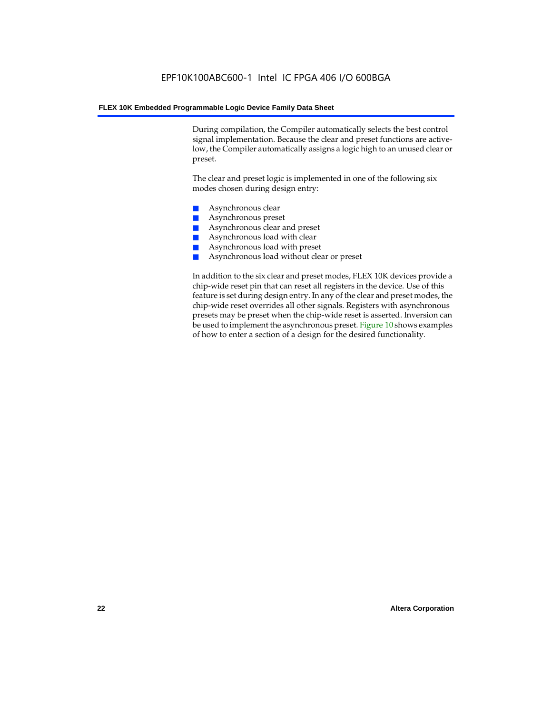During compilation, the Compiler automatically selects the best control signal implementation. Because the clear and preset functions are activelow, the Compiler automatically assigns a logic high to an unused clear or preset.

The clear and preset logic is implemented in one of the following six modes chosen during design entry:

- Asynchronous clear
- Asynchronous preset
- Asynchronous clear and preset
- Asynchronous load with clear
- Asynchronous load with preset
- Asynchronous load without clear or preset

In addition to the six clear and preset modes, FLEX 10K devices provide a chip-wide reset pin that can reset all registers in the device. Use of this feature is set during design entry. In any of the clear and preset modes, the chip-wide reset overrides all other signals. Registers with asynchronous presets may be preset when the chip-wide reset is asserted. Inversion can be used to implement the asynchronous preset. Figure 10 shows examples of how to enter a section of a design for the desired functionality.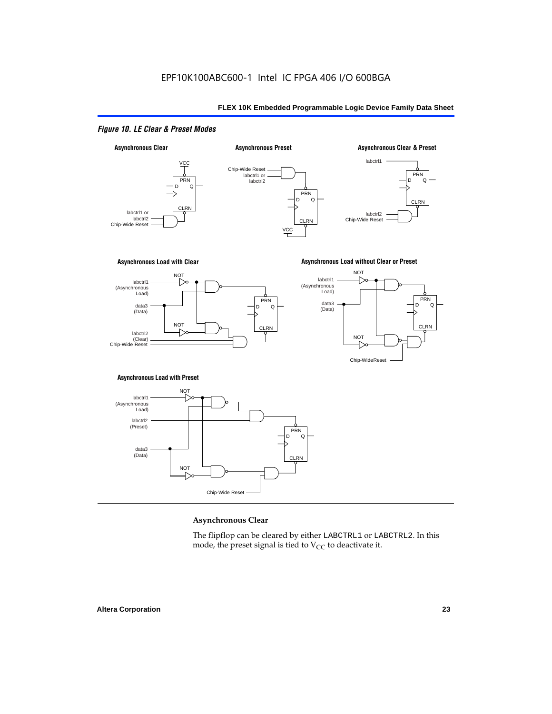### *Figure 10. LE Clear & Preset Modes*



#### **Asynchronous Clear**

The flipflop can be cleared by either LABCTRL1 or LABCTRL2. In this mode, the preset signal is tied to  $V_{CC}$  to deactivate it.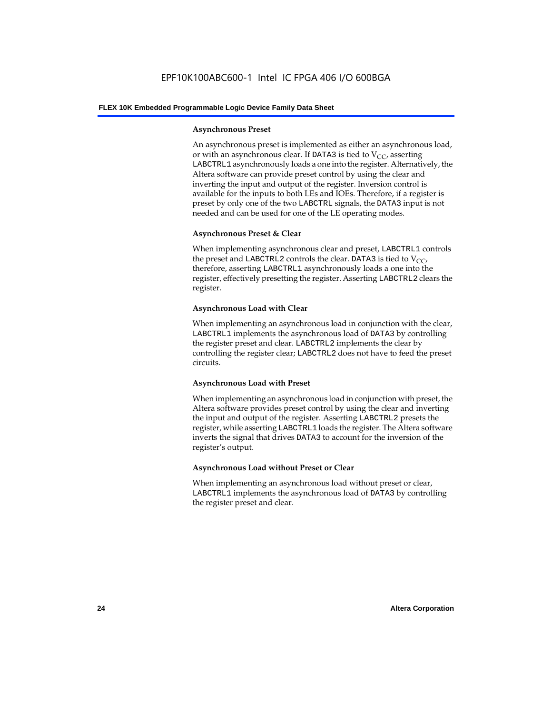#### **Asynchronous Preset**

An asynchronous preset is implemented as either an asynchronous load, or with an asynchronous clear. If DATA3 is tied to  $V_{CC}$ , asserting LABCTRL1 asynchronously loads a one into the register. Alternatively, the Altera software can provide preset control by using the clear and inverting the input and output of the register. Inversion control is available for the inputs to both LEs and IOEs. Therefore, if a register is preset by only one of the two LABCTRL signals, the DATA3 input is not needed and can be used for one of the LE operating modes.

#### **Asynchronous Preset & Clear**

When implementing asynchronous clear and preset, LABCTRL1 controls the preset and LABCTRL2 controls the clear. DATA3 is tied to  $V_{CC}$ , therefore, asserting LABCTRL1 asynchronously loads a one into the register, effectively presetting the register. Asserting LABCTRL2 clears the register.

#### **Asynchronous Load with Clear**

When implementing an asynchronous load in conjunction with the clear, LABCTRL1 implements the asynchronous load of DATA3 by controlling the register preset and clear. LABCTRL2 implements the clear by controlling the register clear; LABCTRL2 does not have to feed the preset circuits.

#### **Asynchronous Load with Preset**

When implementing an asynchronous load in conjunction with preset, the Altera software provides preset control by using the clear and inverting the input and output of the register. Asserting LABCTRL2 presets the register, while asserting LABCTRL1 loads the register. The Altera software inverts the signal that drives DATA3 to account for the inversion of the register's output.

#### **Asynchronous Load without Preset or Clear**

When implementing an asynchronous load without preset or clear, LABCTRL1 implements the asynchronous load of DATA3 by controlling the register preset and clear.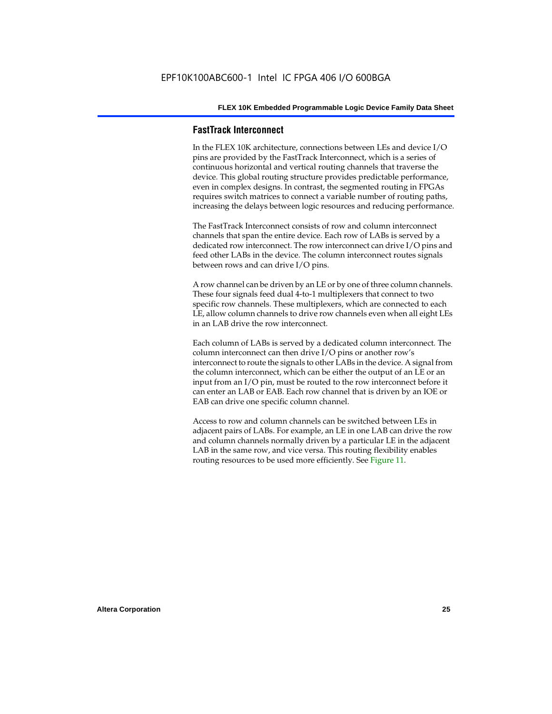#### **FastTrack Interconnect**

In the FLEX 10K architecture, connections between LEs and device I/O pins are provided by the FastTrack Interconnect, which is a series of continuous horizontal and vertical routing channels that traverse the device. This global routing structure provides predictable performance, even in complex designs. In contrast, the segmented routing in FPGAs requires switch matrices to connect a variable number of routing paths, increasing the delays between logic resources and reducing performance.

The FastTrack Interconnect consists of row and column interconnect channels that span the entire device. Each row of LABs is served by a dedicated row interconnect. The row interconnect can drive I/O pins and feed other LABs in the device. The column interconnect routes signals between rows and can drive I/O pins.

A row channel can be driven by an LE or by one of three column channels. These four signals feed dual 4-to-1 multiplexers that connect to two specific row channels. These multiplexers, which are connected to each LE, allow column channels to drive row channels even when all eight LEs in an LAB drive the row interconnect.

Each column of LABs is served by a dedicated column interconnect. The column interconnect can then drive I/O pins or another row's interconnect to route the signals to other LABs in the device. A signal from the column interconnect, which can be either the output of an LE or an input from an I/O pin, must be routed to the row interconnect before it can enter an LAB or EAB. Each row channel that is driven by an IOE or EAB can drive one specific column channel.

Access to row and column channels can be switched between LEs in adjacent pairs of LABs. For example, an LE in one LAB can drive the row and column channels normally driven by a particular LE in the adjacent LAB in the same row, and vice versa. This routing flexibility enables routing resources to be used more efficiently. See Figure 11.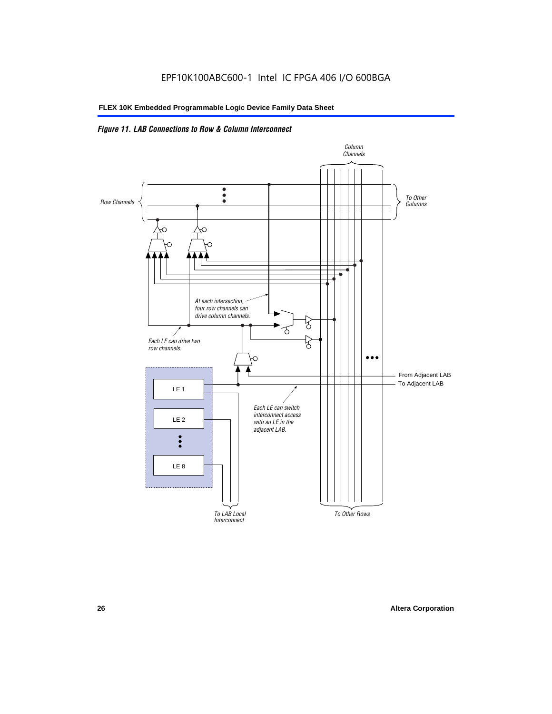### *Figure 11. LAB Connections to Row & Column Interconnect*

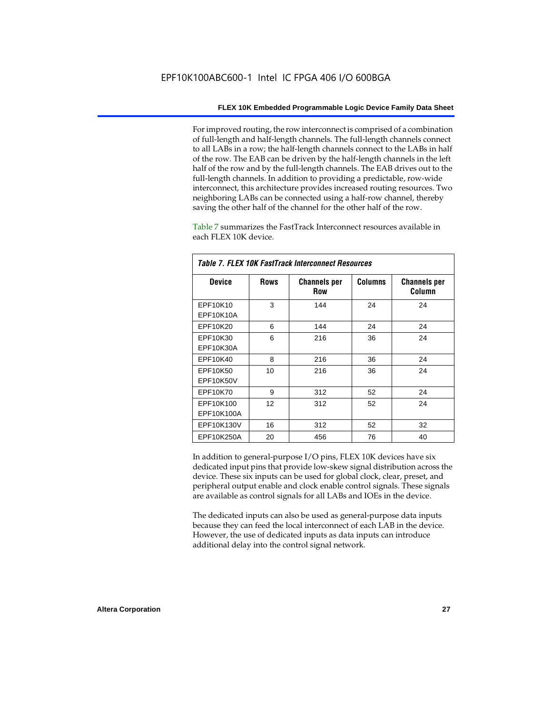For improved routing, the row interconnect is comprised of a combination of full-length and half-length channels. The full-length channels connect to all LABs in a row; the half-length channels connect to the LABs in half of the row. The EAB can be driven by the half-length channels in the left half of the row and by the full-length channels. The EAB drives out to the full-length channels. In addition to providing a predictable, row-wide interconnect, this architecture provides increased routing resources. Two neighboring LABs can be connected using a half-row channel, thereby saving the other half of the channel for the other half of the row.

Table 7 summarizes the FastTrack Interconnect resources available in each FLEX 10K device.

| Table 7. FLEX 10K FastTrack Interconnect Resources |             |                                   |                |                               |  |
|----------------------------------------------------|-------------|-----------------------------------|----------------|-------------------------------|--|
| <b>Device</b>                                      | <b>Rows</b> | <b>Channels per</b><br><b>Row</b> | <b>Columns</b> | <b>Channels per</b><br>Column |  |
| EPF10K10                                           | 3           | 144                               | 24             | 24                            |  |
| EPF10K10A                                          |             |                                   |                |                               |  |
| EPF10K20                                           | 6           | 144                               | 24             | 24                            |  |
| EPF10K30                                           | 6           | 216                               | 36             | 24                            |  |
| EPF10K30A                                          |             |                                   |                |                               |  |
| EPF10K40                                           | 8           | 216                               | 36             | 24                            |  |
| EPF10K50                                           | 10          | 216                               | 36             | 24                            |  |
| <b>EPF10K50V</b>                                   |             |                                   |                |                               |  |
| EPF10K70                                           | 9           | 312                               | 52             | 24                            |  |
| EPF10K100                                          | 12          | 312                               | 52             | 24                            |  |
| EPF10K100A                                         |             |                                   |                |                               |  |
| EPF10K130V                                         | 16          | 312                               | 52             | 32                            |  |
| EPF10K250A                                         | 20          | 456                               | 76             | 40                            |  |

In addition to general-purpose I/O pins, FLEX 10K devices have six dedicated input pins that provide low-skew signal distribution across the device. These six inputs can be used for global clock, clear, preset, and peripheral output enable and clock enable control signals. These signals are available as control signals for all LABs and IOEs in the device.

The dedicated inputs can also be used as general-purpose data inputs because they can feed the local interconnect of each LAB in the device. However, the use of dedicated inputs as data inputs can introduce additional delay into the control signal network.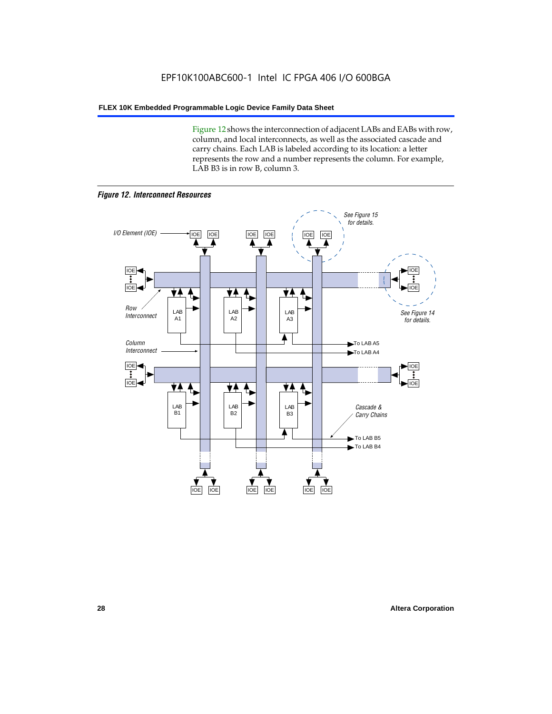Figure 12 shows the interconnection of adjacent LABs and EABs with row, column, and local interconnects, as well as the associated cascade and carry chains. Each LAB is labeled according to its location: a letter represents the row and a number represents the column. For example, LAB B3 is in row B, column 3.



*Figure 12. Interconnect Resources*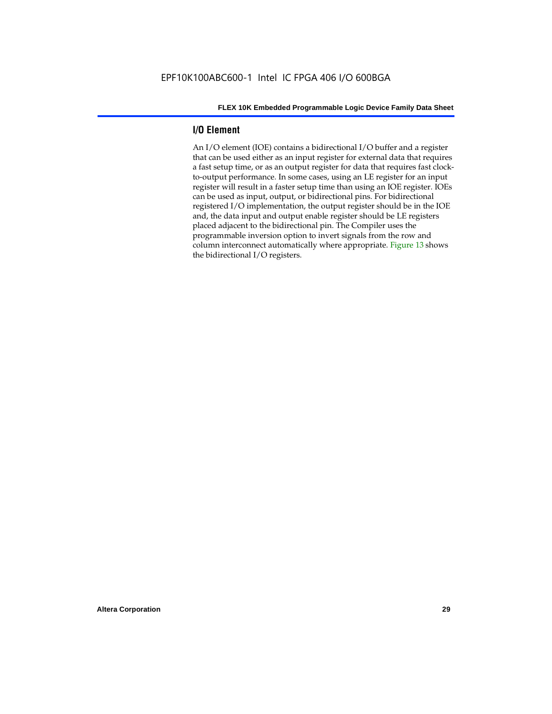#### **I/O Element**

An I/O element (IOE) contains a bidirectional I/O buffer and a register that can be used either as an input register for external data that requires a fast setup time, or as an output register for data that requires fast clockto-output performance. In some cases, using an LE register for an input register will result in a faster setup time than using an IOE register. IOEs can be used as input, output, or bidirectional pins. For bidirectional registered I/O implementation, the output register should be in the IOE and, the data input and output enable register should be LE registers placed adjacent to the bidirectional pin. The Compiler uses the programmable inversion option to invert signals from the row and column interconnect automatically where appropriate. Figure 13 shows the bidirectional I/O registers.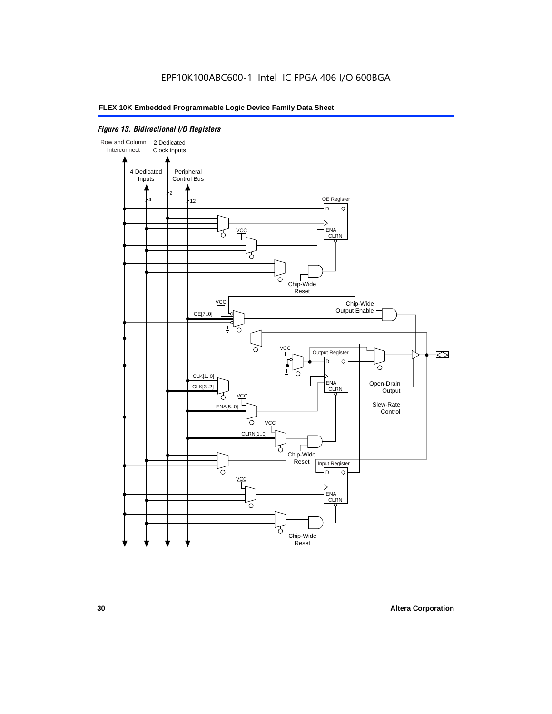#### *Figure 13. Bidirectional I/O Registers*

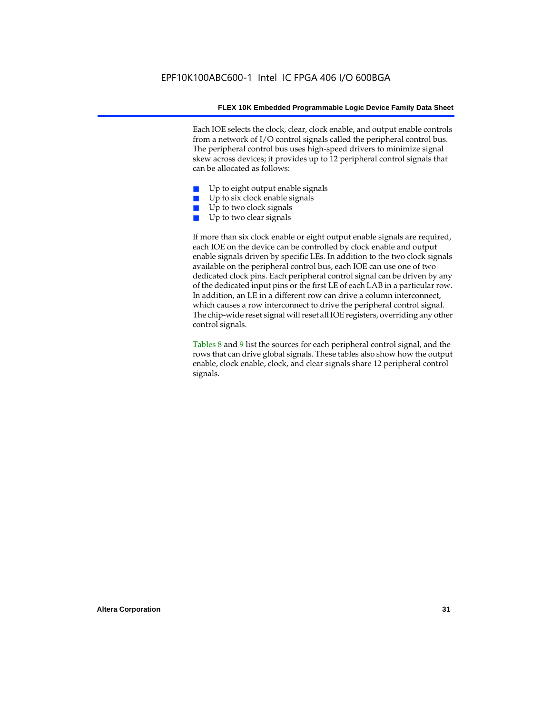Each IOE selects the clock, clear, clock enable, and output enable controls from a network of I/O control signals called the peripheral control bus. The peripheral control bus uses high-speed drivers to minimize signal skew across devices; it provides up to 12 peripheral control signals that can be allocated as follows:

- Up to eight output enable signals
- Up to six clock enable signals
- Up to two clock signals
- Up to two clear signals

If more than six clock enable or eight output enable signals are required, each IOE on the device can be controlled by clock enable and output enable signals driven by specific LEs. In addition to the two clock signals available on the peripheral control bus, each IOE can use one of two dedicated clock pins. Each peripheral control signal can be driven by any of the dedicated input pins or the first LE of each LAB in a particular row. In addition, an LE in a different row can drive a column interconnect, which causes a row interconnect to drive the peripheral control signal. The chip-wide reset signal will reset all IOE registers, overriding any other control signals.

Tables 8 and 9 list the sources for each peripheral control signal, and the rows that can drive global signals. These tables also show how the output enable, clock enable, clock, and clear signals share 12 peripheral control signals.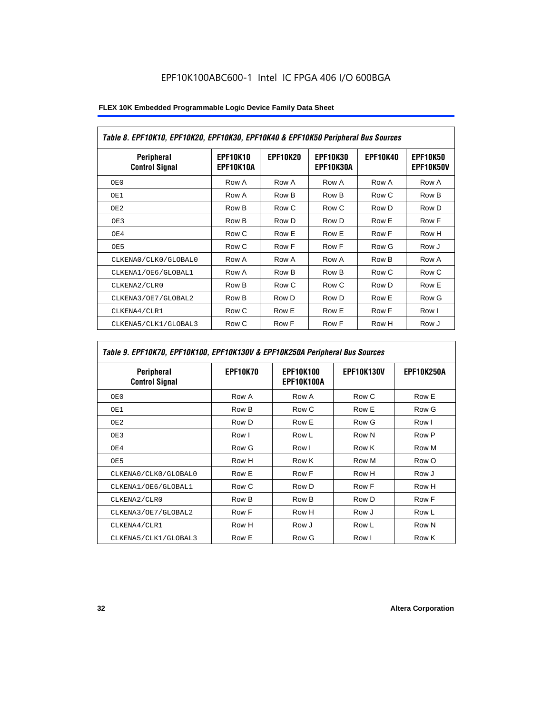| Table 8. EPF10K10, EPF10K20, EPF10K30, EPF10K40 & EPF10K50 Peripheral Bus Sources |                              |                 |                              |                 |                              |
|-----------------------------------------------------------------------------------|------------------------------|-----------------|------------------------------|-----------------|------------------------------|
| <b>Peripheral</b><br><b>Control Signal</b>                                        | <b>EPF10K10</b><br>EPF10K10A | <b>EPF10K20</b> | <b>EPF10K30</b><br>EPF10K30A | <b>EPF10K40</b> | <b>EPF10K50</b><br>EPF10K50V |
| OE0                                                                               | Row A                        | Row A           | Row A                        | Row A           | Row A                        |
| OE1                                                                               | Row A                        | Row B           | Row B                        | Row C           | Row B                        |
| OE2                                                                               | Row B                        | Row C           | Row C                        | Row D           | Row D                        |
| OE3                                                                               | Row B                        | Row D           | Row D                        | Row E           | Row F                        |
| OE4                                                                               | Row C                        | Row E           | Row E                        | Row F           | Row H                        |
| OE5                                                                               | Row C                        | Row F           | Row F                        | Row G           | Row J                        |
| CLKENA0/CLK0/GLOBAL0                                                              | Row A                        | Row A           | Row A                        | Row B           | Row A                        |
| CLKENA1/OE6/GLOBAL1                                                               | Row A                        | Row B           | Row B                        | Row C           | Row C                        |
| CLKENA2/CLR0                                                                      | Row B                        | Row C           | Row C                        | Row D           | Row E                        |
| CLKENA3/OE7/GLOBAL2                                                               | Row B                        | Row D           | Row D                        | Row E           | Row G                        |
| CLKENA4/CLR1                                                                      | Row C                        | Row E           | Row E                        | Row F           | Row I                        |
| CLKENA5/CLK1/GLOBAL3                                                              | Row C                        | Row F           | Row F                        | Row H           | Row J                        |

### *Table 9. EPF10K70, EPF10K100, EPF10K130V & EPF10K250A Peripheral Bus Sources*

| Peripheral<br><b>Control Signal</b> | <b>EPF10K70</b> | <b>EPF10K100</b><br><b>EPF10K100A</b> | <b>EPF10K130V</b> | <b>EPF10K250A</b> |
|-------------------------------------|-----------------|---------------------------------------|-------------------|-------------------|
| OE0                                 | Row A           | Row A                                 | Row C             | Row E             |
| OE1                                 | Row B           | Row C                                 | Row E             | Row G             |
| OE <sub>2</sub>                     | Row D           | Row E                                 | Row G             | Row I             |
| OE3                                 | Row I           | Row L                                 | Row N             | Row P             |
| OE4                                 | Row G           | Row I                                 | Row K             | Row M             |
| OE5                                 | Row H           | Row K                                 | Row M             | Row O             |
| CLKENA0/CLK0/GLOBAL0                | Row E           | Row F                                 | Row H             | Row J             |
| CLKENA1/OE6/GLOBAL1                 | Row C           | Row D                                 | Row F             | Row H             |
| CLKENA2/CLR0                        | Row B           | Row B                                 | Row D             | Row F             |
| CLKENA3/OE7/GLOBAL2                 | Row F           | Row H                                 | Row J             | Row L             |
| CLKENA4/CLR1                        | Row H           | Row J                                 | Row L             | Row N             |
| CLKENA5/CLK1/GLOBAL3                | Row E           | Row G                                 | Row I             | Row K             |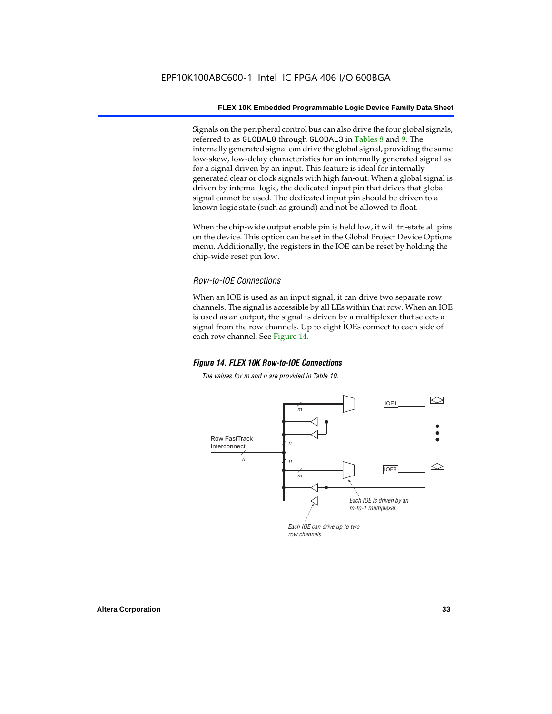Signals on the peripheral control bus can also drive the four global signals, referred to as GLOBAL0 through GLOBAL3 in Tables 8 and 9. The internally generated signal can drive the global signal, providing the same low-skew, low-delay characteristics for an internally generated signal as for a signal driven by an input. This feature is ideal for internally generated clear or clock signals with high fan-out. When a global signal is driven by internal logic, the dedicated input pin that drives that global signal cannot be used. The dedicated input pin should be driven to a known logic state (such as ground) and not be allowed to float.

When the chip-wide output enable pin is held low, it will tri-state all pins on the device. This option can be set in the Global Project Device Options menu. Additionally, the registers in the IOE can be reset by holding the chip-wide reset pin low.

#### *Row-to-IOE Connections*

When an IOE is used as an input signal, it can drive two separate row channels. The signal is accessible by all LEs within that row. When an IOE is used as an output, the signal is driven by a multiplexer that selects a signal from the row channels. Up to eight IOEs connect to each side of each row channel. See Figure 14.

#### *Figure 14. FLEX 10K Row-to-IOE Connections*

*The values for m and n are provided in Table 10.*

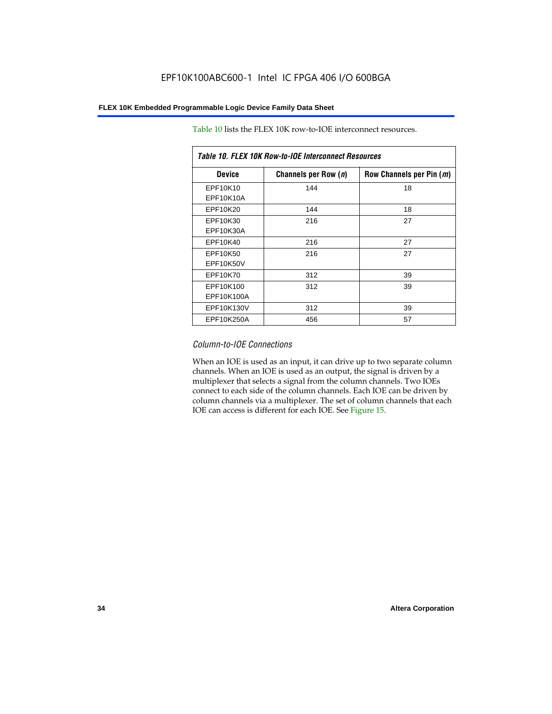| Table 10. FLEX 10K Row-to-IOE Interconnect Resources |                      |                          |  |  |  |
|------------------------------------------------------|----------------------|--------------------------|--|--|--|
| <b>Device</b>                                        | Channels per Row (n) | Row Channels per Pin (m) |  |  |  |
| EPF10K10<br>EPF10K10A                                | 144                  | 18                       |  |  |  |
| EPF10K20                                             | 144                  | 18                       |  |  |  |
| EPF10K30<br>EPF10K30A                                | 216                  | 27                       |  |  |  |
| EPF10K40                                             | 216                  | 27                       |  |  |  |
| EPF10K50<br>EPF10K50V                                | 216                  | 27                       |  |  |  |
| EPF10K70                                             | 312                  | 39                       |  |  |  |
| EPF10K100<br>EPF10K100A                              | 312                  | 39                       |  |  |  |
| EPF10K130V                                           | 312                  | 39                       |  |  |  |
| EPF10K250A                                           | 456                  | 57                       |  |  |  |

Table 10 lists the FLEX 10K row-to-IOE interconnect resources.

#### *Column-to-IOE Connections*

When an IOE is used as an input, it can drive up to two separate column channels. When an IOE is used as an output, the signal is driven by a multiplexer that selects a signal from the column channels. Two IOEs connect to each side of the column channels. Each IOE can be driven by column channels via a multiplexer. The set of column channels that each IOE can access is different for each IOE. See Figure 15.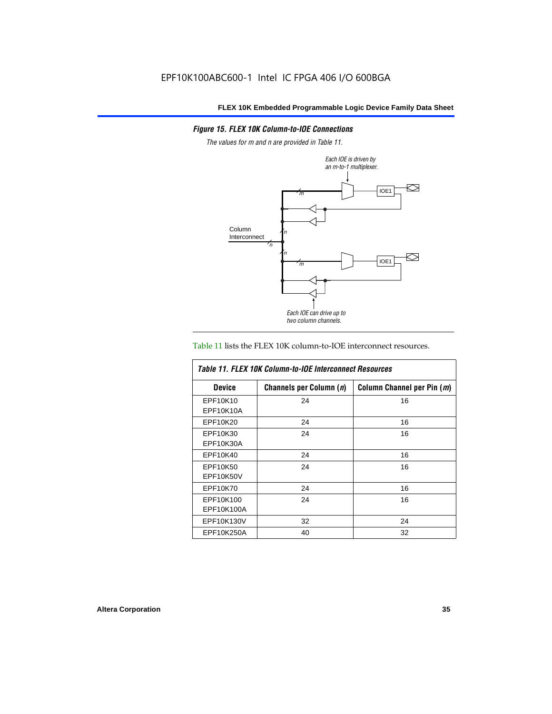#### *Figure 15. FLEX 10K Column-to-IOE Connections*

*The values for m and n are provided in Table 11.*



#### Table 11 lists the FLEX 10K column-to-IOE interconnect resources.

| Table 11, FLEX 10K Column-to-IOE Interconnect Resources |                         |                            |  |  |  |
|---------------------------------------------------------|-------------------------|----------------------------|--|--|--|
| <b>Device</b>                                           | Channels per Column (n) | Column Channel per Pin (m) |  |  |  |
| EPF10K10                                                | 24                      | 16                         |  |  |  |
| EPF10K10A                                               |                         |                            |  |  |  |
| EPF10K20                                                | 24                      | 16                         |  |  |  |
| EPF10K30                                                | 24                      | 16                         |  |  |  |
| EPF10K30A                                               |                         |                            |  |  |  |
| EPF10K40                                                | 24                      | 16                         |  |  |  |
| EPF10K50                                                | 24                      | 16                         |  |  |  |
| EPF10K50V                                               |                         |                            |  |  |  |
| EPF10K70                                                | 24                      | 16                         |  |  |  |
| EPF10K100                                               | 24                      | 16                         |  |  |  |
| EPF10K100A                                              |                         |                            |  |  |  |
| EPF10K130V                                              | 32                      | 24                         |  |  |  |
| EPF10K250A                                              | 40                      | 32                         |  |  |  |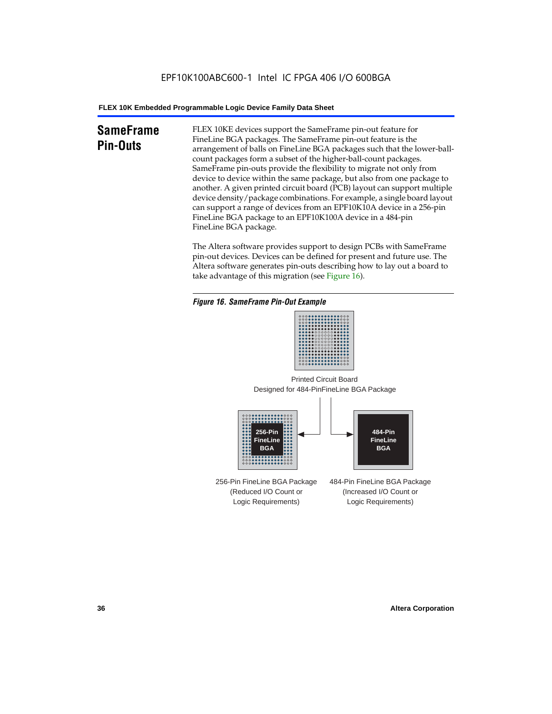# **SameFrame Pin-Outs**

FLEX 10KE devices support the SameFrame pin-out feature for FineLine BGA packages. The SameFrame pin-out feature is the arrangement of balls on FineLine BGA packages such that the lower-ballcount packages form a subset of the higher-ball-count packages. SameFrame pin-outs provide the flexibility to migrate not only from device to device within the same package, but also from one package to another. A given printed circuit board (PCB) layout can support multiple device density/package combinations. For example, a single board layout can support a range of devices from an EPF10K10A device in a 256-pin FineLine BGA package to an EPF10K100A device in a 484-pin FineLine BGA package.

The Altera software provides support to design PCBs with SameFrame pin-out devices. Devices can be defined for present and future use. The Altera software generates pin-outs describing how to lay out a board to take advantage of this migration (see Figure 16).







256-Pin FineLine BGA Package (Reduced I/O Count or Logic Requirements) 484-Pin FineLine BGA Package (Increased I/O Count or Logic Requirements)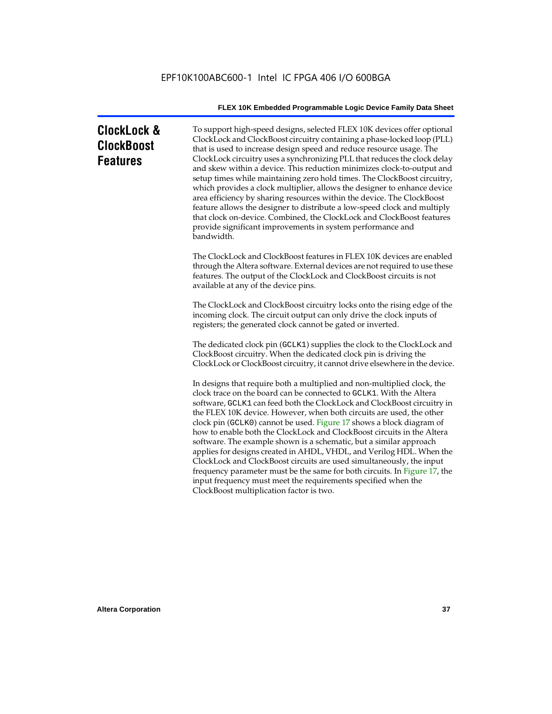| ClockLock &       | Т٥ |
|-------------------|----|
|                   |    |
| <b>ClockBoost</b> | th |
| <b>Features</b>   | C  |
|                   | ar |
|                   | se |
|                   |    |

o support high-speed designs, selected FLEX 10K devices offer optional lockLock and ClockBoost circuitry containing a phase-locked loop (PLL) at is used to increase design speed and reduce resource usage. The lockLock circuitry uses a synchronizing PLL that reduces the clock delay and skew within a device. This reduction minimizes clock-to-output and tup times while maintaining zero hold times. The ClockBoost circuitry, which provides a clock multiplier, allows the designer to enhance device area efficiency by sharing resources within the device. The ClockBoost feature allows the designer to distribute a low-speed clock and multiply that clock on-device. Combined, the ClockLock and ClockBoost features provide significant improvements in system performance and bandwidth.

The ClockLock and ClockBoost features in FLEX 10K devices are enabled through the Altera software. External devices are not required to use these features. The output of the ClockLock and ClockBoost circuits is not available at any of the device pins.

The ClockLock and ClockBoost circuitry locks onto the rising edge of the incoming clock. The circuit output can only drive the clock inputs of registers; the generated clock cannot be gated or inverted.

The dedicated clock pin (GCLK1) supplies the clock to the ClockLock and ClockBoost circuitry. When the dedicated clock pin is driving the ClockLock or ClockBoost circuitry, it cannot drive elsewhere in the device.

In designs that require both a multiplied and non-multiplied clock, the clock trace on the board can be connected to GCLK1. With the Altera software, GCLK1 can feed both the ClockLock and ClockBoost circuitry in the FLEX 10K device. However, when both circuits are used, the other clock pin (GCLK0) cannot be used. Figure 17 shows a block diagram of how to enable both the ClockLock and ClockBoost circuits in the Altera software. The example shown is a schematic, but a similar approach applies for designs created in AHDL, VHDL, and Verilog HDL. When the ClockLock and ClockBoost circuits are used simultaneously, the input frequency parameter must be the same for both circuits. In Figure 17, the input frequency must meet the requirements specified when the ClockBoost multiplication factor is two.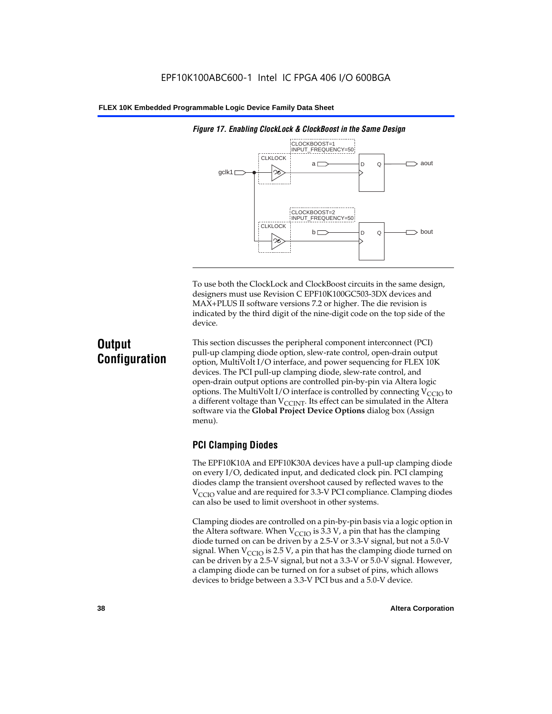

*Figure 17. Enabling ClockLock & ClockBoost in the Same Design*

To use both the ClockLock and ClockBoost circuits in the same design, designers must use Revision C EPF10K100GC503-3DX devices and MAX+PLUS II software versions 7.2 or higher. The die revision is indicated by the third digit of the nine-digit code on the top side of the device.

# **Output Configuration**

This section discusses the peripheral component interconnect (PCI) pull-up clamping diode option, slew-rate control, open-drain output option, MultiVolt I/O interface, and power sequencing for FLEX 10K devices. The PCI pull-up clamping diode, slew-rate control, and open-drain output options are controlled pin-by-pin via Altera logic options. The MultiVolt I/O interface is controlled by connecting  $V_{\text{CCIO}}$  to a different voltage than  $V_{\text{CCINT}}$ . Its effect can be simulated in the Altera software via the **Global Project Device Options** dialog box (Assign menu).

# **PCI Clamping Diodes**

The EPF10K10A and EPF10K30A devices have a pull-up clamping diode on every I/O, dedicated input, and dedicated clock pin. PCI clamping diodes clamp the transient overshoot caused by reflected waves to the  $V_{\text{CCIO}}$  value and are required for 3.3-V PCI compliance. Clamping diodes can also be used to limit overshoot in other systems.

Clamping diodes are controlled on a pin-by-pin basis via a logic option in the Altera software. When  $V_{\text{CCIO}}$  is 3.3 V, a pin that has the clamping diode turned on can be driven by a 2.5-V or 3.3-V signal, but not a 5.0-V signal. When  $V_{\text{CCIO}}$  is 2.5 V, a pin that has the clamping diode turned on can be driven by a 2.5-V signal, but not a 3.3-V or 5.0-V signal. However, a clamping diode can be turned on for a subset of pins, which allows devices to bridge between a 3.3-V PCI bus and a 5.0-V device.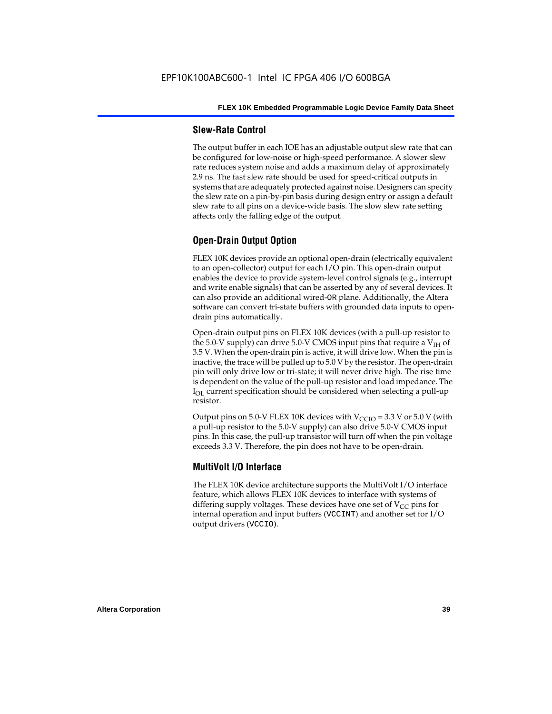# **Slew-Rate Control**

The output buffer in each IOE has an adjustable output slew rate that can be configured for low-noise or high-speed performance. A slower slew rate reduces system noise and adds a maximum delay of approximately 2.9 ns. The fast slew rate should be used for speed-critical outputs in systems that are adequately protected against noise. Designers can specify the slew rate on a pin-by-pin basis during design entry or assign a default slew rate to all pins on a device-wide basis. The slow slew rate setting affects only the falling edge of the output.

# **Open-Drain Output Option**

FLEX 10K devices provide an optional open-drain (electrically equivalent to an open-collector) output for each I/O pin. This open-drain output enables the device to provide system-level control signals (e.g., interrupt and write enable signals) that can be asserted by any of several devices. It can also provide an additional wired-OR plane. Additionally, the Altera software can convert tri-state buffers with grounded data inputs to opendrain pins automatically.

Open-drain output pins on FLEX 10K devices (with a pull-up resistor to the 5.0-V supply) can drive 5.0-V CMOS input pins that require a  $V<sub>IH</sub>$  of 3.5 V. When the open-drain pin is active, it will drive low. When the pin is inactive, the trace will be pulled up to 5.0 V by the resistor. The open-drain pin will only drive low or tri-state; it will never drive high. The rise time is dependent on the value of the pull-up resistor and load impedance. The  $I_{\text{OL}}$  current specification should be considered when selecting a pull-up resistor.

Output pins on 5.0-V FLEX 10K devices with  $V_{\text{CCIO}} = 3.3$  V or 5.0 V (with a pull-up resistor to the 5.0-V supply) can also drive 5.0-V CMOS input pins. In this case, the pull-up transistor will turn off when the pin voltage exceeds 3.3 V. Therefore, the pin does not have to be open-drain.

# **MultiVolt I/O Interface**

The FLEX 10K device architecture supports the MultiVolt I/O interface feature, which allows FLEX 10K devices to interface with systems of differing supply voltages. These devices have one set of  $V_{CC}$  pins for internal operation and input buffers (VCCINT) and another set for I/O output drivers (VCCIO).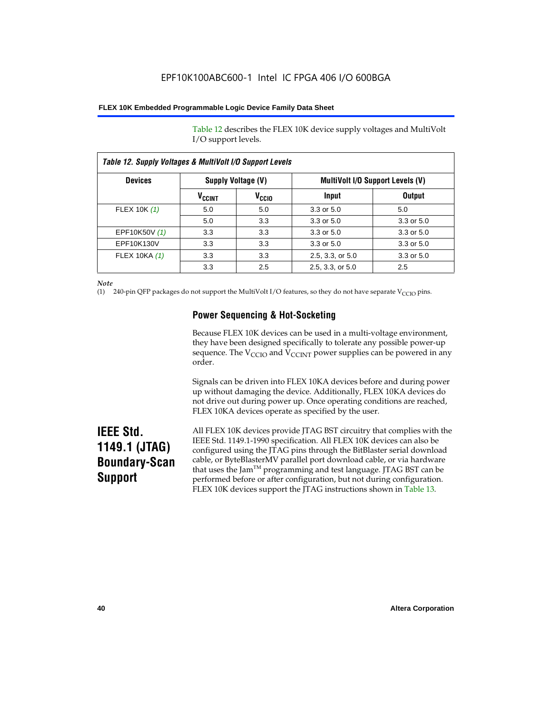Table 12 describes the FLEX 10K device supply voltages and MultiVolt I/O support levels.

| Table 12. Supply Voltages & MultiVolt I/O Support Levels |                          |                   |                                         |                |  |
|----------------------------------------------------------|--------------------------|-------------------|-----------------------------------------|----------------|--|
| <b>Devices</b>                                           | Supply Voltage (V)       |                   | <b>MultiVolt I/O Support Levels (V)</b> |                |  |
|                                                          | <b>V<sub>CCINT</sub></b> | V <sub>CCIO</sub> | Input                                   | <b>Output</b>  |  |
| FLEX 10K (1)                                             | 5.0                      | 5.0               | 3.3 or 5.0                              | 5.0            |  |
|                                                          | 5.0                      | 3.3               | 3.3 or 5.0                              | 3.3 or 5.0     |  |
| EPF10K50V (1)                                            | 3.3                      | 3.3               | 3.3 or 5.0                              | $3.3$ or $5.0$ |  |
| EPF10K130V                                               | 3.3                      | 3.3               | 3.3 or 5.0                              | 3.3 or 5.0     |  |
| FLEX 10KA (1)                                            | 3.3                      | 3.3               | 2.5, 3.3, or 5.0                        | 3.3 or 5.0     |  |
|                                                          | 3.3                      | 2.5               | 2.5, 3.3, or 5.0                        | 2.5            |  |

*Note*

(1) 240-pin QFP packages do not support the MultiVolt I/O features, so they do not have separate V<sub>CCIO</sub> pins.

# **Power Sequencing & Hot-Socketing**

Because FLEX 10K devices can be used in a multi-voltage environment, they have been designed specifically to tolerate any possible power-up sequence. The  $V_{\text{CCIO}}$  and  $V_{\text{CCINT}}$  power supplies can be powered in any order.

Signals can be driven into FLEX 10KA devices before and during power up without damaging the device. Additionally, FLEX 10KA devices do not drive out during power up. Once operating conditions are reached, FLEX 10KA devices operate as specified by the user.

# **IEEE Std. 1149.1 (JTAG) Boundary-Scan Support**

All FLEX 10K devices provide JTAG BST circuitry that complies with the IEEE Std. 1149.1-1990 specification. All FLEX 10K devices can also be configured using the JTAG pins through the BitBlaster serial download cable, or ByteBlasterMV parallel port download cable, or via hardware that uses the Jam<sup>TM</sup> programming and test language. JTAG BST can be performed before or after configuration, but not during configuration. FLEX 10K devices support the JTAG instructions shown in Table 13.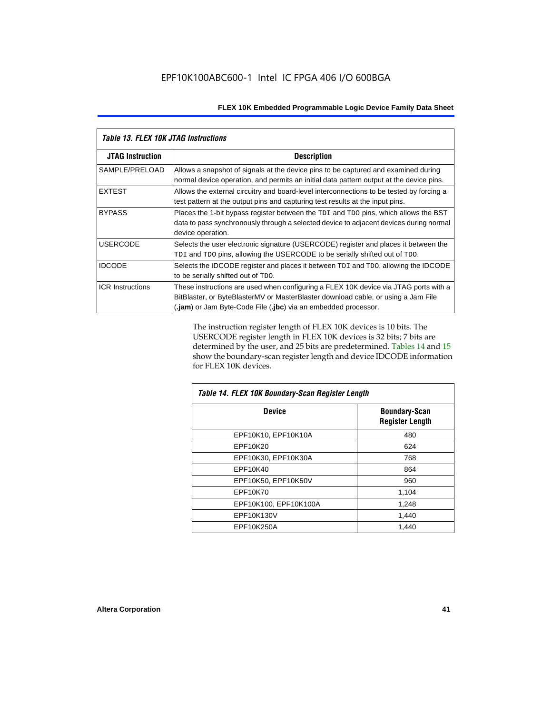|                         | Table 13. FLEX 10K JTAG Instructions                                                                                                                                                                                                        |  |  |  |  |
|-------------------------|---------------------------------------------------------------------------------------------------------------------------------------------------------------------------------------------------------------------------------------------|--|--|--|--|
| <b>JTAG Instruction</b> | <b>Description</b>                                                                                                                                                                                                                          |  |  |  |  |
| SAMPLE/PRELOAD          | Allows a snapshot of signals at the device pins to be captured and examined during<br>normal device operation, and permits an initial data pattern output at the device pins.                                                               |  |  |  |  |
| <b>EXTEST</b>           | Allows the external circuitry and board-level interconnections to be tested by forcing a<br>test pattern at the output pins and capturing test results at the input pins.                                                                   |  |  |  |  |
| <b>BYPASS</b>           | Places the 1-bit bypass register between the TDI and TDO pins, which allows the BST<br>data to pass synchronously through a selected device to adjacent devices during normal<br>device operation.                                          |  |  |  |  |
| <b>USERCODE</b>         | Selects the user electronic signature (USERCODE) register and places it between the<br>TDI and TDO pins, allowing the USERCODE to be serially shifted out of TDO.                                                                           |  |  |  |  |
| <b>IDCODE</b>           | Selects the IDCODE register and places it between TDI and TDO, allowing the IDCODE<br>to be serially shifted out of TDO.                                                                                                                    |  |  |  |  |
| <b>ICR Instructions</b> | These instructions are used when configuring a FLEX 10K device via JTAG ports with a<br>BitBlaster, or ByteBlasterMV or MasterBlaster download cable, or using a Jam File<br>(.jam) or Jam Byte-Code File (.jbc) via an embedded processor. |  |  |  |  |

The instruction register length of FLEX 10K devices is 10 bits. The USERCODE register length in FLEX 10K devices is 32 bits; 7 bits are determined by the user, and 25 bits are predetermined. Tables 14 and 15 show the boundary-scan register length and device IDCODE information for FLEX 10K devices.

| Table 14. FLEX 10K Boundary-Scan Register Length |                                                |  |  |  |
|--------------------------------------------------|------------------------------------------------|--|--|--|
| <b>Device</b>                                    | <b>Boundary-Scan</b><br><b>Register Length</b> |  |  |  |
| EPF10K10, EPF10K10A                              | 480                                            |  |  |  |
| EPF10K20                                         | 624                                            |  |  |  |
| EPF10K30, EPF10K30A                              | 768                                            |  |  |  |
| EPF10K40                                         | 864                                            |  |  |  |
| EPF10K50, EPF10K50V                              | 960                                            |  |  |  |
| EPF10K70                                         | 1,104                                          |  |  |  |
| EPF10K100, EPF10K100A                            | 1,248                                          |  |  |  |
| EPF10K130V                                       | 1,440                                          |  |  |  |
| EPF10K250A                                       | 1,440                                          |  |  |  |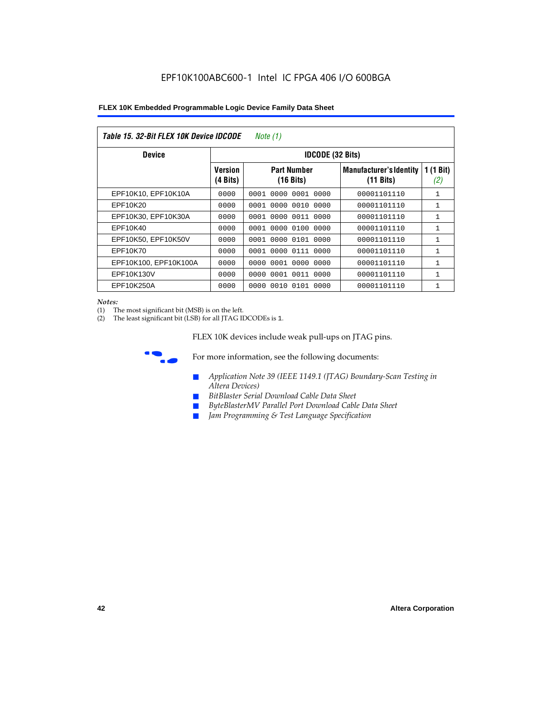| Table 15. 32-Bit FLEX 10K Device IDCODE<br>Note (1) |                            |                                           |                                                       |                 |  |  |  |
|-----------------------------------------------------|----------------------------|-------------------------------------------|-------------------------------------------------------|-----------------|--|--|--|
| <b>Device</b>                                       |                            | <b>IDCODE (32 Bits)</b>                   |                                                       |                 |  |  |  |
|                                                     | <b>Version</b><br>(4 Bits) | <b>Part Number</b><br>$(16 \text{ bits})$ | <b>Manufacturer's Identity</b><br>$(11 \text{ Bits})$ | 1(1 Bit)<br>(2) |  |  |  |
| EPF10K10, EPF10K10A                                 | 0000                       | 0000<br>0001 0000<br>0001                 | 00001101110                                           | $\mathbf{1}$    |  |  |  |
| EPF10K20                                            | 0000                       | 0000 0010 0000<br>0001                    | 00001101110                                           | $\mathbf{1}$    |  |  |  |
| EPF10K30, EPF10K30A                                 | 0000                       | 0001 0000 0011 0000                       | 00001101110                                           | 1               |  |  |  |
| EPF10K40                                            | 0000                       | 0000<br>0100<br>0001<br>0000              | 00001101110                                           | $\mathbf{1}$    |  |  |  |
| EPF10K50, EPF10K50V                                 | 0000                       | 0001 0000 0101 0000                       | 00001101110                                           | 1               |  |  |  |
| EPF10K70                                            | 0000                       | 0001 0000 0111 0000                       | 00001101110                                           | $\mathbf{1}$    |  |  |  |
| EPF10K100, EPF10K100A                               | 0000                       | 0001 0000<br>0000<br>0000                 | 00001101110                                           | $\mathbf{1}$    |  |  |  |
| EPF10K130V                                          | 0000                       | 0001 0011 0000<br>0000                    | 00001101110                                           | $\mathbf{1}$    |  |  |  |
| EPF10K250A                                          | 0000                       | 0000<br>0010<br>0101<br>0000              | 00001101110                                           | 1               |  |  |  |

#### *Notes:*

(1) The most significant bit (MSB) is on the left.

(2) The least significant bit (LSB) for all JTAG IDCODEs is 1.

FLEX 10K devices include weak pull-ups on JTAG pins.



**for more information, see the following documents:** 

- *Application Note 39 (IEEE 1149.1 (JTAG) Boundary-Scan Testing in Altera Devices)*
- *BitBlaster Serial Download Cable Data Sheet*
- *ByteBlasterMV Parallel Port Download Cable Data Sheet*
- *Jam Programming & Test Language Specification*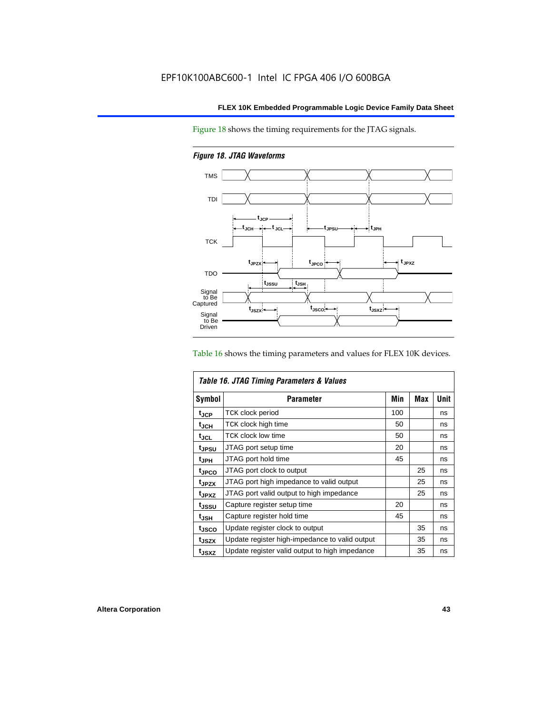Figure 18 shows the timing requirements for the JTAG signals.

*Figure 18. JTAG Waveforms*



Table 16 shows the timing parameters and values for FLEX 10K devices.

| Table 16. JTAG Timing Parameters & Values |                                                |     |            |      |  |  |
|-------------------------------------------|------------------------------------------------|-----|------------|------|--|--|
| <b>Symbol</b>                             | Parameter                                      | Min | <b>Max</b> | Unit |  |  |
| $t_{\rm JCP}$                             | <b>TCK clock period</b>                        | 100 |            | ns   |  |  |
| t <sub>JCH</sub>                          | TCK clock high time                            | 50  |            | ns   |  |  |
| $t_{JCL}$                                 | TCK clock low time                             | 50  |            | ns   |  |  |
| tjpsu                                     | JTAG port setup time                           | 20  |            | ns   |  |  |
| t <sub>JPH</sub>                          | JTAG port hold time                            | 45  |            | ns   |  |  |
| <sup>t</sup> JPCO                         | JTAG port clock to output                      |     | 25         | ns   |  |  |
| t <sub>JPZX</sub>                         | JTAG port high impedance to valid output       |     | 25         | ns   |  |  |
| t <sub>JPXZ</sub>                         | JTAG port valid output to high impedance       |     | 25         | ns   |  |  |
| tjssu                                     | Capture register setup time                    | 20  |            | ns   |  |  |
| $t_{\mathsf{JSH}}$                        | Capture register hold time                     | 45  |            | ns   |  |  |
| t <sub>JSCO</sub>                         | Update register clock to output                |     | 35         | ns   |  |  |
| t <sub>JSZX</sub>                         | Update register high-impedance to valid output |     | 35         | ns   |  |  |
| t <sub>JSXZ</sub>                         | Update register valid output to high impedance |     | 35         | ns   |  |  |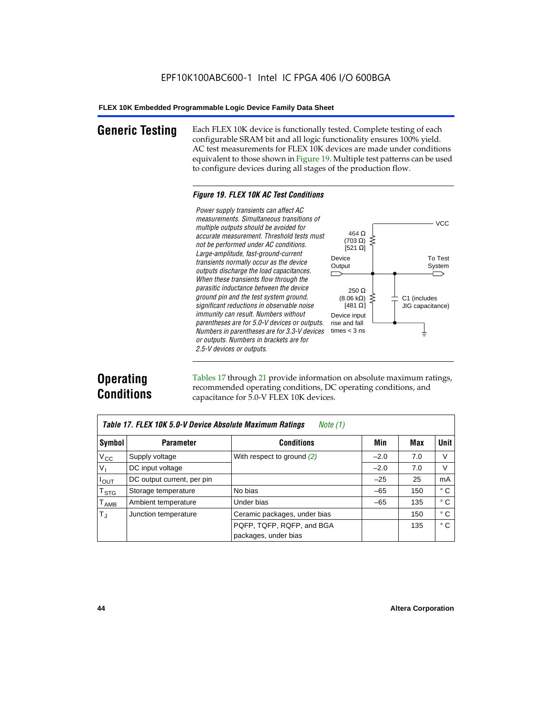**Generic Testing** Each FLEX 10K device is functionally tested. Complete testing of each configurable SRAM bit and all logic functionality ensures 100% yield. AC test measurements for FLEX 10K devices are made under conditions equivalent to those shown in Figure 19. Multiple test patterns can be used to configure devices during all stages of the production flow.

#### *Figure 19. FLEX 10K AC Test Conditions*

*Power supply transients can affect AC measurements. Simultaneous transitions of*  $V<sub>CC</sub>$ *multiple outputs should be avoided for* 464 Ω *accurate measurement. Threshold tests must* (703 Ω) ξ *not be performed under AC conditions.*  $[521 \Omega]$ *Large-amplitude, fast-ground-current* To Test Device *transients normally occur as the device* Output System *outputs discharge the load capacitances. When these transients flow through the parasitic inductance between the device* 250 Ω *ground pin and the test system ground,*  $(8.06 \text{ k}\Omega)$ C1 (includes *significant reductions in observable noise* [481 $\Omega$ ] JIG capacitance) *immunity can result. Numbers without*  Device input *parentheses are for 5.0-V devices or outputs.*  rise and fall *Numbers in parentheses are for 3.3-V devices*  times  $<$  3 ns ŧ *or outputs. Numbers in brackets are for 2.5-V devices or outputs.*

# **Operating Conditions**

Tables 17 through 21 provide information on absolute maximum ratings, recommended operating conditions, DC operating conditions, and capacitance for 5.0-V FLEX 10K devices.

| Table 17. FLEX 10K 5.0-V Device Absolute Maximum Ratings<br>Note (1) |                            |                              |        |     |              |  |  |
|----------------------------------------------------------------------|----------------------------|------------------------------|--------|-----|--------------|--|--|
| Symbol                                                               | <b>Parameter</b>           | <b>Conditions</b>            | Min    | Max | <b>Unit</b>  |  |  |
| $V_{\rm CC}$                                                         | Supply voltage             | With respect to ground $(2)$ | $-2.0$ | 7.0 | V            |  |  |
| $V_{I}$                                                              | DC input voltage           |                              | $-2.0$ | 7.0 | V            |  |  |
| $I_{\text{OUT}}$                                                     | DC output current, per pin |                              | $-25$  | 25  | mA           |  |  |
| $\mathsf{T}_{\texttt{STG}}$                                          | Storage temperature        | No bias                      | $-65$  | 150 | °C           |  |  |
| $\mathsf{T}_{\mathsf{AMB}}$                                          | Ambient temperature        | Under bias                   | $-65$  | 135 | $^{\circ}$ C |  |  |
| $T_{\rm J}$                                                          | Junction temperature       | Ceramic packages, under bias |        | 150 | °C           |  |  |
|                                                                      |                            | PQFP, TQFP, RQFP, and BGA    |        | 135 | $^{\circ}$ C |  |  |
|                                                                      |                            | packages, under bias         |        |     |              |  |  |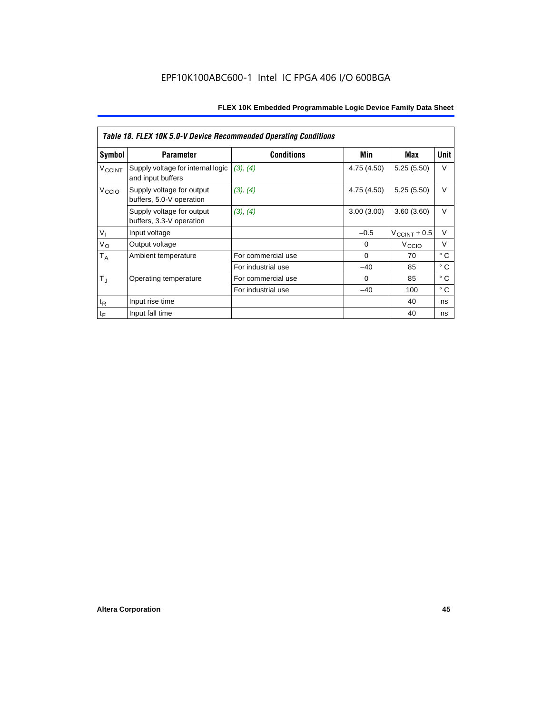|                    | Table 18. FLEX 10K 5.0-V Device Recommended Operating Conditions |                    |             |                       |              |  |  |
|--------------------|------------------------------------------------------------------|--------------------|-------------|-----------------------|--------------|--|--|
| Symbol             | <b>Parameter</b>                                                 | <b>Conditions</b>  | Min         | Max                   | Unit         |  |  |
| V <sub>CCINT</sub> | Supply voltage for internal logic<br>and input buffers           | (3), (4)           | 4.75 (4.50) | 5.25(5.50)            | V            |  |  |
| V <sub>CCIO</sub>  | Supply voltage for output<br>buffers, 5.0-V operation            | (3), (4)           | 4.75 (4.50) | 5.25(5.50)            | $\vee$       |  |  |
|                    | Supply voltage for output<br>buffers, 3.3-V operation            | (3), (4)           | 3.00(3.00)  | 3.60(3.60)            | $\vee$       |  |  |
| V <sub>1</sub>     | Input voltage                                                    |                    | $-0.5$      | $V_{\rm CCINT}$ + 0.5 | V            |  |  |
| $V_{\rm O}$        | Output voltage                                                   |                    | 0           | V <sub>CCIO</sub>     | V            |  |  |
| $T_A$              | Ambient temperature                                              | For commercial use | $\Omega$    | 70                    | $^{\circ}$ C |  |  |
|                    |                                                                  | For industrial use | -40         | 85                    | $^{\circ}$ C |  |  |
| $T_{\rm J}$        | Operating temperature                                            | For commercial use | $\Omega$    | 85                    | ° C          |  |  |
|                    |                                                                  | For industrial use | $-40$       | 100                   | ° C          |  |  |
| $t_{R}$            | Input rise time                                                  |                    |             | 40                    | ns           |  |  |
| $t_F$              | Input fall time                                                  |                    |             | 40                    | ns           |  |  |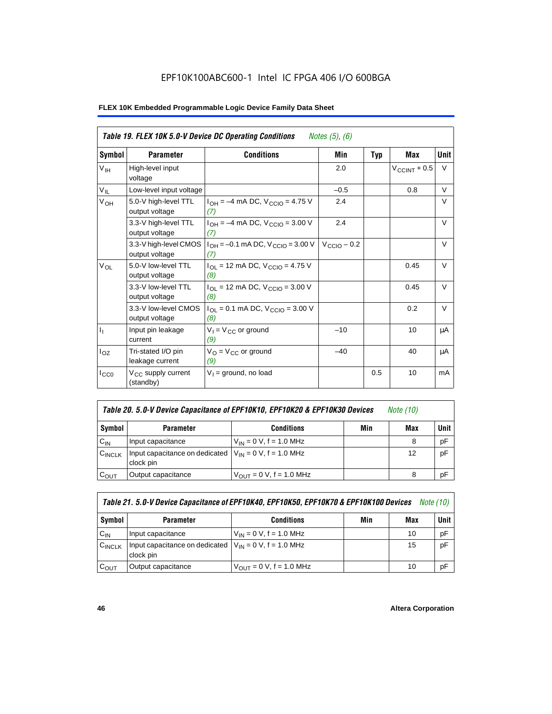# EPF10K100ABC600-1 Intel IC FPGA 406 I/O 600BGA

|                 | Table 19. FLEX 10K 5.0-V Device DC Operating Conditions<br><i>Notes</i> $(5)$ , $(6)$ |                                                               |                         |            |                          |             |  |  |
|-----------------|---------------------------------------------------------------------------------------|---------------------------------------------------------------|-------------------------|------------|--------------------------|-------------|--|--|
| Symbol          | <b>Parameter</b>                                                                      | <b>Conditions</b>                                             | Min                     | <b>Typ</b> | Max                      | <b>Unit</b> |  |  |
| V <sub>IH</sub> | High-level input<br>voltage                                                           |                                                               | 2.0                     |            | $V_{\text{CCINT}} + 0.5$ | V           |  |  |
| $V_{IL}$        | Low-level input voltage                                                               |                                                               | $-0.5$                  |            | 0.8                      | V           |  |  |
| V <sub>OH</sub> | 5.0-V high-level TTL<br>output voltage                                                | $I_{OH} = -4$ mA DC, $V_{CCIO} = 4.75$ V<br>(7)               | 2.4                     |            |                          | V           |  |  |
|                 | 3.3-V high-level TTL<br>output voltage                                                | $I_{OH} = -4$ mA DC, $V_{CGIO} = 3.00$ V<br>(7)               | 2.4                     |            |                          | $\vee$      |  |  |
|                 | 3.3-V high-level CMOS<br>output voltage                                               | $1_{OH} = -0.1$ mA DC, $V_{CCIO} = 3.00$ V<br>(7)             | $V_{\text{CCIO}} - 0.2$ |            |                          | $\vee$      |  |  |
| $V_{OL}$        | 5.0-V low-level TTL<br>output voltage                                                 | $I_{\text{OI}}$ = 12 mA DC, $V_{\text{CCIO}}$ = 4.75 V<br>(8) |                         |            | 0.45                     | $\vee$      |  |  |
|                 | 3.3-V low-level TTL<br>output voltage                                                 | $I_{OL}$ = 12 mA DC, $V_{CCIO}$ = 3.00 V<br>(8)               |                         |            | 0.45                     | V           |  |  |
|                 | 3.3-V low-level CMOS<br>output voltage                                                | $I_{OL}$ = 0.1 mA DC, $V_{CClO}$ = 3.00 V<br>(8)              |                         |            | 0.2                      | $\vee$      |  |  |
| $I_1$           | Input pin leakage<br>current                                                          | $V_1 = V_{CC}$ or ground<br>(9)                               | $-10$                   |            | 10                       | μA          |  |  |
| $I_{OZ}$        | Tri-stated I/O pin<br>leakage current                                                 | $V_O = V_{CC}$ or ground<br>(9)                               | $-40$                   |            | 40                       | μA          |  |  |
| $I_{CC0}$       | V <sub>CC</sub> supply current<br>(standby)                                           | $V_1$ = ground, no load                                       |                         | 0.5        | 10                       | mA          |  |  |

| Table 20. 5.0-V Device Capacitance of EPF10K10, EPF10K20 & EPF10K30 Devices | Note (10) |
|-----------------------------------------------------------------------------|-----------|
|-----------------------------------------------------------------------------|-----------|

| Symbol    | <b>Parameter</b>                                                         | <b>Conditions</b>                   | Min | Max | <b>Unit</b> |
|-----------|--------------------------------------------------------------------------|-------------------------------------|-----|-----|-------------|
| $C_{IN}$  | Input capacitance                                                        | $V_{IN} = 0 V$ , f = 1.0 MHz        |     |     | pF          |
| CINCLK    | Input capacitance on dedicated $V_{IN} = 0 V$ , f = 1.0 MHz<br>clock pin |                                     |     | 12  | pF          |
| $C_{OUT}$ | Output capacitance                                                       | $V_{\text{OUT}} = 0 V, f = 1.0 MHz$ |     |     | рF          |

| Table 21. 5.0-V Device Capacitance of EPF10K40, EPF10K50, EPF10K70 & EPF10K100 Devices<br><i>Note (10)</i> |                                                                          |                               |     |     |      |  |
|------------------------------------------------------------------------------------------------------------|--------------------------------------------------------------------------|-------------------------------|-----|-----|------|--|
| Symbol                                                                                                     | <b>Parameter</b>                                                         | <b>Conditions</b>             | Min | Max | Unit |  |
| $C_{IN}$                                                                                                   | Input capacitance                                                        | $V_{IN} = 0 V$ , f = 1.0 MHz  |     | 10  | рF   |  |
| CINCLK                                                                                                     | Input capacitance on dedicated $V_{IN} = 0 V$ , f = 1.0 MHz<br>clock pin |                               |     | 15  | рF   |  |
| $C_{OUT}$                                                                                                  | Output capacitance                                                       | $V_{OIII}$ = 0 V, f = 1.0 MHz |     | 10  | рF   |  |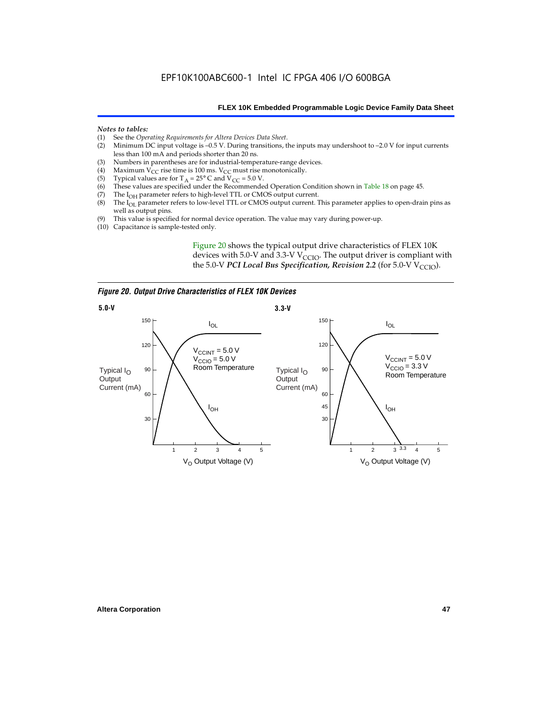#### *Notes to tables:*

- (1) See the *Operating Requirements for Altera Devices Data Sheet*.
- Minimum DC input voltage is  $-0.5$  V. During transitions, the inputs may undershoot to  $-2.0$  V for input currents less than 100 mA and periods shorter than 20 ns.
- (3) Numbers in parentheses are for industrial-temperature-range devices.<br>(4) Maximum  $V_{CC}$  rise time is 100 ms.  $V_{CC}$  must rise monotonically.
- (4) Maximum V<sub>CC</sub> rise time is 100 ms. V<sub>CC</sub> must rise monotonically.<br>(5) Typical values are for T<sub>A</sub> = 25° C and V<sub>CC</sub> = 5.0 V.
- (5) Typical values are for  $T_A = 25^\circ$  C and  $V_{CC} = 5.0$  V.<br>(6) These values are specified under the Recommende
- (6) These values are specified under the Recommended Operation Condition shown in Table 18 on page 45.<br>(7) The  $I_{OH}$  parameter refers to high-level TTL or CMOS output current.
- (7) The  $I_{OH}$  parameter refers to high-level TTL or CMOS output current.<br>(8) The  $I_{OL}$  parameter refers to low-level TTL or CMOS output current. T
- The I<sub>OL</sub> parameter refers to low-level TTL or CMOS output current. This parameter applies to open-drain pins as well as output pins.
- (9) This value is specified for normal device operation. The value may vary during power-up.
- (10) Capacitance is sample-tested only.

Figure 20 shows the typical output drive characteristics of FLEX 10K devices with 5.0-V and 3.3-V  $V_{CCIO}$ . The output driver is compliant with the 5.0-V *PCI Local Bus Specification, Revision 2.2* (for 5.0-V  $V_{\text{CCIO}}$ ).

*Figure 20. Output Drive Characteristics of FLEX 10K Devices*

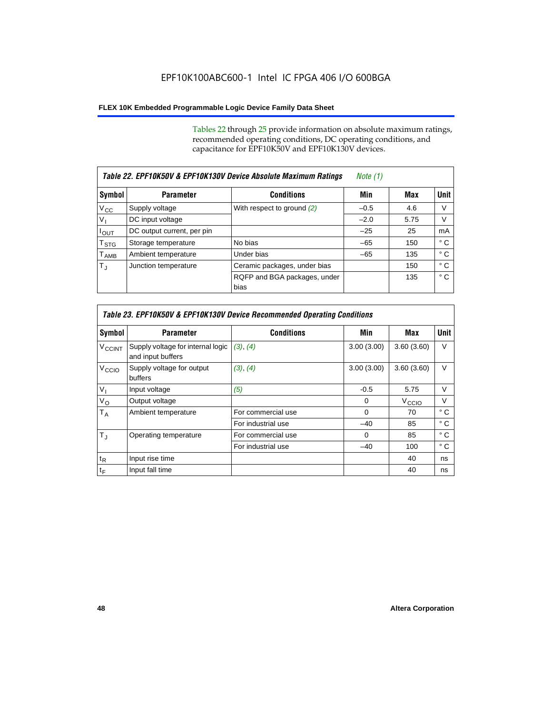Tables 22 through 25 provide information on absolute maximum ratings, recommended operating conditions, DC operating conditions, and capacitance for EPF10K50V and EPF10K130V devices.

|                           | Table 22. EPF10K50V & EPF10K130V Device Absolute Maximum Ratings | Note (1)                             |        |      |             |
|---------------------------|------------------------------------------------------------------|--------------------------------------|--------|------|-------------|
| Symbol                    | <b>Parameter</b>                                                 | <b>Conditions</b>                    | Min    | Max  | <b>Unit</b> |
| $V_{\rm CC}$              | Supply voltage                                                   | With respect to ground $(2)$         | $-0.5$ | 4.6  | V           |
| $V_{I}$                   | DC input voltage                                                 |                                      | $-2.0$ | 5.75 | V           |
| $I_{\text{OUT}}$          | DC output current, per pin                                       |                                      | $-25$  | 25   | mA          |
| $\mathsf{T}_{\text{STG}}$ | Storage temperature                                              | No bias                              | $-65$  | 150  | ° C         |
| $T_{\sf AMB}$             | Ambient temperature                                              | Under bias                           | $-65$  | 135  | ° C         |
| $\mathsf{T}_{\text{d}}$   | Junction temperature                                             | Ceramic packages, under bias         |        | 150  | ° C         |
|                           |                                                                  | RQFP and BGA packages, under<br>bias |        | 135  | ° C         |

|                          | Table 23. EPF10K50V & EPF10K130V Device Recommended Operating Conditions |                    |            |                   |              |  |  |
|--------------------------|--------------------------------------------------------------------------|--------------------|------------|-------------------|--------------|--|--|
| Symbol                   | <b>Parameter</b>                                                         | <b>Conditions</b>  | Min        | Max               | Unit         |  |  |
| <b>V<sub>CCINT</sub></b> | Supply voltage for internal logic<br>and input buffers                   | (3), (4)           | 3.00(3.00) | 3.60(3.60)        | $\vee$       |  |  |
| V <sub>CCIO</sub>        | Supply voltage for output<br>buffers                                     | (3), (4)           | 3.00(3.00) | 3.60(3.60)        | V            |  |  |
| $V_{I}$                  | Input voltage                                                            | (5)                | $-0.5$     | 5.75              | $\vee$       |  |  |
| $V_{\rm O}$              | Output voltage                                                           |                    | $\Omega$   | V <sub>CCIO</sub> | V            |  |  |
| $T_A$                    | Ambient temperature                                                      | For commercial use | $\Omega$   | 70                | $^{\circ}$ C |  |  |
|                          |                                                                          | For industrial use | $-40$      | 85                | ° C          |  |  |
| $T_{\rm J}$              | Operating temperature                                                    | For commercial use | $\Omega$   | 85                | $^{\circ}$ C |  |  |
|                          |                                                                          | For industrial use | $-40$      | 100               | ° C          |  |  |
| $t_{\mathsf{R}}$         | Input rise time                                                          |                    |            | 40                | ns           |  |  |
| $t_F$                    | Input fall time                                                          |                    |            | 40                | ns           |  |  |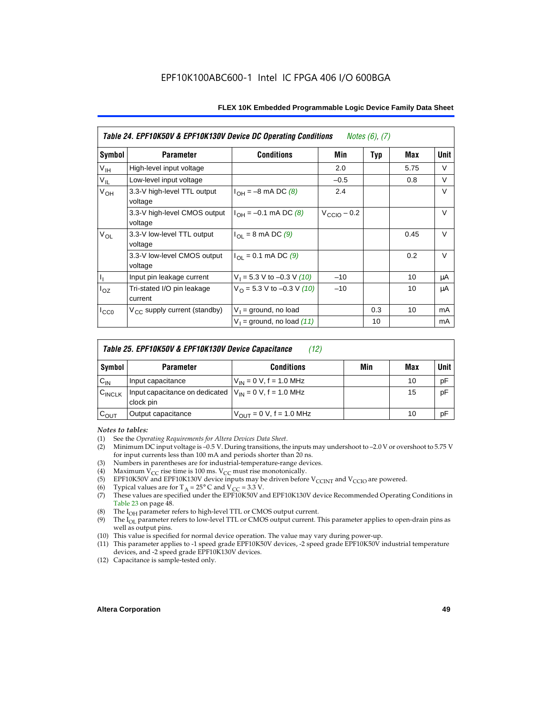| Table 24. EPF10K50V & EPF10K130V Device DC Operating Conditions<br><i>Notes <math>(6)</math>, <math>(7)</math></i> |                                          |                                          |                         |            |      |        |
|--------------------------------------------------------------------------------------------------------------------|------------------------------------------|------------------------------------------|-------------------------|------------|------|--------|
| Symbol                                                                                                             | <b>Parameter</b>                         | <b>Conditions</b>                        | Min                     | <b>Typ</b> | Max  | Unit   |
| V <sub>IH</sub>                                                                                                    | High-level input voltage                 |                                          | 2.0                     |            | 5.75 | V      |
| $V_{IL}$                                                                                                           | Low-level input voltage                  |                                          | $-0.5$                  |            | 0.8  | V      |
| V <sub>OH</sub>                                                                                                    | 3.3-V high-level TTL output<br>voltage   | $I_{OH} = -8$ mA DC (8)                  | 2.4                     |            |      | V      |
|                                                                                                                    | 3.3-V high-level CMOS output<br>voltage  | $I_{OH} = -0.1$ mA DC (8)                | $V_{\text{CCIO}} - 0.2$ |            |      | V      |
| $V_{OL}$                                                                                                           | 3.3-V low-level TTL output<br>voltage    | $I_{\Omega I}$ = 8 mA DC (9)             |                         |            | 0.45 | $\vee$ |
|                                                                                                                    | 3.3-V low-level CMOS output<br>voltage   | $I_{\text{OI}} = 0.1 \text{ mA DC } (9)$ |                         |            | 0.2  | V      |
| $\mathsf{I}_1$                                                                                                     | Input pin leakage current                | $V_1 = 5.3$ V to -0.3 V (10)             | $-10$                   |            | 10   | μA     |
| $I_{OZ}$                                                                                                           | Tri-stated I/O pin leakage<br>current    | $V_O = 5.3 V$ to -0.3 V (10)             | $-10$                   |            | 10   | μA     |
| $I_{CC0}$                                                                                                          | V <sub>CC</sub> supply current (standby) | $V_1$ = ground, no load                  |                         | 0.3        | 10   | mA     |
|                                                                                                                    |                                          | $V_1$ = ground, no load (11)             |                         | 10         |      | mA     |

| Table 25. EPF10K50V & EPF10K130V Device Capacitance<br>(12) |                                                                           |                               |     |     |             |  |
|-------------------------------------------------------------|---------------------------------------------------------------------------|-------------------------------|-----|-----|-------------|--|
| Symbol                                                      | <b>Parameter</b>                                                          | <b>Conditions</b>             | Min | Max | <b>Unit</b> |  |
| $C_{IN}$                                                    | Input capacitance                                                         | $V_{IN} = 0$ V, f = 1.0 MHz   |     | 10  | pF          |  |
| CINCLK                                                      | Input capacitance on dedicated $ V_{IN} = 0 V$ , f = 1.0 MHz<br>clock pin |                               |     | 15  | pF          |  |
| $C_{OUT}$                                                   | Output capacitance                                                        | $V_{OUT} = 0 V$ , f = 1.0 MHz |     | 10  | pF          |  |

#### *Notes to tables:*

- (1) See the *Operating Requirements for Altera Devices Data Sheet*.
- Minimum DC input voltage is –0.5 V. During transitions, the inputs may undershoot to –2.0 V or overshoot to 5.75 V for input currents less than 100 mA and periods shorter than 20 ns.
- (3) Numbers in parentheses are for industrial-temperature-range devices.<br>(4) Maximum  $V_{CC}$  rise time is 100 ms.  $V_{CC}$  must rise monotonically.
- (4) Maximum  $V_{CC}$  rise time is 100 ms.  $V_{CC}$  must rise monotonically.<br>(5) EPF10K50V and EPF10K130V device inputs may be driven before
- (5) EPF10K50V and EPF10K130V device inputs may be driven before V<sub>CCINT</sub> and V<sub>CCIO</sub> are powered.<br>(6) Typical values are for T<sub>A</sub> = 25° C and V<sub>CC</sub> = 3.3 V.
- Typical values are for  $T_A = 25^\circ$  C and  $V_{CC} = 3.3$  V.
- (7) These values are specified under the EPF10K50V and EPF10K130V device Recommended Operating Conditions in Table 23 on page 48.
- (8) The  $I<sub>OH</sub>$  parameter refers to high-level TTL or CMOS output current.
- (9) The  $I_{OL}$  parameter refers to low-level TTL or CMOS output current. This parameter applies to open-drain pins as well as output pins.
- (10) This value is specified for normal device operation. The value may vary during power-up.
- (11) This parameter applies to -1 speed grade EPF10K50V devices, -2 speed grade EPF10K50V industrial temperature devices, and -2 speed grade EPF10K130V devices.
- (12) Capacitance is sample-tested only.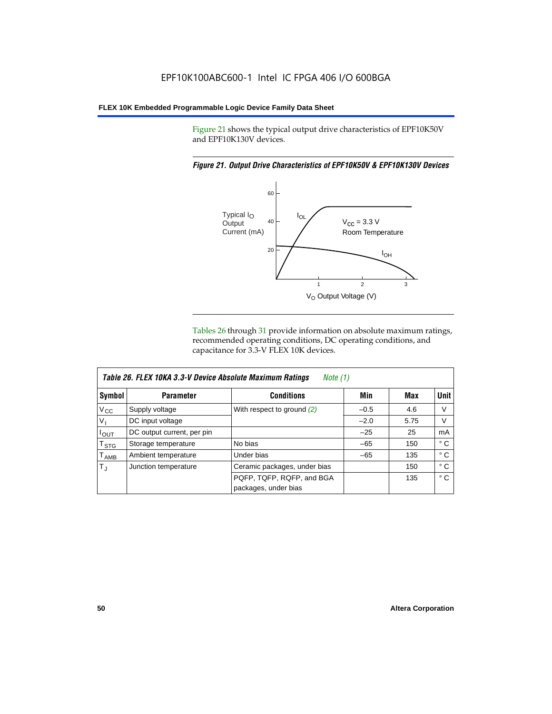Figure 21 shows the typical output drive characteristics of EPF10K50V and EPF10K130V devices.

#### *Figure 21. Output Drive Characteristics of EPF10K50V & EPF10K130V Devices*



Tables 26 through 31 provide information on absolute maximum ratings, recommended operating conditions, DC operating conditions, and capacitance for 3.3-V FLEX 10K devices.

|                  | Table 26. FLEX 10KA 3.3-V Device Absolute Maximum Ratings<br>Note (1) |                              |        |      |              |  |  |
|------------------|-----------------------------------------------------------------------|------------------------------|--------|------|--------------|--|--|
| Symbol           | <b>Parameter</b>                                                      | <b>Conditions</b>            | Min    | Max  | Unit         |  |  |
| $V_{\rm CC}$     | Supply voltage                                                        | With respect to ground $(2)$ | $-0.5$ | 4.6  | V            |  |  |
| $V_{I}$          | DC input voltage                                                      |                              | $-2.0$ | 5.75 | V            |  |  |
| $I_{OUT}$        | DC output current, per pin                                            |                              | $-25$  | 25   | mA           |  |  |
| $T_{\text{STG}}$ | Storage temperature                                                   | No bias                      | $-65$  | 150  | $^{\circ}$ C |  |  |
| $T_{\sf AMB}$    | Ambient temperature                                                   | Under bias                   | $-65$  | 135  | ° C          |  |  |
| $T_{\rm J}$      | Junction temperature                                                  | Ceramic packages, under bias |        | 150  | ° C          |  |  |
|                  |                                                                       | PQFP, TQFP, RQFP, and BGA    |        | 135  | $^{\circ}$ C |  |  |
|                  |                                                                       | packages, under bias         |        |      |              |  |  |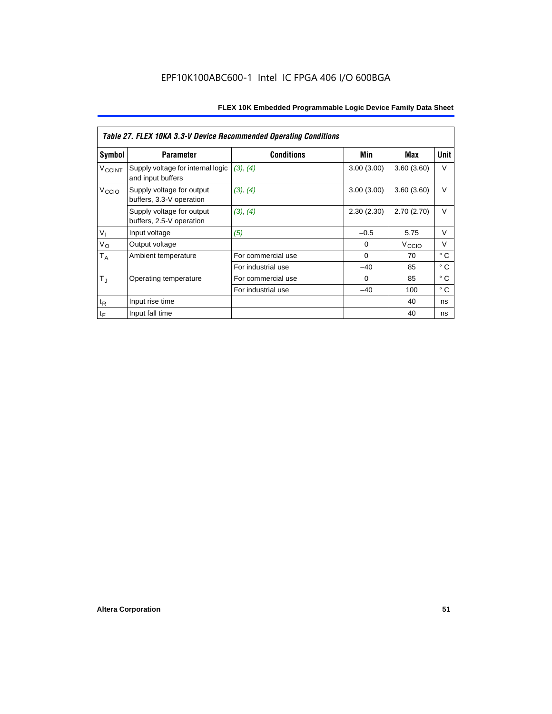| <b>Table 27. FLEX 10KA 3.3-V Device Recommended Operating Conditions</b> |                                                        |                    |            |                   |              |  |  |
|--------------------------------------------------------------------------|--------------------------------------------------------|--------------------|------------|-------------------|--------------|--|--|
| Symbol                                                                   | <b>Parameter</b>                                       | <b>Conditions</b>  | Min        | Max               | Unit         |  |  |
| V <sub>CCINT</sub>                                                       | Supply voltage for internal logic<br>and input buffers | (3), (4)           | 3.00(3.00) | 3.60(3.60)        | V            |  |  |
| V <sub>CCIO</sub>                                                        | Supply voltage for output<br>buffers, 3.3-V operation  | (3), (4)           | 3.00(3.00) | 3.60(3.60)        | $\vee$       |  |  |
|                                                                          | Supply voltage for output<br>buffers, 2.5-V operation  | (3), (4)           | 2.30(2.30) | 2.70(2.70)        | $\vee$       |  |  |
| $V_{I}$                                                                  | Input voltage                                          | (5)                | $-0.5$     | 5.75              | $\vee$       |  |  |
| $V_{\rm O}$                                                              | Output voltage                                         |                    | 0          | V <sub>CCIO</sub> | $\vee$       |  |  |
| $T_A$                                                                    | Ambient temperature                                    | For commercial use | $\Omega$   | 70                | $^{\circ}$ C |  |  |
|                                                                          |                                                        | For industrial use | $-40$      | 85                | $^{\circ}$ C |  |  |
| $T_{\rm J}$                                                              | Operating temperature                                  | For commercial use | $\Omega$   | 85                | ° C          |  |  |
|                                                                          |                                                        | For industrial use | $-40$      | 100               | ° C          |  |  |
| $t_{R}$                                                                  | Input rise time                                        |                    |            | 40                | ns           |  |  |
| $t_F$                                                                    | Input fall time                                        |                    |            | 40                | ns           |  |  |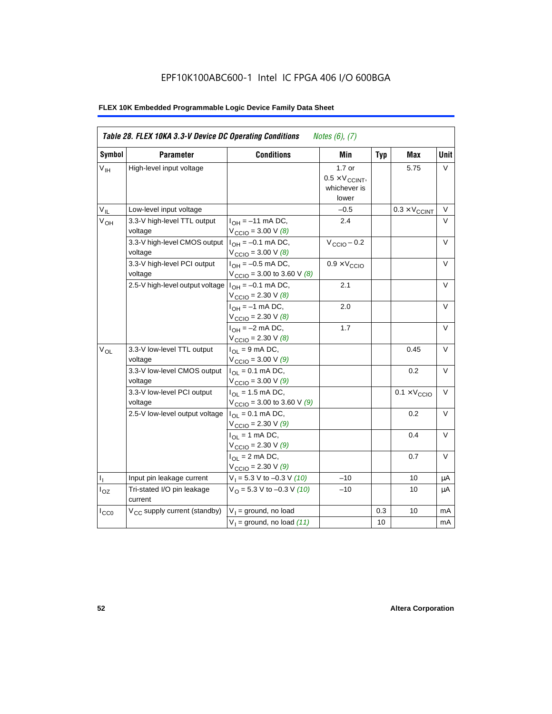# EPF10K100ABC600-1 Intel IC FPGA 406 I/O 600BGA

|                 | Table 28. FLEX 10KA 3.3-V Device DC Operating Conditions<br><i>Notes</i> $(6)$ , $(7)$ |                                                                                 |                                                             |            |                              |        |  |  |
|-----------------|----------------------------------------------------------------------------------------|---------------------------------------------------------------------------------|-------------------------------------------------------------|------------|------------------------------|--------|--|--|
| <b>Symbol</b>   | <b>Parameter</b>                                                                       | <b>Conditions</b>                                                               | Min                                                         | <b>Typ</b> | Max                          | Unit   |  |  |
| V <sub>IH</sub> | High-level input voltage                                                               |                                                                                 | $1.7$ or<br>$0.5 \times V_{CCINT}$<br>whichever is<br>lower |            | 5.75                         | V      |  |  |
| $V_{IL}$        | Low-level input voltage                                                                |                                                                                 | $-0.5$                                                      |            | $0.3 \times V_{CCINT}$       | $\vee$ |  |  |
| $V_{OH}$        | 3.3-V high-level TTL output<br>voltage                                                 | $I_{OH} = -11$ mA DC,<br>$V_{\text{CCIO}} = 3.00 \text{ V } (8)$                | 2.4                                                         |            |                              | $\vee$ |  |  |
|                 | 3.3-V high-level CMOS output<br>voltage                                                | $I_{OH} = -0.1$ mA DC,<br>$V_{\text{CCIO}} = 3.00 \text{ V } (8)$               | $V_{\text{CCIO}} - 0.2$                                     |            |                              | V      |  |  |
|                 | 3.3-V high-level PCI output<br>voltage                                                 | $I_{OH} = -0.5$ mA DC,<br>$V_{\text{CCIO}} = 3.00$ to 3.60 V (8)                | $0.9 \times V_{\text{CCIO}}$                                |            |                              | $\vee$ |  |  |
|                 | 2.5-V high-level output voltage                                                        | $I_{OH} = -0.1$ mA DC,<br>$V_{\text{CCIO}} = 2.30 \text{ V } (8)$               | 2.1                                                         |            |                              | $\vee$ |  |  |
|                 |                                                                                        | $I_{OH} = -1$ mA DC,<br>$V_{\text{CCIO}} = 2.30 \text{ V } (8)$                 | 2.0                                                         |            |                              | $\vee$ |  |  |
|                 |                                                                                        | $I_{OH} = -2$ mA DC,<br>$V_{\text{CCIO}} = 2.30 \text{ V } (8)$                 | 1.7                                                         |            |                              | V      |  |  |
| $V_{OL}$        | 3.3-V low-level TTL output<br>voltage                                                  | $I_{OL}$ = 9 mA DC,<br>$V_{\text{CCIO}} = 3.00 \text{ V} (9)$                   |                                                             |            | 0.45                         | $\vee$ |  |  |
|                 | 3.3-V low-level CMOS output<br>voltage                                                 | $I_{\text{OI}} = 0.1 \text{ mA} \text{ DC},$<br>$V_{\text{CCIO}} = 3.00 V (9)$  |                                                             |            | 0.2                          | $\vee$ |  |  |
|                 | 3.3-V low-level PCI output<br>voltage                                                  | $I_{\text{O1}} = 1.5 \text{ mA DC}$ ,<br>$V_{\text{CCIO}} = 3.00$ to 3.60 V (9) |                                                             |            | $0.1 \times V_{\text{CCIO}}$ | V      |  |  |
|                 | 2.5-V low-level output voltage                                                         | $I_{OL} = 0.1$ mA DC,<br>$V_{\text{CCIO}} = 2.30 V (9)$                         |                                                             |            | 0.2                          | $\vee$ |  |  |
|                 |                                                                                        | $I_{OL}$ = 1 mA DC,<br>$V_{\text{CCIO}} = 2.30 \text{ V} (9)$                   |                                                             |            | 0.4                          | $\vee$ |  |  |
|                 |                                                                                        | $I_{OL}$ = 2 mA DC,<br>$V_{\text{CCIO}} = 2.30 V (9)$                           |                                                             |            | 0.7                          | $\vee$ |  |  |
| Τ,              | Input pin leakage current                                                              | $V_1 = 5.3$ V to -0.3 V (10)                                                    | $-10$                                                       |            | 10                           | μA     |  |  |
| $I_{OZ}$        | Tri-stated I/O pin leakage<br>current                                                  | $V_O = 5.3 V to -0.3 V (10)$                                                    | $-10$                                                       |            | 10                           | μA     |  |  |
| $I_{CC0}$       | V <sub>CC</sub> supply current (standby)                                               | $V_1$ = ground, no load                                                         |                                                             | 0.3        | 10                           | mA     |  |  |
|                 |                                                                                        | $V_1$ = ground, no load (11)                                                    |                                                             | 10         |                              | mA     |  |  |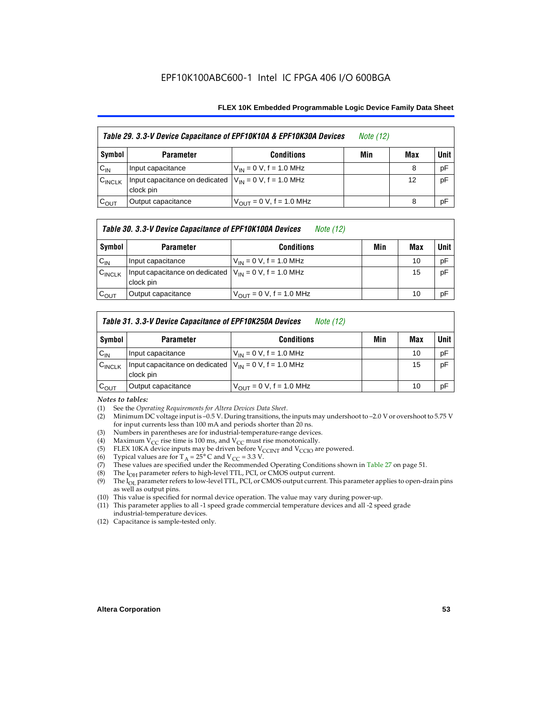|                    |                                                                           | Table 29. 3.3-V Device Capacitance of EPF10K10A & EPF10K30A Devices | <i>Note</i> (12) |     |        |
|--------------------|---------------------------------------------------------------------------|---------------------------------------------------------------------|------------------|-----|--------|
| Symbol             | <b>Parameter</b>                                                          | <b>Conditions</b>                                                   | Min              | Max | Unit I |
| $C_{IN}$           | Input capacitance                                                         | $V_{IN} = 0 V$ , f = 1.0 MHz                                        |                  | 8   | pF     |
| $C_{\text{INCLK}}$ | Input capacitance on dedicated $ V_{IN} = 0 V$ , f = 1.0 MHz<br>clock pin |                                                                     |                  | 12  | pF     |
| $C_{OUT}$          | Output capacitance                                                        | $V_{OUT} = 0 V$ , f = 1.0 MHz                                       |                  | 8   | pF     |

#### *Table 30. 3.3-V Device Capacitance of EPF10K100A Devices Note (12)*

| Symbol    | <b>Parameter</b>                                                          | <b>Conditions</b>                   | Min | Max | <b>Unit</b> |
|-----------|---------------------------------------------------------------------------|-------------------------------------|-----|-----|-------------|
| $C_{IN}$  | Input capacitance                                                         | $V_{IN} = 0 V$ , f = 1.0 MHz        |     | 10  | pF          |
| CINCLK    | Input capacitance on dedicated $ V_{1N}  = 0$ V, f = 1.0 MHz<br>clock pin |                                     |     | 15  | pF          |
| $C_{OUT}$ | Output capacitance                                                        | $V_{\text{OUT}} = 0$ V, f = 1.0 MHz |     | 10  | pF          |

### *Table 31. 3.3-V Device Capacitance of EPF10K250A Devices Note (12)*

| Symbol             | <b>Parameter</b>                                                         | <b>Conditions</b>                   | Min | Max | <b>Unit</b> |
|--------------------|--------------------------------------------------------------------------|-------------------------------------|-----|-----|-------------|
| $C_{\text{IN}}$    | Input capacitance                                                        | $V_{IN} = 0$ V, f = 1.0 MHz         |     | 10  | pF          |
| $C_{\text{INCLK}}$ | Input capacitance on dedicated $V_{IN} = 0 V$ , f = 1.0 MHz<br>clock pin |                                     |     | 15  | pF          |
| $C_{\text{OUT}}$   | Output capacitance                                                       | $V_{\text{OUT}} = 0$ V, f = 1.0 MHz |     | 10  | pF          |

#### *Notes to tables:*

- (1) See the *Operating Requirements for Altera Devices Data Sheet*.
- (2) Minimum DC voltage input is –0.5 V. During transitions, the inputs may undershoot to –2.0 V or overshoot to 5.75 V for input currents less than 100 mA and periods shorter than 20 ns.
- (3) Numbers in parentheses are for industrial-temperature-range devices.
- (4) Maximum V<sub>CC</sub> rise time is 100 ms, and V<sub>CC</sub> must rise monotonically.<br>(5) ELEX 10KA device inputs may be driven before V<sub>CCINT</sub> and V<sub>CCIO</sub> ar
- (5) FLEX 10KA device inputs may be driven before  $V_{CCTN}$  and  $V_{CCTO}$  are powered.<br>(6) Typical values are for T<sub>A</sub> = 25° C and  $V_{CC}$  = 3.3 V.
- (6) Typical values are for  $T_A = 25^\circ$  C and  $V_{CC} = 3.3$  V.<br>(7) These values are specified under the Recommende
- These values are specified under the Recommended Operating Conditions shown in Table 27 on page 51.
- (8) The  $I_{OH}$  parameter refers to high-level TTL, PCI, or CMOS output current. The  $I_{OH}$  parameter refers to low-level TTL, PCI, or CMOS output current. The
- The I<sub>OL</sub> parameter refers to low-level TTL, PCI, or CMOS output current. This parameter applies to open-drain pins as well as output pins.
- (10) This value is specified for normal device operation. The value may vary during power-up.
- (11) This parameter applies to all -1 speed grade commercial temperature devices and all -2 speed grade industrial-temperature devices.
- (12) Capacitance is sample-tested only.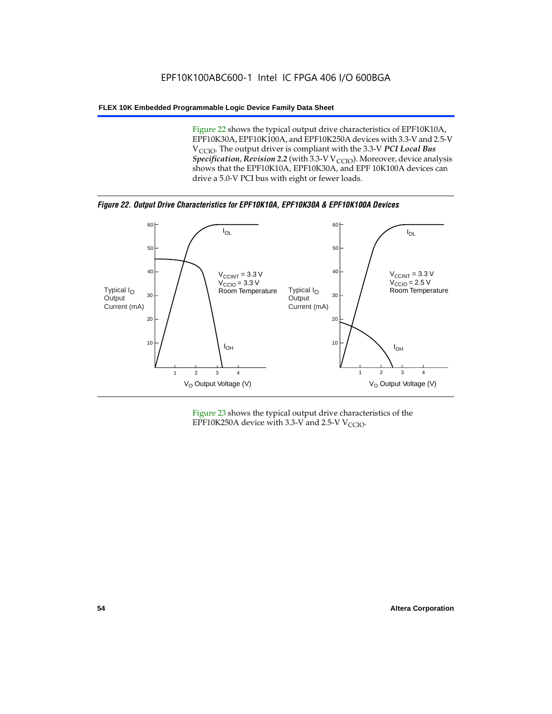Figure 22 shows the typical output drive characteristics of EPF10K10A, EPF10K30A, EPF10K100A, and EPF10K250A devices with 3.3-V and 2.5-V V<sub>CCIO</sub>. The output driver is compliant with the 3.3-V PCI Local Bus *Specification, Revision 2.2* (with 3.3-V V<sub>CCIO</sub>). Moreover, device analysis shows that the EPF10K10A, EPF10K30A, and EPF 10K100A devices can drive a 5.0-V PCI bus with eight or fewer loads.

*Figure 22. Output Drive Characteristics for EPF10K10A, EPF10K30A & EPF10K100A Devices*



Figure 23 shows the typical output drive characteristics of the EPF10K250A device with 3.3-V and 2.5-V  $V_{\text{CCIO}}$ .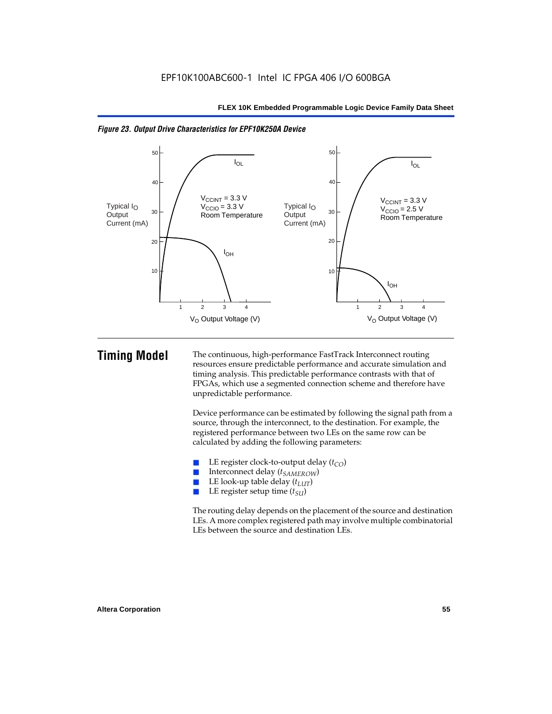



**Timing Model** The continuous, high-performance FastTrack Interconnect routing resources ensure predictable performance and accurate simulation and timing analysis. This predictable performance contrasts with that of FPGAs, which use a segmented connection scheme and therefore have unpredictable performance.

> Device performance can be estimated by following the signal path from a source, through the interconnect, to the destination. For example, the registered performance between two LEs on the same row can be calculated by adding the following parameters:

- **E** LE register clock-to-output delay  $(t_{CO})$ <br> **E** Interconnect delay  $(t_{CMBOW})$
- Interconnect delay (*t<sub>SAMEROW</sub>*)
- LE look-up table delay  $(t_{LUT})$
- LE register setup time ( $t_{SI}$ )

The routing delay depends on the placement of the source and destination LEs. A more complex registered path may involve multiple combinatorial LEs between the source and destination LEs.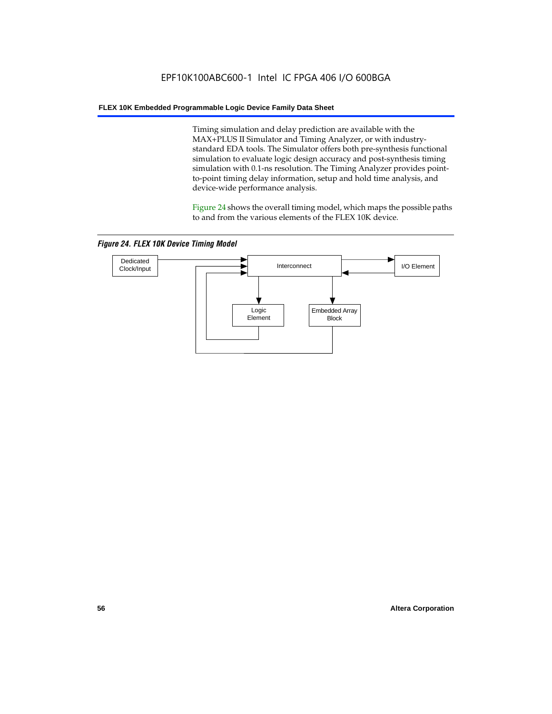Timing simulation and delay prediction are available with the MAX+PLUS II Simulator and Timing Analyzer, or with industrystandard EDA tools. The Simulator offers both pre-synthesis functional simulation to evaluate logic design accuracy and post-synthesis timing simulation with 0.1-ns resolution. The Timing Analyzer provides pointto-point timing delay information, setup and hold time analysis, and device-wide performance analysis.

Figure 24 shows the overall timing model, which maps the possible paths to and from the various elements of the FLEX 10K device.

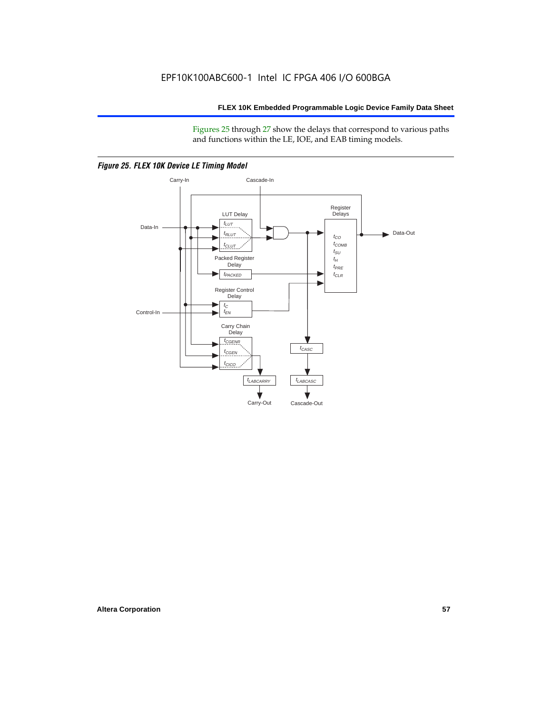Figures 25 through 27 show the delays that correspond to various paths and functions within the LE, IOE, and EAB timing models.



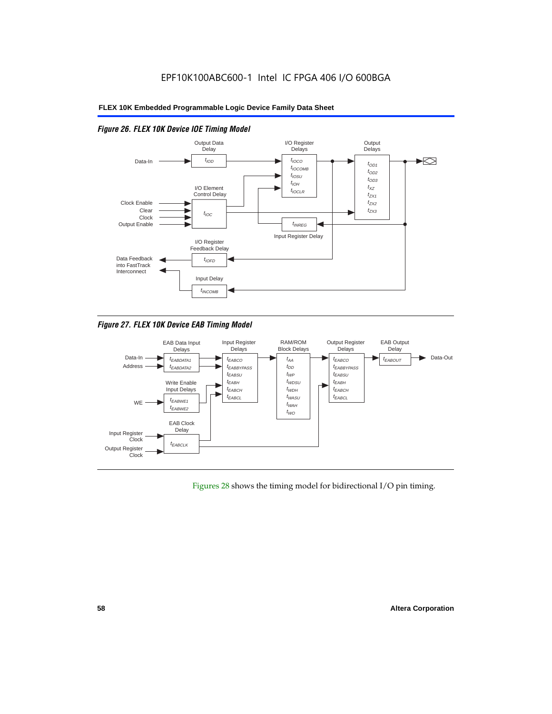

# *Figure 26. FLEX 10K Device IOE Timing Model*

*Figure 27. FLEX 10K Device EAB Timing Model*



Figures 28 shows the timing model for bidirectional I/O pin timing.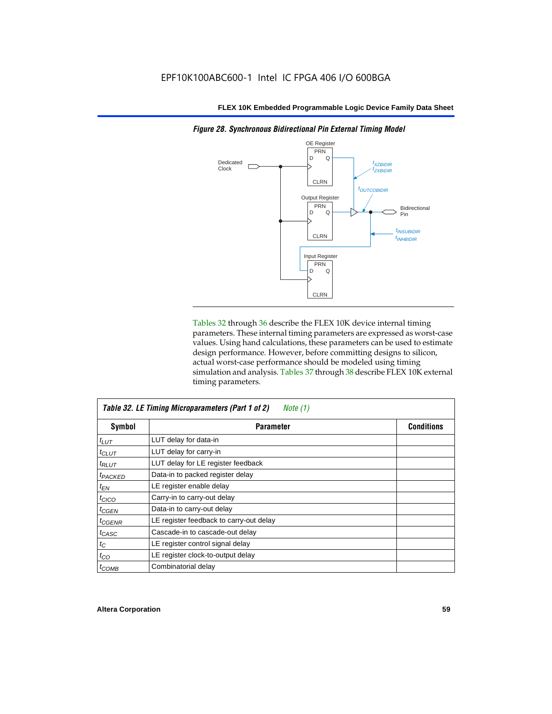

Tables 32 through 36 describe the FLEX 10K device internal timing parameters. These internal timing parameters are expressed as worst-case values. Using hand calculations, these parameters can be used to estimate design performance. However, before committing designs to silicon, actual worst-case performance should be modeled using timing simulation and analysis. Tables 37 through 38 describe FLEX 10K external timing parameters.

| Table 32. LE Timing Microparameters (Part 1 of 2)<br>Note $(1)$ |                                         |                   |  |  |
|-----------------------------------------------------------------|-----------------------------------------|-------------------|--|--|
| Symbol                                                          | <b>Parameter</b>                        | <b>Conditions</b> |  |  |
| $t_{LUT}$                                                       | LUT delay for data-in                   |                   |  |  |
| $t_{CLUT}$                                                      | LUT delay for carry-in                  |                   |  |  |
| $t_{RLUT}$                                                      | LUT delay for LE register feedback      |                   |  |  |
| <sup>t</sup> PACKED                                             | Data-in to packed register delay        |                   |  |  |
| ι <sub>ΕΝ</sub>                                                 | LE register enable delay                |                   |  |  |
| $t_{CICO}$                                                      | Carry-in to carry-out delay             |                   |  |  |
| <sup>t</sup> CGEN                                               | Data-in to carry-out delay              |                   |  |  |
| <sup>t</sup> CGENR                                              | LE register feedback to carry-out delay |                   |  |  |
| t <sub>CASC</sub>                                               | Cascade-in to cascade-out delay         |                   |  |  |
| $t_C$                                                           | LE register control signal delay        |                   |  |  |
| $t_{CO}$                                                        | LE register clock-to-output delay       |                   |  |  |
| t <sub>COMB</sub>                                               | Combinatorial delay                     |                   |  |  |

*Figure 28. Synchronous Bidirectional Pin External Timing Model*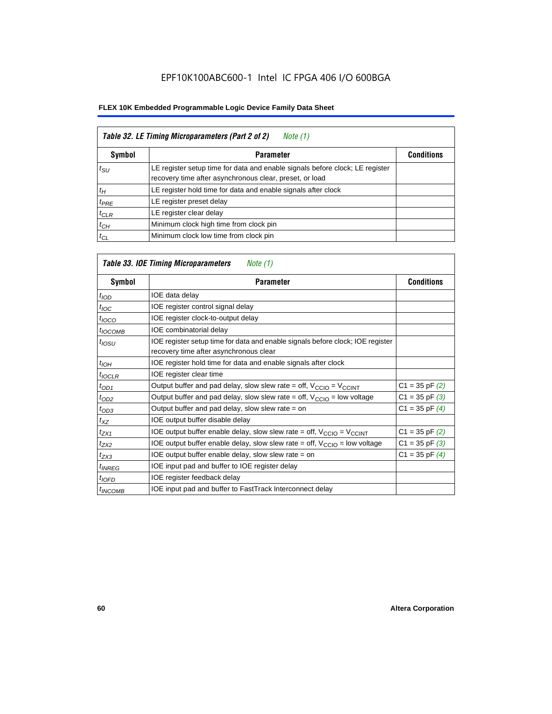| Table 32. LE Timing Microparameters (Part 2 of 2)<br>Note (1) |                                                                                                                                         |                   |  |  |  |
|---------------------------------------------------------------|-----------------------------------------------------------------------------------------------------------------------------------------|-------------------|--|--|--|
| <b>Symbol</b>                                                 | <b>Parameter</b>                                                                                                                        | <b>Conditions</b> |  |  |  |
| $t_{\rm SU}$                                                  | LE register setup time for data and enable signals before clock; LE register<br>recovery time after asynchronous clear, preset, or load |                   |  |  |  |
| $t_H$                                                         | LE register hold time for data and enable signals after clock                                                                           |                   |  |  |  |
| $t_{PRE}$                                                     | LE register preset delay                                                                                                                |                   |  |  |  |
| $t_{CLR}$                                                     | LE register clear delay                                                                                                                 |                   |  |  |  |
| $t_{CH}$                                                      | Minimum clock high time from clock pin                                                                                                  |                   |  |  |  |
| $t_{CL}$                                                      | Minimum clock low time from clock pin                                                                                                   |                   |  |  |  |

# *Table 33. IOE Timing Microparameters Note (1)*

| Symbol              | <b>Parameter</b>                                                                                                         | <b>Conditions</b>  |
|---------------------|--------------------------------------------------------------------------------------------------------------------------|--------------------|
| t <sub>IOD</sub>    | IOE data delay                                                                                                           |                    |
| $t_{\text{IOC}}$    | IOE register control signal delay                                                                                        |                    |
| $t_{\text{IOCO}}$   | IOE register clock-to-output delay                                                                                       |                    |
| $t_{IOCOMB}$        | IOE combinatorial delay                                                                                                  |                    |
| $t_{IOSU}$          | IOE register setup time for data and enable signals before clock; IOE register<br>recovery time after asynchronous clear |                    |
| $t_{IOH}$           | IOE register hold time for data and enable signals after clock                                                           |                    |
| $t_{IOCLR}$         | IOE register clear time                                                                                                  |                    |
| $t_{OD1}$           | Output buffer and pad delay, slow slew rate = off, $V_{\text{CCIO}} = V_{\text{CCINT}}$                                  | $C1 = 35$ pF $(2)$ |
| $t_{OD2}$           | Output buffer and pad delay, slow slew rate = off, $V_{CCIO}$ = low voltage                                              | $C1 = 35$ pF $(3)$ |
| $t_{OD3}$           | Output buffer and pad delay, slow slew rate $=$ on                                                                       | $C1 = 35$ pF $(4)$ |
| $t_{XZ}$            | IOE output buffer disable delay                                                                                          |                    |
| $t_{ZX1}$           | IOE output buffer enable delay, slow slew rate = off, $V_{\text{CCIO}} = V_{\text{CCINT}}$                               | $C1 = 35$ pF $(2)$ |
| $t_{ZX2}$           | IOE output buffer enable delay, slow slew rate = off, $V_{\text{CCIO}}$ = low voltage                                    | $C1 = 35$ pF $(3)$ |
| $t_{ZX3}$           | IOE output buffer enable delay, slow slew rate $=$ on                                                                    | $C1 = 35$ pF $(4)$ |
| <sup>t</sup> INREG  | IOE input pad and buffer to IOE register delay                                                                           |                    |
| $t_{IOFD}$          | IOE register feedback delay                                                                                              |                    |
| <sup>t</sup> INCOMB | IOE input pad and buffer to FastTrack Interconnect delay                                                                 |                    |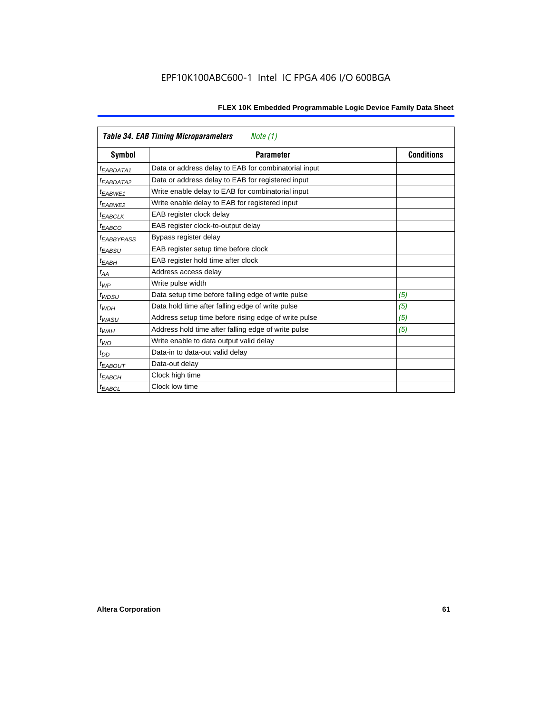| <b>Table 34. EAB Timing Microparameters</b><br>Note (1) |                                                      |                   |  |  |
|---------------------------------------------------------|------------------------------------------------------|-------------------|--|--|
| Symbol                                                  | <b>Parameter</b>                                     | <b>Conditions</b> |  |  |
| $t_{EABDATA1}$                                          | Data or address delay to EAB for combinatorial input |                   |  |  |
| <sup>t</sup> EABDATA2                                   | Data or address delay to EAB for registered input    |                   |  |  |
| t <sub>EABWE1</sub>                                     | Write enable delay to EAB for combinatorial input    |                   |  |  |
| t <sub>EABWE2</sub>                                     | Write enable delay to EAB for registered input       |                   |  |  |
| <b><i>EABCLK</i></b>                                    | EAB register clock delay                             |                   |  |  |
| $t_{EABCO}$                                             | EAB register clock-to-output delay                   |                   |  |  |
| <sup>t</sup> EABBYPASS                                  | Bypass register delay                                |                   |  |  |
| <sup>t</sup> EABSU                                      | EAB register setup time before clock                 |                   |  |  |
| $t_{EABH}$                                              | EAB register hold time after clock                   |                   |  |  |
| $t_{AA}$                                                | Address access delay                                 |                   |  |  |
| $t_{WP}$                                                | Write pulse width                                    |                   |  |  |
| $t_{WDSU}$                                              | Data setup time before falling edge of write pulse   | (5)               |  |  |
| $t_{WDH}$                                               | Data hold time after falling edge of write pulse     | (5)               |  |  |
| $t_{WASU}$                                              | Address setup time before rising edge of write pulse | (5)               |  |  |
| $t_{WAH}$                                               | Address hold time after falling edge of write pulse  | (5)               |  |  |
| $t_{WO}$                                                | Write enable to data output valid delay              |                   |  |  |
| $t_{DD}$                                                | Data-in to data-out valid delay                      |                   |  |  |
| <b><i>EABOUT</i></b>                                    | Data-out delay                                       |                   |  |  |
| t <sub>EABCH</sub>                                      | Clock high time                                      |                   |  |  |
| <sup>t</sup> EABCL                                      | Clock low time                                       |                   |  |  |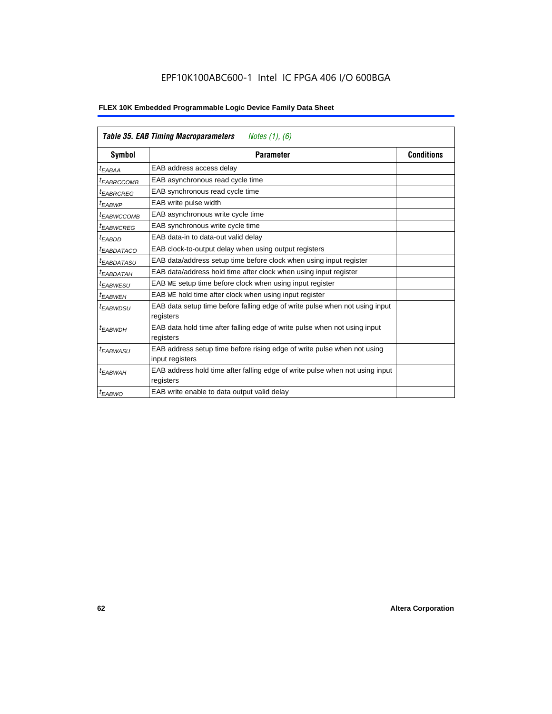| <b>Table 35. EAB Timing Macroparameters</b><br><i>Notes (1), (6)</i> |                                                                                           |                   |  |  |  |  |  |
|----------------------------------------------------------------------|-------------------------------------------------------------------------------------------|-------------------|--|--|--|--|--|
| Symbol                                                               | <b>Parameter</b>                                                                          | <b>Conditions</b> |  |  |  |  |  |
| t <sub>EABAA</sub>                                                   | EAB address access delay                                                                  |                   |  |  |  |  |  |
| <sup>t</sup> EABRCCOMB                                               | EAB asynchronous read cycle time                                                          |                   |  |  |  |  |  |
| <sup>t</sup> EABRCREG                                                | EAB synchronous read cycle time                                                           |                   |  |  |  |  |  |
| <sup>t</sup> EABWP                                                   | EAB write pulse width                                                                     |                   |  |  |  |  |  |
| <sup>t</sup> EABWCCOMB                                               | EAB asynchronous write cycle time                                                         |                   |  |  |  |  |  |
| <sup>t</sup> EABWCREG                                                | EAB synchronous write cycle time                                                          |                   |  |  |  |  |  |
| <sup>t</sup> EABDD                                                   | EAB data-in to data-out valid delay                                                       |                   |  |  |  |  |  |
| <sup>t</sup> EABDATACO                                               | EAB clock-to-output delay when using output registers                                     |                   |  |  |  |  |  |
| <sup>t</sup> EABDATASU                                               | EAB data/address setup time before clock when using input register                        |                   |  |  |  |  |  |
| <sup>t</sup> EABDATAH                                                | EAB data/address hold time after clock when using input register                          |                   |  |  |  |  |  |
| <sup>t</sup> EABWESU                                                 | EAB WE setup time before clock when using input register                                  |                   |  |  |  |  |  |
| <sup>t</sup> EABWEH                                                  | EAB WE hold time after clock when using input register                                    |                   |  |  |  |  |  |
| <sup>t</sup> EABWDSU                                                 | EAB data setup time before falling edge of write pulse when not using input<br>registers  |                   |  |  |  |  |  |
| <sup>t</sup> EABWDH                                                  | EAB data hold time after falling edge of write pulse when not using input                 |                   |  |  |  |  |  |
|                                                                      | registers                                                                                 |                   |  |  |  |  |  |
| t <sub>EABWASU</sub>                                                 | EAB address setup time before rising edge of write pulse when not using                   |                   |  |  |  |  |  |
|                                                                      | input registers                                                                           |                   |  |  |  |  |  |
| <sup>t</sup> EABWAH                                                  | EAB address hold time after falling edge of write pulse when not using input<br>registers |                   |  |  |  |  |  |
| $t_{EABWO}$                                                          | EAB write enable to data output valid delay                                               |                   |  |  |  |  |  |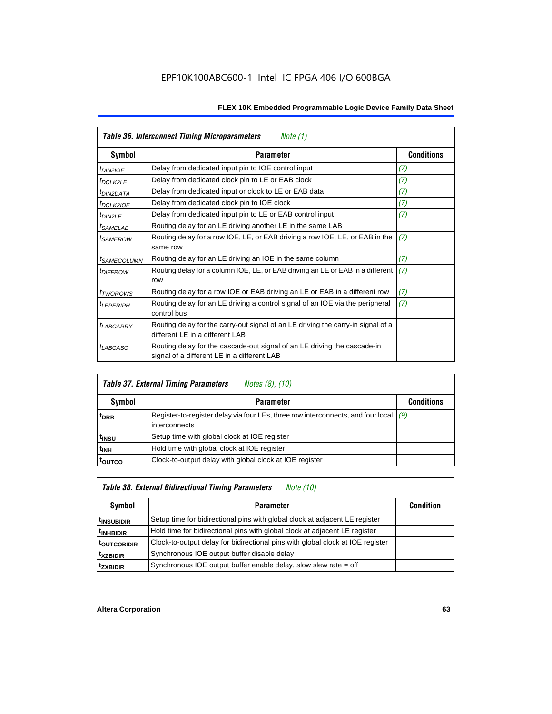| <b>Table 36. Interconnect Timing Microparameters</b><br>Note (1) |                                                                                                                         |                   |  |  |  |
|------------------------------------------------------------------|-------------------------------------------------------------------------------------------------------------------------|-------------------|--|--|--|
| Symbol                                                           | <b>Parameter</b>                                                                                                        | <b>Conditions</b> |  |  |  |
| <i>t<sub>DIN2IOE</sub></i>                                       | Delay from dedicated input pin to IOE control input                                                                     | (7)               |  |  |  |
| $t_{DCLK2LE}$                                                    | Delay from dedicated clock pin to LE or EAB clock                                                                       | (7)               |  |  |  |
| <sup>t</sup> DIN2DATA                                            | Delay from dedicated input or clock to LE or EAB data                                                                   | (7)               |  |  |  |
| t <sub>DCLK2IOE</sub>                                            | Delay from dedicated clock pin to IOE clock                                                                             | (7)               |  |  |  |
| t <sub>DIN2LE</sub>                                              | Delay from dedicated input pin to LE or EAB control input                                                               | (7)               |  |  |  |
| <sup>t</sup> SAMELAB                                             | Routing delay for an LE driving another LE in the same LAB                                                              |                   |  |  |  |
| <sup>t</sup> SAMEROW                                             | Routing delay for a row IOE, LE, or EAB driving a row IOE, LE, or EAB in the<br>same row                                | (7)               |  |  |  |
| <sup>t</sup> SAMECOLUMN                                          | Routing delay for an LE driving an IOE in the same column                                                               | (7)               |  |  |  |
| <i>t<sub>DIFFROW</sub></i>                                       | Routing delay for a column IOE, LE, or EAB driving an LE or EAB in a different<br>row                                   | (7)               |  |  |  |
| <i>t</i> <sub>T</sub> worows                                     | Routing delay for a row IOE or EAB driving an LE or EAB in a different row                                              | (7)               |  |  |  |
| $t_{LEPERIPH}$                                                   | Routing delay for an LE driving a control signal of an IOE via the peripheral<br>control bus                            | (7)               |  |  |  |
| <b>LABCARRY</b>                                                  | Routing delay for the carry-out signal of an LE driving the carry-in signal of a<br>different LE in a different LAB     |                   |  |  |  |
| $t_{LABCASC}$                                                    | Routing delay for the cascade-out signal of an LE driving the cascade-in<br>signal of a different LE in a different LAB |                   |  |  |  |

| <b>Table 37. External Timing Parameters</b><br>Notes (8), (10) |                                                                                                         |                   |  |  |  |
|----------------------------------------------------------------|---------------------------------------------------------------------------------------------------------|-------------------|--|--|--|
| Symbol                                                         | <b>Parameter</b>                                                                                        | <b>Conditions</b> |  |  |  |
| <sup>t</sup> DRR                                               | Register-to-register delay via four LEs, three row interconnects, and four local $(9)$<br>interconnects |                   |  |  |  |
| t <sub>insu</sub>                                              | Setup time with global clock at IOE register                                                            |                   |  |  |  |
| t <sub>INH</sub>                                               | Hold time with global clock at IOE register                                                             |                   |  |  |  |
| <sup>I</sup> OUTCO                                             | Clock-to-output delay with global clock at IOE register                                                 |                   |  |  |  |

# *Table 38. External Bidirectional Timing Parameters Note (10)*

| Symbol                  | <b>Condition</b>                                                               |  |
|-------------------------|--------------------------------------------------------------------------------|--|
| <sup>t</sup> INSUBIDIR  | Setup time for bidirectional pins with global clock at adjacent LE register    |  |
| <sup>t</sup> INHBIDIR   | Hold time for bidirectional pins with global clock at adjacent LE register     |  |
| t <sub>outcobidir</sub> | Clock-to-output delay for bidirectional pins with global clock at IOE register |  |
| <sup>t</sup> xzbidir    | Synchronous IOE output buffer disable delay                                    |  |
| tzxbidir                | Synchronous IOE output buffer enable delay, slow slew rate = off               |  |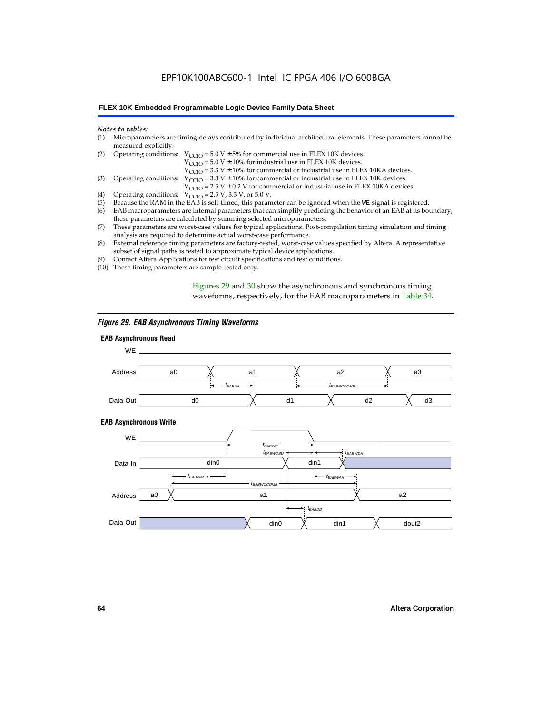# EPF10K100ABC600-1 Intel IC FPGA 406 I/O 600BGA

#### **FLEX 10K Embedded Programmable Logic Device Family Data Sheet**

#### *Notes to tables:*

| (1) Microparameters are timing delays contributed by individual architectural elements. These parameters cannot be |
|--------------------------------------------------------------------------------------------------------------------|
| measured explicitly.                                                                                               |

| (2) Operating conditions: $V_{CCIO} = 5.0 V \pm 5%$ for commercial use in FLEX 10K devices. |  |  |  |
|---------------------------------------------------------------------------------------------|--|--|--|
|                                                                                             |  |  |  |

 $V<sub>CCIO</sub>$  = 5.0 V  $\pm$  10% for industrial use in FLEX 10K devices.

 $V_{\text{CCIO}} = 3.3 \text{ V} \pm 10\%$  for commercial or industrial use in FLEX 10KA devices.

(3) Operating conditions:  $V_{\text{CCIO}} = 3.3 V \pm 10\%$  for commercial or industrial use in FLEX 10K devices.

 $V_{\text{CCIO}} = 2.5 \text{ V} \pm 0.2 \text{ V}$  for commercial or industrial use in FLEX 10KA devices.

- (4) Operating conditions:  $V_{\text{CCIO}} = 2.5 V$ , 3.3 V, or 5.0 V.<br>(5) Because the RAM in the EAB is self-timed, this param
- (5) Because the RAM in the EAB is self-timed, this parameter can be ignored when the WE signal is registered.<br>(6) EAB macroparameters are internal parameters that can simplify predicting the behavior of an EAB at its bou
- EAB macroparameters are internal parameters that can simplify predicting the behavior of an EAB at its boundary; these parameters are calculated by summing selected microparameters.
- (7) These parameters are worst-case values for typical applications. Post-compilation timing simulation and timing analysis are required to determine actual worst-case performance.
- (8) External reference timing parameters are factory-tested, worst-case values specified by Altera. A representative subset of signal paths is tested to approximate typical device applications.
- (9) Contact Altera Applications for test circuit specifications and test conditions.
- (10) These timing parameters are sample-tested only.

Figures 29 and 30 show the asynchronous and synchronous timing waveforms, respectively, for the EAB macroparameters in Table 34.

### *Figure 29. EAB Asynchronous Timing Waveforms*

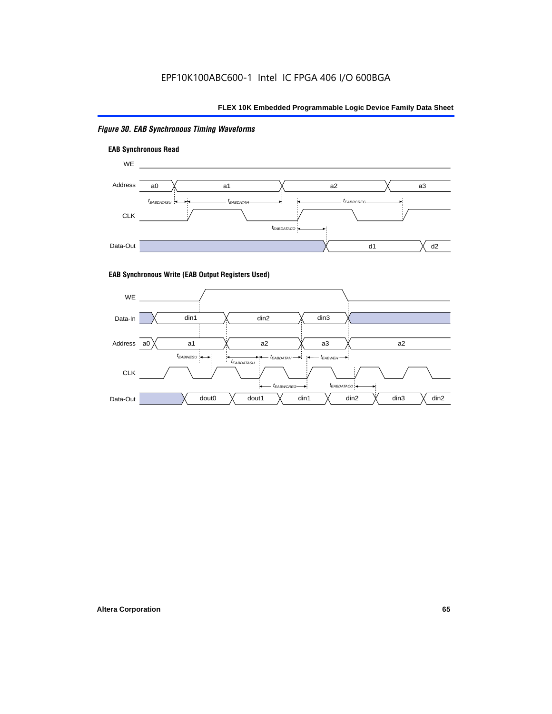# *Figure 30. EAB Synchronous Timing Waveforms*





#### **EAB Synchronous Write (EAB Output Registers Used)**

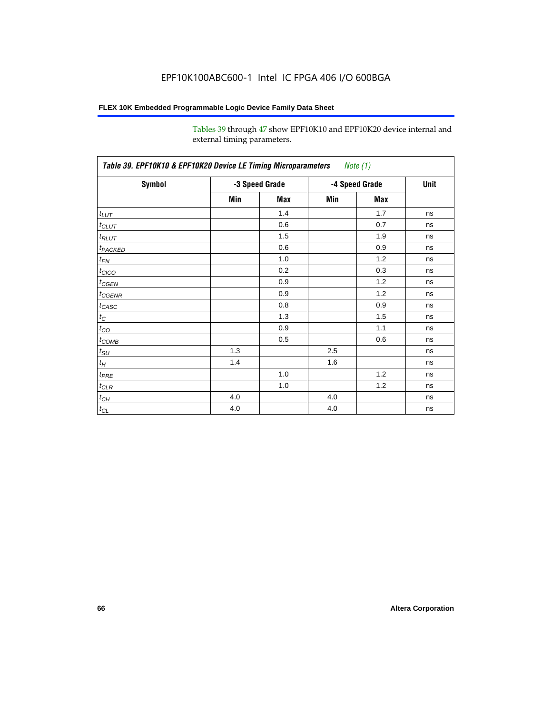Tables 39 through 47 show EPF10K10 and EPF10K20 device internal and external timing parameters.

| Table 39. EPF10K10 & EPF10K20 Device LE Timing Microparameters Note (1) |                |     |                |     |             |
|-------------------------------------------------------------------------|----------------|-----|----------------|-----|-------------|
| Symbol                                                                  | -3 Speed Grade |     | -4 Speed Grade |     | <b>Unit</b> |
|                                                                         | Min            | Max | Min            | Max |             |
| $t_{LUT}$                                                               |                | 1.4 |                | 1.7 | ns          |
| $t_{CLUT}$                                                              |                | 0.6 |                | 0.7 | ns          |
| $t_{RLUT}$                                                              |                | 1.5 |                | 1.9 | ns          |
| t <sub>PACKED</sub>                                                     |                | 0.6 |                | 0.9 | ns          |
| $t_{EN}$                                                                |                | 1.0 |                | 1.2 | ns          |
| $t_{CICO}$                                                              |                | 0.2 |                | 0.3 | ns          |
| $t_{\text{GEN}}$                                                        |                | 0.9 |                | 1.2 | ns          |
| $t_{\text{GENR}}$                                                       |                | 0.9 |                | 1.2 | ns          |
| $t_{CASC}$                                                              |                | 0.8 |                | 0.9 | ns          |
| $t_C$                                                                   |                | 1.3 |                | 1.5 | ns          |
| $t_{CO}$                                                                |                | 0.9 |                | 1.1 | ns          |
| $t_{\text{COMB}}$                                                       |                | 0.5 |                | 0.6 | ns          |
| $t_{\text{SU}}$                                                         | 1.3            |     | 2.5            |     | ns          |
| $t_H$                                                                   | 1.4            |     | 1.6            |     | ns          |
| $t_{PRE}$                                                               |                | 1.0 |                | 1.2 | ns          |
| $t_{\text{CLR}}$                                                        |                | 1.0 |                | 1.2 | ns          |
| $t_{CH}$                                                                | 4.0            |     | 4.0            |     | ns          |
| $t_{CL}$                                                                | 4.0            |     | 4.0            |     | ns          |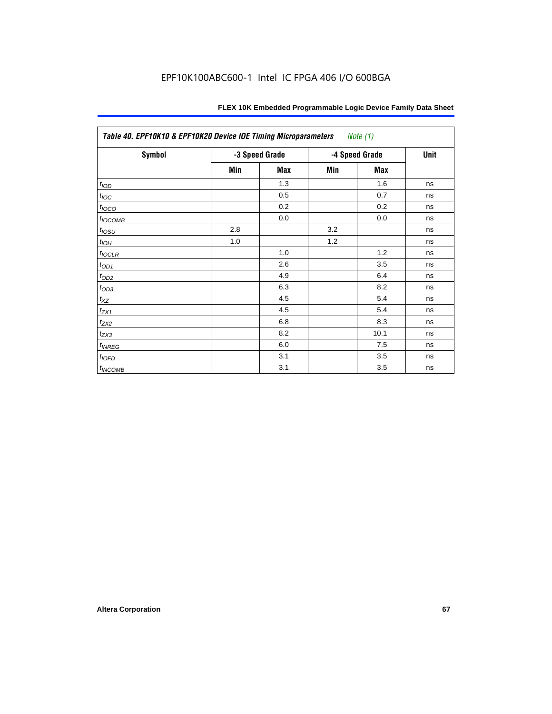| <b>Symbol</b>       | -3 Speed Grade |            | -4 Speed Grade |            | Unit |
|---------------------|----------------|------------|----------------|------------|------|
|                     | Min            | <b>Max</b> | Min            | <b>Max</b> |      |
| t <sub>IOD</sub>    |                | 1.3        |                | 1.6        | ns   |
| $t_{\text{IOC}}$    |                | 0.5        |                | 0.7        | ns   |
| $t_{IOCO}$          |                | 0.2        |                | 0.2        | ns   |
| t <sub>IOCOMB</sub> |                | 0.0        |                | 0.0        | ns   |
| $t_{IOSU}$          | 2.8            |            | 3.2            |            | ns   |
| $t_{IOH}$           | 1.0            |            | 1.2            |            | ns   |
| $t_{IOCLR}$         |                | 1.0        |                | 1.2        | ns   |
| $t_{OD1}$           |                | 2.6        |                | 3.5        | ns   |
| $t_{OD2}$           |                | 4.9        |                | 6.4        | ns   |
| $t_{OD3}$           |                | 6.3        |                | 8.2        | ns   |
| $t_{XZ}$            |                | 4.5        |                | 5.4        | ns   |
| $t_{ZX1}$           |                | 4.5        |                | 5.4        | ns   |
| $t_{ZX2}$           |                | 6.8        |                | 8.3        | ns   |
| $t_{ZX3}$           |                | 8.2        |                | 10.1       | ns   |
| $t_{INREG}$         |                | 6.0        |                | 7.5        | ns   |
| $t_{IOFD}$          |                | 3.1        |                | 3.5        | ns   |
| $t_{INCOMB}$        |                | 3.1        |                | 3.5        | ns   |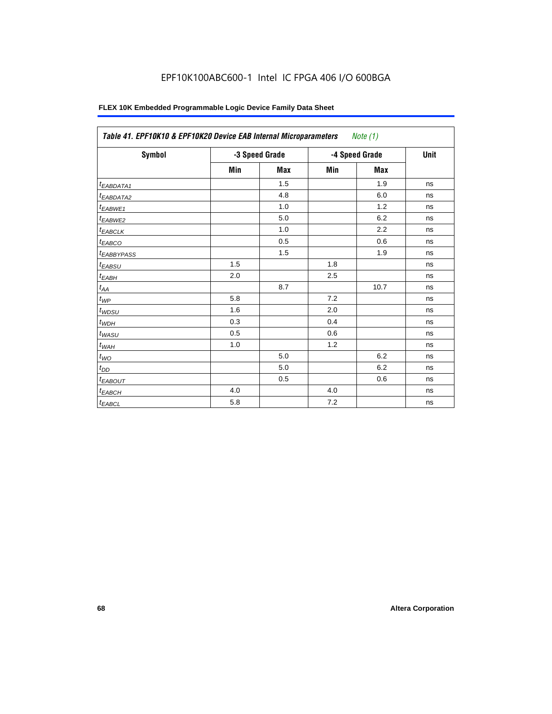| Symbol                 | -3 Speed Grade |            | -4 Speed Grade |            | Unit |
|------------------------|----------------|------------|----------------|------------|------|
|                        | Min            | <b>Max</b> | Min            | <b>Max</b> |      |
| <sup>t</sup> EABDATA1  |                | 1.5        |                | 1.9        | ns   |
| <sup>t</sup> EABDATA2  |                | 4.8        |                | 6.0        | ns   |
| t <sub>EABWE1</sub>    |                | 1.0        |                | 1.2        | ns   |
| <sup>t</sup> EABWE2    |                | 5.0        |                | 6.2        | ns   |
| <sup>t</sup> EABCLK    |                | 1.0        |                | 2.2        | ns   |
| t <sub>EABCO</sub>     |                | 0.5        |                | 0.6        | ns   |
| <sup>t</sup> EABBYPASS |                | 1.5        |                | 1.9        | ns   |
| $t_{EABSU}$            | 1.5            |            | 1.8            |            | ns   |
| $t_{EABH}$             | 2.0            |            | 2.5            |            | ns   |
| $t_{AA}$               |                | 8.7        |                | 10.7       | ns   |
| $t_{\mathit{WP}}$      | 5.8            |            | 7.2            |            | ns   |
| $t_{WDSU}$             | 1.6            |            | 2.0            |            | ns   |
| $t_{WDH}$              | 0.3            |            | 0.4            |            | ns   |
| $t_{WASU}$             | 0.5            |            | 0.6            |            | ns   |
| $t_{W\underline{AH}}$  | 1.0            |            | 1.2            |            | ns   |
| $t_{WO}$               |                | 5.0        |                | 6.2        | ns   |
| $t_{DD}$               |                | 5.0        |                | 6.2        | ns   |
| <sup>t</sup> EABOUT    |                | 0.5        |                | 0.6        | ns   |
| $t_{EABCH}$            | 4.0            |            | 4.0            |            | ns   |
| $t_{EABCL}$            | 5.8            |            | 7.2            |            | ns   |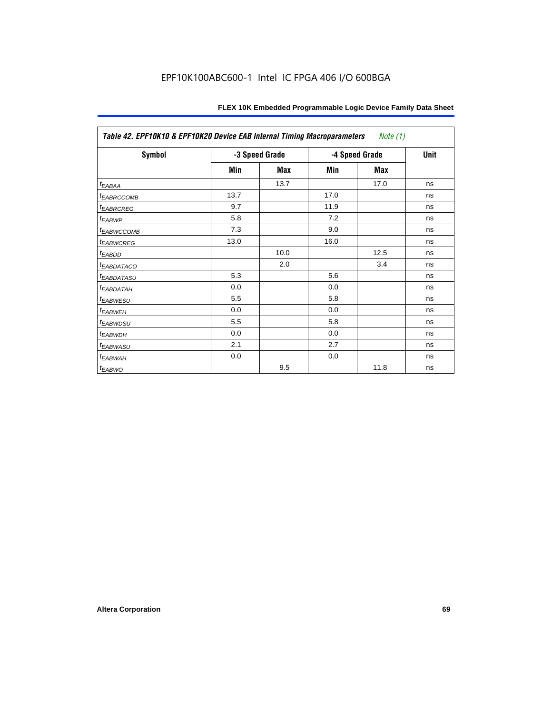| Table 42. EPF10K10 & EPF10K20 Device EAB Internal Timing Macroparameters<br>Note (1) |                |      |                |      |             |
|--------------------------------------------------------------------------------------|----------------|------|----------------|------|-------------|
| <b>Symbol</b>                                                                        | -3 Speed Grade |      | -4 Speed Grade |      | <b>Unit</b> |
|                                                                                      | Min            | Max  | Min            | Max  |             |
| t <sub>EABAA</sub>                                                                   |                | 13.7 |                | 17.0 | ns          |
| <sup>t</sup> EABRCCOMB                                                               | 13.7           |      | 17.0           |      | ns          |
| <b><i>EABRCREG</i></b>                                                               | 9.7            |      | 11.9           |      | ns          |
| t <sub>EABWP</sub>                                                                   | 5.8            |      | 7.2            |      | ns          |
| <sup>t</sup> EABWCCOMB                                                               | 7.3            |      | 9.0            |      | ns          |
| <sup>t</sup> EABWCREG                                                                | 13.0           |      | 16.0           |      | ns          |
| t <sub>EABDD</sub>                                                                   |                | 10.0 |                | 12.5 | ns          |
| <sup>t</sup> EABDATACO                                                               |                | 2.0  |                | 3.4  | ns          |
| <sup>t</sup> EABDATASU                                                               | 5.3            |      | 5.6            |      | ns          |
| <sup>t</sup> EABDATAH                                                                | 0.0            |      | 0.0            |      | ns          |
| <sup>t</sup> EABWESU                                                                 | 5.5            |      | 5.8            |      | ns          |
| <sup>t</sup> EABWEH                                                                  | 0.0            |      | 0.0            |      | ns          |
| <sup>t</sup> EABWDSU                                                                 | 5.5            |      | 5.8            |      | ns          |
| <sup>t</sup> EABWDH                                                                  | 0.0            |      | 0.0            |      | ns          |
| t <sub>EABWASU</sub>                                                                 | 2.1            |      | 2.7            |      | ns          |
| <sup>t</sup> EABWAH                                                                  | 0.0            |      | 0.0            |      | ns          |
| <sup>t</sup> EABWO                                                                   |                | 9.5  |                | 11.8 | ns          |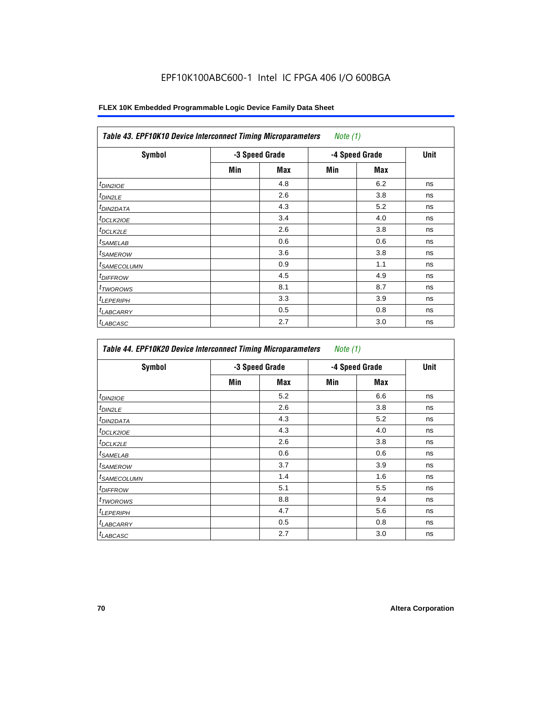| FLEX 10K Embedded Programmable Logic Device Family Data Sheet |  |
|---------------------------------------------------------------|--|
|---------------------------------------------------------------|--|

| <b>Table 43. EPF10K10 Device Interconnect Timing Microparameters</b><br><i>Note</i> $(1)$ |                |            |                |            |             |
|-------------------------------------------------------------------------------------------|----------------|------------|----------------|------------|-------------|
| <b>Symbol</b>                                                                             | -3 Speed Grade |            | -4 Speed Grade |            | <b>Unit</b> |
|                                                                                           | Min            | <b>Max</b> | Min            | <b>Max</b> |             |
| <sup>t</sup> DIN2IOE                                                                      |                | 4.8        |                | 6.2        | ns          |
| <sup>t</sup> DIN2LE                                                                       |                | 2.6        |                | 3.8        | ns          |
| <sup>t</sup> DIN2DATA                                                                     |                | 4.3        |                | 5.2        | ns          |
| <sup>t</sup> DCLK2IOE                                                                     |                | 3.4        |                | 4.0        | ns          |
| <sup>t</sup> DCLK2LE                                                                      |                | 2.6        |                | 3.8        | ns          |
| <sup>t</sup> SAMELAB                                                                      |                | 0.6        |                | 0.6        | ns          |
| <sup>t</sup> SAMEROW                                                                      |                | 3.6        |                | 3.8        | ns          |
| <sup>t</sup> SAMECOLUMN                                                                   |                | 0.9        |                | 1.1        | ns          |
| <i>t<sub>DIFFROW</sub></i>                                                                |                | 4.5        |                | 4.9        | ns          |
| <sup>t</sup> TWOROWS                                                                      |                | 8.1        |                | 8.7        | ns          |
| <sup>t</sup> LEPERIPH                                                                     |                | 3.3        |                | 3.9        | ns          |
| <sup>t</sup> LABCARRY                                                                     |                | 0.5        |                | 0.8        | ns          |
| <sup>t</sup> LABCASC                                                                      |                | 2.7        |                | 3.0        | ns          |

| Symbol                  |     | -3 Speed Grade |     | -4 Speed Grade | Unit |
|-------------------------|-----|----------------|-----|----------------|------|
|                         | Min | Max            | Min | Max            |      |
| $t_{DINZIOE}$           |     | 5.2            |     | 6.6            | ns   |
| <sup>t</sup> DIN2LE     |     | 2.6            |     | 3.8            | ns   |
| <sup>t</sup> DIN2DATA   |     | 4.3            |     | 5.2            | ns   |
| <sup>I</sup> DCLK2IOE   |     | 4.3            |     | 4.0            | ns   |
| t <sub>DCLK2LE</sub>    |     | 2.6            |     | 3.8            | ns   |
| <sup>t</sup> SAMELAB    |     | 0.6            |     | 0.6            | ns   |
| <sup>I</sup> SAMEROW    |     | 3.7            |     | 3.9            | ns   |
| <sup>t</sup> SAMECOLUMN |     | 1.4            |     | 1.6            | ns   |
| <sup>I</sup> DIFFROW    |     | 5.1            |     | 5.5            | ns   |
| <sup>t</sup> TWOROWS    |     | 8.8            |     | 9.4            | ns   |
| <sup>t</sup> LEPERIPH   |     | 4.7            |     | 5.6            | ns   |
| <b>LABCARRY</b>         |     | 0.5            |     | 0.8            | ns   |
| <sup>t</sup> LABCASC    |     | 2.7            |     | 3.0            | ns   |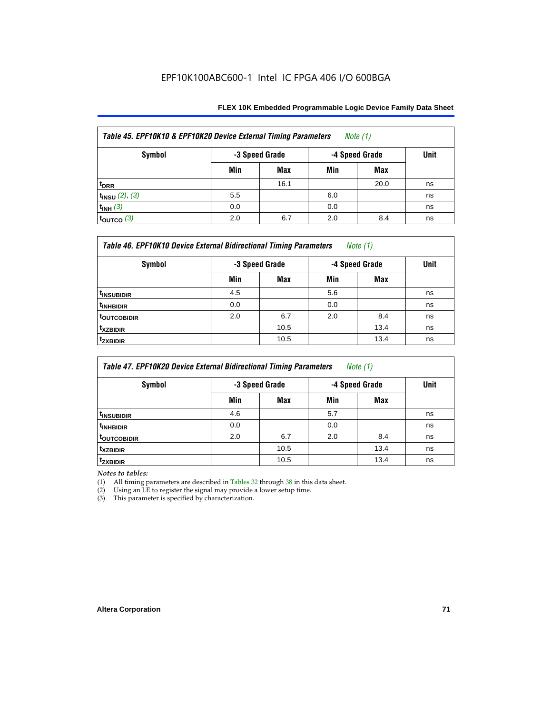| Table 45. EPF10K10 & EPF10K20 Device External Timing Parameters<br>Note (1) |                                  |      |     |      |             |  |
|-----------------------------------------------------------------------------|----------------------------------|------|-----|------|-------------|--|
| <b>Symbol</b>                                                               | -4 Speed Grade<br>-3 Speed Grade |      |     |      | <b>Unit</b> |  |
|                                                                             | Min                              | Max  | Min | Max  |             |  |
| t <sub>DRR</sub>                                                            |                                  | 16.1 |     | 20.0 | ns          |  |
| $t_{INSU}$ (2), (3)                                                         | 5.5                              |      | 6.0 |      | ns          |  |
| $t_{INH}$ (3)                                                               | 0.0                              |      | 0.0 |      | ns          |  |
| $\vert$ toutco (3)                                                          | 2.0                              | 6.7  | 2.0 | 8.4  | ns          |  |

| Table 46. EPF10K10 Device External Bidirectional Timing Parameters<br>Note $(1)$ |                |      |                |      |             |  |
|----------------------------------------------------------------------------------|----------------|------|----------------|------|-------------|--|
| Symbol                                                                           | -3 Speed Grade |      | -4 Speed Grade |      | <b>Unit</b> |  |
|                                                                                  | Min            | Max  | Min            | Max  |             |  |
| <sup>t</sup> insubidir                                                           | 4.5            |      | 5.6            |      | ns          |  |
| <sup>t</sup> INHBIDIR                                                            | 0.0            |      | 0.0            |      | ns          |  |
| <sup>t</sup> OUTCOBIDIR                                                          | 2.0            | 6.7  | 2.0            | 8.4  | ns          |  |
| <sup>t</sup> xzbidir                                                             |                | 10.5 |                | 13.4 | ns          |  |
| <sup>t</sup> zxbidir                                                             |                | 10.5 |                | 13.4 | ns          |  |

| Table 47. EPF10K20 Device External Bidirectional Timing Parameters<br><i>Note</i> $(1)$ |                |      |                |      |             |  |
|-----------------------------------------------------------------------------------------|----------------|------|----------------|------|-------------|--|
| Symbol                                                                                  | -3 Speed Grade |      | -4 Speed Grade |      | <b>Unit</b> |  |
|                                                                                         | Min            | Max  | Min            | Max  |             |  |
| <sup>t</sup> INSUBIDIR                                                                  | 4.6            |      | 5.7            |      | ns          |  |
| <sup>t</sup> INHBIDIR                                                                   | 0.0            |      | 0.0            |      | ns          |  |
| <b>TOUTCOBIDIR</b>                                                                      | 2.0            | 6.7  | 2.0            | 8.4  | ns          |  |
| <sup>t</sup> xzbidir                                                                    |                | 10.5 |                | 13.4 | ns          |  |
| <sup>T</sup> ZXBIDIR                                                                    |                | 10.5 |                | 13.4 | ns          |  |

*Notes to tables:*

(1) All timing parameters are described in Tables 32 through 38 in this data sheet.

(2) Using an LE to register the signal may provide a lower setup time.

(3) This parameter is specified by characterization.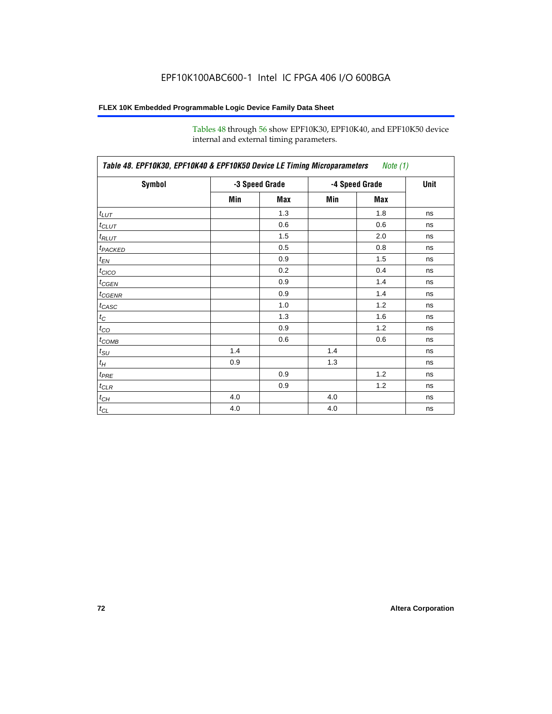Tables 48 through 56 show EPF10K30, EPF10K40, and EPF10K50 device internal and external timing parameters.

| Symbol                     |                |     | -4 Speed Grade | <b>Unit</b> |    |
|----------------------------|----------------|-----|----------------|-------------|----|
|                            | -3 Speed Grade |     |                |             |    |
|                            | Min            | Max | Min            | Max         |    |
| $t_{LUT}$                  |                | 1.3 |                | 1.8         | ns |
| $t_{CLUT}$                 |                | 0.6 |                | 0.6         | ns |
| $t_{RLUT}$                 |                | 1.5 |                | 2.0         | ns |
| <b>t</b> <sub>PACKED</sub> |                | 0.5 |                | 0.8         | ns |
| $t_{EN}$                   |                | 0.9 |                | 1.5         | ns |
| $t_{CICO}$                 |                | 0.2 |                | 0.4         | ns |
| $t_{CGEN}$                 |                | 0.9 |                | 1.4         | ns |
| $t_{\text{GENR}}$          |                | 0.9 |                | 1.4         | ns |
| $t_{CASC}$                 |                | 1.0 |                | 1.2         | ns |
| $t_{\rm C}$                |                | 1.3 |                | 1.6         | ns |
| $t_{CO}$                   |                | 0.9 |                | 1.2         | ns |
| $t_{\text{COMB}}$          |                | 0.6 |                | 0.6         | ns |
| $t_{\text{SU}}$            | 1.4            |     | 1.4            |             | ns |
| $t_H$                      | 0.9            |     | 1.3            |             | ns |
| $t_{PRE}$                  |                | 0.9 |                | 1.2         | ns |
| $t_{\text{CLR}}$           |                | 0.9 |                | 1.2         | ns |
| $t_{CH}$                   | 4.0            |     | 4.0            |             | ns |
| $t_{CL}$                   | 4.0            |     | 4.0            |             | ns |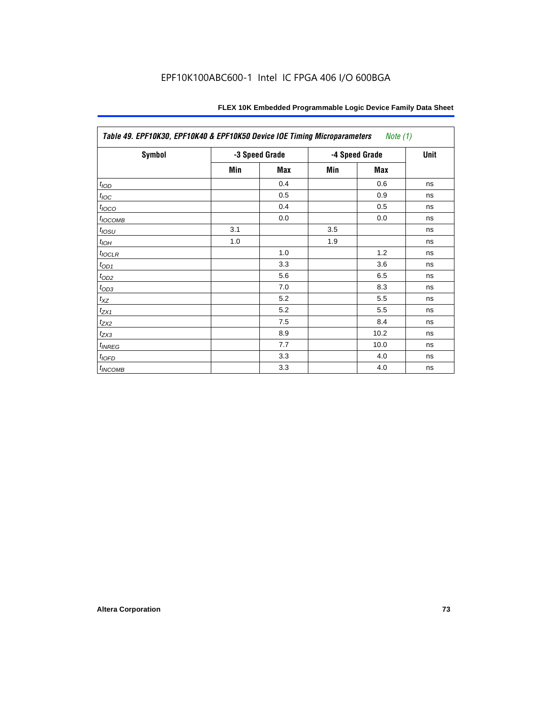| Table 49. EPF10K30, EPF10K40 & EPF10K50 Device IOE Timing Microparameters<br><i>Note</i> $(1)$ |     |                |     |                |    |  |  |  |  |
|------------------------------------------------------------------------------------------------|-----|----------------|-----|----------------|----|--|--|--|--|
| <b>Symbol</b>                                                                                  |     | -3 Speed Grade |     | -4 Speed Grade |    |  |  |  |  |
|                                                                                                | Min | <b>Max</b>     | Min | Max            |    |  |  |  |  |
| t <sub>IOD</sub>                                                                               |     | 0.4            |     | 0.6            | ns |  |  |  |  |
| $t_{\text{IOC}}$                                                                               |     | 0.5            |     | 0.9            | ns |  |  |  |  |
| $t_{IOCO}$                                                                                     |     | 0.4            |     | 0.5            | ns |  |  |  |  |
| $t_{IOCOMB}$                                                                                   |     | 0.0            |     | 0.0            | ns |  |  |  |  |
| $t_{IOSU}$                                                                                     | 3.1 |                | 3.5 |                | ns |  |  |  |  |
| $t_{IOH}$                                                                                      | 1.0 |                | 1.9 |                | ns |  |  |  |  |
| $t_{\text{IOCLR}}$                                                                             |     | 1.0            |     | 1.2            | ns |  |  |  |  |
| $t_{OD1}$                                                                                      |     | 3.3            |     | 3.6            | ns |  |  |  |  |
| $t_{OD2}$                                                                                      |     | 5.6            |     | 6.5            | ns |  |  |  |  |
| $t_{OD3}$                                                                                      |     | 7.0            |     | 8.3            | ns |  |  |  |  |
| $t_{\mathsf{XZ}}$                                                                              |     | 5.2            |     | 5.5            | ns |  |  |  |  |
| $t_{ZX1}$                                                                                      |     | 5.2            |     | 5.5            | ns |  |  |  |  |
| $t_{ZX2}$                                                                                      |     | 7.5            |     | 8.4            | ns |  |  |  |  |
| $t_{ZX3}$                                                                                      |     | 8.9            |     | 10.2           | ns |  |  |  |  |
| $t_{INREG}$                                                                                    |     | 7.7            |     | 10.0           | ns |  |  |  |  |
| $t_{IOFD}$                                                                                     |     | 3.3            |     | 4.0            | ns |  |  |  |  |
| $t_{INCOMB}$                                                                                   |     | 3.3            |     | 4.0            | ns |  |  |  |  |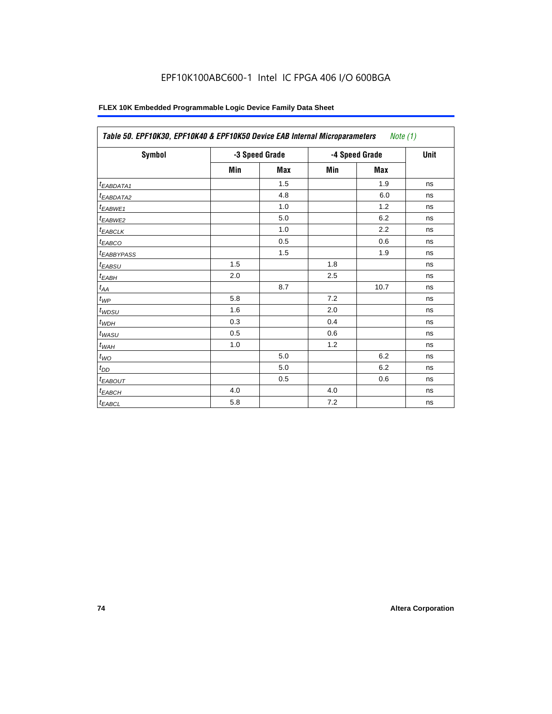| Symbol                         |     | -3 Speed Grade |     | -4 Speed Grade | <b>Unit</b> |
|--------------------------------|-----|----------------|-----|----------------|-------------|
|                                | Min | <b>Max</b>     | Min | Max            |             |
| <sup>t</sup> EABDATA1          |     | 1.5            |     | 1.9            | ns          |
| $t_{EABDATA2}$                 |     | 4.8            |     | 6.0            | ns          |
| t <sub>EABWE1</sub>            |     | 1.0            |     | 1.2            | ns          |
| <sup>t</sup> EABWE2            |     | 5.0            |     | 6.2            | ns          |
| <sup>t</sup> EABCLK            |     | 1.0            |     | 2.2            | ns          |
| t <sub>EABCO</sub>             |     | 0.5            |     | 0.6            | ns          |
| <i><b><i>EABBYPASS</i></b></i> |     | 1.5            |     | 1.9            | ns          |
| t <sub>EABSU</sub>             | 1.5 |                | 1.8 |                | ns          |
| <sup>t</sup> ЕАВН              | 2.0 |                | 2.5 |                | ns          |
| $t_{AA}$                       |     | 8.7            |     | 10.7           | ns          |
| $t_{WP}$                       | 5.8 |                | 7.2 |                | ns          |
| $t_{W\!D\!S\!U}$               | 1.6 |                | 2.0 |                | ns          |
| $t_{WDH}$                      | 0.3 |                | 0.4 |                | ns          |
| $t_{WASU}$                     | 0.5 |                | 0.6 |                | ns          |
| $t_{W\!A\!H}$                  | 1.0 |                | 1.2 |                | ns          |
| $t_{WO}$                       |     | 5.0            |     | 6.2            | ns          |
| $t_{DD}$                       |     | 5.0            |     | 6.2            | ns          |
| <sup>t</sup> EABOUT            |     | 0.5            |     | 0.6            | ns          |
| t <sub>EABCH</sub>             | 4.0 |                | 4.0 |                | ns          |
| <sup>t</sup> EABCL             | 5.8 |                | 7.2 |                | ns          |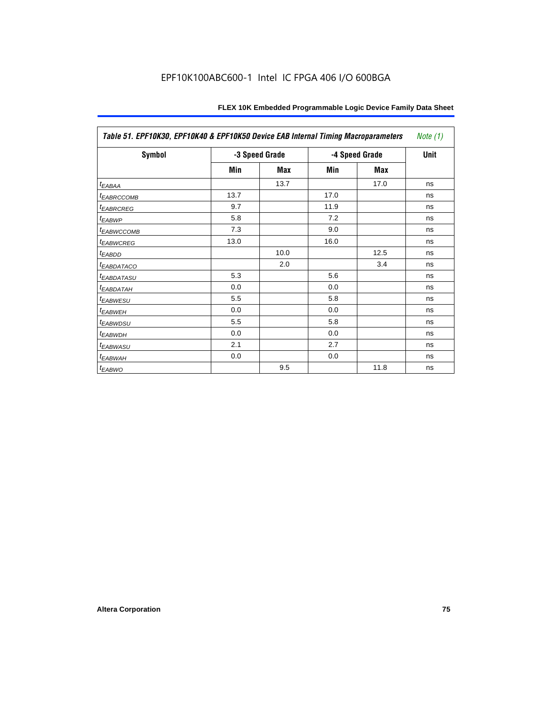| Table 51. EPF10K30, EPF10K40 & EPF10K50 Device EAB Internal Timing Macroparameters<br>Note $(1)$ |      |                |      |                |             |  |  |
|--------------------------------------------------------------------------------------------------|------|----------------|------|----------------|-------------|--|--|
| Symbol                                                                                           |      | -3 Speed Grade |      | -4 Speed Grade | <b>Unit</b> |  |  |
|                                                                                                  | Min  | <b>Max</b>     | Min  | Max            |             |  |  |
| $t_{EABA}$                                                                                       |      | 13.7           |      | 17.0           | ns          |  |  |
| <b><i>EABRCCOMB</i></b>                                                                          | 13.7 |                | 17.0 |                | ns          |  |  |
| <b><i>EABRCREG</i></b>                                                                           | 9.7  |                | 11.9 |                | ns          |  |  |
| <sup>t</sup> EABWP                                                                               | 5.8  |                | 7.2  |                | ns          |  |  |
| <b><i>EABWCCOMB</i></b>                                                                          | 7.3  |                | 9.0  |                | ns          |  |  |
| <b><i>EABWCREG</i></b>                                                                           | 13.0 |                | 16.0 |                | ns          |  |  |
| <sup>t</sup> EABDD                                                                               |      | 10.0           |      | 12.5           | ns          |  |  |
| <i>EABDATACO</i>                                                                                 |      | 2.0            |      | 3.4            | ns          |  |  |
| <sup>I</sup> EABDATASU                                                                           | 5.3  |                | 5.6  |                | ns          |  |  |
| <sup>t</sup> EABDATAH                                                                            | 0.0  |                | 0.0  |                | ns          |  |  |
| <b><i>EABWESU</i></b>                                                                            | 5.5  |                | 5.8  |                | ns          |  |  |
| <sup>t</sup> EABWEH                                                                              | 0.0  |                | 0.0  |                | ns          |  |  |
| <sup>t</sup> EABWDSU                                                                             | 5.5  |                | 5.8  |                | ns          |  |  |
| <sup>t</sup> EABWDH                                                                              | 0.0  |                | 0.0  |                | ns          |  |  |
| <sup>t</sup> EABWASU                                                                             | 2.1  |                | 2.7  |                | ns          |  |  |
| <sup>t</sup> EABWAH                                                                              | 0.0  |                | 0.0  |                | ns          |  |  |
| $t_{EABWO}$                                                                                      |      | 9.5            |      | 11.8           | ns          |  |  |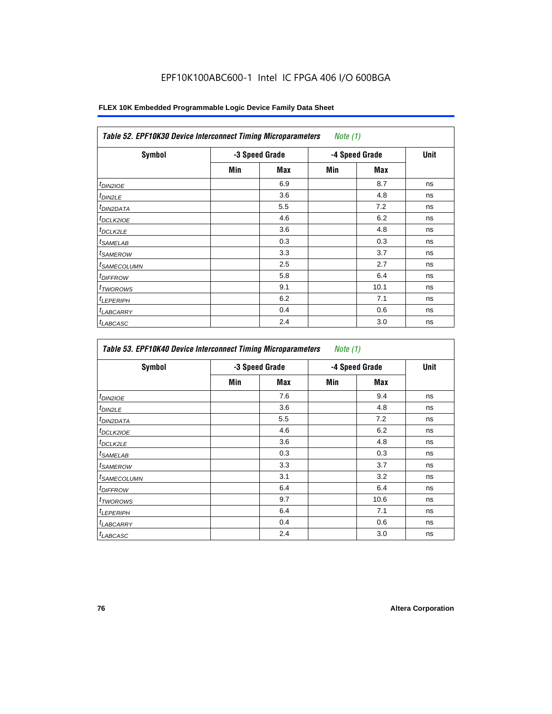| FLEX 10K Embedded Programmable Logic Device Family Data Sheet |  |
|---------------------------------------------------------------|--|
|---------------------------------------------------------------|--|

| <b>Symbol</b>              |     | -3 Speed Grade |     | -4 Speed Grade | <b>Unit</b> |
|----------------------------|-----|----------------|-----|----------------|-------------|
|                            | Min | Max            | Min | <b>Max</b>     |             |
| t <sub>DIN2IOE</sub>       |     | 6.9            |     | 8.7            | ns          |
| <sup>t</sup> DIN2LE        |     | 3.6            |     | 4.8            | ns          |
| <sup>t</sup> DIN2DATA      |     | 5.5            |     | 7.2            | ns          |
| <sup>t</sup> DCLK2IOE      |     | 4.6            |     | 6.2            | ns          |
| ${}^t$ DCLK2LE             |     | 3.6            |     | 4.8            | ns          |
| <sup>t</sup> SAMELAB       |     | 0.3            |     | 0.3            | ns          |
| <sup>t</sup> SAMEROW       |     | 3.3            |     | 3.7            | ns          |
| <sup>t</sup> SAMECOLUMN    |     | 2.5            |     | 2.7            | ns          |
| <i>t<sub>DIFFROW</sub></i> |     | 5.8            |     | 6.4            | ns          |
| <sup>t</sup> TWOROWS       |     | 9.1            |     | 10.1           | ns          |
| <sup>t</sup> LEPERIPH      |     | 6.2            |     | 7.1            | ns          |
| <sup>I</sup> LABCARRY      |     | 0.4            |     | 0.6            | ns          |
| <sup>t</sup> LABCASC       |     | 2.4            |     | 3.0            | ns          |

| Symbol                  |     | -3 Speed Grade |     | -4 Speed Grade | Unit |
|-------------------------|-----|----------------|-----|----------------|------|
|                         | Min | Max            | Min | Max            |      |
| $t_{DINZIOE}$           |     | 7.6            |     | 9.4            | ns   |
| <sup>t</sup> DIN2LE     |     | 3.6            |     | 4.8            | ns   |
| <sup>t</sup> DIN2DATA   |     | 5.5            |     | 7.2            | ns   |
| <sup>I</sup> DCLK2IOE   |     | 4.6            |     | 6.2            | ns   |
| t <sub>DCLK2LE</sub>    |     | 3.6            |     | 4.8            | ns   |
| <sup>t</sup> SAMELAB    |     | 0.3            |     | 0.3            | ns   |
| <sup>I</sup> SAMEROW    |     | 3.3            |     | 3.7            | ns   |
| <sup>I</sup> SAMECOLUMN |     | 3.1            |     | 3.2            | ns   |
| <sup>I</sup> DIFFROW    |     | 6.4            |     | 6.4            | ns   |
| <sup>t</sup> TWOROWS    |     | 9.7            |     | 10.6           | ns   |
| <sup>t</sup> LEPERIPH   |     | 6.4            |     | 7.1            | ns   |
| <b>LABCARRY</b>         |     | 0.4            |     | 0.6            | ns   |
| <sup>t</sup> LABCASC    |     | 2.4            |     | 3.0            | ns   |

<u> 1980 - Johann Barn, mars ann an t-Amhain Aonaichte ann an t-Amhain Aonaichte ann an t-Amhain Aonaichte ann an</u>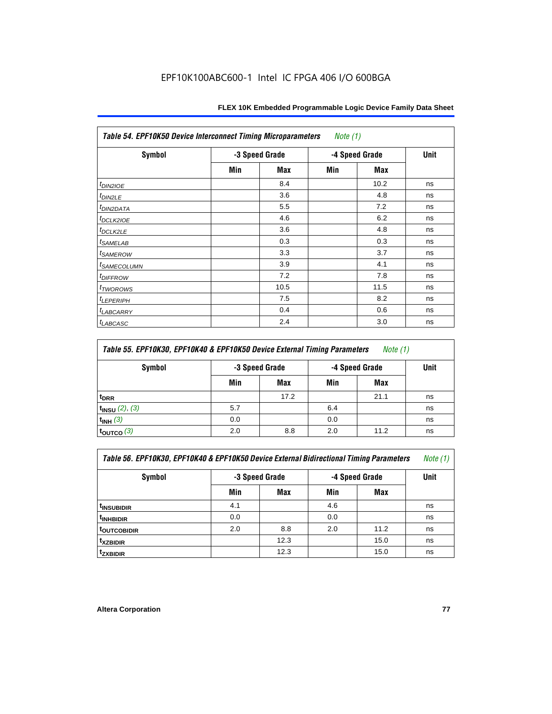| <b>Table 54. EPF10K50 Device Interconnect Timing Microparameters</b><br>Note $(1)$ |     |                |     |                |             |  |  |  |  |  |
|------------------------------------------------------------------------------------|-----|----------------|-----|----------------|-------------|--|--|--|--|--|
| <b>Symbol</b>                                                                      |     | -3 Speed Grade |     | -4 Speed Grade | <b>Unit</b> |  |  |  |  |  |
|                                                                                    | Min | Max            | Min | Max            |             |  |  |  |  |  |
| $t_{DINZIOE}$                                                                      |     | 8.4            |     | 10.2           | ns          |  |  |  |  |  |
| t <sub>DIN2LE</sub>                                                                |     | 3.6            |     | 4.8            | ns          |  |  |  |  |  |
| <sup>t</sup> DIN2DATA                                                              |     | 5.5            |     | 7.2            | ns          |  |  |  |  |  |
| t <sub>DCLK2IOE</sub>                                                              |     | 4.6            |     | 6.2            | ns          |  |  |  |  |  |
| $t_{DCLK2LE}$                                                                      |     | 3.6            |     | 4.8            | ns          |  |  |  |  |  |
| <sup>t</sup> SAMELAB                                                               |     | 0.3            |     | 0.3            | ns          |  |  |  |  |  |
| <i>t</i> SAMEROW                                                                   |     | 3.3            |     | 3.7            | ns          |  |  |  |  |  |
| <i>t<sub>SAMECOLUMN</sub></i>                                                      |     | 3.9            |     | 4.1            | ns          |  |  |  |  |  |
| <i>t<sub>DIFFROW</sub></i>                                                         |     | 7.2            |     | 7.8            | ns          |  |  |  |  |  |
| <i>t</i> <sub>TWOROWS</sub>                                                        |     | 10.5           |     | 11.5           | ns          |  |  |  |  |  |
| <sup>t</sup> LEPERIPH                                                              |     | 7.5            |     | 8.2            | ns          |  |  |  |  |  |
| <b>LABCARRY</b>                                                                    |     | 0.4            |     | 0.6            | ns          |  |  |  |  |  |
| <sup>t</sup> LABCASC                                                               |     | 2.4            |     | 3.0            | ns          |  |  |  |  |  |

| Table 55. EPF10K30, EPF10K40 & EPF10K50 Device External Timing Parameters<br>Note $(1)$ |                |      |                |      |    |  |  |  |  |
|-----------------------------------------------------------------------------------------|----------------|------|----------------|------|----|--|--|--|--|
| Symbol                                                                                  | -3 Speed Grade |      | -4 Speed Grade | Unit |    |  |  |  |  |
|                                                                                         | Min            | Max  | Min            | Max  |    |  |  |  |  |
| <sup>t</sup> DRR                                                                        |                | 17.2 |                | 21.1 | ns |  |  |  |  |
| $t_{INSU}$ (2), (3)                                                                     | 5.7            |      | 6.4            |      | ns |  |  |  |  |
| $t_{INH}$ (3)                                                                           | 0.0            |      | 0.0            |      | ns |  |  |  |  |
| $t_{\text{OUTCO}}(3)$                                                                   | 2.0            | 8.8  | 2.0            | 11.2 | ns |  |  |  |  |

| Table 56. EPF10K30, EPF10K40 & EPF10K50 Device External Bidirectional Timing Parameters<br>Note $(1)$ |                |      |                |      |             |  |  |  |  |  |
|-------------------------------------------------------------------------------------------------------|----------------|------|----------------|------|-------------|--|--|--|--|--|
| Symbol                                                                                                | -3 Speed Grade |      | -4 Speed Grade |      | <b>Unit</b> |  |  |  |  |  |
|                                                                                                       | Min            | Max  | Min            | Max  |             |  |  |  |  |  |
| <sup>t</sup> INSUBIDIR                                                                                | 4.1            |      | 4.6            |      | ns          |  |  |  |  |  |
| <sup>t</sup> INHBIDIR                                                                                 | 0.0            |      | 0.0            |      | ns          |  |  |  |  |  |
| t <sub>outcobidir</sub>                                                                               | 2.0            | 8.8  | 2.0            | 11.2 | ns          |  |  |  |  |  |
| <sup>t</sup> xzbidir                                                                                  |                | 12.3 |                | 15.0 | ns          |  |  |  |  |  |
| <sup>t</sup> zxbidir                                                                                  |                | 12.3 |                | 15.0 | ns          |  |  |  |  |  |

r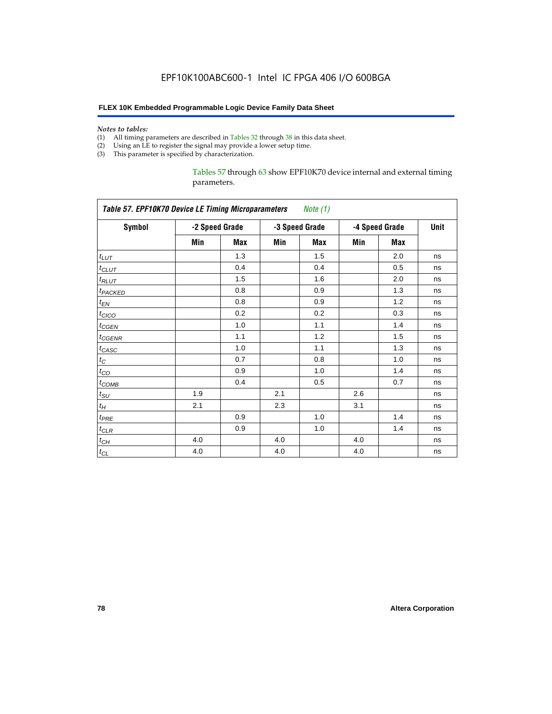#### *Notes to tables:*

- (1) All timing parameters are described in Tables 32 through 38 in this data sheet.
- (2) Using an LE to register the signal may provide a lower setup time.
- (3) This parameter is specified by characterization.

Tables 57 through 63 show EPF10K70 device internal and external timing parameters.

| <b>Table 57. EPF10K70 Device LE Timing Microparameters</b><br>Note (1) |     |                |     |                |     |                |      |  |  |
|------------------------------------------------------------------------|-----|----------------|-----|----------------|-----|----------------|------|--|--|
| <b>Symbol</b>                                                          |     | -2 Speed Grade |     | -3 Speed Grade |     | -4 Speed Grade | Unit |  |  |
|                                                                        | Min | Max            | Min | <b>Max</b>     | Min | <b>Max</b>     |      |  |  |
| $t_{LUT}$                                                              |     | 1.3            |     | 1.5            |     | 2.0            | ns   |  |  |
| $t$ CLUT                                                               |     | 0.4            |     | 0.4            |     | 0.5            | ns   |  |  |
| $t_{RLUT}$                                                             |     | 1.5            |     | 1.6            |     | 2.0            | ns   |  |  |
| t <sub>PACKED</sub>                                                    |     | 0.8            |     | 0.9            |     | 1.3            | ns   |  |  |
| $t_{EN}$                                                               |     | 0.8            |     | 0.9            |     | 1.2            | ns   |  |  |
| $t_{CICO}$                                                             |     | 0.2            |     | 0.2            |     | 0.3            | ns   |  |  |
| $t_{GEN}$                                                              |     | 1.0            |     | 1.1            |     | 1.4            | ns   |  |  |
| $t_{\text{GENR}}$                                                      |     | 1.1            |     | 1.2            |     | 1.5            | ns   |  |  |
| $t_{CASC}$                                                             |     | 1.0            |     | 1.1            |     | 1.3            | ns   |  |  |
| $t_C$                                                                  |     | 0.7            |     | 0.8            |     | 1.0            | ns   |  |  |
| $t_{CO}$                                                               |     | 0.9            |     | 1.0            |     | 1.4            | ns   |  |  |
| $t_{COMB}$                                                             |     | 0.4            |     | 0.5            |     | 0.7            | ns   |  |  |
| $t_{\text{SU}}$                                                        | 1.9 |                | 2.1 |                | 2.6 |                | ns   |  |  |
| $t_H$                                                                  | 2.1 |                | 2.3 |                | 3.1 |                | ns   |  |  |
| $t_{PRE}$                                                              |     | 0.9            |     | 1.0            |     | 1.4            | ns   |  |  |
| $t_{CLR}$                                                              |     | 0.9            |     | 1.0            |     | 1.4            | ns   |  |  |
| $t_{CH}$                                                               | 4.0 |                | 4.0 |                | 4.0 |                | ns   |  |  |
| $t_{CL}$                                                               | 4.0 |                | 4.0 |                | 4.0 |                | ns   |  |  |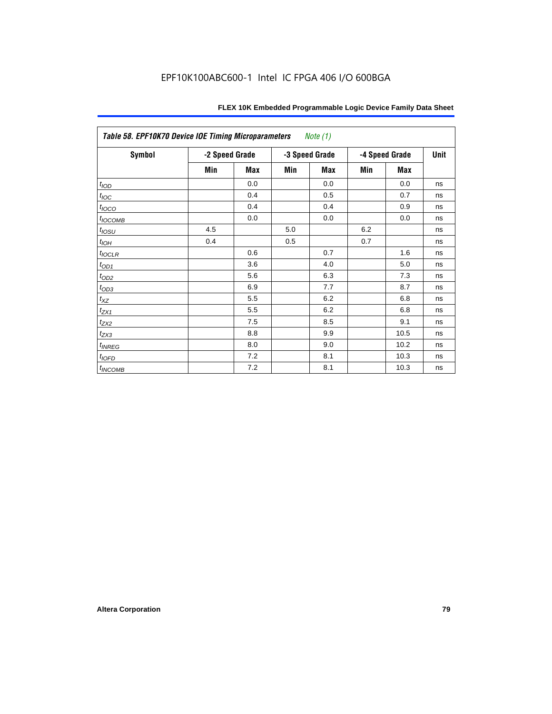| Table 58. EPF10K70 Device IOE Timing Microparameters<br>Note $(1)$ |                |            |                |            |                |            |    |  |  |  |
|--------------------------------------------------------------------|----------------|------------|----------------|------------|----------------|------------|----|--|--|--|
| Symbol                                                             | -2 Speed Grade |            | -3 Speed Grade |            | -4 Speed Grade | Unit       |    |  |  |  |
|                                                                    | Min            | <b>Max</b> | Min            | <b>Max</b> | Min            | <b>Max</b> |    |  |  |  |
| t <sub>IOD</sub>                                                   |                | 0.0        |                | 0.0        |                | 0.0        | ns |  |  |  |
| $t_{\text{loc}}$                                                   |                | 0.4        |                | 0.5        |                | 0.7        | ns |  |  |  |
| $t_{IOCO}$                                                         |                | 0.4        |                | 0.4        |                | 0.9        | ns |  |  |  |
| $t_{IOCOMB}$                                                       |                | 0.0        |                | 0.0        |                | 0.0        | ns |  |  |  |
| $t_{IOSU}$                                                         | 4.5            |            | 5.0            |            | 6.2            |            | ns |  |  |  |
| $t_{IOH}$                                                          | 0.4            |            | 0.5            |            | 0.7            |            | ns |  |  |  |
| $t_{IOCLR}$                                                        |                | 0.6        |                | 0.7        |                | 1.6        | ns |  |  |  |
| $t_{OD1}$                                                          |                | 3.6        |                | 4.0        |                | 5.0        | ns |  |  |  |
| $t_{OD2}$                                                          |                | 5.6        |                | 6.3        |                | 7.3        | ns |  |  |  |
| $t_{0D3}$                                                          |                | 6.9        |                | 7.7        |                | 8.7        | ns |  |  |  |
| $t_{\mathsf{XZ}}$                                                  |                | 5.5        |                | 6.2        |                | 6.8        | ns |  |  |  |
| $t_{ZX1}$                                                          |                | 5.5        |                | 6.2        |                | 6.8        | ns |  |  |  |
| $t_{ZX2}$                                                          |                | 7.5        |                | 8.5        |                | 9.1        | ns |  |  |  |
| $t_{ZX3}$                                                          |                | 8.8        |                | 9.9        |                | 10.5       | ns |  |  |  |
| $t_{INREG}$                                                        |                | 8.0        |                | 9.0        |                | 10.2       | ns |  |  |  |
| $t_{IOED}$                                                         |                | 7.2        |                | 8.1        |                | 10.3       | ns |  |  |  |
| $t_{INCOMB}$                                                       |                | 7.2        |                | 8.1        |                | 10.3       | ns |  |  |  |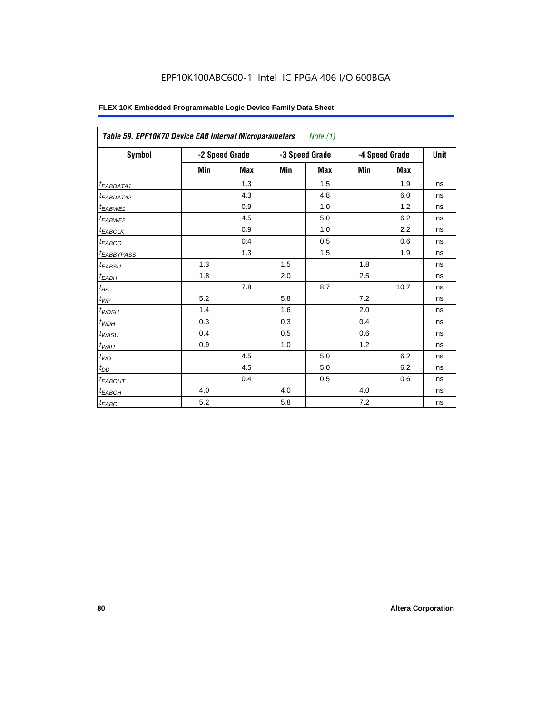# EPF10K100ABC600-1 Intel IC FPGA 406 I/O 600BGA

| Table 59. EPF10K70 Device EAB Internal Microparameters<br><i>Note</i> $(1)$ |                |     |     |                |     |                |             |  |  |
|-----------------------------------------------------------------------------|----------------|-----|-----|----------------|-----|----------------|-------------|--|--|
| Symbol                                                                      | -2 Speed Grade |     |     | -3 Speed Grade |     | -4 Speed Grade | <b>Unit</b> |  |  |
|                                                                             | Min            | Max | Min | <b>Max</b>     | Min | <b>Max</b>     |             |  |  |
| <sup>t</sup> EABDATA1                                                       |                | 1.3 |     | 1.5            |     | 1.9            | ns          |  |  |
| <sup>t</sup> EABDATA2                                                       |                | 4.3 |     | 4.8            |     | 6.0            | ns          |  |  |
| t <sub>EABWE1</sub>                                                         |                | 0.9 |     | 1.0            |     | 1.2            | ns          |  |  |
| t <sub>EABWE2</sub>                                                         |                | 4.5 |     | 5.0            |     | 6.2            | ns          |  |  |
| <sup>t</sup> EABCLK                                                         |                | 0.9 |     | 1.0            |     | 2.2            | ns          |  |  |
| <sup>t</sup> EABCO                                                          |                | 0.4 |     | 0.5            |     | 0.6            | ns          |  |  |
| <sup>t</sup> EABBYPASS                                                      |                | 1.3 |     | 1.5            |     | 1.9            | ns          |  |  |
| t <sub>EABSU</sub>                                                          | 1.3            |     | 1.5 |                | 1.8 |                | ns          |  |  |
| t <sub>EABH</sub>                                                           | 1.8            |     | 2.0 |                | 2.5 |                | ns          |  |  |
| $t_{AA}$                                                                    |                | 7.8 |     | 8.7            |     | 10.7           | ns          |  |  |
| $t_{\mathit{WP}}$                                                           | 5.2            |     | 5.8 |                | 7.2 |                | ns          |  |  |
| $t_{WDSU}$                                                                  | 1.4            |     | 1.6 |                | 2.0 |                | ns          |  |  |
| $t_{WDH}$                                                                   | 0.3            |     | 0.3 |                | 0.4 |                | ns          |  |  |
| $t_{WASU}$                                                                  | 0.4            |     | 0.5 |                | 0.6 |                | ns          |  |  |
| $t_{W\!\!AH}$                                                               | 0.9            |     | 1.0 |                | 1.2 |                | ns          |  |  |
| $t_{WO}$                                                                    |                | 4.5 |     | 5.0            |     | 6.2            | ns          |  |  |
| $t_{DD}$                                                                    |                | 4.5 |     | 5.0            |     | 6.2            | ns          |  |  |
| <sup>t</sup> EABOUT                                                         |                | 0.4 |     | 0.5            |     | 0.6            | ns          |  |  |
| $t_{EABCH}$                                                                 | 4.0            |     | 4.0 |                | 4.0 |                | ns          |  |  |
| $t_{EABCL}$                                                                 | 5.2            |     | 5.8 |                | 7.2 |                | ns          |  |  |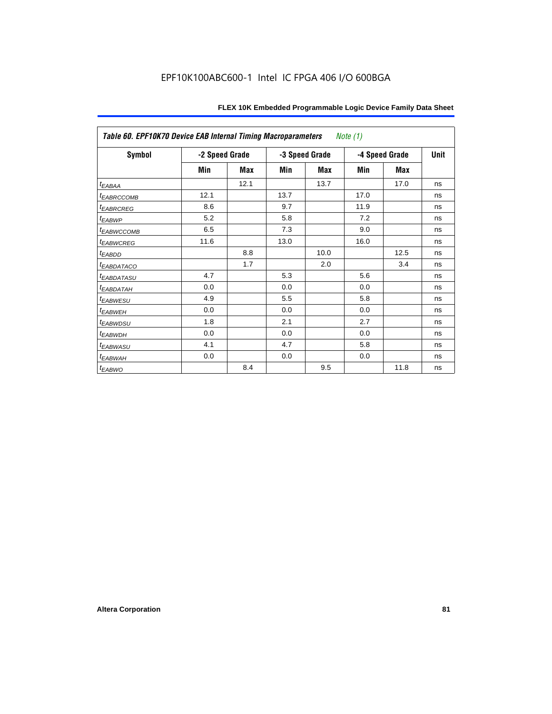| Table 60. EPF10K70 Device EAB Internal Timing Macroparameters<br><i>Note</i> $(1)$ |                |      |      |                |      |                |             |  |
|------------------------------------------------------------------------------------|----------------|------|------|----------------|------|----------------|-------------|--|
| Symbol                                                                             | -2 Speed Grade |      |      | -3 Speed Grade |      | -4 Speed Grade | <b>Unit</b> |  |
|                                                                                    | Min            | Max  | Min  | Max            | Min  | Max            |             |  |
| t <sub>EABAA</sub>                                                                 |                | 12.1 |      | 13.7           |      | 17.0           | ns          |  |
| <sup>t</sup> EABRCCOMB                                                             | 12.1           |      | 13.7 |                | 17.0 |                | ns          |  |
| <sup>t</sup> EABRCREG                                                              | 8.6            |      | 9.7  |                | 11.9 |                | ns          |  |
| <sup>t</sup> EABWP                                                                 | 5.2            |      | 5.8  |                | 7.2  |                | ns          |  |
| <sup>t</sup> EABWCCOMB                                                             | 6.5            |      | 7.3  |                | 9.0  |                | ns          |  |
| <sup>t</sup> EABWCREG                                                              | 11.6           |      | 13.0 |                | 16.0 |                | ns          |  |
| t <sub>EABDD</sub>                                                                 |                | 8.8  |      | 10.0           |      | 12.5           | ns          |  |
| <sup>t</sup> EABDATACO                                                             |                | 1.7  |      | 2.0            |      | 3.4            | ns          |  |
| <sup>t</sup> EABDATASU                                                             | 4.7            |      | 5.3  |                | 5.6  |                | ns          |  |
| <sup>t</sup> EABDATAH                                                              | 0.0            |      | 0.0  |                | 0.0  |                | ns          |  |
| <sup>t</sup> EABWESU                                                               | 4.9            |      | 5.5  |                | 5.8  |                | ns          |  |
| <sup>t</sup> EABWEH                                                                | 0.0            |      | 0.0  |                | 0.0  |                | ns          |  |
| <sup>t</sup> EABWDSU                                                               | 1.8            |      | 2.1  |                | 2.7  |                | ns          |  |
| <sup>t</sup> EABWDH                                                                | 0.0            |      | 0.0  |                | 0.0  |                | ns          |  |
| <sup>t</sup> EABWASU                                                               | 4.1            |      | 4.7  |                | 5.8  |                | ns          |  |
| <sup>t</sup> EABWAH                                                                | 0.0            |      | 0.0  |                | 0.0  |                | ns          |  |
| $t_{EABWO}$                                                                        |                | 8.4  |      | 9.5            |      | 11.8           | ns          |  |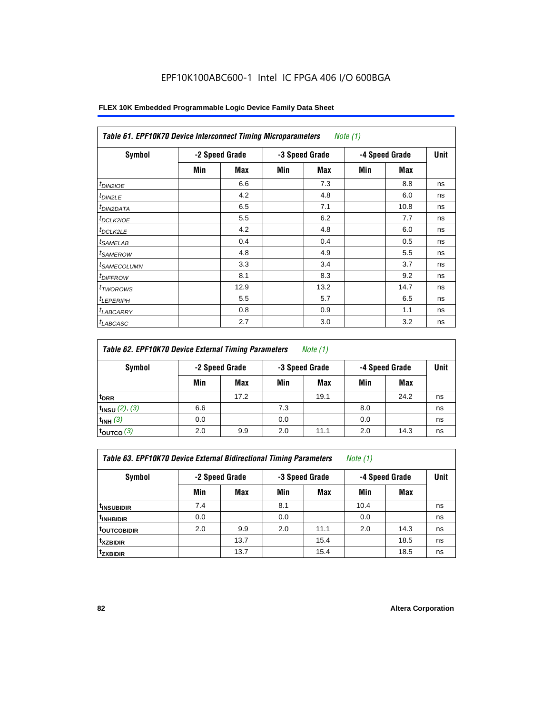| Table 61. EPF10K70 Device Interconnect Timing Microparameters<br>Note $(1)$ |     |                |     |                |     |                |      |  |
|-----------------------------------------------------------------------------|-----|----------------|-----|----------------|-----|----------------|------|--|
| Symbol                                                                      |     | -2 Speed Grade |     | -3 Speed Grade |     | -4 Speed Grade | Unit |  |
|                                                                             | Min | Max            | Min | Max            | Min | Max            |      |  |
| $t_{DINZIOE}$                                                               |     | 6.6            |     | 7.3            |     | 8.8            | ns   |  |
| $t_{DIN2LE}$                                                                |     | 4.2            |     | 4.8            |     | 6.0            | ns   |  |
| <sup>t</sup> DIN2DATA                                                       |     | 6.5            |     | 7.1            |     | 10.8           | ns   |  |
| <sup>t</sup> DCLK2IOE                                                       |     | 5.5            |     | 6.2            |     | 7.7            | ns   |  |
| $t$ DCLK2LE                                                                 |     | 4.2            |     | 4.8            |     | 6.0            | ns   |  |
| <sup>t</sup> SAMELAB                                                        |     | 0.4            |     | 0.4            |     | 0.5            | ns   |  |
| <sup>t</sup> SAMEROW                                                        |     | 4.8            |     | 4.9            |     | 5.5            | ns   |  |
| <sup>t</sup> SAMECOLUMN                                                     |     | 3.3            |     | 3.4            |     | 3.7            | ns   |  |
| <sup>t</sup> DIFFROW                                                        |     | 8.1            |     | 8.3            |     | 9.2            | ns   |  |
| <sup>T</sup> TWOROWS                                                        |     | 12.9           |     | 13.2           |     | 14.7           | ns   |  |
| <sup>t</sup> LEPERIPH                                                       |     | 5.5            |     | 5.7            |     | 6.5            | ns   |  |
| <b>LABCARRY</b>                                                             |     | 0.8            |     | 0.9            |     | 1.1            | ns   |  |
| <sup>t</sup> LABCASC                                                        |     | 2.7            |     | 3.0            |     | 3.2            | ns   |  |

| Table 62. EPF10K70 Device External Timing Parameters<br>Note $(1)$ |     |                |     |                |                |             |    |  |
|--------------------------------------------------------------------|-----|----------------|-----|----------------|----------------|-------------|----|--|
| Symbol                                                             |     | -2 Speed Grade |     | -3 Speed Grade | -4 Speed Grade | <b>Unit</b> |    |  |
|                                                                    | Min | Max            | Min | Max            | Min            | Max         |    |  |
| <sup>t</sup> DRR                                                   |     | 17.2           |     | 19.1           |                | 24.2        | ns |  |
| $t_{INSU}$ (2), (3)                                                | 6.6 |                | 7.3 |                | 8.0            |             | ns |  |
| $t_{INH}$ (3)                                                      | 0.0 |                | 0.0 |                | 0.0            |             | ns |  |
| $t_{\text{OUTCO}}(3)$                                              | 2.0 | 9.9            | 2.0 | 11.1           | 2.0            | 14.3        | ns |  |

*Table 63. EPF10K70 Device External Bidirectional Timing Parameters Note (1)*

| <b>Symbol</b>           | -2 Speed Grade |            |     | -3 Speed Grade | -4 Speed Grade | <b>Unit</b> |    |
|-------------------------|----------------|------------|-----|----------------|----------------|-------------|----|
|                         | Min            | <b>Max</b> | Min | <b>Max</b>     | Min            | <b>Max</b>  |    |
| <sup>t</sup> INSUBIDIR  | 7.4            |            | 8.1 |                | 10.4           |             | ns |
| <sup>t</sup> INHBIDIR   | 0.0            |            | 0.0 |                | 0.0            |             | ns |
| <sup>t</sup> OUTCOBIDIR | 2.0            | 9.9        | 2.0 | 11.1           | 2.0            | 14.3        | ns |
| <sup>t</sup> xzbidir    |                | 13.7       |     | 15.4           |                | 18.5        | ns |
| <sup>t</sup> zxbidir    |                | 13.7       |     | 15.4           |                | 18.5        | ns |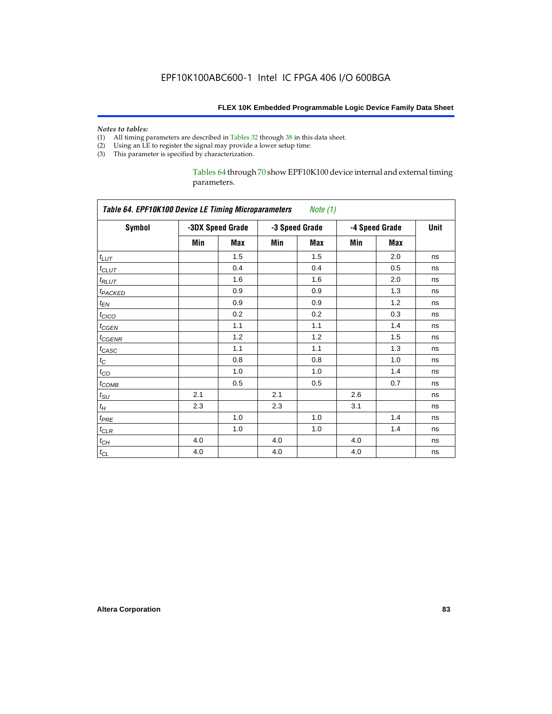#### *Notes to tables:*

- (1) All timing parameters are described in Tables 32 through 38 in this data sheet.
- (2) Using an LE to register the signal may provide a lower setup time.
- (3) This parameter is specified by characterization.

Tables 64 through 70 show EPF10K100 device internal and external timing parameters.

| <b>Symbol</b>       |     | -3DX Speed Grade |     | -3 Speed Grade |     | -4 Speed Grade | Unit |  |
|---------------------|-----|------------------|-----|----------------|-----|----------------|------|--|
|                     | Min | Max              | Min | Max            | Min | <b>Max</b>     |      |  |
| $t_{LUT}$           |     | 1.5              |     | 1.5            |     | 2.0            | ns   |  |
| $t_{CLUT}$          |     | 0.4              |     | 0.4            |     | 0.5            | ns   |  |
| $t_{RLUT}$          |     | 1.6              |     | 1.6            |     | 2.0            | ns   |  |
| t <sub>PACKED</sub> |     | 0.9              |     | 0.9            |     | 1.3            | ns   |  |
| $t_{EN}$            |     | 0.9              |     | 0.9            |     | 1.2            | ns   |  |
| $t_{CICO}$          |     | 0.2              |     | 0.2            |     | 0.3            | ns   |  |
| $t_{CGEN}$          |     | 1.1              |     | 1.1            |     | 1.4            | ns   |  |
| $t_{GENR}$          |     | 1.2              |     | 1.2            |     | 1.5            | ns   |  |
| $t_{CASC}$          |     | 1.1              |     | 1.1            |     | 1.3            | ns   |  |
| $t_C$               |     | 0.8              |     | 0.8            |     | 1.0            | ns   |  |
| $t_{CO}$            |     | 1.0              |     | 1.0            |     | 1.4            | ns   |  |
| $t_{COMB}$          |     | 0.5              |     | 0.5            |     | 0.7            | ns   |  |
| $t_{\text{SU}}$     | 2.1 |                  | 2.1 |                | 2.6 |                | ns   |  |
| $t_H$               | 2.3 |                  | 2.3 |                | 3.1 |                | ns   |  |
| $t_{PRE}$           |     | 1.0              |     | 1.0            |     | 1.4            | ns   |  |
| $t_{CLR}$           |     | 1.0              |     | 1.0            |     | 1.4            | ns   |  |
| $t_{CH}$            | 4.0 |                  | 4.0 |                | 4.0 |                | ns   |  |
| $t_{CL}$            | 4.0 |                  | 4.0 |                | 4.0 |                | ns   |  |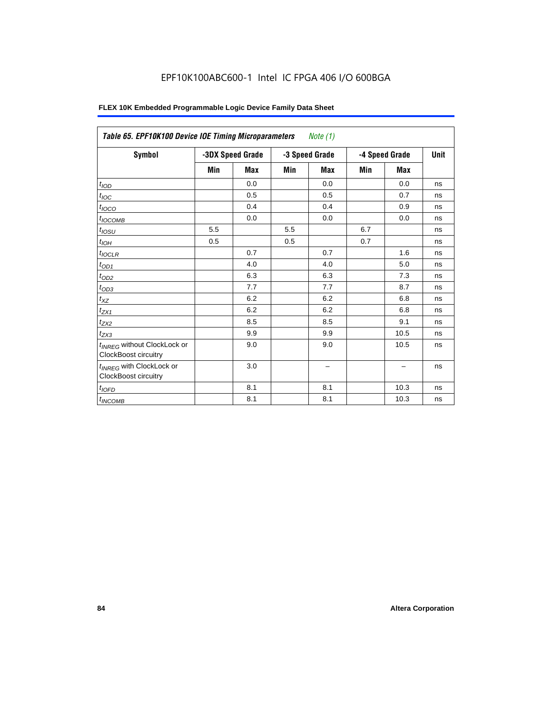# EPF10K100ABC600-1 Intel IC FPGA 406 I/O 600BGA

| Table 65. EPF10K100 Device IOE Timing Microparameters<br><i>Note</i> $(1)$ |     |                  |     |                |     |                |      |  |
|----------------------------------------------------------------------------|-----|------------------|-----|----------------|-----|----------------|------|--|
| <b>Symbol</b>                                                              |     | -3DX Speed Grade |     | -3 Speed Grade |     | -4 Speed Grade | Unit |  |
|                                                                            | Min | Max              | Min | <b>Max</b>     | Min | <b>Max</b>     |      |  |
| t <sub>IOD</sub>                                                           |     | 0.0              |     | 0.0            |     | 0.0            | ns   |  |
| $t_{\text{IOC}}$                                                           |     | 0.5              |     | 0.5            |     | 0.7            | ns   |  |
| $t_{IOCO}$                                                                 |     | 0.4              |     | 0.4            |     | 0.9            | ns   |  |
| t <sub>IOCOMB</sub>                                                        |     | 0.0              |     | 0.0            |     | 0.0            | ns   |  |
| $t_{IOSU}$                                                                 | 5.5 |                  | 5.5 |                | 6.7 |                | ns   |  |
| $t_{IOH}$                                                                  | 0.5 |                  | 0.5 |                | 0.7 |                | ns   |  |
| $t_{IOCLR}$                                                                |     | 0.7              |     | 0.7            |     | 1.6            | ns   |  |
| $t_{OD1}$                                                                  |     | 4.0              |     | 4.0            |     | 5.0            | ns   |  |
| $t_{OD2}$                                                                  |     | 6.3              |     | 6.3            |     | 7.3            | ns   |  |
| $t_{OD3}$                                                                  |     | 7.7              |     | 7.7            |     | 8.7            | ns   |  |
| $t_{XZ}$                                                                   |     | 6.2              |     | 6.2            |     | 6.8            | ns   |  |
| $t_{ZX1}$                                                                  |     | 6.2              |     | 6.2            |     | 6.8            | ns   |  |
| $t_{ZX2}$                                                                  |     | 8.5              |     | 8.5            |     | 9.1            | ns   |  |
| $t_{ZX3}$                                                                  |     | 9.9              |     | 9.9            |     | 10.5           | ns   |  |
| t <sub>INREG</sub> without ClockLock or<br><b>ClockBoost circuitry</b>     |     | 9.0              |     | 9.0            |     | 10.5           | ns   |  |
| t <sub>INREG</sub> with ClockLock or<br>ClockBoost circuitry               |     | 3.0              |     | -              |     |                | ns   |  |
| $t_{IOFD}$                                                                 |     | 8.1              |     | 8.1            |     | 10.3           | ns   |  |
| t <sub>INCOMB</sub>                                                        |     | 8.1              |     | 8.1            |     | 10.3           | ns   |  |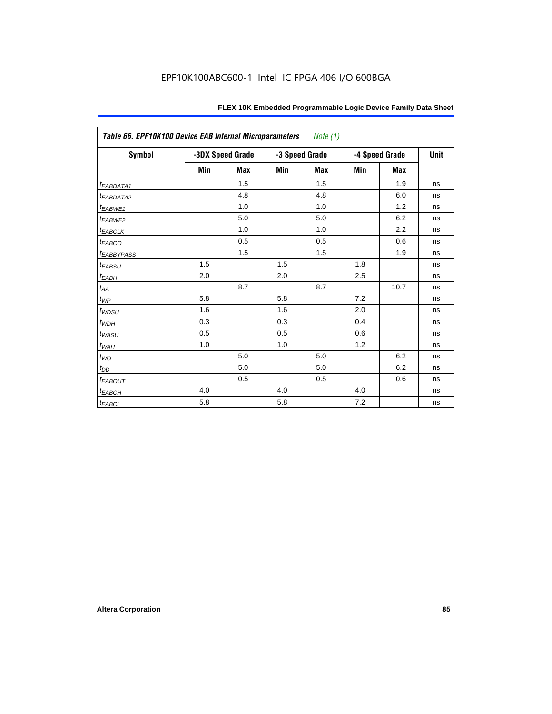| Table 66. EPF10K100 Device EAB Internal Microparameters<br>Note (1) |     |                  |     |                |     |                |      |  |
|---------------------------------------------------------------------|-----|------------------|-----|----------------|-----|----------------|------|--|
| Symbol                                                              |     | -3DX Speed Grade |     | -3 Speed Grade |     | -4 Speed Grade | Unit |  |
|                                                                     | Min | <b>Max</b>       | Min | <b>Max</b>     | Min | <b>Max</b>     |      |  |
| <i>EABDATA1</i>                                                     |     | 1.5              |     | 1.5            |     | 1.9            | ns   |  |
| t <sub>EABDATA2</sub>                                               |     | 4.8              |     | 4.8            |     | 6.0            | ns   |  |
| $t_{EABWE1}$                                                        |     | 1.0              |     | 1.0            |     | 1.2            | ns   |  |
| t <sub>EABWE2</sub>                                                 |     | 5.0              |     | 5.0            |     | 6.2            | ns   |  |
| $t_{EABCLK}$                                                        |     | 1.0              |     | 1.0            |     | 2.2            | ns   |  |
| $t_{EABCO}$                                                         |     | 0.5              |     | 0.5            |     | 0.6            | ns   |  |
| <i><b>EABBYPASS</b></i>                                             |     | 1.5              |     | 1.5            |     | 1.9            | ns   |  |
| $t_{EABSU}$                                                         | 1.5 |                  | 1.5 |                | 1.8 |                | ns   |  |
| $t_{EABH}$                                                          | 2.0 |                  | 2.0 |                | 2.5 |                | ns   |  |
| $t_{\mathit{AA}}$                                                   |     | 8.7              |     | 8.7            |     | 10.7           | ns   |  |
| $t_{WP}$                                                            | 5.8 |                  | 5.8 |                | 7.2 |                | ns   |  |
| $t_{W\!D\!S\!U}$                                                    | 1.6 |                  | 1.6 |                | 2.0 |                | ns   |  |
| $t_{WDH}$                                                           | 0.3 |                  | 0.3 |                | 0.4 |                | ns   |  |
| $t_{WASU}$                                                          | 0.5 |                  | 0.5 |                | 0.6 |                | ns   |  |
| $t_{WAH}$                                                           | 1.0 |                  | 1.0 |                | 1.2 |                | ns   |  |
| $t_{WO}$                                                            |     | 5.0              |     | 5.0            |     | 6.2            | ns   |  |
| $t_{DD}$                                                            |     | 5.0              |     | 5.0            |     | 6.2            | ns   |  |
| $t_{EABOUT}$                                                        |     | 0.5              |     | 0.5            |     | 0.6            | ns   |  |
| $t_{EABCH}$                                                         | 4.0 |                  | 4.0 |                | 4.0 |                | ns   |  |
| $t_{EABCL}$                                                         | 5.8 |                  | 5.8 |                | 7.2 |                | ns   |  |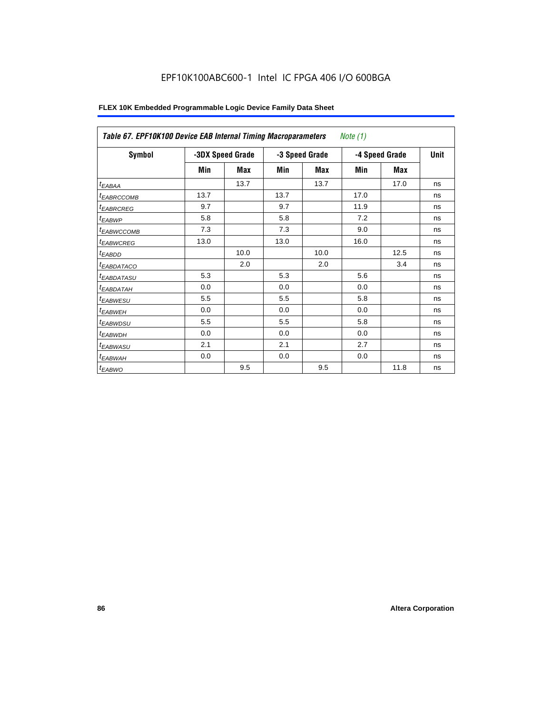| Table 67. EPF10K100 Device EAB Internal Timing Macroparameters<br>Note (1) |      |                  |      |                |      |                |             |  |
|----------------------------------------------------------------------------|------|------------------|------|----------------|------|----------------|-------------|--|
| Symbol                                                                     |      | -3DX Speed Grade |      | -3 Speed Grade |      | -4 Speed Grade | <b>Unit</b> |  |
|                                                                            | Min  | Max              | Min  | Max            | Min  | Max            |             |  |
| $t_{EABA}$                                                                 |      | 13.7             |      | 13.7           |      | 17.0           | ns          |  |
| <sup>t</sup> EABRCCOMB                                                     | 13.7 |                  | 13.7 |                | 17.0 |                | ns          |  |
| <sup>t</sup> EABRCREG                                                      | 9.7  |                  | 9.7  |                | 11.9 |                | ns          |  |
| <sup>t</sup> EABWP                                                         | 5.8  |                  | 5.8  |                | 7.2  |                | ns          |  |
| <sup>I</sup> EABWCCOMB                                                     | 7.3  |                  | 7.3  |                | 9.0  |                | ns          |  |
| <sup>t</sup> EABWCREG                                                      | 13.0 |                  | 13.0 |                | 16.0 |                | ns          |  |
| <sup>t</sup> EABDD                                                         |      | 10.0             |      | 10.0           |      | 12.5           | ns          |  |
| <sup>t</sup> EABDATACO                                                     |      | 2.0              |      | 2.0            |      | 3.4            | ns          |  |
| <sup>t</sup> EABDATASU                                                     | 5.3  |                  | 5.3  |                | 5.6  |                | ns          |  |
| <sup>t</sup> EABDATAH                                                      | 0.0  |                  | 0.0  |                | 0.0  |                | ns          |  |
| <sup>t</sup> EABWESU                                                       | 5.5  |                  | 5.5  |                | 5.8  |                | ns          |  |
| <sup>t</sup> EABWEH                                                        | 0.0  |                  | 0.0  |                | 0.0  |                | ns          |  |
| <sup>t</sup> EABWDSU                                                       | 5.5  |                  | 5.5  |                | 5.8  |                | ns          |  |
| <sup>t</sup> EABWDH                                                        | 0.0  |                  | 0.0  |                | 0.0  |                | ns          |  |
| <sup>t</sup> EABWASU                                                       | 2.1  |                  | 2.1  |                | 2.7  |                | ns          |  |
| <sup>t</sup> EABWAH                                                        | 0.0  |                  | 0.0  |                | 0.0  |                | ns          |  |
| t <sub>EABWO</sub>                                                         |      | 9.5              |      | 9.5            |      | 11.8           | ns          |  |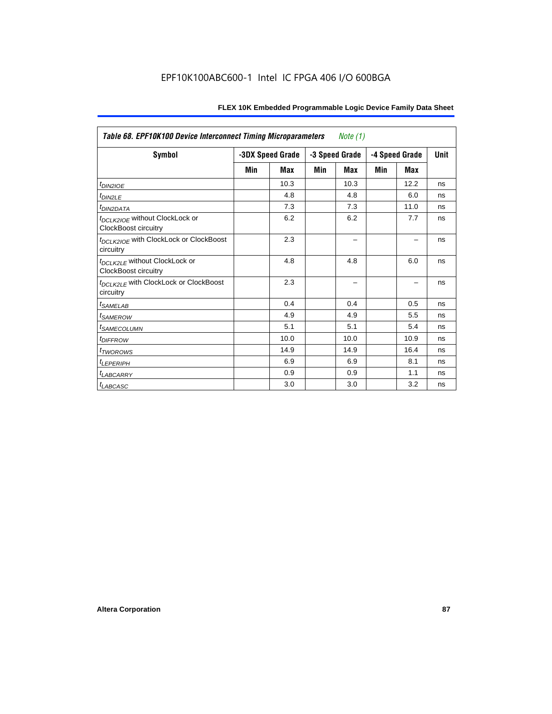| Table 68. EPF10K100 Device Interconnect Timing Microparameters<br>Note (1) |     |                  |                |            |                |            |             |
|----------------------------------------------------------------------------|-----|------------------|----------------|------------|----------------|------------|-------------|
| <b>Symbol</b>                                                              |     | -3DX Speed Grade | -3 Speed Grade |            | -4 Speed Grade |            | <b>Unit</b> |
|                                                                            | Min | Max              | Min            | <b>Max</b> | Min            | <b>Max</b> |             |
| t <sub>DIN2IOE</sub>                                                       |     | 10.3             |                | 10.3       |                | 12.2       | ns          |
| $t_{DIN2LE}$                                                               |     | 4.8              |                | 4.8        |                | 6.0        | ns          |
| <sup>t</sup> DIN2DATA                                                      |     | 7.3              |                | 7.3        |                | 11.0       | ns          |
| t <sub>DCLK2IOE</sub> without ClockLock or<br>ClockBoost circuitry         |     | 6.2              |                | 6.2        |                | 7.7        | ns          |
| t <sub>DCLK2IOE</sub> with ClockLock or ClockBoost<br>circuitry            |     | 2.3              |                |            |                |            | ns          |
| t <sub>DCLK2LE</sub> without ClockLock or<br>ClockBoost circuitry          |     | 4.8              |                | 4.8        |                | 6.0        | ns          |
| t <sub>DCLK2LE</sub> with ClockLock or ClockBoost<br>circuitry             |     | 2.3              |                |            |                |            | ns          |
| <sup>t</sup> SAMELAB                                                       |     | 0.4              |                | 0.4        |                | 0.5        | ns          |
| <i>t</i> SAMEROW                                                           |     | 4.9              |                | 4.9        |                | 5.5        | ns          |
| <sup>t</sup> SAMECOLUMN                                                    |     | 5.1              |                | 5.1        |                | 5.4        | ns          |
| <i>t<sub>DIFFROW</sub></i>                                                 |     | 10.0             |                | 10.0       |                | 10.9       | ns          |
| <sup>t</sup> TWOROWS                                                       |     | 14.9             |                | 14.9       |                | 16.4       | ns          |
| <sup>t</sup> LEPERIPH                                                      |     | 6.9              |                | 6.9        |                | 8.1        | ns          |
| <sup>t</sup> LABCARRY                                                      |     | 0.9              |                | 0.9        |                | 1.1        | ns          |
| $t_{LABCASC}$                                                              |     | 3.0              |                | 3.0        |                | 3.2        | ns          |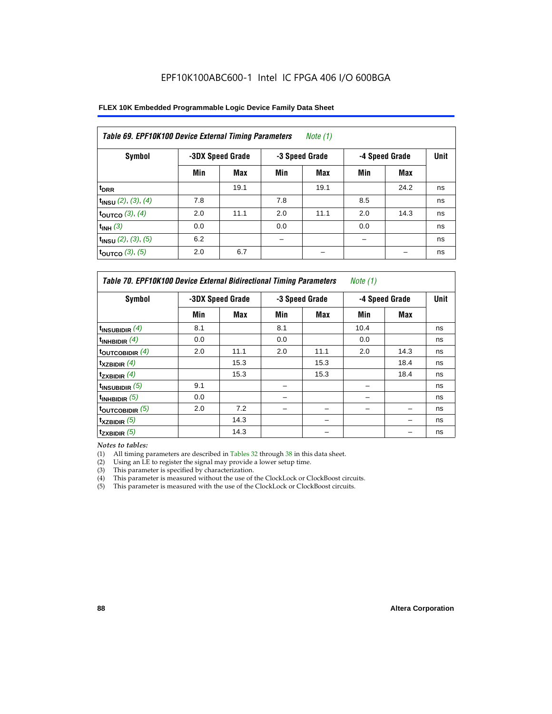| FLEX 10K Embedded Programmable Logic Device Family Data Sheet |  |
|---------------------------------------------------------------|--|
|---------------------------------------------------------------|--|

| Table 69. EPF10K100 Device External Timing Parameters<br>Note $(1)$ |                  |      |     |                |                |      |    |  |  |  |
|---------------------------------------------------------------------|------------------|------|-----|----------------|----------------|------|----|--|--|--|
| Symbol                                                              | -3DX Speed Grade |      |     | -3 Speed Grade | -4 Speed Grade | Unit |    |  |  |  |
|                                                                     | Min              | Max  | Min | Max            | Min            | Max  |    |  |  |  |
| t <sub>DRR</sub>                                                    |                  | 19.1 |     | 19.1           |                | 24.2 | ns |  |  |  |
| $t_{INSU}$ (2), (3), (4)                                            | 7.8              |      | 7.8 |                | 8.5            |      | ns |  |  |  |
| toutco $(3)$ , $(4)$                                                | 2.0              | 11.1 | 2.0 | 11.1           | 2.0            | 14.3 | ns |  |  |  |
| $t_{INH}$ (3)                                                       | 0.0              |      | 0.0 |                | 0.0            |      | ns |  |  |  |
| $t_{INSU}$ (2), (3), (5)                                            | 6.2              |      |     |                |                |      | ns |  |  |  |
| toutco $(3)$ , $(5)$                                                | 2.0              | 6.7  |     |                |                |      | ns |  |  |  |

| Table 70. EPF10K100 Device External Bidirectional Timing Parameters<br>Note (1) |     |                  |     |                |                |             |    |  |  |  |  |
|---------------------------------------------------------------------------------|-----|------------------|-----|----------------|----------------|-------------|----|--|--|--|--|
| Symbol                                                                          |     | -3DX Speed Grade |     | -3 Speed Grade | -4 Speed Grade | <b>Unit</b> |    |  |  |  |  |
|                                                                                 | Min | Max              | Min | Max            | Min            | Max         |    |  |  |  |  |
| t <sub>INSUBIDIR</sub> $(4)$                                                    | 8.1 |                  | 8.1 |                | 10.4           |             | ns |  |  |  |  |
| $t_{INHBIDIR}$ (4)                                                              | 0.0 |                  | 0.0 |                | 0.0            |             | ns |  |  |  |  |
| toutcobidir $(4)$                                                               | 2.0 | 11.1             | 2.0 | 11.1           | 2.0            | 14.3        | ns |  |  |  |  |
| $t_{XZBIDIR}$ (4)                                                               |     | 15.3             |     | 15.3           |                | 18.4        | ns |  |  |  |  |
| $t_{ZXBIDIR}$ (4)                                                               |     | 15.3             |     | 15.3           |                | 18.4        | ns |  |  |  |  |
| $t_{INSUBIDIR}$ (5)                                                             | 9.1 |                  |     |                |                |             | ns |  |  |  |  |
| $t_{INHBIDIR}$ (5)                                                              | 0.0 |                  |     |                |                |             | ns |  |  |  |  |
| toutcobidir $(5)$                                                               | 2.0 | 7.2              |     |                |                |             | ns |  |  |  |  |
| $t_{XZBIDIR}$ (5)                                                               |     | 14.3             |     |                |                |             | ns |  |  |  |  |
| $t_{ZXBIDIR}$ $(5)$                                                             |     | 14.3             |     |                |                |             | ns |  |  |  |  |

*Notes to tables:*

(1) All timing parameters are described in Tables 32 through 38 in this data sheet.

(2) Using an LE to register the signal may provide a lower setup time.

(3) This parameter is specified by characterization.

(4) This parameter is measured without the use of the ClockLock or ClockBoost circuits.

(5) This parameter is measured with the use of the ClockLock or ClockBoost circuits.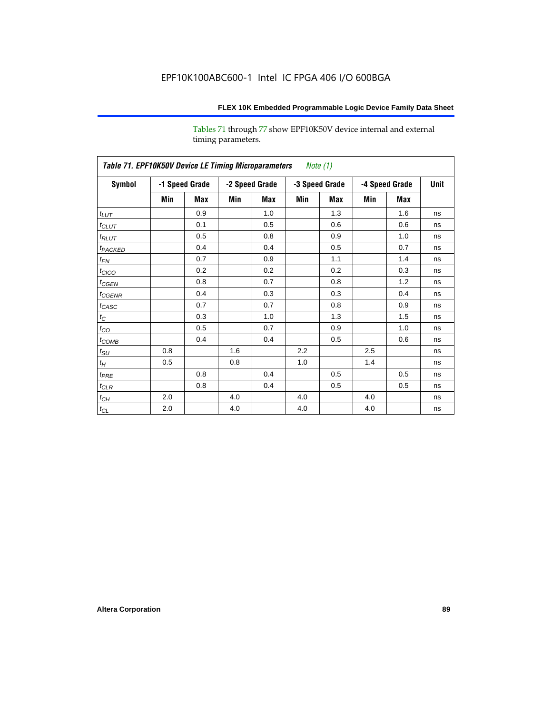Tables 71 through 77 show EPF10K50V device internal and external timing parameters.

| Table 71. EPF10K50V Device LE Timing Microparameters Note (1) |     |                |     |                |     |                |     |                |             |  |  |
|---------------------------------------------------------------|-----|----------------|-----|----------------|-----|----------------|-----|----------------|-------------|--|--|
| Symbol                                                        |     | -1 Speed Grade |     | -2 Speed Grade |     | -3 Speed Grade |     | -4 Speed Grade | <b>Unit</b> |  |  |
|                                                               | Min | Max            | Min | Max            | Min | Max            | Min | Max            |             |  |  |
| $t_{LUT}$                                                     |     | 0.9            |     | 1.0            |     | 1.3            |     | 1.6            | ns          |  |  |
| $t_{CLUT}$                                                    |     | 0.1            |     | 0.5            |     | 0.6            |     | 0.6            | ns          |  |  |
| $t_{RLUT}$                                                    |     | 0.5            |     | 0.8            |     | 0.9            |     | 1.0            | ns          |  |  |
| t <sub>PACKED</sub>                                           |     | 0.4            |     | 0.4            |     | 0.5            |     | 0.7            | ns          |  |  |
| $t_{EN}$                                                      |     | 0.7            |     | 0.9            |     | 1.1            |     | 1.4            | ns          |  |  |
| $t_{CICO}$                                                    |     | 0.2            |     | 0.2            |     | 0.2            |     | 0.3            | ns          |  |  |
| $t_{CGEN}$                                                    |     | 0.8            |     | 0.7            |     | 0.8            |     | 1.2            | ns          |  |  |
| $t_{\text{GENR}}$                                             |     | 0.4            |     | 0.3            |     | 0.3            |     | 0.4            | ns          |  |  |
| $t_{CASC}$                                                    |     | 0.7            |     | 0.7            |     | 0.8            |     | 0.9            | ns          |  |  |
| $t_C$                                                         |     | 0.3            |     | 1.0            |     | 1.3            |     | 1.5            | ns          |  |  |
| $t_{CO}$                                                      |     | 0.5            |     | 0.7            |     | 0.9            |     | 1.0            | ns          |  |  |
| $t_{COMB}$                                                    |     | 0.4            |     | 0.4            |     | 0.5            |     | 0.6            | ns          |  |  |
| $t_{\rm SU}$                                                  | 0.8 |                | 1.6 |                | 2.2 |                | 2.5 |                | ns          |  |  |
| $t_{\!H}$                                                     | 0.5 |                | 0.8 |                | 1.0 |                | 1.4 |                | ns          |  |  |
| $t_{PRE}$                                                     |     | 0.8            |     | 0.4            |     | 0.5            |     | 0.5            | ns          |  |  |
| $t_{CLR}$                                                     |     | 0.8            |     | 0.4            |     | 0.5            |     | 0.5            | ns          |  |  |
| $t_{\mathit{CH}}$                                             | 2.0 |                | 4.0 |                | 4.0 |                | 4.0 |                | ns          |  |  |
| $t_{\rm CL}$                                                  | 2.0 |                | 4.0 |                | 4.0 |                | 4.0 |                | ns          |  |  |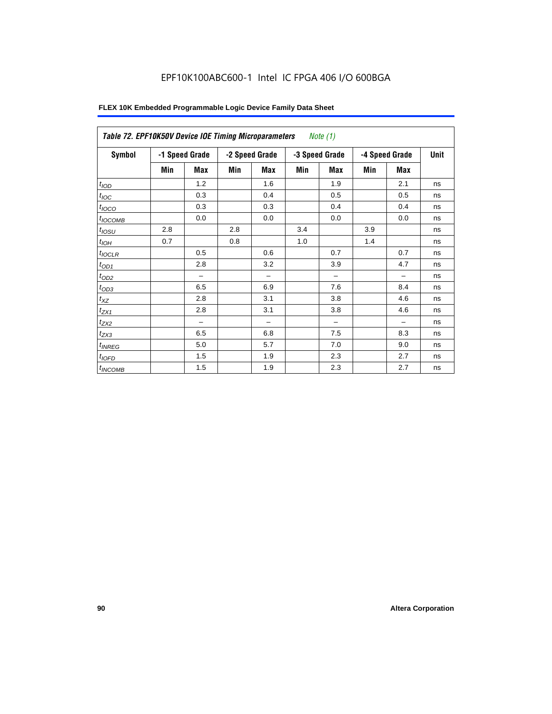# EPF10K100ABC600-1 Intel IC FPGA 406 I/O 600BGA

| Symbol           |     | -1 Speed Grade |     | -2 Speed Grade           |     | -3 Speed Grade           |     | -4 Speed Grade |    |
|------------------|-----|----------------|-----|--------------------------|-----|--------------------------|-----|----------------|----|
|                  | Min | Max            | Min | <b>Max</b>               | Min | <b>Max</b>               | Min | <b>Max</b>     |    |
| t <sub>IOD</sub> |     | 1.2            |     | 1.6                      |     | 1.9                      |     | 2.1            | ns |
| $t_{\text{IOC}}$ |     | 0.3            |     | 0.4                      |     | 0.5                      |     | 0.5            | ns |
| $t_{IOCO}$       |     | 0.3            |     | 0.3                      |     | 0.4                      |     | 0.4            | ns |
| $t_{IOCOMB}$     |     | 0.0            |     | 0.0                      |     | 0.0                      |     | 0.0            | ns |
| $t_{IOSU}$       | 2.8 |                | 2.8 |                          | 3.4 |                          | 3.9 |                | ns |
| $t_{IOH}$        | 0.7 |                | 0.8 |                          | 1.0 |                          | 1.4 |                | ns |
| $t_{IOCLR}$      |     | 0.5            |     | 0.6                      |     | 0.7                      |     | 0.7            | ns |
| $t_{OD1}$        |     | 2.8            |     | 3.2                      |     | 3.9                      |     | 4.7            | ns |
| $t_{OD2}$        |     |                |     | $\overline{\phantom{0}}$ |     | $\overline{\phantom{0}}$ |     | -              | ns |
| $t_{OD3}$        |     | 6.5            |     | 6.9                      |     | 7.6                      |     | 8.4            | ns |
| $t_{XZ}$         |     | 2.8            |     | 3.1                      |     | 3.8                      |     | 4.6            | ns |
| $t_{ZX1}$        |     | 2.8            |     | 3.1                      |     | 3.8                      |     | 4.6            | ns |
| $t_{ZX2}$        |     |                |     |                          |     | -                        |     |                | ns |
| $t_{ZX3}$        |     | 6.5            |     | 6.8                      |     | 7.5                      |     | 8.3            | ns |
| $t_{INREG}$      |     | 5.0            |     | 5.7                      |     | 7.0                      |     | 9.0            | ns |
| $t_{IOFD}$       |     | 1.5            |     | 1.9                      |     | 2.3                      |     | 2.7            | ns |
| $t_{INCOMB}$     |     | 1.5            |     | 1.9                      |     | 2.3                      |     | 2.7            | ns |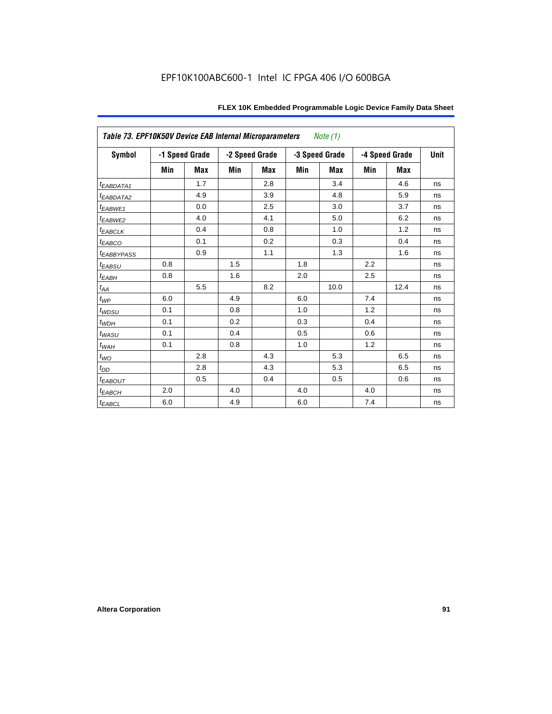| Table 73. EPF10K50V Device EAB Internal Microparameters<br>Note (1) |     |                |     |                |            |                |     |                |             |  |
|---------------------------------------------------------------------|-----|----------------|-----|----------------|------------|----------------|-----|----------------|-------------|--|
| <b>Symbol</b>                                                       |     | -1 Speed Grade |     | -2 Speed Grade |            | -3 Speed Grade |     | -4 Speed Grade | <b>Unit</b> |  |
|                                                                     | Min | <b>Max</b>     | Min | <b>Max</b>     | <b>Min</b> | <b>Max</b>     | Min | <b>Max</b>     |             |  |
| $t_{EABDATA1}$                                                      |     | 1.7            |     | 2.8            |            | 3.4            |     | 4.6            | ns          |  |
| t <sub>EABDATA2</sub>                                               |     | 4.9            |     | 3.9            |            | 4.8            |     | 5.9            | ns          |  |
| t <sub>EABWE1</sub>                                                 |     | 0.0            |     | 2.5            |            | 3.0            |     | 3.7            | ns          |  |
| t <sub>EABWE2</sub>                                                 |     | 4.0            |     | 4.1            |            | 5.0            |     | 6.2            | ns          |  |
| $t_{EABCLK}$                                                        |     | 0.4            |     | 0.8            |            | 1.0            |     | 1.2            | ns          |  |
| $t_{EABCO}$                                                         |     | 0.1            |     | 0.2            |            | 0.3            |     | 0.4            | ns          |  |
| <i><b>EABBYPASS</b></i>                                             |     | 0.9            |     | 1.1            |            | 1.3            |     | 1.6            | ns          |  |
| $t_{EABSU}$                                                         | 0.8 |                | 1.5 |                | 1.8        |                | 2.2 |                | ns          |  |
| $t_{EABH}$                                                          | 0.8 |                | 1.6 |                | 2.0        |                | 2.5 |                | ns          |  |
| $t_{AA}$                                                            |     | 5.5            |     | 8.2            |            | 10.0           |     | 12.4           | ns          |  |
| $t_{WP}$                                                            | 6.0 |                | 4.9 |                | 6.0        |                | 7.4 |                | ns          |  |
| $t_{WDSU}$                                                          | 0.1 |                | 0.8 |                | 1.0        |                | 1.2 |                | ns          |  |
| $t_{WDH}$                                                           | 0.1 |                | 0.2 |                | 0.3        |                | 0.4 |                | ns          |  |
| $t_{WASU}$                                                          | 0.1 |                | 0.4 |                | 0.5        |                | 0.6 |                | ns          |  |
| $t_{WAH}$                                                           | 0.1 |                | 0.8 |                | 1.0        |                | 1.2 |                | ns          |  |
| $t_{WO}$                                                            |     | 2.8            |     | 4.3            |            | 5.3            |     | 6.5            | ns          |  |
| $t_{DD}$                                                            |     | 2.8            |     | 4.3            |            | 5.3            |     | 6.5            | ns          |  |
| $t_{EABOUT}$                                                        |     | 0.5            |     | 0.4            |            | 0.5            |     | 0.6            | ns          |  |
| $t_{EABCH}$                                                         | 2.0 |                | 4.0 |                | 4.0        |                | 4.0 |                | ns          |  |
| $t_{EABCL}$                                                         | 6.0 |                | 4.9 |                | 6.0        |                | 7.4 |                | ns          |  |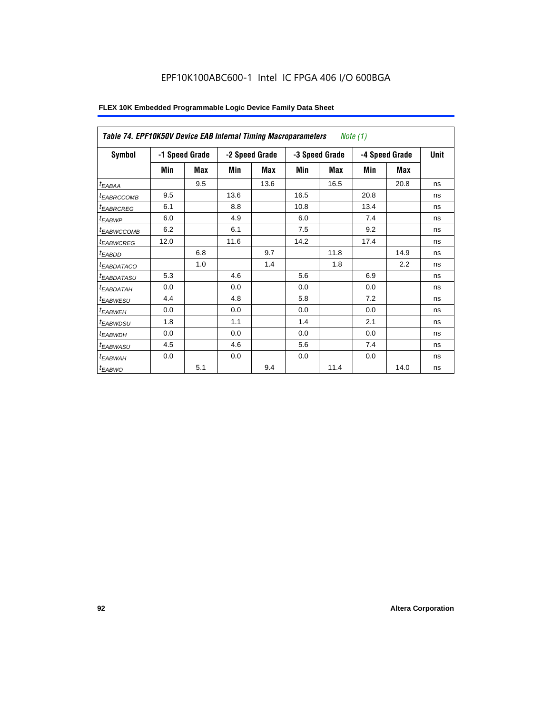| Table 74. EPF10K50V Device EAB Internal Timing Macroparameters |      |                |      |                |                | Note (1)   |                |      |             |
|----------------------------------------------------------------|------|----------------|------|----------------|----------------|------------|----------------|------|-------------|
| Symbol                                                         |      | -1 Speed Grade |      | -2 Speed Grade | -3 Speed Grade |            | -4 Speed Grade |      | <b>Unit</b> |
|                                                                | Min  | Max            | Min  | Max            | Min            | <b>Max</b> | Min            | Max  |             |
| $t_{EABA\underline{A}}$                                        |      | 9.5            |      | 13.6           |                | 16.5       |                | 20.8 | ns          |
| <sup>t</sup> EABRCCOMB                                         | 9.5  |                | 13.6 |                | 16.5           |            | 20.8           |      | ns          |
| <sup>t</sup> EABRCREG                                          | 6.1  |                | 8.8  |                | 10.8           |            | 13.4           |      | ns          |
| $t_{EABWP}$                                                    | 6.0  |                | 4.9  |                | 6.0            |            | 7.4            |      | ns          |
| <sup>t</sup> EABWCCOMB                                         | 6.2  |                | 6.1  |                | 7.5            |            | 9.2            |      | ns          |
| <sup>t</sup> EABWCREG                                          | 12.0 |                | 11.6 |                | 14.2           |            | 17.4           |      | ns          |
| $t_{EABDD}$                                                    |      | 6.8            |      | 9.7            |                | 11.8       |                | 14.9 | ns          |
| <sup>t</sup> EABDATACO                                         |      | 1.0            |      | 1.4            |                | 1.8        |                | 2.2  | ns          |
| <sup>t</sup> EABDATASU                                         | 5.3  |                | 4.6  |                | 5.6            |            | 6.9            |      | ns          |
| <sup>t</sup> EABDATAH                                          | 0.0  |                | 0.0  |                | 0.0            |            | 0.0            |      | ns          |
| <sup>t</sup> EABWESU                                           | 4.4  |                | 4.8  |                | 5.8            |            | 7.2            |      | ns          |
| <sup>t</sup> EABWEH                                            | 0.0  |                | 0.0  |                | 0.0            |            | 0.0            |      | ns          |
| <sup>t</sup> EABWDSU                                           | 1.8  |                | 1.1  |                | 1.4            |            | 2.1            |      | ns          |
| <sup>t</sup> EABWDH                                            | 0.0  |                | 0.0  |                | 0.0            |            | 0.0            |      | ns          |
| <sup>t</sup> EABWASU                                           | 4.5  |                | 4.6  |                | 5.6            |            | 7.4            |      | ns          |
| <sup>t</sup> EABWAH                                            | 0.0  |                | 0.0  |                | 0.0            |            | 0.0            |      | ns          |
| $t_{EABWO}$                                                    |      | 5.1            |      | 9.4            |                | 11.4       |                | 14.0 | ns          |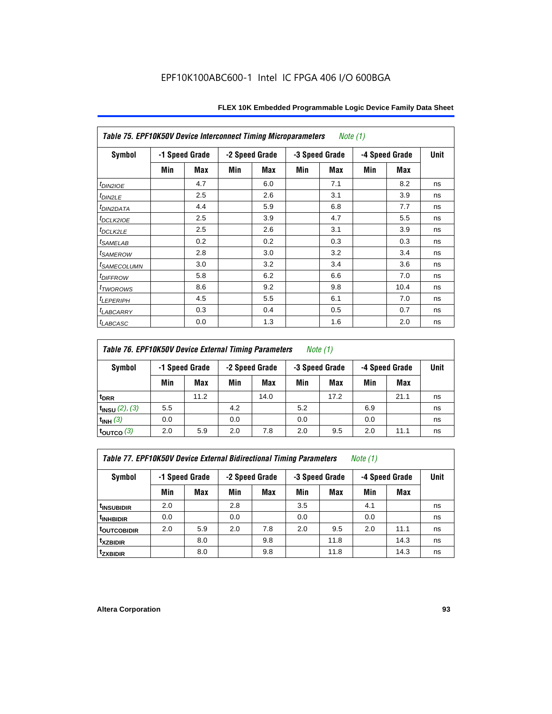| Table 75. EPF10K50V Device Interconnect Timing Microparameters<br>Note (1) |     |                |                |     |                |     |                |      |             |  |
|----------------------------------------------------------------------------|-----|----------------|----------------|-----|----------------|-----|----------------|------|-------------|--|
| Symbol                                                                     |     | -1 Speed Grade | -2 Speed Grade |     | -3 Speed Grade |     | -4 Speed Grade |      | <b>Unit</b> |  |
|                                                                            | Min | Max            | Min            | Max | Min            | Max | Min            | Max  |             |  |
| $t_{DINZIOE}$                                                              |     | 4.7            |                | 6.0 |                | 7.1 |                | 8.2  | ns          |  |
| t <sub>DIN2LE</sub>                                                        |     | 2.5            |                | 2.6 |                | 3.1 |                | 3.9  | ns          |  |
| <sup>t</sup> DIN2DATA                                                      |     | 4.4            |                | 5.9 |                | 6.8 |                | 7.7  | ns          |  |
| t <sub>DCLK2IOE</sub>                                                      |     | 2.5            |                | 3.9 |                | 4.7 |                | 5.5  | ns          |  |
| $t_{DCLK2LE}$                                                              |     | 2.5            |                | 2.6 |                | 3.1 |                | 3.9  | ns          |  |
| <i>t<sub>SAMELAB</sub></i>                                                 |     | 0.2            |                | 0.2 |                | 0.3 |                | 0.3  | ns          |  |
| <sup>t</sup> SAMEROW                                                       |     | 2.8            |                | 3.0 |                | 3.2 |                | 3.4  | ns          |  |
| <sup>t</sup> SAMECOLUMN                                                    |     | 3.0            |                | 3.2 |                | 3.4 |                | 3.6  | ns          |  |
| <i>t<sub>DIFFROW</sub></i>                                                 |     | 5.8            |                | 6.2 |                | 6.6 |                | 7.0  | ns          |  |
| t <sub>TWOROWS</sub>                                                       |     | 8.6            |                | 9.2 |                | 9.8 |                | 10.4 | ns          |  |
| $t_{LEPERIPH}$                                                             |     | 4.5            |                | 5.5 |                | 6.1 |                | 7.0  | ns          |  |
| t <sub>LABCARRY</sub>                                                      |     | 0.3            |                | 0.4 |                | 0.5 |                | 0.7  | ns          |  |
| <i>t<sub>LABCASC</sub></i>                                                 |     | 0.0            |                | 1.3 |                | 1.6 |                | 2.0  | ns          |  |

# *Table 76. EPF10K50V Device External Timing Parameters Note (1)*

| Symbol                   |     | -1 Speed Grade |     | -2 Speed Grade |     | -3 Speed Grade |     | -4 Speed Grade |    |
|--------------------------|-----|----------------|-----|----------------|-----|----------------|-----|----------------|----|
|                          | Min | Max            | Min | Max            | Min | Max            | Min | Max            |    |
| t <sub>DRR</sub>         |     | 11.2           |     | 14.0           |     | 17.2           |     | 21.1           | ns |
| $t_{INSU}$ (2), (3)      | 5.5 |                | 4.2 |                | 5.2 |                | 6.9 |                | ns |
| $t_{INH}$ (3)            | 0.0 |                | 0.0 |                | 0.0 |                | 0.0 |                | ns |
| $\tt_{\text{OUTCO}}$ (3) | 2.0 | 5.9            | 2.0 | 7.8            | 2.0 | 9.5            | 2.0 | 11.1           | ns |

*Table 77. EPF10K50V Device External Bidirectional Timing Parameters Note (1)*

| Symbol                  |     | -1 Speed Grade |     | -2 Speed Grade |     | -3 Speed Grade |     | -4 Speed Grade |    |
|-------------------------|-----|----------------|-----|----------------|-----|----------------|-----|----------------|----|
|                         | Min | Max            | Min | Max            | Min | <b>Max</b>     | Min | <b>Max</b>     |    |
| <sup>t</sup> insubidir  | 2.0 |                | 2.8 |                | 3.5 |                | 4.1 |                | ns |
| <sup>t</sup> INHBIDIR   | 0.0 |                | 0.0 |                | 0.0 |                | 0.0 |                | ns |
| <sup>t</sup> outcobidir | 2.0 | 5.9            | 2.0 | 7.8            | 2.0 | 9.5            | 2.0 | 11.1           | ns |
| <sup>t</sup> xzbidir    |     | 8.0            |     | 9.8            |     | 11.8           |     | 14.3           | ns |
| <sup>t</sup> zxbidir    |     | 8.0            |     | 9.8            |     | 11.8           |     | 14.3           | ns |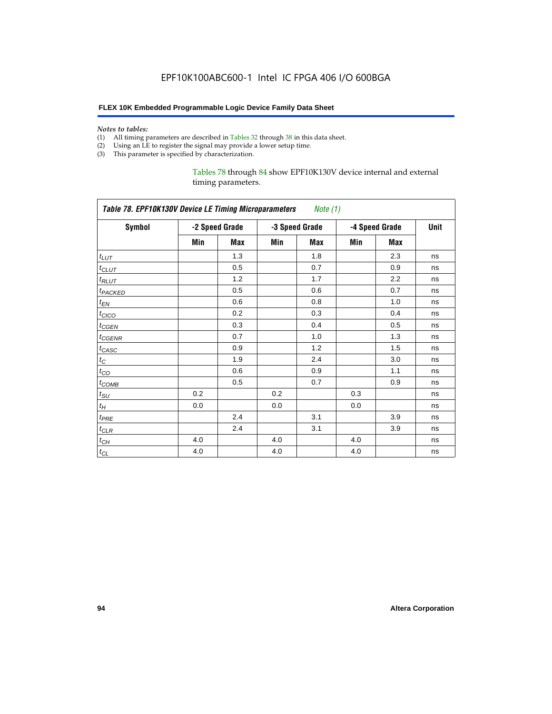#### *Notes to tables:*

- (1) All timing parameters are described in Tables 32 through 38 in this data sheet.
- (2) Using an LE to register the signal may provide a lower setup time.
- (3) This parameter is specified by characterization.

### Tables 78 through 84 show EPF10K130V device internal and external timing parameters.

| Table 78. EPF10K130V Device LE Timing Microparameters Note (1) |     |                |     |                |     |                |    |  |  |  |
|----------------------------------------------------------------|-----|----------------|-----|----------------|-----|----------------|----|--|--|--|
| <b>Symbol</b>                                                  |     | -2 Speed Grade |     | -3 Speed Grade |     | -4 Speed Grade |    |  |  |  |
|                                                                | Min | Max            | Min | Max            | Min | Max            |    |  |  |  |
| $t_{LUT}$                                                      |     | 1.3            |     | 1.8            |     | 2.3            | ns |  |  |  |
| $t_{CLUT}$                                                     |     | 0.5            |     | 0.7            |     | 0.9            | ns |  |  |  |
| $t_{RLUT}$                                                     |     | 1.2            |     | 1.7            |     | 2.2            | ns |  |  |  |
| t <sub>PACKED</sub>                                            |     | 0.5            |     | 0.6            |     | 0.7            | ns |  |  |  |
| $t_{EN}$                                                       |     | 0.6            |     | 0.8            |     | 1.0            | ns |  |  |  |
| $t_{CICO}$                                                     |     | 0.2            |     | 0.3            |     | 0.4            | ns |  |  |  |
| $t_{GEN}$                                                      |     | 0.3            |     | 0.4            |     | 0.5            | ns |  |  |  |
| t <sub>CGENR</sub>                                             |     | 0.7            |     | 1.0            |     | 1.3            | ns |  |  |  |
| $t_{CASC}$                                                     |     | 0.9            |     | 1.2            |     | 1.5            | ns |  |  |  |
| $t_C$                                                          |     | 1.9            |     | 2.4            |     | 3.0            | ns |  |  |  |
| $t_{CO}$                                                       |     | 0.6            |     | 0.9            |     | 1.1            | ns |  |  |  |
| $t_{COMB}$                                                     |     | 0.5            |     | 0.7            |     | 0.9            | ns |  |  |  |
| $t_{\rm SU}$                                                   | 0.2 |                | 0.2 |                | 0.3 |                | ns |  |  |  |
| $t_H$                                                          | 0.0 |                | 0.0 |                | 0.0 |                | ns |  |  |  |
| $t_{PRE}$                                                      |     | 2.4            |     | 3.1            |     | 3.9            | ns |  |  |  |
| $t_{CLR}$                                                      |     | 2.4            |     | 3.1            |     | 3.9            | ns |  |  |  |
| $t_{CH}$                                                       | 4.0 |                | 4.0 |                | 4.0 |                | ns |  |  |  |
| $t_{CL}$                                                       | 4.0 |                | 4.0 |                | 4.0 |                | ns |  |  |  |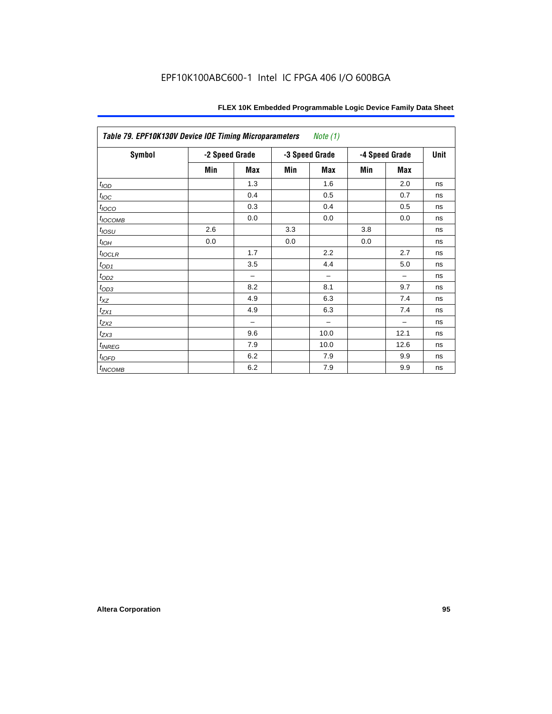| Table 79. EPF10K130V Device IOE Timing Microparameters<br><i>Note</i> $(1)$ |                |            |     |                |     |                |      |  |  |  |
|-----------------------------------------------------------------------------|----------------|------------|-----|----------------|-----|----------------|------|--|--|--|
| <b>Symbol</b>                                                               | -2 Speed Grade |            |     | -3 Speed Grade |     | -4 Speed Grade | Unit |  |  |  |
|                                                                             | Min            | <b>Max</b> | Min | <b>Max</b>     | Min | <b>Max</b>     |      |  |  |  |
| t <sub>IOD</sub>                                                            |                | 1.3        |     | 1.6            |     | 2.0            | ns   |  |  |  |
| $t_{\text{loc}}$                                                            |                | 0.4        |     | 0.5            |     | 0.7            | ns   |  |  |  |
| $t_{IOCO}$                                                                  |                | 0.3        |     | 0.4            |     | 0.5            | ns   |  |  |  |
| $t_{IOCOMB}$                                                                |                | 0.0        |     | 0.0            |     | 0.0            | ns   |  |  |  |
| $t_{IOSU}$                                                                  | 2.6            |            | 3.3 |                | 3.8 |                | ns   |  |  |  |
| $t_{IOH}$                                                                   | 0.0            |            | 0.0 |                | 0.0 |                | ns   |  |  |  |
| $t_{IOCLR}$                                                                 |                | 1.7        |     | 2.2            |     | 2.7            | ns   |  |  |  |
| $t_{OD1}$                                                                   |                | 3.5        |     | 4.4            |     | 5.0            | ns   |  |  |  |
| $t_{OD2}$                                                                   |                |            |     |                |     |                | ns   |  |  |  |
| $t_{OD3}$                                                                   |                | 8.2        |     | 8.1            |     | 9.7            | ns   |  |  |  |
| $t_{XZ}$                                                                    |                | 4.9        |     | 6.3            |     | 7.4            | ns   |  |  |  |
| $t_{ZX1}$                                                                   |                | 4.9        |     | 6.3            |     | 7.4            | ns   |  |  |  |
| $t_{ZX2}$                                                                   |                | -          |     |                |     |                | ns   |  |  |  |
| $t_{ZX3}$                                                                   |                | 9.6        |     | 10.0           |     | 12.1           | ns   |  |  |  |
| $t_{INREG}$                                                                 |                | 7.9        |     | 10.0           |     | 12.6           | ns   |  |  |  |
| $t_{IOFD}$                                                                  |                | 6.2        |     | 7.9            |     | 9.9            | ns   |  |  |  |
| $t_{INCOMB}$                                                                |                | 6.2        |     | 7.9            |     | 9.9            | ns   |  |  |  |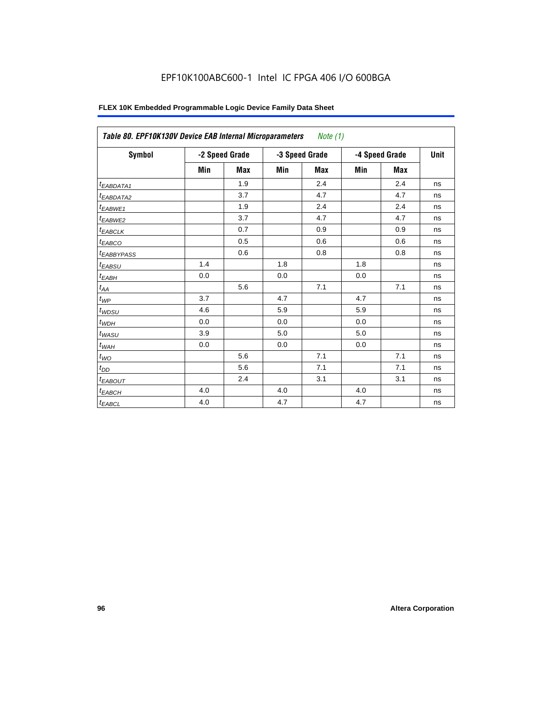# EPF10K100ABC600-1 Intel IC FPGA 406 I/O 600BGA

| Symbol                 |     | -2 Speed Grade |     | -3 Speed Grade | -4 Speed Grade | Unit       |    |
|------------------------|-----|----------------|-----|----------------|----------------|------------|----|
|                        | Min | <b>Max</b>     | Min | <b>Max</b>     | Min            | <b>Max</b> |    |
| <sup>t</sup> EABDATA1  |     | 1.9            |     | 2.4            |                | 2.4        | ns |
| <sup>t</sup> EABDATA2  |     | 3.7            |     | 4.7            |                | 4.7        | ns |
| <sup>t</sup> EABWE1    |     | 1.9            |     | 2.4            |                | 2.4        | ns |
| t <sub>EABWE2</sub>    |     | 3.7            |     | 4.7            |                | 4.7        | ns |
| <sup>t</sup> EABCLK    |     | 0.7            |     | 0.9            |                | 0.9        | ns |
| <sup>t</sup> EABCO     |     | 0.5            |     | 0.6            |                | 0.6        | ns |
| <sup>t</sup> EABBYPASS |     | 0.6            |     | 0.8            |                | 0.8        | ns |
| t <sub>EABSU</sub>     | 1.4 |                | 1.8 |                | 1.8            |            | ns |
| $t_{EABH}$             | 0.0 |                | 0.0 |                | 0.0            |            | ns |
| $t_{AA}$               |     | 5.6            |     | 7.1            |                | 7.1        | ns |
| $t_{\mathit{WP}}$      | 3.7 |                | 4.7 |                | 4.7            |            | ns |
| $t_{WDSU}$             | 4.6 |                | 5.9 |                | 5.9            |            | ns |
| $t_{WDH}$              | 0.0 |                | 0.0 |                | 0.0            |            | ns |
| $t_{WASU}$             | 3.9 |                | 5.0 |                | 5.0            |            | ns |
| $t_{W\!AH}$            | 0.0 |                | 0.0 |                | 0.0            |            | ns |
| $t_{WO}$               |     | 5.6            |     | 7.1            |                | 7.1        | ns |
| $t_{DD}$               |     | 5.6            |     | 7.1            |                | 7.1        | ns |
| <sup>t</sup> EABOUT    |     | 2.4            |     | 3.1            |                | 3.1        | ns |
| $t_{EABCH}$            | 4.0 |                | 4.0 |                | 4.0            |            | ns |
| $t_{EABCL}$            | 4.0 |                | 4.7 |                | 4.7            |            | ns |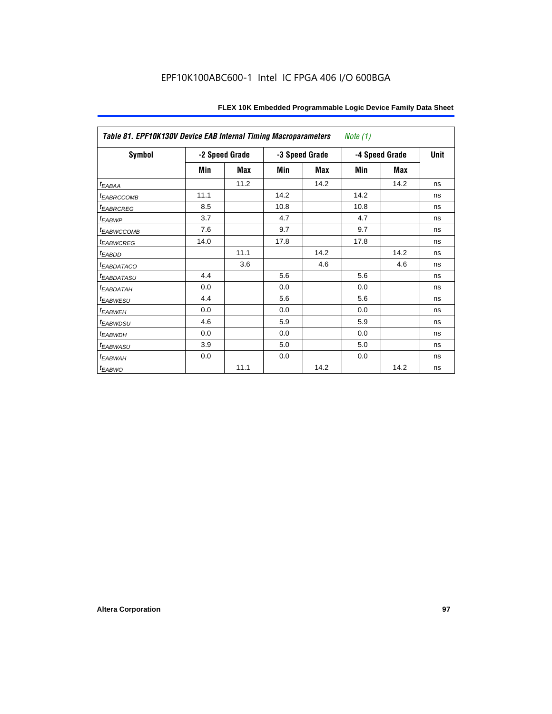| Table 81. EPF10K130V Device EAB Internal Timing Macroparameters<br>Note $(1)$ |      |                |      |                |      |                |    |  |  |  |
|-------------------------------------------------------------------------------|------|----------------|------|----------------|------|----------------|----|--|--|--|
| <b>Symbol</b>                                                                 |      | -2 Speed Grade |      | -3 Speed Grade |      | -4 Speed Grade |    |  |  |  |
|                                                                               | Min  | Max            | Min  | Max            | Min  | Max            |    |  |  |  |
| t <sub>EABAA</sub>                                                            |      | 11.2           |      | 14.2           |      | 14.2           | ns |  |  |  |
| <sup>t</sup> EABRCCOMB                                                        | 11.1 |                | 14.2 |                | 14.2 |                | ns |  |  |  |
| <sup>t</sup> EABRCREG                                                         | 8.5  |                | 10.8 |                | 10.8 |                | ns |  |  |  |
| <sup>t</sup> EABWP                                                            | 3.7  |                | 4.7  |                | 4.7  |                | ns |  |  |  |
| <sup>t</sup> EABWCCOMB                                                        | 7.6  |                | 9.7  |                | 9.7  |                | ns |  |  |  |
| <sup>t</sup> EABWCREG                                                         | 14.0 |                | 17.8 |                | 17.8 |                | ns |  |  |  |
| $t_{EABDD}$                                                                   |      | 11.1           |      | 14.2           |      | 14.2           | ns |  |  |  |
| <i>EABDATACO</i>                                                              |      | 3.6            |      | 4.6            |      | 4.6            | ns |  |  |  |
| <sup>t</sup> EABDATASU                                                        | 4.4  |                | 5.6  |                | 5.6  |                | ns |  |  |  |
| <sup>t</sup> EABDATAH                                                         | 0.0  |                | 0.0  |                | 0.0  |                | ns |  |  |  |
| <sup>t</sup> EABWESU                                                          | 4.4  |                | 5.6  |                | 5.6  |                | ns |  |  |  |
| <sup>t</sup> EABWEH                                                           | 0.0  |                | 0.0  |                | 0.0  |                | ns |  |  |  |
| <sup>t</sup> EABWDSU                                                          | 4.6  |                | 5.9  |                | 5.9  |                | ns |  |  |  |
| <sup>t</sup> EABWDH                                                           | 0.0  |                | 0.0  |                | 0.0  |                | ns |  |  |  |
| <sup>t</sup> EABWASU                                                          | 3.9  |                | 5.0  |                | 5.0  |                | ns |  |  |  |
| <sup>t</sup> EABWAH                                                           | 0.0  |                | 0.0  |                | 0.0  |                | ns |  |  |  |
| <sup>t</sup> EABWO                                                            |      | 11.1           |      | 14.2           |      | 14.2           | ns |  |  |  |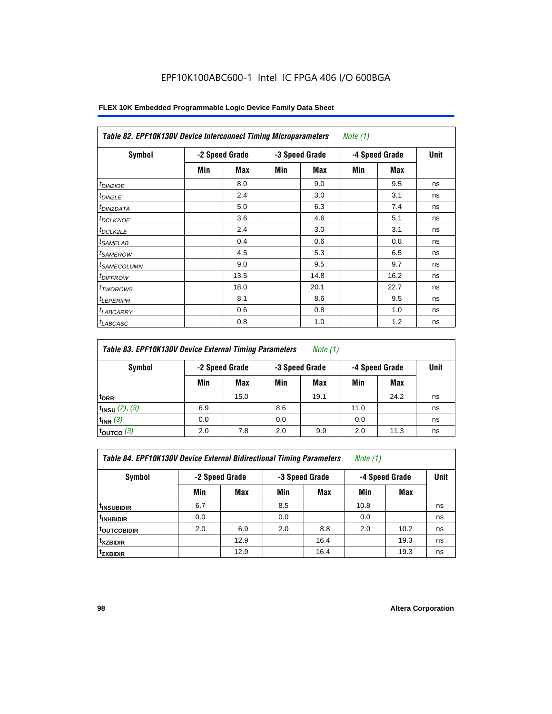| Symbol                  |     | -2 Speed Grade | -3 Speed Grade |      | -4 Speed Grade |      | <b>Unit</b> |
|-------------------------|-----|----------------|----------------|------|----------------|------|-------------|
|                         | Min | Max            | Min            | Max  | Min            | Max  |             |
| $tD$ IN2IOE             |     | 8.0            |                | 9.0  |                | 9.5  | ns          |
| t <sub>DIN2LE</sub>     |     | 2.4            |                | 3.0  |                | 3.1  | ns          |
| <sup>t</sup> DIN2DATA   |     | 5.0            |                | 6.3  |                | 7.4  | ns          |
| <sup>t</sup> DCLK2IOE   |     | 3.6            |                | 4.6  |                | 5.1  | ns          |
| $t_{DCLK2LE}$           |     | 2.4            |                | 3.0  |                | 3.1  | ns          |
| <sup>t</sup> SAMELAB    |     | 0.4            |                | 0.6  |                | 0.8  | ns          |
| <sup>t</sup> SAMEROW    |     | 4.5            |                | 5.3  |                | 6.5  | ns          |
| <sup>t</sup> SAMECOLUMN |     | 9.0            |                | 9.5  |                | 9.7  | ns          |
| <sup>t</sup> DIFFROW    |     | 13.5           |                | 14.8 |                | 16.2 | ns          |
| <sup>t</sup> TWOROWS    |     | 18.0           |                | 20.1 |                | 22.7 | ns          |
| <sup>t</sup> LEPERIPH   |     | 8.1            |                | 8.6  |                | 9.5  | ns          |
| <sup>I</sup> LABCARRY   |     | 0.6            |                | 0.8  |                | 1.0  | ns          |
| <sup>t</sup> LABCASC    |     | 0.8            |                | 1.0  |                | 1.2  | ns          |

| Table 83. EPF10K130V Device External Timing Parameters | Note (1) |
|--------------------------------------------------------|----------|
|--------------------------------------------------------|----------|

| Symbol                 | -2 Speed Grade |      | -3 Speed Grade |      | -4 Speed Grade |      | Unit |
|------------------------|----------------|------|----------------|------|----------------|------|------|
|                        | Min            | Max  | Min            | Max  | Min            | Max  |      |
| t <sub>DRR</sub>       |                | 15.0 |                | 19.1 |                | 24.2 | ns   |
| $t_{INSU}$ (2), (3)    | 6.9            |      | 8.6            |      | 11.0           |      | ns   |
| $t_{INH}$ (3)          | 0.0            |      | 0.0            |      | 0.0            |      | ns   |
| $t_{\text{OUTCO}}$ (3) | 2.0            | 7.8  | 2.0            | 9.9  | 2.0            | 11.3 | ns   |

| <b>Table 84. EPF10K130V Device External Bidirectional Timing Parameters</b> | Note (1) |  |
|-----------------------------------------------------------------------------|----------|--|
|-----------------------------------------------------------------------------|----------|--|

| Symbol                  |     | -2 Speed Grade |     | -3 Speed Grade |      | -4 Speed Grade |    |
|-------------------------|-----|----------------|-----|----------------|------|----------------|----|
|                         | Min | <b>Max</b>     | Min | <b>Max</b>     | Min  | <b>Max</b>     |    |
| <sup>t</sup> INSUBIDIR  | 6.7 |                | 8.5 |                | 10.8 |                | ns |
| <sup>t</sup> INHBIDIR   | 0.0 |                | 0.0 |                | 0.0  |                | ns |
| <sup>t</sup> OUTCOBIDIR | 2.0 | 6.9            | 2.0 | 8.8            | 2.0  | 10.2           | ns |
| <sup>t</sup> xzbidir    |     | 12.9           |     | 16.4           |      | 19.3           | ns |
| <sup>t</sup> zxbidir    |     | 12.9           |     | 16.4           |      | 19.3           | ns |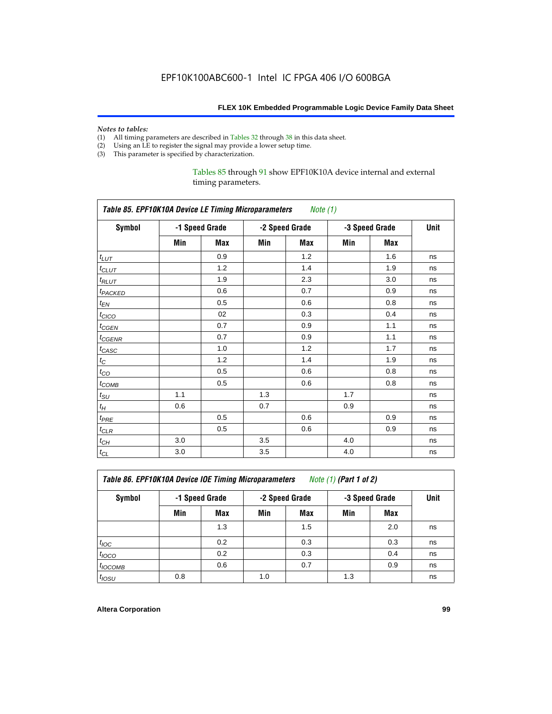# *Notes to tables:*<br>(1) All timing p

- (1) All timing parameters are described in Tables 32 through 38 in this data sheet.<br>(2) Using an LE to register the signal may provide a lower setup time.
- Using an LE to register the signal may provide a lower setup time.
- (3) This parameter is specified by characterization.

### Tables 85 through 91 show EPF10K10A device internal and external timing parameters.

| Table 85. EPF10K10A Device LE Timing Microparameters Note (1) |     |                |     |                |     |                |    |  |  |
|---------------------------------------------------------------|-----|----------------|-----|----------------|-----|----------------|----|--|--|
| <b>Symbol</b>                                                 |     | -1 Speed Grade |     | -2 Speed Grade |     | -3 Speed Grade |    |  |  |
|                                                               | Min | <b>Max</b>     | Min | Max            | Min | <b>Max</b>     |    |  |  |
| $t_{LUT}$                                                     |     | 0.9            |     | 1.2            |     | 1.6            | ns |  |  |
| $t_{CLUT}$                                                    |     | 1.2            |     | 1.4            |     | 1.9            | ns |  |  |
| $t_{RLUT}$                                                    |     | 1.9            |     | 2.3            |     | 3.0            | ns |  |  |
| t <sub>PACKED</sub>                                           |     | 0.6            |     | 0.7            |     | 0.9            | ns |  |  |
| $t_{EN}$                                                      |     | 0.5            |     | 0.6            |     | 0.8            | ns |  |  |
| $t_{CICO}$                                                    |     | 02             |     | 0.3            |     | 0.4            | ns |  |  |
| $t_{CGEN}$                                                    |     | 0.7            |     | 0.9            |     | 1.1            | ns |  |  |
| $t_{GENR}$                                                    |     | 0.7            |     | 0.9            |     | 1.1            | ns |  |  |
| $t_{CASC}$                                                    |     | 1.0            |     | 1.2            |     | 1.7            | ns |  |  |
| $t_{\rm C}$                                                   |     | 1.2            |     | 1.4            |     | 1.9            | ns |  |  |
| $t_{CO}$                                                      |     | 0.5            |     | 0.6            |     | 0.8            | ns |  |  |
| $t_{\text{COMB}}$                                             |     | 0.5            |     | 0.6            |     | 0.8            | ns |  |  |
| $t_{\text{SU}}$                                               | 1.1 |                | 1.3 |                | 1.7 |                | ns |  |  |
| $t_{\!H}$                                                     | 0.6 |                | 0.7 |                | 0.9 |                | ns |  |  |
| $t_{PRE}$                                                     |     | 0.5            |     | 0.6            |     | 0.9            | ns |  |  |
| $t_{CLR}$                                                     |     | 0.5            |     | 0.6            |     | 0.9            | ns |  |  |
| $t_{CH}$                                                      | 3.0 |                | 3.5 |                | 4.0 |                | ns |  |  |
| $t_{CL}$                                                      | 3.0 |                | 3.5 |                | 4.0 |                | ns |  |  |

*Table 86. EPF10K10A Device IOE Timing Microparameters Note (1) (Part 1 of 2)*

| Symbol           |     | -1 Speed Grade |     | -2 Speed Grade |     | -3 Speed Grade |    |  |
|------------------|-----|----------------|-----|----------------|-----|----------------|----|--|
|                  | Min | <b>Max</b>     | Min | Max            | Min | <b>Max</b>     |    |  |
|                  |     | 1.3            |     | 1.5            |     | 2.0            | ns |  |
| $t_{\text{IOC}}$ |     | 0.2            |     | 0.3            |     | 0.3            | ns |  |
| $t_{IOCO}$       |     | 0.2            |     | 0.3            |     | 0.4            | ns |  |
| $t_{IOCOMB}$     |     | 0.6            |     | 0.7            |     | 0.9            | ns |  |
| $t_{IOSU}$       | 0.8 |                | 1.0 |                | 1.3 |                | ns |  |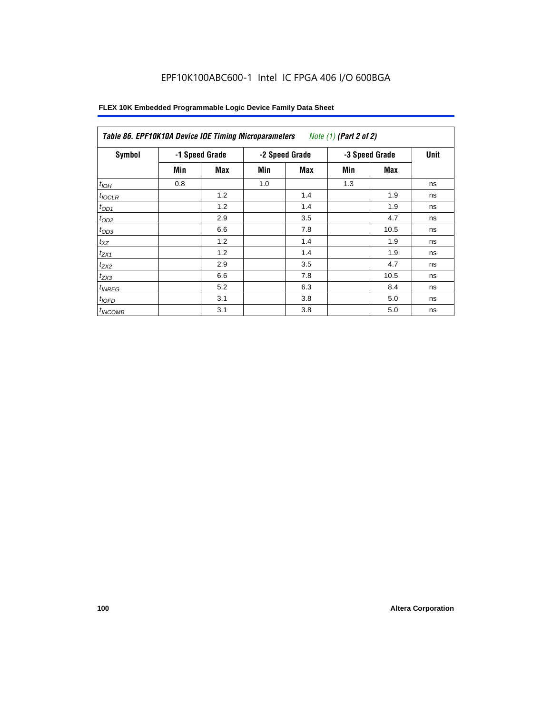# EPF10K100ABC600-1 Intel IC FPGA 406 I/O 600BGA

| Symbol       |     | -1 Speed Grade |     | -2 Speed Grade | -3 Speed Grade | <b>Unit</b> |    |
|--------------|-----|----------------|-----|----------------|----------------|-------------|----|
|              | Min | Max            | Min | Max            | Min            | Max         |    |
| $t_{IOH}$    | 0.8 |                | 1.0 |                | 1.3            |             | ns |
| $t_{IOCLR}$  |     | 1.2            |     | 1.4            |                | 1.9         | ns |
| $t_{OD1}$    |     | 1.2            |     | 1.4            |                | 1.9         | ns |
| $t_{OD2}$    |     | 2.9            |     | 3.5            |                | 4.7         | ns |
| $t_{OD3}$    |     | 6.6            |     | 7.8            |                | 10.5        | ns |
| $t_{XZ}$     |     | 1.2            |     | 1.4            |                | 1.9         | ns |
| $t_{ZX1}$    |     | 1.2            |     | 1.4            |                | 1.9         | ns |
| $t_{ZX2}$    |     | 2.9            |     | 3.5            |                | 4.7         | ns |
| $t_{ZX3}$    |     | 6.6            |     | 7.8            |                | 10.5        | ns |
| $t_{INREG}$  |     | 5.2            |     | 6.3            |                | 8.4         | ns |
| $t_{IOFD}$   |     | 3.1            |     | 3.8            |                | 5.0         | ns |
| $t_{INCOMB}$ |     | 3.1            |     | 3.8            |                | 5.0         | ns |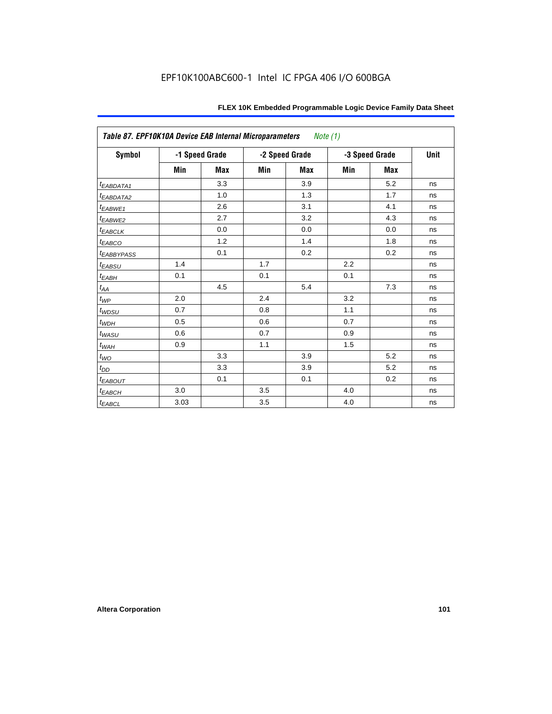| Table 87. EPF10K10A Device EAB Internal Microparameters<br>Note (1) |      |                |     |                |     |                |      |  |  |
|---------------------------------------------------------------------|------|----------------|-----|----------------|-----|----------------|------|--|--|
| <b>Symbol</b>                                                       |      | -1 Speed Grade |     | -2 Speed Grade |     | -3 Speed Grade | Unit |  |  |
|                                                                     | Min  | <b>Max</b>     | Min | <b>Max</b>     | Min | <b>Max</b>     |      |  |  |
| t <sub>EABDATA1</sub>                                               |      | 3.3            |     | 3.9            |     | 5.2            | ns   |  |  |
| t <sub>EABDATA2</sub>                                               |      | 1.0            |     | 1.3            |     | 1.7            | ns   |  |  |
| $t_{EABWE1}$                                                        |      | 2.6            |     | 3.1            |     | 4.1            | ns   |  |  |
| $t_{EABWE2}$                                                        |      | 2.7            |     | 3.2            |     | 4.3            | ns   |  |  |
| $t_{EABCLK}$                                                        |      | 0.0            |     | 0.0            |     | 0.0            | ns   |  |  |
| $t_{EABCO}$                                                         |      | 1.2            |     | 1.4            |     | 1.8            | ns   |  |  |
| <b><i>EABBYPASS</i></b>                                             |      | 0.1            |     | 0.2            |     | 0.2            | ns   |  |  |
| $t_{EABSU}$                                                         | 1.4  |                | 1.7 |                | 2.2 |                | ns   |  |  |
| $t_{EABH}$                                                          | 0.1  |                | 0.1 |                | 0.1 |                | ns   |  |  |
| $t_{AA}$                                                            |      | 4.5            |     | 5.4            |     | 7.3            | ns   |  |  |
| $t_{\mathit{WP}}$                                                   | 2.0  |                | 2.4 |                | 3.2 |                | ns   |  |  |
| $t_{W\!D\!S\!U}$                                                    | 0.7  |                | 0.8 |                | 1.1 |                | ns   |  |  |
| $t_{WDH}$                                                           | 0.5  |                | 0.6 |                | 0.7 |                | ns   |  |  |
| t <sub>WASU</sub>                                                   | 0.6  |                | 0.7 |                | 0.9 |                | ns   |  |  |
| $t_{WAH}$                                                           | 0.9  |                | 1.1 |                | 1.5 |                | ns   |  |  |
| $t_{WO}$                                                            |      | 3.3            |     | 3.9            |     | 5.2            | ns   |  |  |
| $t_{DD}$                                                            |      | 3.3            |     | 3.9            |     | 5.2            | ns   |  |  |
| $t_{EABOUT}$                                                        |      | 0.1            |     | 0.1            |     | 0.2            | ns   |  |  |
| $t_{EABCH}$                                                         | 3.0  |                | 3.5 |                | 4.0 |                | ns   |  |  |
| $t_{EABCL}$                                                         | 3.03 |                | 3.5 |                | 4.0 |                | ns   |  |  |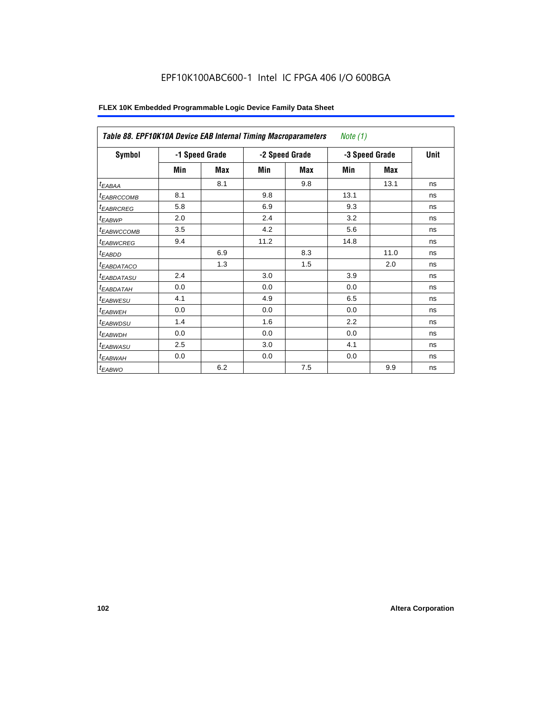|                        | Table 88. EPF10K10A Device EAB Internal Timing Macroparameters<br>Note $(1)$ |            |      |                |                |             |    |  |  |  |
|------------------------|------------------------------------------------------------------------------|------------|------|----------------|----------------|-------------|----|--|--|--|
| Symbol                 | -1 Speed Grade                                                               |            |      | -2 Speed Grade | -3 Speed Grade | <b>Unit</b> |    |  |  |  |
|                        | Min                                                                          | <b>Max</b> | Min  | Max            | Min            | Max         |    |  |  |  |
| t <sub>EABAA</sub>     |                                                                              | 8.1        |      | 9.8            |                | 13.1        | ns |  |  |  |
| <sup>t</sup> EABRCCOMB | 8.1                                                                          |            | 9.8  |                | 13.1           |             | ns |  |  |  |
| <sup>t</sup> EABRCREG  | 5.8                                                                          |            | 6.9  |                | 9.3            |             | ns |  |  |  |
| <sup>t</sup> EABWP     | 2.0                                                                          |            | 2.4  |                | 3.2            |             | ns |  |  |  |
| <sup>I</sup> EABWCCOMB | 3.5                                                                          |            | 4.2  |                | 5.6            |             | ns |  |  |  |
| <sup>t</sup> EABWCREG  | 9.4                                                                          |            | 11.2 |                | 14.8           |             | ns |  |  |  |
| <sup>t</sup> EABDD     |                                                                              | 6.9        |      | 8.3            |                | 11.0        | ns |  |  |  |
| <sup>t</sup> EABDATACO |                                                                              | 1.3        |      | 1.5            |                | 2.0         | ns |  |  |  |
| <sup>t</sup> EABDATASU | 2.4                                                                          |            | 3.0  |                | 3.9            |             | ns |  |  |  |
| <sup>t</sup> EABDATAH  | 0.0                                                                          |            | 0.0  |                | 0.0            |             | ns |  |  |  |
| <sup>t</sup> EABWESU   | 4.1                                                                          |            | 4.9  |                | 6.5            |             | ns |  |  |  |
| <sup>t</sup> EABWEH    | 0.0                                                                          |            | 0.0  |                | 0.0            |             | ns |  |  |  |
| <sup>t</sup> EABWDSU   | 1.4                                                                          |            | 1.6  |                | 2.2            |             | ns |  |  |  |
| <sup>t</sup> EABWDH    | 0.0                                                                          |            | 0.0  |                | 0.0            |             | ns |  |  |  |
| <sup>t</sup> EABWASU   | 2.5                                                                          |            | 3.0  |                | 4.1            |             | ns |  |  |  |
| <sup>t</sup> EABWAH    | 0.0                                                                          |            | 0.0  |                | 0.0            |             | ns |  |  |  |
| t <sub>EABWO</sub>     |                                                                              | 6.2        |      | 7.5            |                | 9.9         | ns |  |  |  |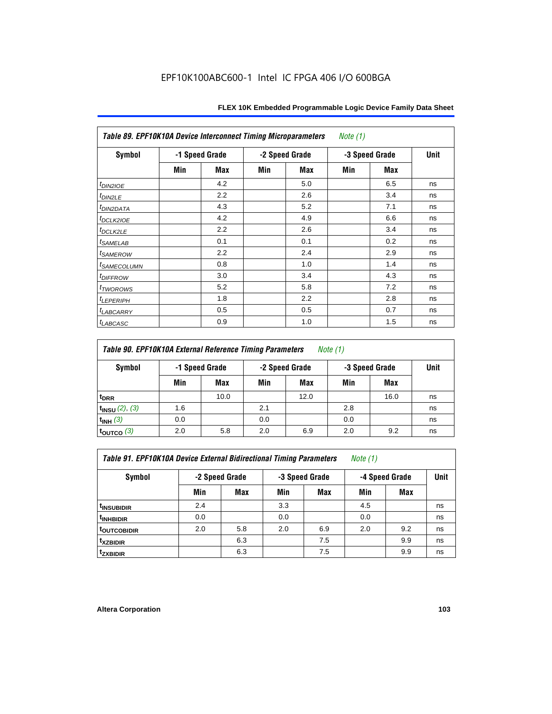| Table 89. EPF10K10A Device Interconnect Timing Microparameters<br>Note $(1)$ |                |     |                |     |                |     |      |  |  |
|------------------------------------------------------------------------------|----------------|-----|----------------|-----|----------------|-----|------|--|--|
| Symbol                                                                       | -1 Speed Grade |     | -2 Speed Grade |     | -3 Speed Grade |     | Unit |  |  |
|                                                                              | Min            | Max | Min            | Max | Min            | Max |      |  |  |
| $t_{DINZIOE}$                                                                |                | 4.2 |                | 5.0 |                | 6.5 | ns   |  |  |
| t <sub>DIN2LE</sub>                                                          |                | 2.2 |                | 2.6 |                | 3.4 | ns   |  |  |
| <sup>t</sup> DIN2DATA                                                        |                | 4.3 |                | 5.2 |                | 7.1 | ns   |  |  |
| t <sub>DCLK2IOE</sub>                                                        |                | 4.2 |                | 4.9 |                | 6.6 | ns   |  |  |
| t <sub>DCLK2LE</sub>                                                         |                | 2.2 |                | 2.6 |                | 3.4 | ns   |  |  |
| <i>t</i> SAMELAB                                                             |                | 0.1 |                | 0.1 |                | 0.2 | ns   |  |  |
| <i>t<sub>SAMEROW</sub></i>                                                   |                | 2.2 |                | 2.4 |                | 2.9 | ns   |  |  |
| <sup>t</sup> SAMECOLUMN                                                      |                | 0.8 |                | 1.0 |                | 1.4 | ns   |  |  |
| <i>t<sub>DIFFROW</sub></i>                                                   |                | 3.0 |                | 3.4 |                | 4.3 | ns   |  |  |
| <sup>t</sup> TWOROWS                                                         |                | 5.2 |                | 5.8 |                | 7.2 | ns   |  |  |
| <b><i>LEPERIPH</i></b>                                                       |                | 1.8 |                | 2.2 |                | 2.8 | ns   |  |  |
| t <sub>LABCARRY</sub>                                                        |                | 0.5 |                | 0.5 |                | 0.7 | ns   |  |  |
| t <sub>LABCASC</sub>                                                         |                | 0.9 |                | 1.0 |                | 1.5 | ns   |  |  |

| Table 90. EPF10K10A External Reference Timing Parameters | Note (1) |
|----------------------------------------------------------|----------|
|----------------------------------------------------------|----------|

| Symbol                 | -1 Speed Grade |      | -2 Speed Grade |      | -3 Speed Grade | Unit |    |
|------------------------|----------------|------|----------------|------|----------------|------|----|
|                        | Min            | Max  | Min            | Max  | Min            | Max  |    |
| t <sub>DRR</sub>       |                | 10.0 |                | 12.0 |                | 16.0 | ns |
| $t_{INSU} (2), (3)$    | 1.6            |      | 2.1            |      | 2.8            |      | ns |
| $t_{INH}$ (3)          | 0.0            |      | 0.0            |      | 0.0            |      | ns |
| $t_{\text{OUTCO}}$ (3) | 2.0            | 5.8  | 2.0            | 6.9  | 2.0            | 9.2  | ns |

*Table 91. EPF10K10A Device External Bidirectional Timing Parameters Note (1)*

| Symbol                  | -2 Speed Grade |     |     | -3 Speed Grade | -4 Speed Grade | Unit       |    |
|-------------------------|----------------|-----|-----|----------------|----------------|------------|----|
|                         | Min            | Max | Min | <b>Max</b>     | Min            | <b>Max</b> |    |
| <sup>t</sup> insubidir  | 2.4            |     | 3.3 |                | 4.5            |            | ns |
| <sup>T</sup> INHBIDIR   | 0.0            |     | 0.0 |                | 0.0            |            | ns |
| <sup>t</sup> OUTCOBIDIR | 2.0            | 5.8 | 2.0 | 6.9            | 2.0            | 9.2        | ns |
| <sup>t</sup> xzbidir    |                | 6.3 |     | 7.5            |                | 9.9        | ns |
| <sup>t</sup> zxbidir    |                | 6.3 |     | 7.5            |                | 9.9        | ns |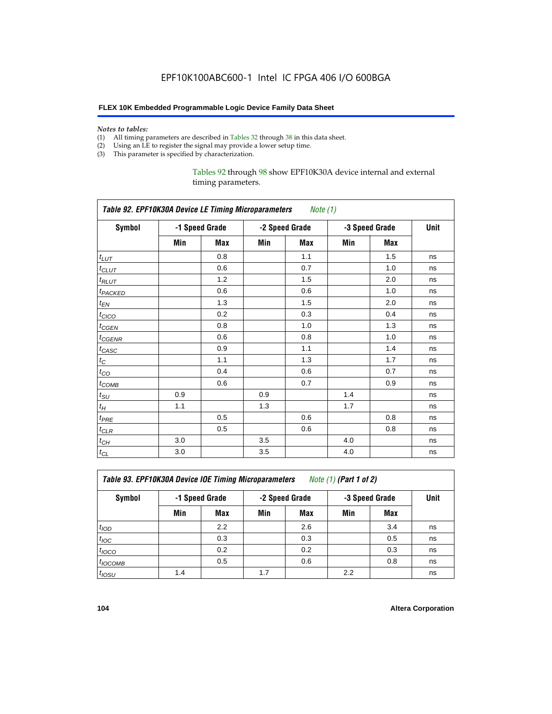#### *Notes to tables:*

- (1) All timing parameters are described in Tables 32 through 38 in this data sheet.
- (2) Using an LE to register the signal may provide a lower setup time.
- (3) This parameter is specified by characterization.

Tables 92 through 98 show EPF10K30A device internal and external timing parameters.

| Table 92. EPF10K30A Device LE Timing Microparameters Note (1) |                |     |     |                |                |      |    |  |  |
|---------------------------------------------------------------|----------------|-----|-----|----------------|----------------|------|----|--|--|
| <b>Symbol</b>                                                 | -1 Speed Grade |     |     | -2 Speed Grade | -3 Speed Grade | Unit |    |  |  |
|                                                               | Min            | Max | Min | Max            | Min            | Max  |    |  |  |
| $t_{LUT}$                                                     |                | 0.8 |     | 1.1            |                | 1.5  | ns |  |  |
| $t_{CLUT}$                                                    |                | 0.6 |     | 0.7            |                | 1.0  | ns |  |  |
| $t_{RLUT}$                                                    |                | 1.2 |     | 1.5            |                | 2.0  | ns |  |  |
| <b><i>t<sub>PACKED</sub></i></b>                              |                | 0.6 |     | 0.6            |                | 1.0  | ns |  |  |
| $t_{EN}$                                                      |                | 1.3 |     | 1.5            |                | 2.0  | ns |  |  |
| $t_{CICO}$                                                    |                | 0.2 |     | 0.3            |                | 0.4  | ns |  |  |
| $t_{\text{GEN}}$                                              |                | 0.8 |     | 1.0            |                | 1.3  | ns |  |  |
| t <sub>CGENR</sub>                                            |                | 0.6 |     | 0.8            |                | 1.0  | ns |  |  |
| $t_{CASC}$                                                    |                | 0.9 |     | 1.1            |                | 1.4  | ns |  |  |
| $t_C$                                                         |                | 1.1 |     | 1.3            |                | 1.7  | ns |  |  |
| $t_{CO}$                                                      |                | 0.4 |     | 0.6            |                | 0.7  | ns |  |  |
| $t_{\text{COMB}}$                                             |                | 0.6 |     | 0.7            |                | 0.9  | ns |  |  |
| $t_{\rm SU}$                                                  | 0.9            |     | 0.9 |                | 1.4            |      | ns |  |  |
| $t_H$                                                         | 1.1            |     | 1.3 |                | 1.7            |      | ns |  |  |
| $t_{PRE}$                                                     |                | 0.5 |     | 0.6            |                | 0.8  | ns |  |  |
| $t_{CLR}$                                                     |                | 0.5 |     | 0.6            |                | 0.8  | ns |  |  |
| $t_{CH}$                                                      | 3.0            |     | 3.5 |                | 4.0            |      | ns |  |  |
| $t_{CL}$                                                      | 3.0            |     | 3.5 |                | 4.0            |      | ns |  |  |

*Table 93. EPF10K30A Device IOE Timing Microparameters Note (1) (Part 1 of 2)*

| Symbol            | -1 Speed Grade |     |     | -2 Speed Grade | -3 Speed Grade | <b>Unit</b> |    |  |  |  |  |
|-------------------|----------------|-----|-----|----------------|----------------|-------------|----|--|--|--|--|
|                   | Min            | Max | Min | <b>Max</b>     | Min            | <b>Max</b>  |    |  |  |  |  |
| t <sub>IOD</sub>  |                | 2.2 |     | 2.6            |                | 3.4         | ns |  |  |  |  |
| $t_{\text{IOC}}$  |                | 0.3 |     | 0.3            |                | 0.5         | ns |  |  |  |  |
| $t_{IOCO}$        |                | 0.2 |     | 0.2            |                | 0.3         | ns |  |  |  |  |
| $t_{IOCOMB}$      |                | 0.5 |     | 0.6            |                | 0.8         | ns |  |  |  |  |
| t <sub>IOSU</sub> | 1.4            |     | 1.7 |                | 2.2            |             | ns |  |  |  |  |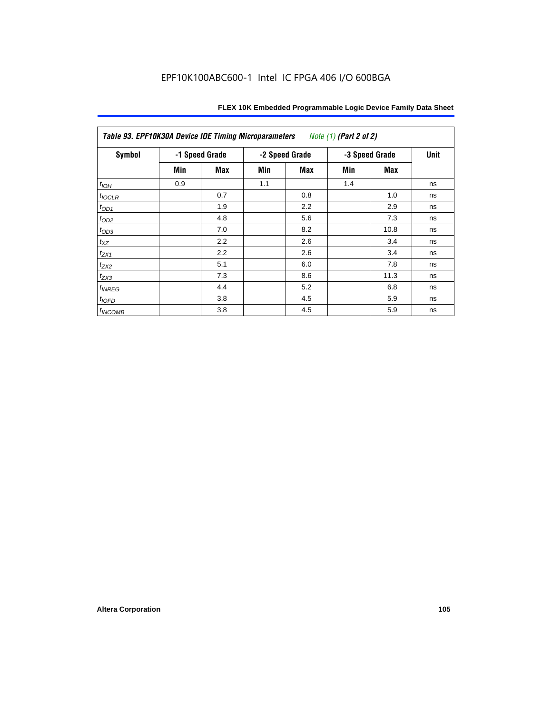| Table 93. EPF10K30A Device IOE Timing Microparameters<br>Note (1) (Part 2 of 2) |     |                |     |                |                |            |    |  |  |  |
|---------------------------------------------------------------------------------|-----|----------------|-----|----------------|----------------|------------|----|--|--|--|
| Symbol                                                                          |     | -1 Speed Grade |     | -2 Speed Grade | -3 Speed Grade | Unit       |    |  |  |  |
|                                                                                 | Min | Max            | Min | <b>Max</b>     | Min            | <b>Max</b> |    |  |  |  |
| $t_{IOH}$                                                                       | 0.9 |                | 1.1 |                | 1.4            |            | ns |  |  |  |
| $t_{IOCLR}$                                                                     |     | 0.7            |     | 0.8            |                | 1.0        | ns |  |  |  |
| $t_{OD1}$                                                                       |     | 1.9            |     | 2.2            |                | 2.9        | ns |  |  |  |
| $t_{OD2}$                                                                       |     | 4.8            |     | 5.6            |                | 7.3        | ns |  |  |  |
| $t_{OD3}$                                                                       |     | 7.0            |     | 8.2            |                | 10.8       | ns |  |  |  |
| $t_{XZ}$                                                                        |     | 2.2            |     | 2.6            |                | 3.4        | ns |  |  |  |
| $t_{ZX1}$                                                                       |     | 2.2            |     | 2.6            |                | 3.4        | ns |  |  |  |
| $t_{ZX2}$                                                                       |     | 5.1            |     | 6.0            |                | 7.8        | ns |  |  |  |
| $t_{ZX3}$                                                                       |     | 7.3            |     | 8.6            |                | 11.3       | ns |  |  |  |
| $t_{INREG}$                                                                     |     | 4.4            |     | 5.2            |                | 6.8        | ns |  |  |  |
| t <sub>IOFD</sub>                                                               |     | 3.8            |     | 4.5            |                | 5.9        | ns |  |  |  |
| $t_{INCOMB}$                                                                    |     | 3.8            |     | 4.5            |                | 5.9        | ns |  |  |  |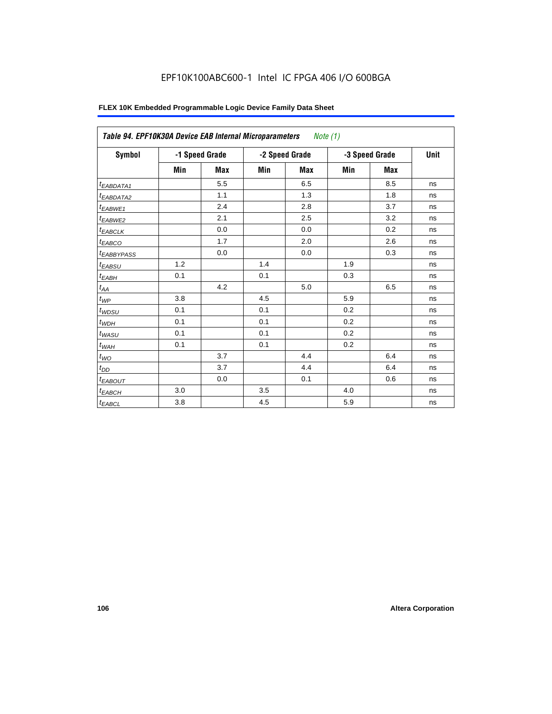# EPF10K100ABC600-1 Intel IC FPGA 406 I/O 600BGA

| Symbol                 |         | -1 Speed Grade |     | -2 Speed Grade | -3 Speed Grade | Unit       |    |
|------------------------|---------|----------------|-----|----------------|----------------|------------|----|
|                        | Min     | <b>Max</b>     | Min | Max            | Min            | <b>Max</b> |    |
| <sup>t</sup> EABDATA1  |         | 5.5            |     | 6.5            |                | 8.5        | ns |
| <sup>t</sup> EABDATA2  |         | 1.1            |     | 1.3            |                | 1.8        | ns |
| t <sub>EABWE1</sub>    |         | 2.4            |     | 2.8            |                | 3.7        | ns |
| <sup>t</sup> EABWE2    |         | 2.1            |     | 2.5            |                | 3.2        | ns |
| <sup>t</sup> EABCLK    |         | 0.0            |     | 0.0            |                | 0.2        | ns |
| t <sub>EABCO</sub>     |         | 1.7            |     | 2.0            |                | 2.6        | ns |
| <sup>t</sup> EABBYPASS |         | 0.0            |     | 0.0            |                | 0.3        | ns |
| t <sub>EABSU</sub>     | 1.2     |                | 1.4 |                | 1.9            |            | ns |
| t <sub>ЕАВН</sub>      | 0.1     |                | 0.1 |                | 0.3            |            | ns |
| $t_{AA}$               |         | 4.2            |     | 5.0            |                | 6.5        | ns |
| $t_{\mathcal{WP}}$     | 3.8     |                | 4.5 |                | 5.9            |            | ns |
| t <sub>WDSU</sub>      | 0.1     |                | 0.1 |                | 0.2            |            | ns |
| $t_{WDH}$              | 0.1     |                | 0.1 |                | 0.2            |            | ns |
| t <sub>WASU</sub>      | 0.1     |                | 0.1 |                | 0.2            |            | ns |
| $t_{WAH}$              | 0.1     |                | 0.1 |                | 0.2            |            | ns |
| $t_{WO}$               |         | 3.7            |     | 4.4            |                | 6.4        | ns |
| $t_{DD}$               |         | 3.7            |     | 4.4            |                | 6.4        | ns |
| <sup>t</sup> EABOUT    |         | 0.0            |     | 0.1            |                | 0.6        | ns |
| $t_{EABCH}$            | 3.0     |                | 3.5 |                | 4.0            |            | ns |
| $t_{EABCL}$            | $3.8\,$ |                | 4.5 |                | 5.9            |            | ns |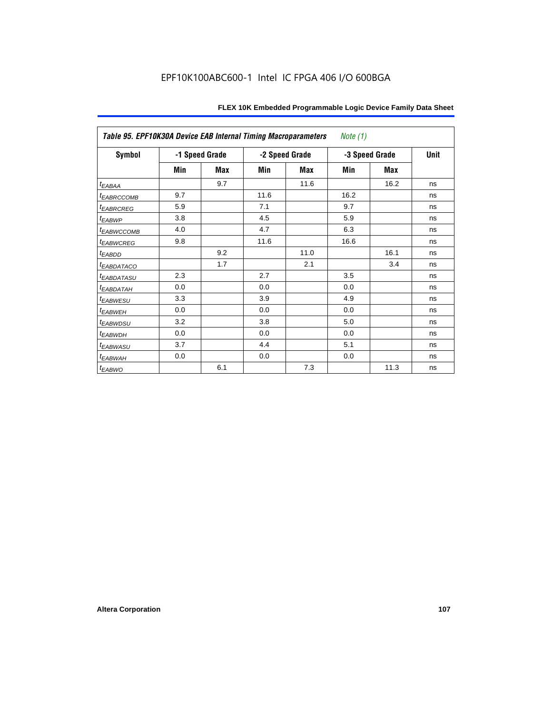| Table 95. EPF10K30A Device EAB Internal Timing Macroparameters<br>Note $(1)$ |                |            |      |                |                |             |    |  |  |
|------------------------------------------------------------------------------|----------------|------------|------|----------------|----------------|-------------|----|--|--|
| Symbol                                                                       | -1 Speed Grade |            |      | -2 Speed Grade | -3 Speed Grade | <b>Unit</b> |    |  |  |
|                                                                              | Min            | <b>Max</b> | Min  | <b>Max</b>     | Min            | Max         |    |  |  |
| $t_{EABA}$                                                                   |                | 9.7        |      | 11.6           |                | 16.2        | ns |  |  |
| <sup>t</sup> EABRCCOMB                                                       | 9.7            |            | 11.6 |                | 16.2           |             | ns |  |  |
| <sup>t</sup> EABRCREG                                                        | 5.9            |            | 7.1  |                | 9.7            |             | ns |  |  |
| t <sub>EABWP</sub>                                                           | 3.8            |            | 4.5  |                | 5.9            |             | ns |  |  |
| <sup>t</sup> ЕАВWССОМВ                                                       | 4.0            |            | 4.7  |                | 6.3            |             | ns |  |  |
| <sup>t</sup> EABWCREG                                                        | 9.8            |            | 11.6 |                | 16.6           |             | ns |  |  |
| $t_{EABDD}$                                                                  |                | 9.2        |      | 11.0           |                | 16.1        | ns |  |  |
| <sup>t</sup> EABDATACO                                                       |                | 1.7        |      | 2.1            |                | 3.4         | ns |  |  |
| <sup>t</sup> EABDATASU                                                       | 2.3            |            | 2.7  |                | 3.5            |             | ns |  |  |
| <sup>t</sup> EABDATAH                                                        | 0.0            |            | 0.0  |                | 0.0            |             | ns |  |  |
| <sup>t</sup> EABWESU                                                         | 3.3            |            | 3.9  |                | 4.9            |             | ns |  |  |
| <sup>t</sup> ЕАВWЕН                                                          | 0.0            |            | 0.0  |                | 0.0            |             | ns |  |  |
| <i>t<sub>EABWDSU</sub></i>                                                   | 3.2            |            | 3.8  |                | 5.0            |             | ns |  |  |
| <sup>t</sup> EABWDH                                                          | 0.0            |            | 0.0  |                | 0.0            |             | ns |  |  |
| <sup>t</sup> EABWASU                                                         | 3.7            |            | 4.4  |                | 5.1            |             | ns |  |  |
| <sup>t</sup> EABWAH                                                          | 0.0            |            | 0.0  |                | 0.0            |             | ns |  |  |
| $t_{EABWO}$                                                                  |                | 6.1        |      | 7.3            |                | 11.3        | ns |  |  |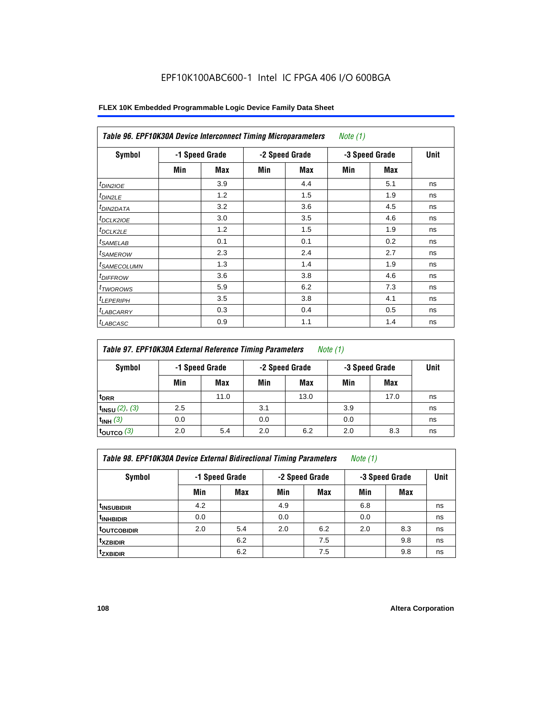# EPF10K100ABC600-1 Intel IC FPGA 406 I/O 600BGA

| <b>Symbol</b>              |     | -1 Speed Grade |     | -2 Speed Grade | -3 Speed Grade | <b>Unit</b> |    |
|----------------------------|-----|----------------|-----|----------------|----------------|-------------|----|
|                            | Min | Max            | Min | Max            | Min            | Max         |    |
| $t_{DINZIOE}$              |     | 3.9            |     | 4.4            |                | 5.1         | ns |
| t <sub>DIN2LE</sub>        |     | 1.2            |     | 1.5            |                | 1.9         | ns |
| <sup>t</sup> DIN2DATA      |     | 3.2            |     | 3.6            |                | 4.5         | ns |
| <sup>t</sup> DCLK2IOE      |     | 3.0            |     | 3.5            |                | 4.6         | ns |
| <sup>t</sup> DCLK2LE       |     | 1.2            |     | 1.5            |                | 1.9         | ns |
| <sup>t</sup> SAMELAB       |     | 0.1            |     | 0.1            |                | 0.2         | ns |
| <sup>t</sup> SAMEROW       |     | 2.3            |     | 2.4            |                | 2.7         | ns |
| <sup>t</sup> SAMECOLUMN    |     | 1.3            |     | 1.4            |                | 1.9         | ns |
| <i>t<sub>DIFFROW</sub></i> |     | 3.6            |     | 3.8            |                | 4.6         | ns |
| <sup>T</sup> TWOROWS       |     | 5.9            |     | 6.2            |                | 7.3         | ns |
| <sup>t</sup> LEPERIPH      |     | 3.5            |     | 3.8            |                | 4.1         | ns |
| <sup>t</sup> LABCARRY      |     | 0.3            |     | 0.4            |                | 0.5         | ns |
| <sup>t</sup> LABCASC       |     | 0.9            |     | 1.1            |                | 1.4         | ns |

## **FLEX 10K Embedded Programmable Logic Device Family Data Sheet**

| <b>Table 97. EPF10K30A External Reference Timing Parameters</b><br><i>Note</i> $(1)$ |     |                |     |                                  |     |            |      |  |  |
|--------------------------------------------------------------------------------------|-----|----------------|-----|----------------------------------|-----|------------|------|--|--|
| Symbol                                                                               |     | -1 Speed Grade |     | -2 Speed Grade<br>-3 Speed Grade |     |            | Unit |  |  |
|                                                                                      | Min | Max            | Min | Max                              | Min | <b>Max</b> |      |  |  |
| t <sub>DRR</sub>                                                                     |     | 11.0           |     | 13.0                             |     | 17.0       | ns   |  |  |
| $t_{INSU}$ (2), (3)                                                                  | 2.5 |                | 3.1 |                                  | 3.9 |            | ns   |  |  |
| $t_{INH}$ (3)                                                                        | 0.0 |                | 0.0 |                                  | 0.0 |            | ns   |  |  |
| $t_{\rm OUTCO}$ $(3)$                                                                | 2.0 | 5.4            | 2.0 | 6.2                              | 2.0 | 8.3        | ns   |  |  |

*Table 98. EPF10K30A Device External Bidirectional Timing Parameters Note (1)*

| Symbol                 |     | -1 Speed Grade |     | -2 Speed Grade |     | -3 Speed Grade |    |  |
|------------------------|-----|----------------|-----|----------------|-----|----------------|----|--|
|                        | Min | <b>Max</b>     | Min | <b>Max</b>     | Min | <b>Max</b>     |    |  |
| <sup>t</sup> INSUBIDIR | 4.2 |                | 4.9 |                | 6.8 |                | ns |  |
| <sup>t</sup> INHBIDIR  | 0.0 |                | 0.0 |                | 0.0 |                | ns |  |
| <b>toutcobidir</b>     | 2.0 | 5.4            | 2.0 | 6.2            | 2.0 | 8.3            | ns |  |
| <sup>t</sup> xzbidir   |     | 6.2            |     | 7.5            |     | 9.8            | ns |  |
| <i>t</i> zxbidir       |     | 6.2            |     | 7.5            |     | 9.8            | ns |  |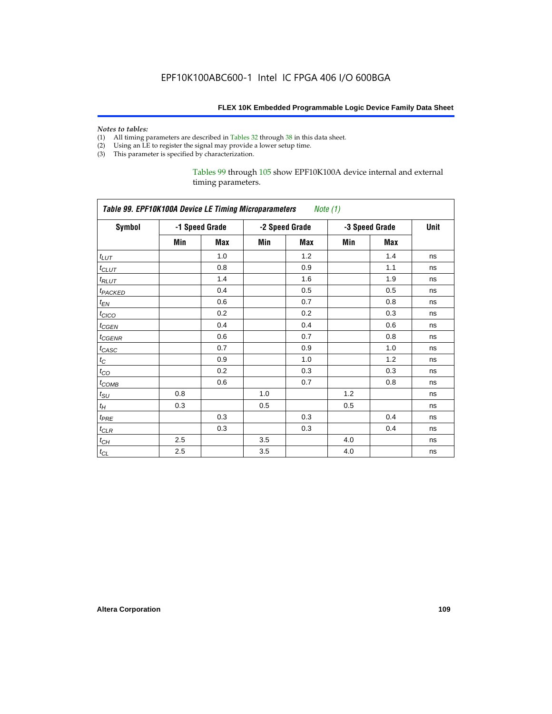#### *Notes to tables:*

- (1) All timing parameters are described in Tables 32 through 38 in this data sheet.
- (2) Using an LE to register the signal may provide a lower setup time.
- (3) This parameter is specified by characterization.

Tables 99 through 105 show EPF10K100A device internal and external timing parameters.

| Table 99. EPF10K100A Device LE Timing Microparameters Note (1) |     |                |     |                |     |                |      |  |  |
|----------------------------------------------------------------|-----|----------------|-----|----------------|-----|----------------|------|--|--|
| <b>Symbol</b>                                                  |     | -1 Speed Grade |     | -2 Speed Grade |     | -3 Speed Grade | Unit |  |  |
|                                                                | Min | Max            | Min | Max            | Min | Max            |      |  |  |
| $t_{LUT}$                                                      |     | 1.0            |     | 1.2            |     | 1.4            | ns   |  |  |
| $t_{CLUT}$                                                     |     | 0.8            |     | 0.9            |     | 1.1            | ns   |  |  |
| $t_{RLUT}$                                                     |     | 1.4            |     | 1.6            |     | 1.9            | ns   |  |  |
| t <sub>PACKED</sub>                                            |     | 0.4            |     | 0.5            |     | 0.5            | ns   |  |  |
| $t_{EN}$                                                       |     | 0.6            |     | 0.7            |     | 0.8            | ns   |  |  |
| $t_{CICO}$                                                     |     | 0.2            |     | 0.2            |     | 0.3            | ns   |  |  |
| $t_{CGEN}$                                                     |     | 0.4            |     | 0.4            |     | 0.6            | ns   |  |  |
| $t_{GENR}$                                                     |     | 0.6            |     | 0.7            |     | 0.8            | ns   |  |  |
| t <sub>CASC</sub>                                              |     | 0.7            |     | 0.9            |     | 1.0            | ns   |  |  |
| $t_{\rm C}$                                                    |     | 0.9            |     | 1.0            |     | 1.2            | ns   |  |  |
| $t_{CO}$                                                       |     | 0.2            |     | 0.3            |     | 0.3            | ns   |  |  |
| $t_{COMB}$                                                     |     | 0.6            |     | 0.7            |     | 0.8            | ns   |  |  |
| $t_{\rm SU}$                                                   | 0.8 |                | 1.0 |                | 1.2 |                | ns   |  |  |
| $t_H\,$                                                        | 0.3 |                | 0.5 |                | 0.5 |                | ns   |  |  |
| $t_{PRE}$                                                      |     | 0.3            |     | 0.3            |     | 0.4            | ns   |  |  |
| $t_{CLR}$                                                      |     | 0.3            |     | 0.3            |     | 0.4            | ns   |  |  |
| $t_{CH}$                                                       | 2.5 |                | 3.5 |                | 4.0 |                | ns   |  |  |
| $t_{CL}$                                                       | 2.5 |                | 3.5 |                | 4.0 |                | ns   |  |  |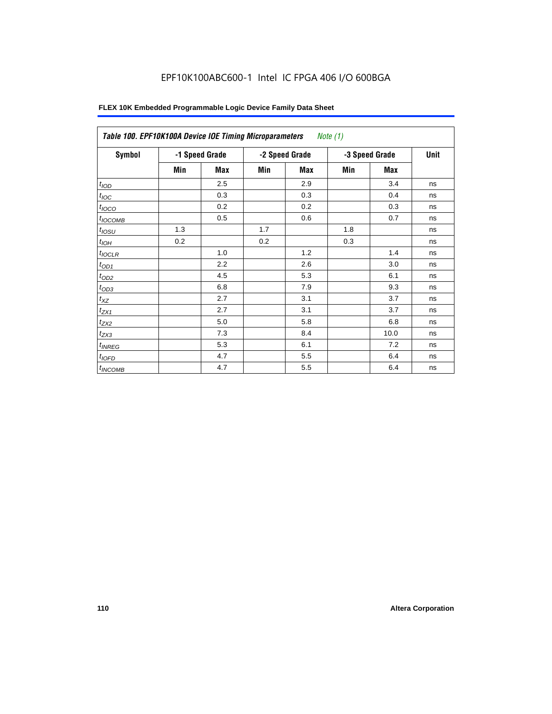# EPF10K100ABC600-1 Intel IC FPGA 406 I/O 600BGA

| Symbol              | -1 Speed Grade |     |     | -2 Speed Grade | -3 Speed Grade | Unit |    |
|---------------------|----------------|-----|-----|----------------|----------------|------|----|
|                     | Min            | Max | Min | Max            | Min            | Max  |    |
| t <sub>IOD</sub>    |                | 2.5 |     | 2.9            |                | 3.4  | ns |
| $t_{\text{IOC}}$    |                | 0.3 |     | 0.3            |                | 0.4  | ns |
| $t_{IOCO}$          |                | 0.2 |     | 0.2            |                | 0.3  | ns |
| t <sub>IOCOMB</sub> |                | 0.5 |     | 0.6            |                | 0.7  | ns |
| t <sub>iosu</sub>   | 1.3            |     | 1.7 |                | 1.8            |      | ns |
| $t_{IOH}$           | 0.2            |     | 0.2 |                | 0.3            |      | ns |
| $t_{IOCLR}$         |                | 1.0 |     | 1.2            |                | 1.4  | ns |
| $t_{OD1}$           |                | 2.2 |     | 2.6            |                | 3.0  | ns |
| $t_{OD2}$           |                | 4.5 |     | 5.3            |                | 6.1  | ns |
| $t_{OD3}$           |                | 6.8 |     | 7.9            |                | 9.3  | ns |
| $t_{XZ}$            |                | 2.7 |     | 3.1            |                | 3.7  | ns |
| $t_{ZX1}$           |                | 2.7 |     | 3.1            |                | 3.7  | ns |
| $t_{ZX2}$           |                | 5.0 |     | 5.8            |                | 6.8  | ns |
| $t_{ZX3}$           |                | 7.3 |     | 8.4            |                | 10.0 | ns |
| $t_{INREG}$         |                | 5.3 |     | 6.1            |                | 7.2  | ns |
| $t_{IOED}$          |                | 4.7 |     | 5.5            |                | 6.4  | ns |
| <sup>t</sup> INCOMB |                | 4.7 |     | 5.5            |                | 6.4  | ns |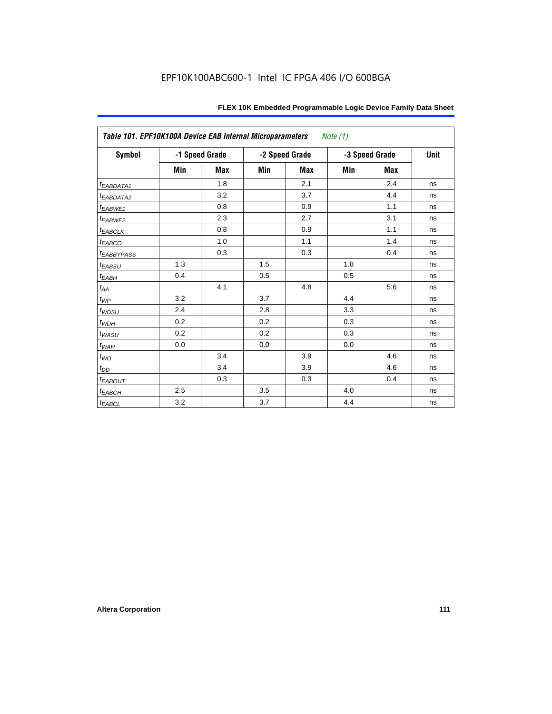| Table 101. EPF10K100A Device EAB Internal Microparameters |     |                |     |                | Note (1) |                |      |
|-----------------------------------------------------------|-----|----------------|-----|----------------|----------|----------------|------|
| <b>Symbol</b>                                             |     | -1 Speed Grade |     | -2 Speed Grade |          | -3 Speed Grade | Unit |
|                                                           | Min | <b>Max</b>     | Min | <b>Max</b>     | Min      | <b>Max</b>     |      |
| t <sub>EABDATA1</sub>                                     |     | 1.8            |     | 2.1            |          | 2.4            | ns   |
| t <sub>EABDATA2</sub>                                     |     | 3.2            |     | 3.7            |          | 4.4            | ns   |
| t <sub>EABWE1</sub>                                       |     | 0.8            |     | 0.9            |          | 1.1            | ns   |
| t <sub>EABWE2</sub>                                       |     | 2.3            |     | 2.7            |          | 3.1            | ns   |
| $t_{EABCLK}$                                              |     | 0.8            |     | 0.9            |          | 1.1            | ns   |
| $t_{EABCO}$                                               |     | 1.0            |     | 1.1            |          | 1.4            | ns   |
| <b><i>EABBYPASS</i></b>                                   |     | 0.3            |     | 0.3            |          | 0.4            | ns   |
| $t_{EABSU}$                                               | 1.3 |                | 1.5 |                | 1.8      |                | ns   |
| $t_{EABH}$                                                | 0.4 |                | 0.5 |                | 0.5      |                | ns   |
| $t_{\mathit{AA}}$                                         |     | 4.1            |     | 4.8            |          | 5.6            | ns   |
| $t_{\mathit{WP}}$                                         | 3.2 |                | 3.7 |                | 4.4      |                | ns   |
| $t_{WDSU}$                                                | 2.4 |                | 2.8 |                | 3.3      |                | ns   |
| $t_{WDH}$                                                 | 0.2 |                | 0.2 |                | 0.3      |                | ns   |
| $t_{WASU}$                                                | 0.2 |                | 0.2 |                | 0.3      |                | ns   |
| $t_{WAH}$                                                 | 0.0 |                | 0.0 |                | 0.0      |                | ns   |
| $t_{WO}$                                                  |     | 3.4            |     | 3.9            |          | 4.6            | ns   |
| $t_{DD}$                                                  |     | 3.4            |     | 3.9            |          | 4.6            | ns   |
| $t_{EABOUT}$                                              |     | 0.3            |     | 0.3            |          | 0.4            | ns   |
| $t_{EABCH}$                                               | 2.5 |                | 3.5 |                | 4.0      |                | ns   |
| $t_{EABCL}$                                               | 3.2 |                | 3.7 |                | 4.4      |                | ns   |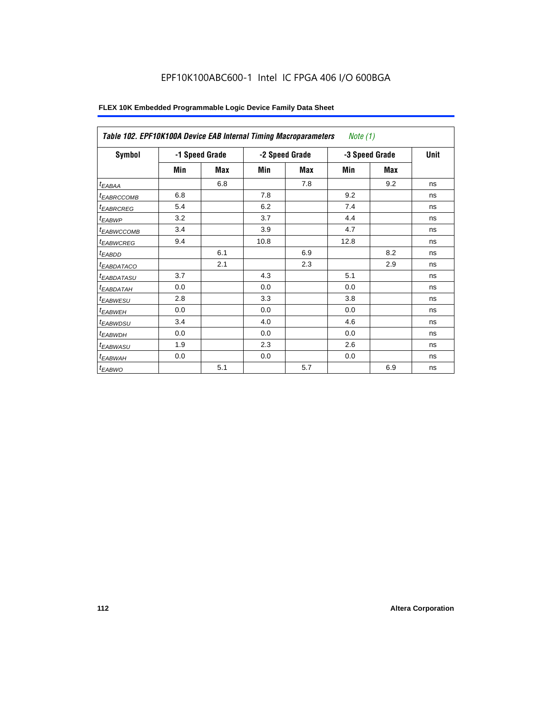| Table 102. EPF10K100A Device EAB Internal Timing Macroparameters |     |                |      |                | <i>Note</i> $(1)$ |             |    |
|------------------------------------------------------------------|-----|----------------|------|----------------|-------------------|-------------|----|
| Symbol                                                           |     | -1 Speed Grade |      | -2 Speed Grade | -3 Speed Grade    | <b>Unit</b> |    |
|                                                                  | Min | <b>Max</b>     | Min  | Max            | Min               | Max         |    |
| $t_{EABA}$                                                       |     | 6.8            |      | 7.8            |                   | 9.2         | ns |
| <sup>t</sup> EABRCCOMB                                           | 6.8 |                | 7.8  |                | 9.2               |             | ns |
| <i><b>EABRCREG</b></i>                                           | 5.4 |                | 6.2  |                | 7.4               |             | ns |
| <sup>t</sup> EABWP                                               | 3.2 |                | 3.7  |                | 4.4               |             | ns |
| <sup>t</sup> ЕАВWССОМВ                                           | 3.4 |                | 3.9  |                | 4.7               |             | ns |
| <sup>t</sup> EABWCREG                                            | 9.4 |                | 10.8 |                | 12.8              |             | ns |
| <sup>t</sup> EABDD                                               |     | 6.1            |      | 6.9            |                   | 8.2         | ns |
| <sup>t</sup> EABDATACO                                           |     | 2.1            |      | 2.3            |                   | 2.9         | ns |
| <sup>t</sup> EABDATASU                                           | 3.7 |                | 4.3  |                | 5.1               |             | ns |
| <sup>t</sup> EABDATAH                                            | 0.0 |                | 0.0  |                | 0.0               |             | ns |
| <i>t<sub>EABWESU</sub></i>                                       | 2.8 |                | 3.3  |                | 3.8               |             | ns |
| <sup>t</sup> EABWEH                                              | 0.0 |                | 0.0  |                | 0.0               |             | ns |
| <sup>t</sup> EABWDSU                                             | 3.4 |                | 4.0  |                | 4.6               |             | ns |
| $t_{EABWDH}$                                                     | 0.0 |                | 0.0  |                | 0.0               |             | ns |
| t <sub>EABWASU</sub>                                             | 1.9 |                | 2.3  |                | 2.6               |             | ns |
| t <sub>EABWAH</sub>                                              | 0.0 |                | 0.0  |                | 0.0               |             | ns |
| $t_{EABWO}$                                                      |     | 5.1            |      | 5.7            |                   | 6.9         | ns |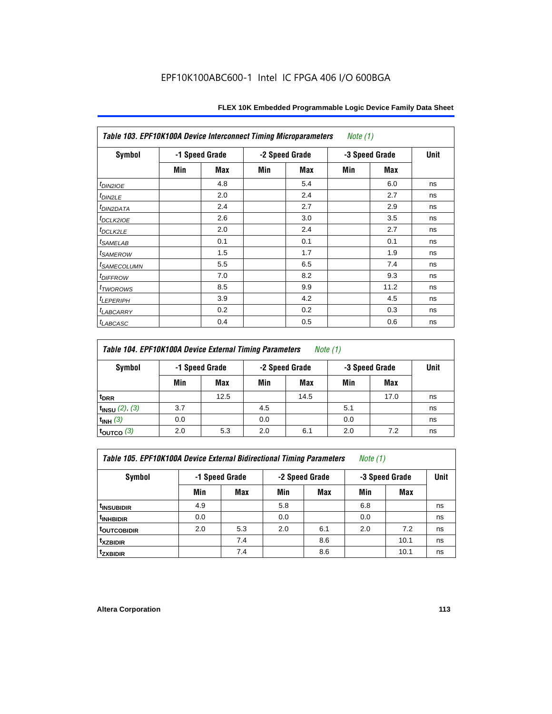| Table 103. EPF10K100A Device Interconnect Timing Microparameters<br>Note $(1)$ |                |     |     |                |                |      |    |  |  |
|--------------------------------------------------------------------------------|----------------|-----|-----|----------------|----------------|------|----|--|--|
| Symbol                                                                         | -1 Speed Grade |     |     | -2 Speed Grade | -3 Speed Grade | Unit |    |  |  |
|                                                                                | Min            | Max | Min | Max            | Min            | Max  |    |  |  |
| $t_{DINZIOE}$                                                                  |                | 4.8 |     | 5.4            |                | 6.0  | ns |  |  |
| t <sub>DIN2LE</sub>                                                            |                | 2.0 |     | 2.4            |                | 2.7  | ns |  |  |
| <sup>t</sup> DIN2DATA                                                          |                | 2.4 |     | 2.7            |                | 2.9  | ns |  |  |
| t <sub>DCLK210E</sub>                                                          |                | 2.6 |     | 3.0            |                | 3.5  | ns |  |  |
| t <sub>DCLK2LE</sub>                                                           |                | 2.0 |     | 2.4            |                | 2.7  | ns |  |  |
| <i>t</i> SAMELAB                                                               |                | 0.1 |     | 0.1            |                | 0.1  | ns |  |  |
| <i>t</i> SAMEROW                                                               |                | 1.5 |     | 1.7            |                | 1.9  | ns |  |  |
| <i>t<sub>SAMECOLUMN</sub></i>                                                  |                | 5.5 |     | 6.5            |                | 7.4  | ns |  |  |
| <i>t<sub>DIFFROW</sub></i>                                                     |                | 7.0 |     | 8.2            |                | 9.3  | ns |  |  |
| <sup>t</sup> TWOROWS                                                           |                | 8.5 |     | 9.9            |                | 11.2 | ns |  |  |
| <sup>t</sup> LEPERIPH                                                          |                | 3.9 |     | 4.2            |                | 4.5  | ns |  |  |
| <b>LABCARRY</b>                                                                |                | 0.2 |     | 0.2            |                | 0.3  | ns |  |  |
| <sup>t</sup> LABCASC                                                           |                | 0.4 |     | 0.5            |                | 0.6  | ns |  |  |

| Table 104. EPF10K100A Device External Timing Parameters | Note (1) |
|---------------------------------------------------------|----------|
|---------------------------------------------------------|----------|

| Symbol                 | -1 Speed Grade |      | -2 Speed Grade |      | -3 Speed Grade |            | Unit |
|------------------------|----------------|------|----------------|------|----------------|------------|------|
|                        | Min            | Max  | Min            | Max  | Min            | <b>Max</b> |      |
| t <sub>DRR</sub>       |                | 12.5 |                | 14.5 |                | 17.0       | ns   |
| $t_{INSU}$ (2), (3)    | 3.7            |      | 4.5            |      | 5.1            |            | ns   |
| $t_{INH}$ (3)          | 0.0            |      | 0.0            |      | 0.0            |            | ns   |
| $t_{\text{OUTCO}}$ (3) | 2.0            | 5.3  | 2.0            | 6.1  | 2.0            | 7.2        | ns   |

| Table 105. EPF10K100A Device External Bidirectional Timing Parameters | Note (1) |  |  |
|-----------------------------------------------------------------------|----------|--|--|
|-----------------------------------------------------------------------|----------|--|--|

| Symbol                  |     | -1 Speed Grade |     | -2 Speed Grade |     | -3 Speed Grade |    |  |
|-------------------------|-----|----------------|-----|----------------|-----|----------------|----|--|
|                         | Min | Max            | Min | <b>Max</b>     | Min | Max            |    |  |
| <sup>t</sup> INSUBIDIR  | 4.9 |                | 5.8 |                | 6.8 |                | ns |  |
| <sup>t</sup> inhbidir   | 0.0 |                | 0.0 |                | 0.0 |                | ns |  |
| <sup>t</sup> OUTCOBIDIR | 2.0 | 5.3            | 2.0 | 6.1            | 2.0 | 7.2            | ns |  |
| <sup>t</sup> xzbidir    |     | 7.4            |     | 8.6            |     | 10.1           | ns |  |
| <sup>t</sup> zxbidir    |     | 7.4            |     | 8.6            |     | 10.1           | ns |  |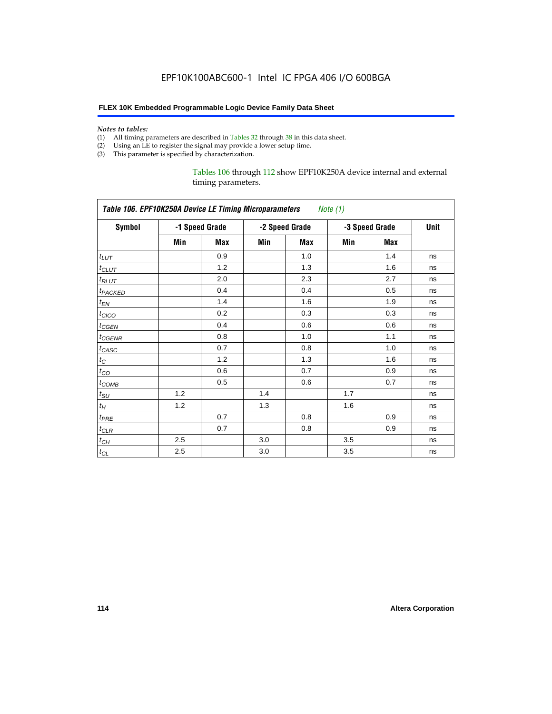#### *Notes to tables:*

- (1) All timing parameters are described in Tables 32 through 38 in this data sheet.
- (2) Using an LE to register the signal may provide a lower setup time.
- (3) This parameter is specified by characterization.

## Tables 106 through 112 show EPF10K250A device internal and external timing parameters.

| Table 106. EPF10K250A Device LE Timing Microparameters<br>Note (1) |     |                |     |                |     |                |    |  |
|--------------------------------------------------------------------|-----|----------------|-----|----------------|-----|----------------|----|--|
| <b>Symbol</b>                                                      |     | -1 Speed Grade |     | -2 Speed Grade |     | -3 Speed Grade |    |  |
|                                                                    | Min | <b>Max</b>     | Min | <b>Max</b>     | Min | <b>Max</b>     |    |  |
| $t_{LUT}$                                                          |     | 0.9            |     | 1.0            |     | 1.4            | ns |  |
| $t_{CLUT}$                                                         |     | 1.2            |     | 1.3            |     | 1.6            | ns |  |
| $t_{RLUT}$                                                         |     | 2.0            |     | 2.3            |     | 2.7            | ns |  |
| t <sub>PACKED</sub>                                                |     | 0.4            |     | 0.4            |     | 0.5            | ns |  |
| $t_{EN}$                                                           |     | 1.4            |     | 1.6            |     | 1.9            | ns |  |
| $t_{CICO}$                                                         |     | 0.2            |     | 0.3            |     | 0.3            | ns |  |
| $t_{CSEN}$                                                         |     | 0.4            |     | 0.6            |     | 0.6            | ns |  |
| t <sub>CGENR</sub>                                                 |     | 0.8            |     | 1.0            |     | 1.1            | ns |  |
| $t_{CASC}$                                                         |     | 0.7            |     | 0.8            |     | 1.0            | ns |  |
| $t_C$                                                              |     | 1.2            |     | 1.3            |     | 1.6            | ns |  |
| $t_{CO}$                                                           |     | 0.6            |     | 0.7            |     | 0.9            | ns |  |
| $t_{\mathsf{COMB}}$                                                |     | 0.5            |     | 0.6            |     | 0.7            | ns |  |
| $t_{\rm SU}$                                                       | 1.2 |                | 1.4 |                | 1.7 |                | ns |  |
| $t_H$                                                              | 1.2 |                | 1.3 |                | 1.6 |                | ns |  |
| $t_{PRE}$                                                          |     | 0.7            |     | 0.8            |     | 0.9            | ns |  |
| $t_{CLR}$                                                          |     | 0.7            |     | 0.8            |     | 0.9            | ns |  |
| $t_{CH}$                                                           | 2.5 |                | 3.0 |                | 3.5 |                | ns |  |
| $t_{CL}$                                                           | 2.5 |                | 3.0 |                | 3.5 |                | ns |  |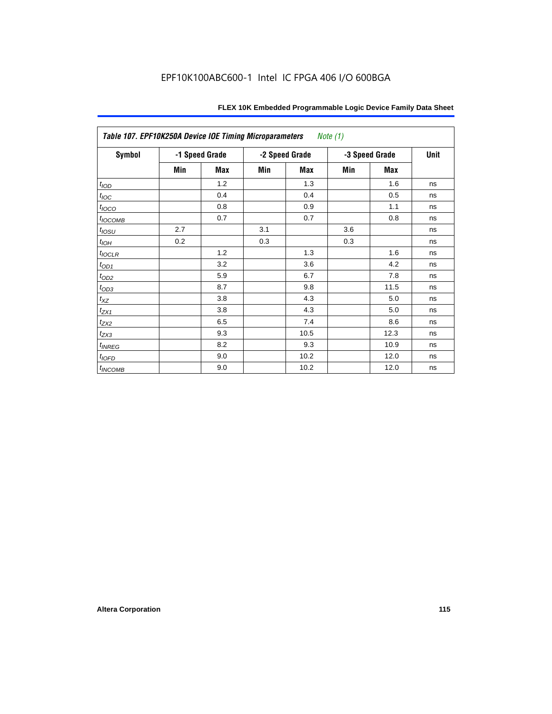| Table 107. EPF10K250A Device IOE Timing Microparameters<br><i>Note</i> $(1)$ |     |                |     |                |     |                |    |  |
|------------------------------------------------------------------------------|-----|----------------|-----|----------------|-----|----------------|----|--|
| <b>Symbol</b>                                                                |     | -1 Speed Grade |     | -2 Speed Grade |     | -3 Speed Grade |    |  |
|                                                                              | Min | Max            | Min | Max            | Min | Max            |    |  |
| t <sub>IOD</sub>                                                             |     | 1.2            |     | 1.3            |     | 1.6            | ns |  |
| $t_{\text{loc}}$                                                             |     | 0.4            |     | 0.4            |     | 0.5            | ns |  |
| $t_{IOCO}$                                                                   |     | 0.8            |     | 0.9            |     | 1.1            | ns |  |
| $t_{IOCOMB}$                                                                 |     | 0.7            |     | 0.7            |     | 0.8            | ns |  |
| $t_{IOSU}$                                                                   | 2.7 |                | 3.1 |                | 3.6 |                | ns |  |
| $t_{IOH}$                                                                    | 0.2 |                | 0.3 |                | 0.3 |                | ns |  |
| $t_{IOCLR}$                                                                  |     | 1.2            |     | 1.3            |     | 1.6            | ns |  |
| $t_{OD1}$                                                                    |     | 3.2            |     | 3.6            |     | 4.2            | ns |  |
| $t_{OD2}$                                                                    |     | 5.9            |     | 6.7            |     | 7.8            | ns |  |
| $t_{\text{OD3}}$                                                             |     | 8.7            |     | 9.8            |     | 11.5           | ns |  |
| $t_{XZ}$                                                                     |     | 3.8            |     | 4.3            |     | 5.0            | ns |  |
| $t_{ZX1}$                                                                    |     | 3.8            |     | 4.3            |     | 5.0            | ns |  |
| $t_{ZX2}$                                                                    |     | 6.5            |     | 7.4            |     | 8.6            | ns |  |
| $t_{ZX3}$                                                                    |     | 9.3            |     | 10.5           |     | 12.3           | ns |  |
| $t_{INREG}$                                                                  |     | 8.2            |     | 9.3            |     | 10.9           | ns |  |
| $t_{IOFD}$                                                                   |     | 9.0            |     | 10.2           |     | 12.0           | ns |  |
| $t_{INCOMB}$                                                                 |     | 9.0            |     | 10.2           |     | 12.0           | ns |  |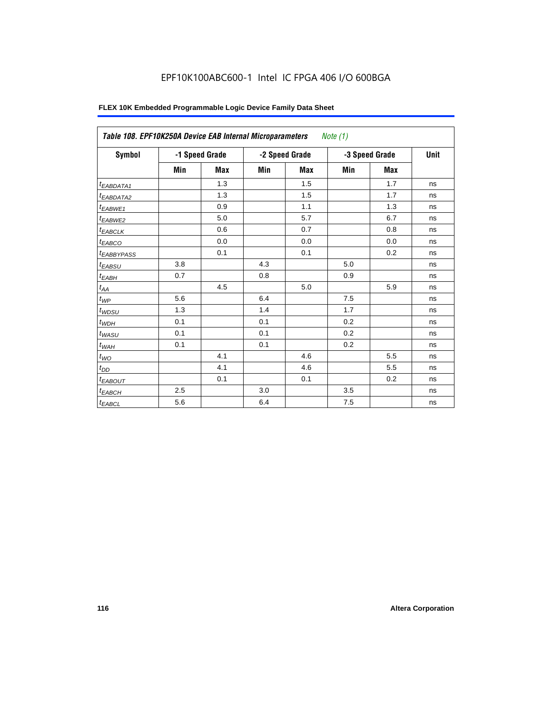# EPF10K100ABC600-1 Intel IC FPGA 406 I/O 600BGA

| <b>Symbol</b>                |     | -1 Speed Grade | -2 Speed Grade |            | -3 Speed Grade | <b>Unit</b> |    |
|------------------------------|-----|----------------|----------------|------------|----------------|-------------|----|
|                              | Min | <b>Max</b>     | Min            | <b>Max</b> | Min            | <b>Max</b>  |    |
| <sup>t</sup> EABDATA1        |     | 1.3            |                | 1.5        |                | 1.7         | ns |
| <sup>t</sup> EABDATA2        |     | 1.3            |                | 1.5        |                | 1.7         | ns |
| <sup>t</sup> EABWE1          |     | 0.9            |                | 1.1        |                | 1.3         | ns |
| <sup>t</sup> EABWE2          |     | 5.0            |                | 5.7        |                | 6.7         | ns |
| <sup>t</sup> EAB <u>CLK</u>  |     | 0.6            |                | 0.7        |                | 0.8         | ns |
| <sup>t</sup> EABCO           |     | 0.0            |                | 0.0        |                | 0.0         | ns |
| <sup>t</sup> EABBYPASS       |     | 0.1            |                | 0.1        |                | 0.2         | ns |
| <sup>t</sup> EABSU           | 3.8 |                | 4.3            |            | 5.0            |             | ns |
| t <sub>ЕАВН</sub>            | 0.7 |                | 0.8            |            | 0.9            |             | ns |
| $t_{\mathcal{A}\mathcal{A}}$ |     | 4.5            |                | 5.0        |                | 5.9         | ns |
| $t_{\mathcal{WP}}$           | 5.6 |                | 6.4            |            | 7.5            |             | ns |
| $t_{W\!D\!S\!U}$             | 1.3 |                | 1.4            |            | 1.7            |             | ns |
| $t_{WDH}$                    | 0.1 |                | 0.1            |            | 0.2            |             | ns |
| $t_{WASU}$                   | 0.1 |                | 0.1            |            | 0.2            |             | ns |
| $t_{W\underline{AH}}$        | 0.1 |                | 0.1            |            | 0.2            |             | ns |
| $t_{WO}$                     |     | 4.1            |                | 4.6        |                | 5.5         | ns |
| $t_{DD}$                     |     | 4.1            |                | 4.6        |                | 5.5         | ns |
| <sup>t</sup> EABOUT          |     | 0.1            |                | 0.1        |                | 0.2         | ns |
| $t_{EABCH}$                  | 2.5 |                | 3.0            |            | 3.5            |             | ns |
| $t_{EABCL}$                  | 5.6 |                | 6.4            |            | 7.5            |             | ns |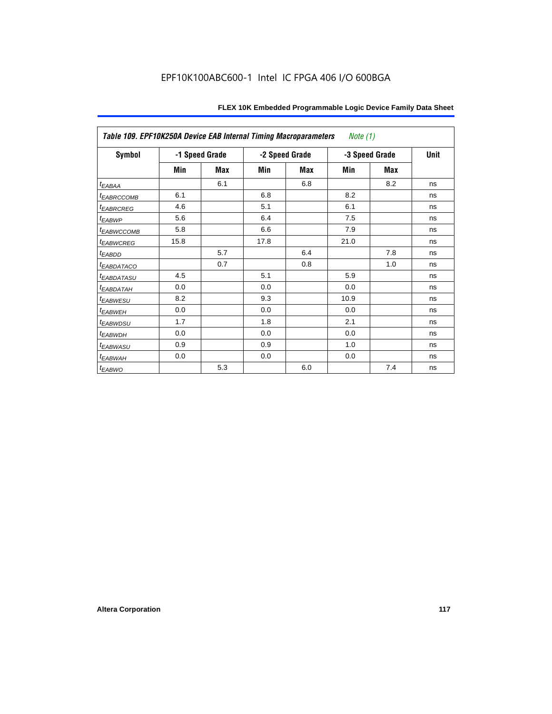| Table 109. EPF10K250A Device EAB Internal Timing Macroparameters<br>Note (1) |      |                |                |     |                |     |             |
|------------------------------------------------------------------------------|------|----------------|----------------|-----|----------------|-----|-------------|
| Symbol                                                                       |      | -1 Speed Grade | -2 Speed Grade |     | -3 Speed Grade |     | <b>Unit</b> |
|                                                                              | Min  | <b>Max</b>     | Min            | Max | Min            | Max |             |
| $t_{EABA}$                                                                   |      | 6.1            |                | 6.8 |                | 8.2 | ns          |
| <sup>t</sup> EABRCCOMB                                                       | 6.1  |                | 6.8            |     | 8.2            |     | ns          |
| <sup>t</sup> EABRCREG                                                        | 4.6  |                | 5.1            |     | 6.1            |     | ns          |
| t <sub>EABWP</sub>                                                           | 5.6  |                | 6.4            |     | 7.5            |     | ns          |
| <sup>t</sup> ЕАВWССОМВ                                                       | 5.8  |                | 6.6            |     | 7.9            |     | ns          |
| <sup>t</sup> EABWCREG                                                        | 15.8 |                | 17.8           |     | 21.0           |     | ns          |
| $t_{EABDD}$                                                                  |      | 5.7            |                | 6.4 |                | 7.8 | ns          |
| <sup>t</sup> EABDATACO                                                       |      | 0.7            |                | 0.8 |                | 1.0 | ns          |
| <sup>t</sup> EABDATASU                                                       | 4.5  |                | 5.1            |     | 5.9            |     | ns          |
| <sup>t</sup> EABDATAH                                                        | 0.0  |                | 0.0            |     | 0.0            |     | ns          |
| <sup>t</sup> EABWESU                                                         | 8.2  |                | 9.3            |     | 10.9           |     | ns          |
| <sup>t</sup> ЕАВWЕН                                                          | 0.0  |                | 0.0            |     | 0.0            |     | ns          |
| <i>t<sub>EABWDSU</sub></i>                                                   | 1.7  |                | 1.8            |     | 2.1            |     | ns          |
| <sup>t</sup> EABWDH                                                          | 0.0  |                | 0.0            |     | 0.0            |     | ns          |
| <sup>t</sup> EABWASU                                                         | 0.9  |                | 0.9            |     | 1.0            |     | ns          |
| <sup>t</sup> EABWAH                                                          | 0.0  |                | 0.0            |     | 0.0            |     | ns          |
| $t_{EABWO}$                                                                  |      | 5.3            |                | 6.0 |                | 7.4 | ns          |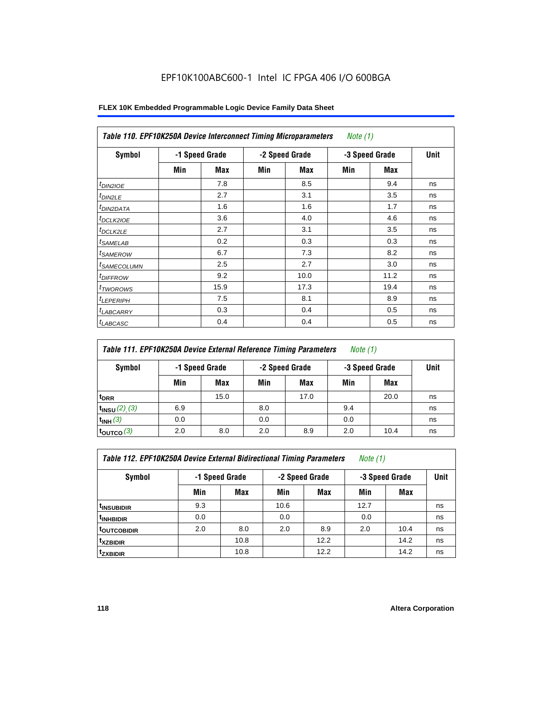# EPF10K100ABC600-1 Intel IC FPGA 406 I/O 600BGA

| Symbol                     |     | -1 Speed Grade |     | -2 Speed Grade | -3 Speed Grade | Unit       |    |
|----------------------------|-----|----------------|-----|----------------|----------------|------------|----|
|                            | Min | <b>Max</b>     | Min | <b>Max</b>     | Min            | <b>Max</b> |    |
| <i>t<sub>DIN2IOE</sub></i> |     | 7.8            |     | 8.5            |                | 9.4        | ns |
| $t_{DIN2LE}$               |     | 2.7            |     | 3.1            |                | 3.5        | ns |
| <sup>t</sup> DIN2DATA      |     | 1.6            |     | 1.6            |                | 1.7        | ns |
| <sup>t</sup> DCLK2IOE      |     | 3.6            |     | 4.0            |                | 4.6        | ns |
| <sup>t</sup> DCLK2LE       |     | 2.7            |     | 3.1            |                | 3.5        | ns |
| <sup>t</sup> SAMELAB       |     | 0.2            |     | 0.3            |                | 0.3        | ns |
| <sup>t</sup> SAMEROW       |     | 6.7            |     | 7.3            |                | 8.2        | ns |
| <sup>t</sup> SAMECOLUMN    |     | 2.5            |     | 2.7            |                | 3.0        | ns |
| <i>t<sub>DIFFROW</sub></i> |     | 9.2            |     | 10.0           |                | 11.2       | ns |
| <sup>t</sup> TWOROWS       |     | 15.9           |     | 17.3           |                | 19.4       | ns |
| <sup>t</sup> LEPERIPH      |     | 7.5            |     | 8.1            |                | 8.9        | ns |
| <sup>t</sup> LABCARRY      |     | 0.3            |     | 0.4            |                | 0.5        | ns |
| <sup>t</sup> LABCASC       |     | 0.4            |     | 0.4            |                | 0.5        | ns |

| Table 111. EPF10K250A Device External Reference Timing Parameters<br><i>Note</i> $(1)$ |                |      |                |      |                |      |      |
|----------------------------------------------------------------------------------------|----------------|------|----------------|------|----------------|------|------|
| Symbol                                                                                 | -1 Speed Grade |      | -2 Speed Grade |      | -3 Speed Grade |      | Unit |
|                                                                                        | Min            | Max  | Min            | Max  | Min            | Max  |      |
| t <sub>DRR</sub>                                                                       |                | 15.0 |                | 17.0 |                | 20.0 | ns   |
| $t_{INSU} (2) (3)$                                                                     | 6.9            |      | 8.0            |      | 9.4            |      | ns   |
| $t_{INH}$ (3)                                                                          | 0.0            |      | 0.0            |      | 0.0            |      | ns   |
| $t_{\text{OUTCO}}(3)$                                                                  | 2.0            | 8.0  | 2.0            | 8.9  | 2.0            | 10.4 | ns   |

| Table 112. EPF10K250A Device External Bidirectional Timing Parameters |  |  | Note (1) |  |
|-----------------------------------------------------------------------|--|--|----------|--|
|-----------------------------------------------------------------------|--|--|----------|--|

| Symbol                   | -1 Speed Grade |      |      | -2 Speed Grade | -3 Speed Grade | Unit |    |
|--------------------------|----------------|------|------|----------------|----------------|------|----|
|                          | Min            | Max  | Min  | <b>Max</b>     | Min            | Max  |    |
| I <sup>t</sup> INSUBIDIR | 9.3            |      | 10.6 |                | 12.7           |      | ns |
| <sup>t</sup> INHBIDIR    | 0.0            |      | 0.0  |                | 0.0            |      | ns |
| <b>t</b> outcobidir      | 2.0            | 8.0  | 2.0  | 8.9            | 2.0            | 10.4 | ns |
| <sup>t</sup> xzbidir     |                | 10.8 |      | 12.2           |                | 14.2 | ns |
| <sup>t</sup> zxbidir     |                | 10.8 |      | 12.2           |                | 14.2 | ns |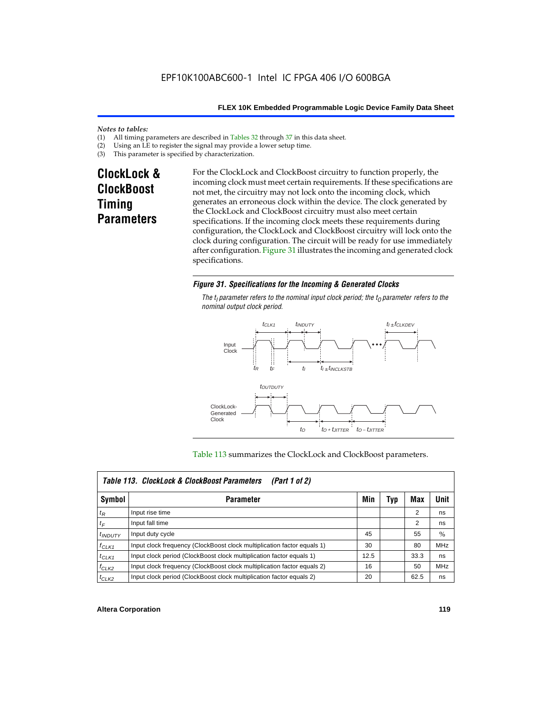#### *Notes to tables:*

- (1) All timing parameters are described in Tables  $32$  through  $37$  in this data sheet.<br>(2) Using an LE to register the signal may provide a lower setup time.
- (2) Using an LE to register the signal may provide a lower setup time.<br>(3) This parameter is specified by characterization.
- This parameter is specified by characterization.

# **ClockLock & ClockBoost Timing Parameters**

For the ClockLock and ClockBoost circuitry to function properly, the incoming clock must meet certain requirements. If these specifications are not met, the circuitry may not lock onto the incoming clock, which generates an erroneous clock within the device. The clock generated by the ClockLock and ClockBoost circuitry must also meet certain specifications. If the incoming clock meets these requirements during configuration, the ClockLock and ClockBoost circuitry will lock onto the clock during configuration. The circuit will be ready for use immediately after configuration. Figure 31 illustrates the incoming and generated clock specifications.

#### *Figure 31. Specifications for the Incoming & Generated Clocks*

The  $t_i$  parameter refers to the nominal input clock period; the  $t_0$  parameter refers to the *nominal output clock period.*



#### Table 113 summarizes the ClockLock and ClockBoost parameters.

|              | Table 113. ClockLock & ClockBoost Parameters<br>(Part 1 of 2)           |      |     |      |            |  |  |  |
|--------------|-------------------------------------------------------------------------|------|-----|------|------------|--|--|--|
| Symbol       | <b>Parameter</b>                                                        | Min  | Typ | Max  | Unit       |  |  |  |
| $t_{R}$      | Input rise time                                                         |      |     | 2    | ns         |  |  |  |
| $t_F$        | Input fall time                                                         |      |     | 2    | ns         |  |  |  |
| $t_{INDUTY}$ | Input duty cycle                                                        | 45   |     | 55   | $\%$       |  |  |  |
| $f_{CLK1}$   | Input clock frequency (ClockBoost clock multiplication factor equals 1) | 30   |     | 80   | <b>MHz</b> |  |  |  |
| $t$ CLK1     | Input clock period (ClockBoost clock multiplication factor equals 1)    | 12.5 |     | 33.3 | ns         |  |  |  |
| $f_{CLK2}$   | Input clock frequency (ClockBoost clock multiplication factor equals 2) | 16   |     | 50   | <b>MHz</b> |  |  |  |
| $t_{CLK2}$   | Input clock period (ClockBoost clock multiplication factor equals 2)    | 20   |     | 62.5 | ns         |  |  |  |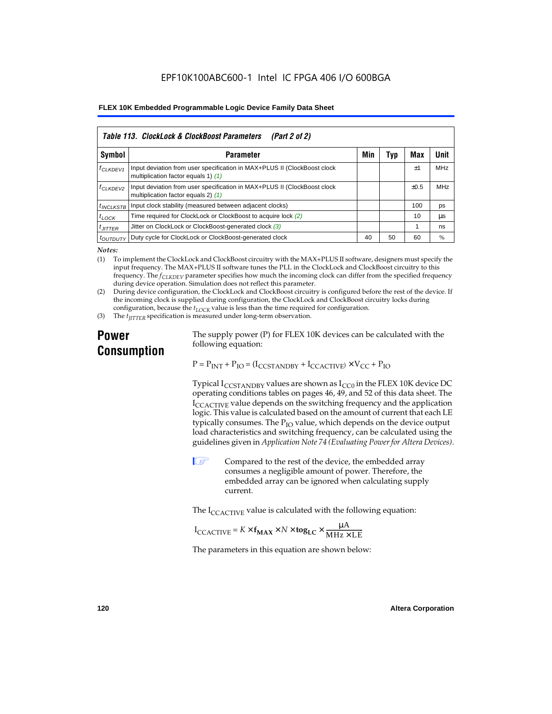| Table 113. ClockLock & ClockBoost Parameters<br>(Part 2 of 2) |                                                                                                                 |     |     |           |            |  |  |  |
|---------------------------------------------------------------|-----------------------------------------------------------------------------------------------------------------|-----|-----|-----------|------------|--|--|--|
| Symbol                                                        | <b>Parameter</b>                                                                                                | Min | Typ | Max       | Unit       |  |  |  |
| f <sub>CLKDEV1</sub>                                          | Input deviation from user specification in MAX+PLUS II (ClockBoost clock<br>multiplication factor equals 1) (1) |     |     | $+1$      | <b>MHz</b> |  |  |  |
| <sup>f</sup> CLKDEV2                                          | Input deviation from user specification in MAX+PLUS II (ClockBoost clock<br>multiplication factor equals 2) (1) |     |     | $\pm 0.5$ | MHz        |  |  |  |
| <sup>t</sup> INCLKSTB                                         | Input clock stability (measured between adjacent clocks)                                                        |     |     | 100       | ps         |  |  |  |
| $t_{LOCK}$                                                    | Time required for ClockLock or ClockBoost to acquire lock (2)                                                   |     |     | 10        | μs         |  |  |  |
| $t_{JITTER}$                                                  | Jitter on ClockLock or ClockBoost-generated clock (3)                                                           |     |     |           | ns         |  |  |  |
| <i>toutbuty</i>                                               | Duty cycle for ClockLock or ClockBoost-generated clock                                                          | 40  | 50  | 60        | %          |  |  |  |

*Notes:*

(1) To implement the ClockLock and ClockBoost circuitry with the MAX+PLUS II software, designers must specify the input frequency. The MAX+PLUS II software tunes the PLL in the ClockLock and ClockBoost circuitry to this frequency. The *fCLKDEV* parameter specifies how much the incoming clock can differ from the specified frequency during device operation. Simulation does not reflect this parameter.

(2) During device configuration, the ClockLock and ClockBoost circuitry is configured before the rest of the device. If the incoming clock is supplied during configuration, the ClockLock and ClockBoost circuitry locks during configuration, because the  $t_{LOCK}$  value is less than the time required for configuration.

(3) The *t<sub>IITTER</sub>* specification is measured under long-term observation.

# **Power Consumption**

The supply power (P) for FLEX 10K devices can be calculated with the following equation:

 $P = P_{INT} + P_{IO} = (I_{CCSTANDBY} + I_{CCACTIVE}) \times V_{CC} + P_{IO}$ 

Typical  $I_{CCSTANDBY}$  values are shown as  $I_{CC0}$  in the FLEX 10K device DC operating conditions tables on pages 46, 49, and 52 of this data sheet. The  $I_{\text{CCACTIVE}}$  value depends on the switching frequency and the application logic. This value is calculated based on the amount of current that each LE typically consumes. The  $P_{IO}$  value, which depends on the device output load characteristics and switching frequency, can be calculated using the guidelines given in *Application Note 74 (Evaluating Power for Altera Devices)*.

 $\Box$  Compared to the rest of the device, the embedded array consumes a negligible amount of power. Therefore, the embedded array can be ignored when calculating supply current.

The  $I_{\text{CCACTIVE}}$  value is calculated with the following equation:

$$
I_{\text{CCACTIVE}} = K \times f_{\text{MAX}} \times N \times \text{tog}_{\text{LC}} \times \frac{\mu A}{\text{MHz} \times \text{LE}}
$$

The parameters in this equation are shown below: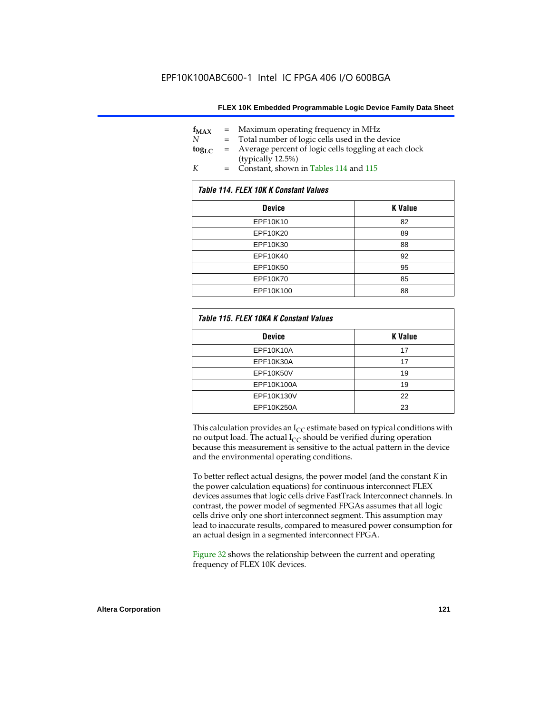| $f_{MAX}$  | $=$ | Maximum operating frequency in MHz                    |
|------------|-----|-------------------------------------------------------|
| N          |     | Total number of logic cells used in the device        |
| $log_{LC}$ | $=$ | Average percent of logic cells toggling at each clock |
|            |     | (typically 12.5%)                                     |
| K          | $=$ | Constant, shown in Tables 114 and 115                 |

| Table 114. FLEX 10K K Constant Values |                |  |  |  |  |
|---------------------------------------|----------------|--|--|--|--|
| <b>Device</b>                         | <b>K</b> Value |  |  |  |  |
| EPF10K10                              | 82             |  |  |  |  |
| EPF10K20                              | 89             |  |  |  |  |
| EPF10K30                              | 88             |  |  |  |  |
| EPF10K40                              | 92             |  |  |  |  |
| EPF10K50                              | 95             |  |  |  |  |
| EPF10K70                              | 85             |  |  |  |  |
| EPF10K100                             | 88             |  |  |  |  |

| Table 115. FLEX 10KA K Constant Values |                |
|----------------------------------------|----------------|
| <b>Device</b>                          | <b>K</b> Value |
| <b>EPF10K10A</b>                       | 17             |
| EPF10K30A                              | 17             |
| EPF10K50V                              | 19             |
| EPF10K100A                             | 19             |
| EPF10K130V                             | 22             |
| EPF10K250A                             | 23             |

This calculation provides an  $I_{CC}$  estimate based on typical conditions with no output load. The actual  $I_{CC}$  should be verified during operation because this measurement is sensitive to the actual pattern in the device and the environmental operating conditions.

To better reflect actual designs, the power model (and the constant *K* in the power calculation equations) for continuous interconnect FLEX devices assumes that logic cells drive FastTrack Interconnect channels. In contrast, the power model of segmented FPGAs assumes that all logic cells drive only one short interconnect segment. This assumption may lead to inaccurate results, compared to measured power consumption for an actual design in a segmented interconnect FPGA.

Figure 32 shows the relationship between the current and operating frequency of FLEX 10K devices.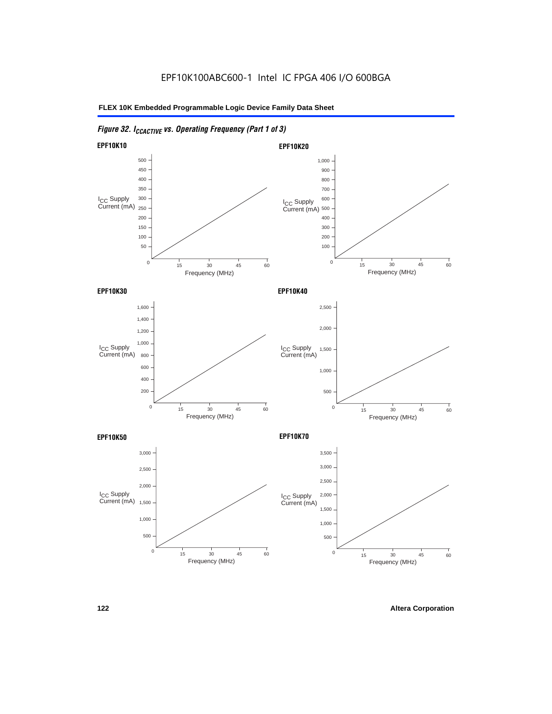# *Figure 32. ICCACTIVE vs. Operating Frequency (Part 1 of 3)*

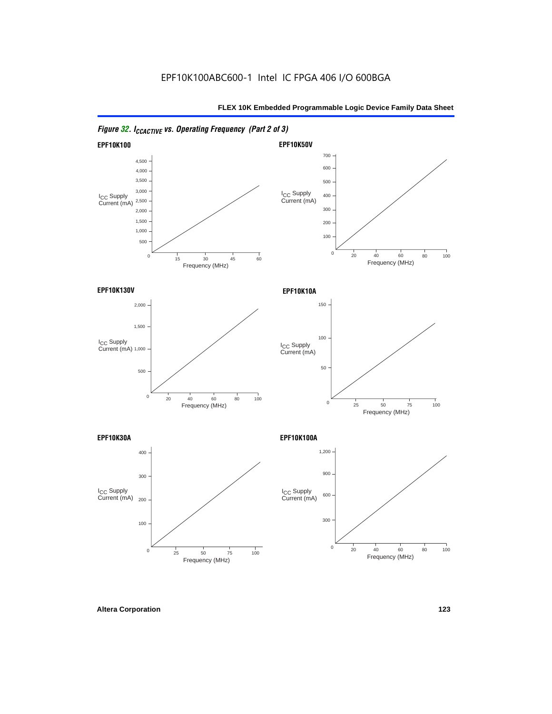

# *Figure 32. ICCACTIVE vs. Operating Frequency (Part 2 of 3)*

**Altera Corporation 123**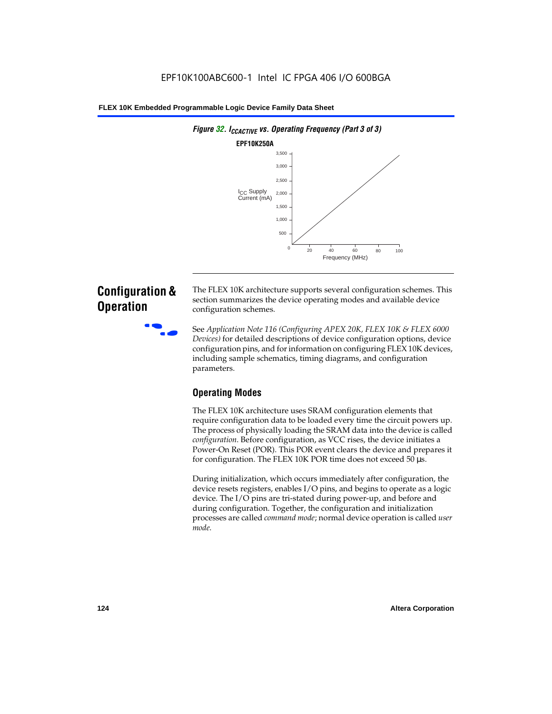

# **Configuration & Operation**

The FLEX 10K architecture supports several configuration schemes. This section summarizes the device operating modes and available device configuration schemes.

f See *Application Note 116 (Configuring APEX 20K, FLEX 10K & FLEX 6000 Devices)* for detailed descriptions of device configuration options, device configuration pins, and for information on configuring FLEX 10K devices, including sample schematics, timing diagrams, and configuration parameters.

# **Operating Modes**

The FLEX 10K architecture uses SRAM configuration elements that require configuration data to be loaded every time the circuit powers up. The process of physically loading the SRAM data into the device is called *configuration*. Before configuration, as VCC rises, the device initiates a Power-On Reset (POR). This POR event clears the device and prepares it for configuration. The FLEX 10K POR time does not exceed 50 µs.

During initialization, which occurs immediately after configuration, the device resets registers, enables I/O pins, and begins to operate as a logic device. The I/O pins are tri-stated during power-up, and before and during configuration. Together, the configuration and initialization processes are called *command mode*; normal device operation is called *user mode*.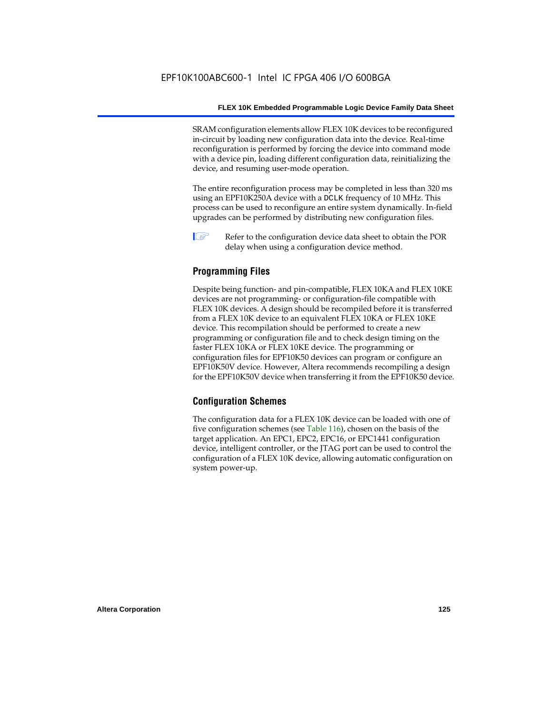SRAM configuration elements allow FLEX 10K devices to be reconfigured in-circuit by loading new configuration data into the device. Real-time reconfiguration is performed by forcing the device into command mode with a device pin, loading different configuration data, reinitializing the device, and resuming user-mode operation.

The entire reconfiguration process may be completed in less than 320 ms using an EPF10K250A device with a DCLK frequency of 10 MHz. This process can be used to reconfigure an entire system dynamically. In-field upgrades can be performed by distributing new configuration files.

 $\Box$  Refer to the configuration device data sheet to obtain the POR delay when using a configuration device method.

## **Programming Files**

Despite being function- and pin-compatible, FLEX 10KA and FLEX 10KE devices are not programming- or configuration-file compatible with FLEX 10K devices. A design should be recompiled before it is transferred from a FLEX 10K device to an equivalent FLEX 10KA or FLEX 10KE device. This recompilation should be performed to create a new programming or configuration file and to check design timing on the faster FLEX 10KA or FLEX 10KE device. The programming or configuration files for EPF10K50 devices can program or configure an EPF10K50V device. However, Altera recommends recompiling a design for the EPF10K50V device when transferring it from the EPF10K50 device.

### **Configuration Schemes**

The configuration data for a FLEX 10K device can be loaded with one of five configuration schemes (see Table 116), chosen on the basis of the target application. An EPC1, EPC2, EPC16, or EPC1441 configuration device, intelligent controller, or the JTAG port can be used to control the configuration of a FLEX 10K device, allowing automatic configuration on system power-up.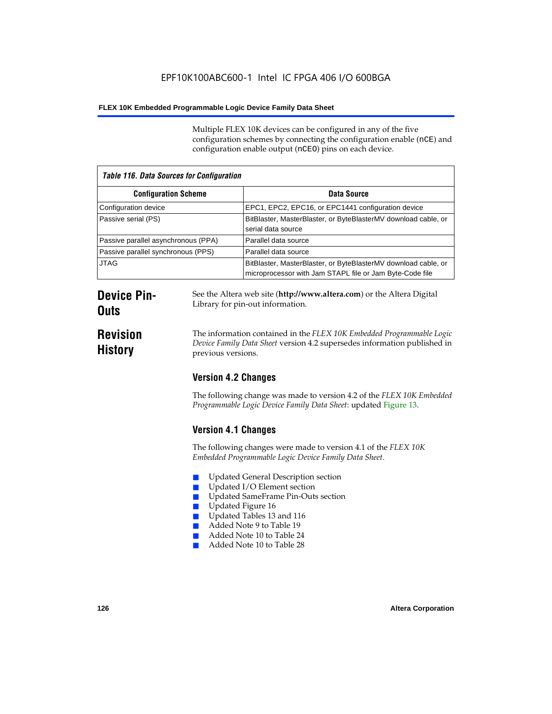Multiple FLEX 10K devices can be configured in any of the five configuration schemes by connecting the configuration enable (nCE) and configuration enable output (nCEO) pins on each device.

| <b>Table 116. Data Sources for Configuration</b> |                                                                                                                            |  |
|--------------------------------------------------|----------------------------------------------------------------------------------------------------------------------------|--|
| <b>Configuration Scheme</b>                      | Data Source                                                                                                                |  |
| Configuration device                             | EPC1, EPC2, EPC16, or EPC1441 configuration device                                                                         |  |
| Passive serial (PS)                              | BitBlaster, MasterBlaster, or ByteBlasterMV download cable, or<br>serial data source                                       |  |
| Passive parallel asynchronous (PPA)              | Parallel data source                                                                                                       |  |
| Passive parallel synchronous (PPS)               | Parallel data source                                                                                                       |  |
| <b>JTAG</b>                                      | BitBlaster, MasterBlaster, or ByteBlasterMV download cable, or<br>microprocessor with Jam STAPL file or Jam Byte-Code file |  |

# **Device Pin-Outs**

**Revision History**

See the Altera web site (**http://www.altera.com**) or the Altera Digital Library for pin-out information.

The information contained in the *FLEX 10K Embedded Programmable Logic Device Family Data Sheet* version 4.2 supersedes information published in previous versions.

# **Version 4.2 Changes**

The following change was made to version 4.2 of the *FLEX 10K Embedded Programmable Logic Device Family Data Sheet*: updated Figure 13.

# **Version 4.1 Changes**

The following changes were made to version 4.1 of the *FLEX 10K Embedded Programmable Logic Device Family Data Sheet*.

- Updated General Description section
- Updated I/O Element section
- Updated SameFrame Pin-Outs section
- Updated Figure 16
- Updated Tables 13 and 116
- Added Note 9 to Table 19
- Added Note 10 to Table 24
- Added Note 10 to Table 28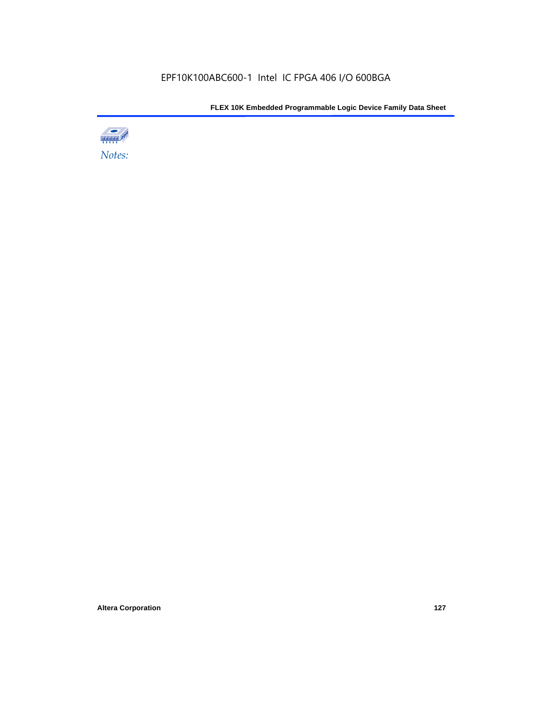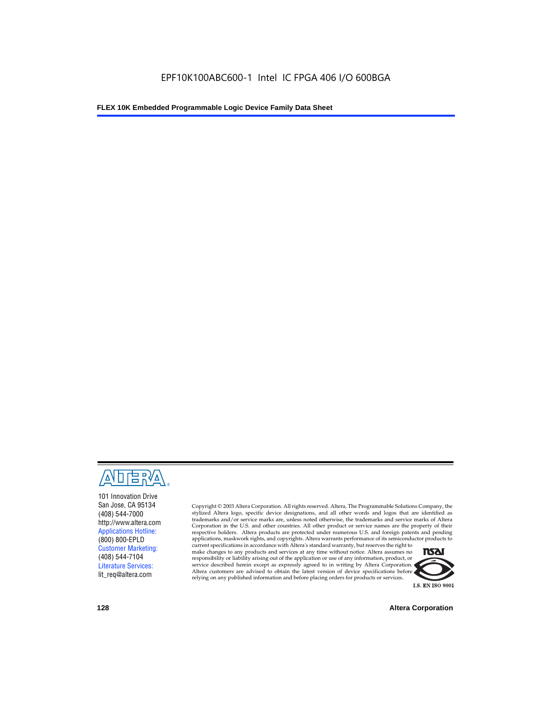

101 Innovation Drive San Jose, CA 95134 (408) 544-7000 http://www.altera.com Applications Hotline: (800) 800-EPLD Customer Marketing: (408) 544-7104 Literature Services: lit\_req@altera.com

Copyright © 2003 Altera Corporation. All rights reserved. Altera, The Programmable Solutions Company, the stylized Altera logo, specific device designations, and all other words and logos that are identified as trademarks and/or service marks are, unless noted otherwise, the trademarks and service marks of Altera Corporation in the U.S. and other countries. All other product or service names are the property of their respective holders. Altera products are protected under numerous U.S. and foreign patents and pending applications, maskwork rights, and copyrights. Altera warrants performance of its semiconductor products to

current specifications in accordance with Altera's standard warranty, but reserves the right to make changes to any products and services at any time without notice. Altera assumes no responsibility or liability arising out of the application or use of any information, product, or service described herein except as expressly agreed to in writing by Altera Corporation. Altera customers are advised to obtain the latest version of device specifications before relying on any published information and before placing orders for products or services.



**128 Altera Corporation**